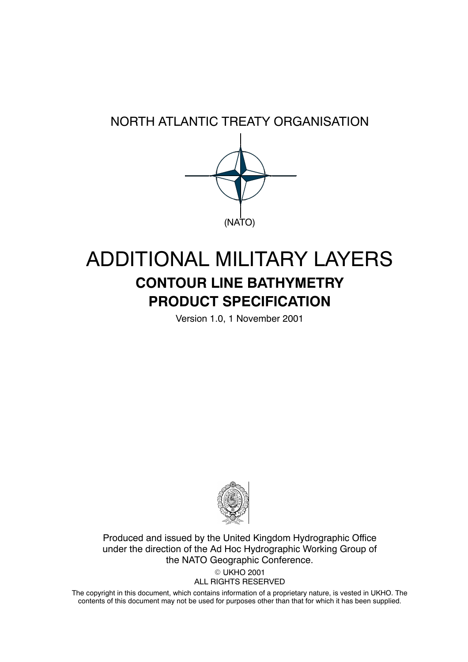# NORTH ATLANTIC TREATY ORGANISATION



# ADDITIONAL MILITARY LAYERS **CONTOUR LINE BATHYMETRY PRODUCT SPECIFICATION**

Version 1.0, 1 November 2001



Produced and issued by the United Kingdom Hydrographic Office under the direction of the Ad Hoc Hydrographic Working Group of the NATO Geographic Conference.

> **© UKHO 2001** ALL RIGHTS RESERVED

The copyright in this document, which contains information of a proprietary nature, is vested in UKHO. The contents of this document may not be used for purposes other than that for which it has been supplied.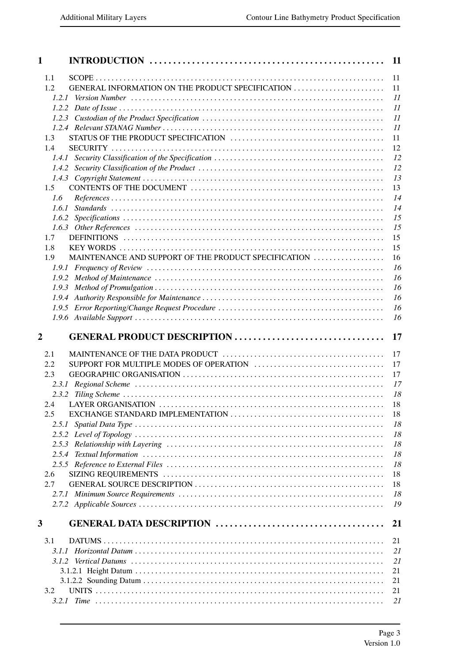| $\mathbf{1}$               |                                                      | 11       |
|----------------------------|------------------------------------------------------|----------|
| 1.1                        |                                                      | 11       |
| 1.2                        |                                                      | 11       |
|                            |                                                      | 11       |
|                            |                                                      | 11       |
|                            |                                                      | 11       |
|                            |                                                      | 11       |
| 1.3                        |                                                      | 11       |
| 1.4                        |                                                      | 12       |
|                            |                                                      | 12<br>12 |
|                            |                                                      | 13       |
| 1.5                        |                                                      | 13       |
| 1.6                        |                                                      | 14       |
|                            |                                                      | 14       |
|                            |                                                      | 15       |
|                            |                                                      | 15       |
| 1.7                        |                                                      | 15       |
| 1.8                        |                                                      | 15       |
| 1.9                        | MAINTENANCE AND SUPPORT OF THE PRODUCT SPECIFICATION | 16       |
|                            |                                                      | 16       |
|                            |                                                      | 16       |
|                            |                                                      | 16       |
|                            |                                                      | 16       |
|                            |                                                      | 16<br>16 |
|                            |                                                      |          |
|                            |                                                      |          |
|                            | <b>GENERAL PRODUCT DESCRIPTION </b>                  | 17       |
|                            |                                                      |          |
| 2.1                        |                                                      | 17       |
| 2.2<br>2.3                 |                                                      | 17<br>17 |
|                            |                                                      | 17       |
|                            |                                                      | 18       |
| 2.4                        |                                                      | 18       |
| 2.5                        |                                                      | 18       |
| 2.5.1                      |                                                      | 18       |
|                            |                                                      | 18       |
|                            |                                                      | 18       |
|                            |                                                      | 18       |
|                            |                                                      | 18       |
| 2.6                        |                                                      | 18       |
| 2.7                        |                                                      | 18       |
|                            |                                                      | 18       |
|                            |                                                      | 19       |
|                            |                                                      | 21       |
| 3.1                        |                                                      | 21       |
|                            |                                                      | 21       |
|                            |                                                      | 21       |
|                            |                                                      | 21       |
|                            |                                                      | 21       |
| $\overline{2}$<br>3<br>3.2 |                                                      | 21       |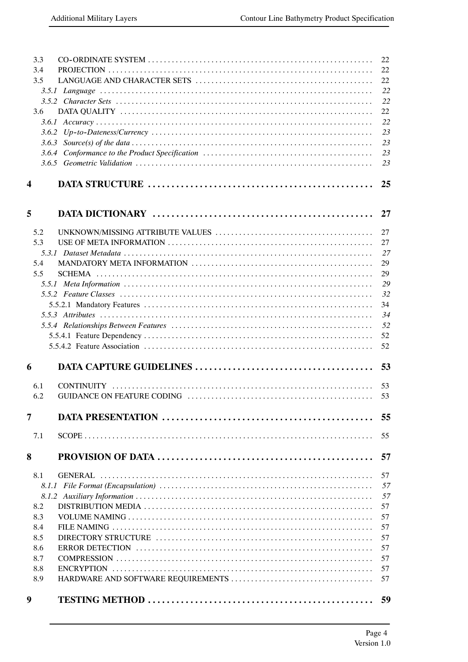| 3.3   | 22       |
|-------|----------|
| 3.4   | 22       |
| 3.5   | 22       |
|       | 22       |
|       | 22       |
| 3.6   | 22       |
|       | 22       |
|       | 23       |
| 3.6.3 | 23<br>23 |
|       | 23       |
|       |          |
| 4     | 25       |
| 5     | 27       |
| 5.2   | 27       |
| 5.3   | 27       |
|       | 27       |
| 5.4   | 29       |
| 5.5   | 29       |
|       | 29       |
|       | 32       |
|       | 34       |
|       | 34       |
|       | 52       |
|       | 52       |
|       | 52       |
| 6     | 53       |
| 6.1   | 53       |
| 6.2   | 53       |
|       |          |
| 7     | 55       |
| 7.1   | 55       |
|       |          |
| 8     | 57       |
| 8.1   | 57       |
|       | 57       |
|       | 57       |
| 8.2   | 57       |
| 8.3   | 57       |
| 8.4   | 57       |
| 8.5   | 57       |
| 8.6   | 57       |
| 8.7   | 57       |
| 8.8   | 57       |
| 8.9   | 57       |
|       |          |
| 9     | 59       |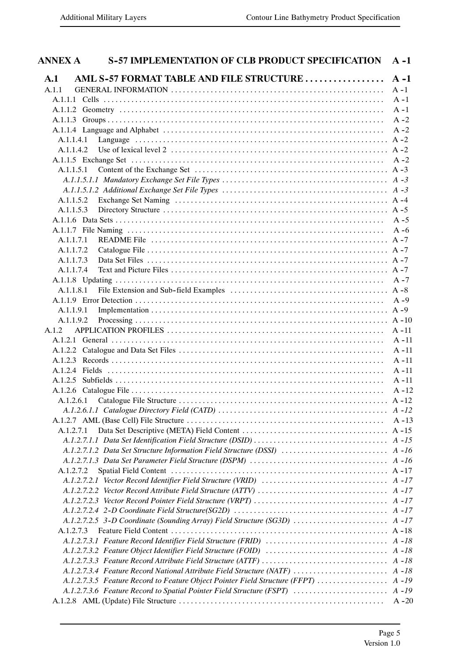| <b>ANNEX A</b> | <b>S-57 IMPLEMENTATION OF CLB PRODUCT SPECIFICATION</b>                            | $A - 1$  |
|----------------|------------------------------------------------------------------------------------|----------|
| $\mathbf{A.1}$ | AML S-57 FORMAT TABLE AND FILE STRUCTURE                                           | $A - 1$  |
| A.1.1          |                                                                                    | $A - 1$  |
|                |                                                                                    | $A - 1$  |
|                |                                                                                    | $A - 1$  |
|                |                                                                                    | $A - 2$  |
|                |                                                                                    | $A - 2$  |
| A.1.1.4.1      |                                                                                    |          |
| A.1.1.4.2      |                                                                                    |          |
|                |                                                                                    |          |
| A.1.1.5.1      |                                                                                    |          |
|                |                                                                                    |          |
|                |                                                                                    |          |
| A.1.1.5.2      |                                                                                    |          |
| A.1.1.5.3      |                                                                                    |          |
|                |                                                                                    |          |
|                |                                                                                    |          |
| A.1.1.7.1      |                                                                                    |          |
| A.1.1.7.2      |                                                                                    |          |
| A.1.1.7.3      |                                                                                    |          |
| A.1.1.7.4      |                                                                                    |          |
|                |                                                                                    |          |
| A.1.1.8.1      |                                                                                    |          |
|                |                                                                                    |          |
| A.1.1.9.1      |                                                                                    |          |
| A.1.1.9.2      |                                                                                    |          |
| A.1.2          |                                                                                    |          |
|                |                                                                                    | $A - 11$ |
|                |                                                                                    | $A - 11$ |
|                |                                                                                    | $A - 11$ |
|                |                                                                                    | $A - 11$ |
|                |                                                                                    | $A - 11$ |
|                |                                                                                    |          |
|                |                                                                                    |          |
|                |                                                                                    |          |
|                |                                                                                    |          |
| A.1.2.7.1      |                                                                                    |          |
|                |                                                                                    |          |
|                | A.1.2.7.1.2 Data Set Structure Information Field Structure (DSSI)  A -16           |          |
|                |                                                                                    |          |
| A.1.2.7.2      |                                                                                    |          |
|                |                                                                                    |          |
|                |                                                                                    |          |
|                |                                                                                    |          |
|                |                                                                                    |          |
|                | A.1.2.7.2.5 3-D Coordinate (Sounding Array) Field Structure (SG3D)  A -17          |          |
| A.1.2.7.3      |                                                                                    |          |
|                |                                                                                    |          |
|                | A.1.2.7.3.2 Feature Object Identifier Field Structure (FOID)  A -18                |          |
|                |                                                                                    |          |
|                | A.1.2.7.3.4 Feature Record National Attribute Field Structure (NATF)  A -18        |          |
|                | A.1.2.7.3.5 Feature Record to Feature Object Pointer Field Structure (FFPT)  A -19 |          |
|                | A.1.2.7.3.6 Feature Record to Spatial Pointer Field Structure (FSPT)  A -19        |          |
|                |                                                                                    | $A - 20$ |
|                |                                                                                    |          |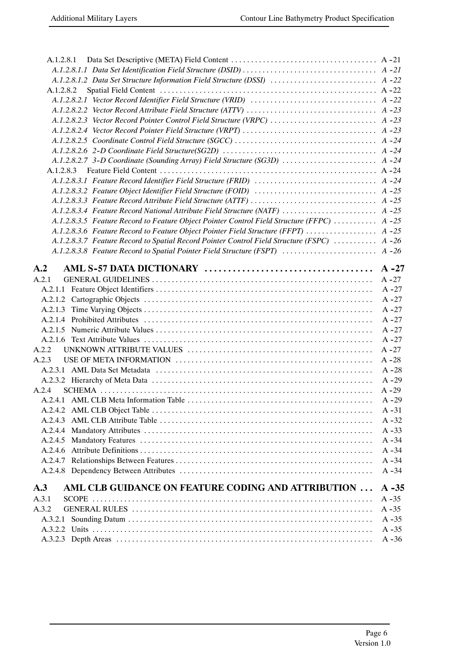| A.1.2.8.1                                                                                  |                      |
|--------------------------------------------------------------------------------------------|----------------------|
|                                                                                            |                      |
| A.1.2.8.1.2 Data Set Structure Information Field Structure (DSSI)  A -22                   |                      |
| A.1.2.8.2                                                                                  |                      |
|                                                                                            |                      |
|                                                                                            |                      |
| A.1.2.8.2.3 Vector Record Pointer Control Field Structure (VRPC)  A -23                    |                      |
|                                                                                            |                      |
|                                                                                            |                      |
|                                                                                            |                      |
| A.1.2.8.2.7 3-D Coordinate (Sounding Array) Field Structure (SG3D)  A -24                  |                      |
|                                                                                            |                      |
| A.1.2.8.3.1 Feature Record Identifier Field Structure (FRID)  A -24                        |                      |
|                                                                                            |                      |
|                                                                                            |                      |
| A.1.2.8.3.4 Feature Record National Attribute Field Structure (NATF)  A -25                |                      |
| A.1.2.8.3.5 Feature Record to Feature Object Pointer Control Field Structure (FFPC)  A -25 |                      |
| A.1.2.8.3.6 Feature Record to Feature Object Pointer Field Structure (FFPT)  A -25         |                      |
| A.1.2.8.3.7 Feature Record to Spatial Record Pointer Control Field Structure (FSPC)  A -26 |                      |
| A.1.2.8.3.8 Feature Record to Spatial Pointer Field Structure (FSPT)  A -26                |                      |
|                                                                                            |                      |
| $\mathbf{A.2}$                                                                             |                      |
| A.2.1                                                                                      | $A - 27$             |
|                                                                                            | $A - 27$             |
|                                                                                            | $A - 27$             |
|                                                                                            | $A - 27$             |
|                                                                                            | $A - 27$             |
|                                                                                            | $A - 27$             |
|                                                                                            | $A - 27$             |
| A.2.2                                                                                      | $A - 27$             |
| A.2.3                                                                                      | $A - 28$             |
|                                                                                            | $A - 28$             |
|                                                                                            | $A - 29$             |
| A.2.4                                                                                      | $A - 29$             |
|                                                                                            | $A - 29$             |
|                                                                                            | $A - 31$             |
|                                                                                            | $A - 32$             |
|                                                                                            | $A - 33$             |
|                                                                                            | $A - 34$             |
|                                                                                            | $A - 34$             |
|                                                                                            | $A - 34$             |
|                                                                                            | $A - 34$             |
| A.3<br>AML CLB GUIDANCE ON FEATURE CODING AND ATTRIBUTION                                  | $A - 35$             |
| A.3.1                                                                                      | $A - 35$             |
|                                                                                            |                      |
|                                                                                            |                      |
| A.3.2                                                                                      | $A - 35$             |
|                                                                                            | $A - 35$             |
|                                                                                            | $A - 35$<br>$A - 36$ |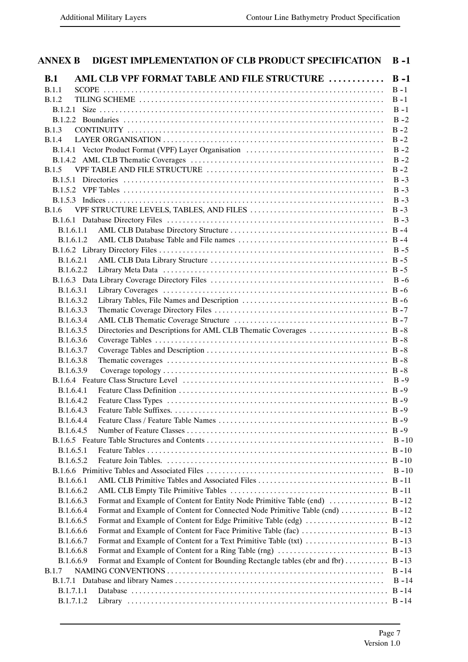| <b>ANNEX B</b>         | DIGEST IMPLEMENTATION OF CLB PRODUCT SPECIFICATION                               | $B - 1$            |
|------------------------|----------------------------------------------------------------------------------|--------------------|
| B.1                    | AML CLB VPF FORMAT TABLE AND FILE STRUCTURE                                      | $B - 1$            |
| B.1.1                  |                                                                                  | $B - 1$            |
| <b>B.1.2</b>           |                                                                                  | $B - 1$            |
|                        |                                                                                  | $B - 1$            |
|                        |                                                                                  | $B - 2$            |
| <b>B.1.3</b>           |                                                                                  | $B - 2$            |
| <b>B.1.4</b>           |                                                                                  | $B - 2$            |
|                        |                                                                                  | $B - 2$<br>$B - 2$ |
| <b>B.1.5</b>           |                                                                                  | $B - 2$            |
|                        |                                                                                  | $B - 3$            |
|                        |                                                                                  | $B - 3$            |
|                        |                                                                                  | $B - 3$            |
| <b>B.1.6</b>           |                                                                                  |                    |
|                        |                                                                                  | $B - 3$            |
| B.1.6.1.1              |                                                                                  |                    |
| B.1.6.1.2              |                                                                                  |                    |
|                        |                                                                                  |                    |
| B.1.6.2.1              |                                                                                  |                    |
| B.1.6.2.2              |                                                                                  |                    |
|                        |                                                                                  |                    |
| B.1.6.3.1              |                                                                                  |                    |
| B.1.6.3.2              |                                                                                  |                    |
| B.1.6.3.3              |                                                                                  |                    |
| B.1.6.3.4              |                                                                                  |                    |
| B.1.6.3.5              |                                                                                  |                    |
| B.1.6.3.6              |                                                                                  |                    |
| B.1.6.3.7              |                                                                                  |                    |
| B.1.6.3.8              |                                                                                  |                    |
| B.1.6.3.9              |                                                                                  |                    |
|                        |                                                                                  |                    |
| B.1.6.4.1              |                                                                                  |                    |
| B.1.6.4.2              |                                                                                  |                    |
| B.1.6.4.3              |                                                                                  |                    |
| B.1.6.4.4              |                                                                                  |                    |
| B.1.6.4.5              |                                                                                  |                    |
|                        |                                                                                  | $B - 10$           |
| B.1.6.5.1              |                                                                                  | $B - 10$           |
| B.1.6.5.2              |                                                                                  | $B - 10$           |
|                        |                                                                                  | $B - 10$           |
| B.1.6.6.1              |                                                                                  |                    |
| B.1.6.6.2              |                                                                                  |                    |
| B.1.6.6.3<br>B.1.6.6.4 | Format and Example of Content for Entity Node Primitive Table (end)  B-12        |                    |
| B.1.6.6.5              | Format and Example of Content for Connected Node Primitive Table (cnd)  B-12     |                    |
| B.1.6.6.6              |                                                                                  |                    |
|                        |                                                                                  |                    |
| B.1.6.6.7<br>B.1.6.6.8 |                                                                                  |                    |
| B.1.6.6.9              | Format and Example of Content for Bounding Rectangle tables (ebr and fbr)  B -13 |                    |
| B.1.7                  |                                                                                  | $B - 14$           |
|                        |                                                                                  | $B - 14$           |
| B.1.7.1.1              |                                                                                  |                    |
| B.1.7.1.2              |                                                                                  |                    |
|                        |                                                                                  |                    |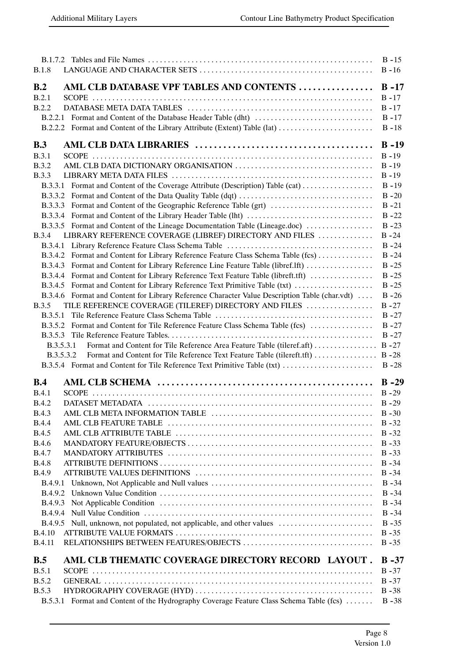| <b>B.1.8</b>   |                                                                                                                                                           | $B - 15$<br>$B - 16$ |
|----------------|-----------------------------------------------------------------------------------------------------------------------------------------------------------|----------------------|
| B.2            | AML CLB DATABASE VPF TABLES AND CONTENTS                                                                                                                  | $B - 17$             |
| B.2.1          |                                                                                                                                                           | $B - 17$             |
| B.2.2          |                                                                                                                                                           | $B - 17$             |
|                |                                                                                                                                                           | $B - 17$             |
|                | B.2.2.2 Format and Content of the Library Attribute (Extent) Table (lat)                                                                                  | $B - 18$             |
| B.3            |                                                                                                                                                           | $B - 19$             |
| <b>B.3.1</b>   |                                                                                                                                                           | $B - 19$             |
| <b>B.3.2</b>   |                                                                                                                                                           | $B - 19$             |
| <b>B.3.3</b>   |                                                                                                                                                           | $B - 19$             |
|                | B.3.3.1 Format and Content of the Coverage Attribute (Description) Table (cat)                                                                            | $B - 19$             |
|                |                                                                                                                                                           | $B - 20$             |
|                | B.3.3.3 Format and Content of the Geographic Reference Table (grt)                                                                                        | $B - 21$             |
|                |                                                                                                                                                           | $B - 22$             |
|                | B.3.3.5 Format and Content of the Lineage Documentation Table (Lineage.doc)                                                                               | $B - 23$             |
| <b>B.3.4</b>   | LIBRARY REFERENCE COVERAGE (LIBREF) DIRECTORY AND FILES                                                                                                   | $B - 24$             |
|                |                                                                                                                                                           | $B - 24$             |
|                | B.3.4.2 Format and Content for Library Reference Feature Class Schema Table (fcs)                                                                         | $B - 24$             |
|                | B.3.4.3 Format and Content for Library Reference Line Feature Table (libref.lft)                                                                          | $B - 25$             |
|                | B.3.4.4 Format and Content for Library Reference Text Feature Table (libreft.tft)                                                                         | $B - 25$             |
|                | B.3.4.5 Format and Content for Library Reference Text Primitive Table (txt)                                                                               | $B - 25$             |
|                | B.3.4.6 Format and Content for Library Reference Character Value Description Table (char.vdt)                                                             | $B - 26$<br>$B - 27$ |
| B.3.5          | TILE REFERENCE COVERAGE (TILEREF) DIRECTORY AND FILES                                                                                                     |                      |
| B.3.5.1        |                                                                                                                                                           | $B - 27$             |
|                | B.3.5.2 Format and Content for Tile Reference Feature Class Schema Table (fcs)                                                                            | $B - 27$             |
|                |                                                                                                                                                           | $B - 27$             |
|                | Format and Content for Tile Reference Area Feature Table (tileref.aft)  B-27<br>B.3.5.3.1<br>B.3.5.3.2                                                    |                      |
|                | Format and Content for Tile Reference Text Feature Table (tilereft.tft)  B-28<br>B.3.5.4 Format and Content for Tile Reference Text Primitive Table (txt) | $B - 28$             |
|                |                                                                                                                                                           |                      |
| B.4            |                                                                                                                                                           | $B - 29$             |
| B.4.1          |                                                                                                                                                           | $B - 29$             |
| <b>B.4.2</b>   |                                                                                                                                                           | $B - 29$             |
| <b>B.4.3</b>   |                                                                                                                                                           | $B - 30$             |
| <b>B.4.4</b>   |                                                                                                                                                           | $B - 32$             |
| <b>B.4.5</b>   |                                                                                                                                                           | $B - 32$             |
| <b>B.4.6</b>   |                                                                                                                                                           | $B - 33$             |
| <b>B.4.7</b>   |                                                                                                                                                           | $B - 33$             |
| <b>B.4.8</b>   |                                                                                                                                                           | $B - 34$             |
| <b>B.4.9</b>   |                                                                                                                                                           | $B - 34$             |
| <b>B.4.9.1</b> |                                                                                                                                                           | $B - 34$             |
| <b>B.4.9.2</b> |                                                                                                                                                           | $B - 34$             |
| B.4.9.3        |                                                                                                                                                           | $B - 34$             |
| <b>B.4.9.4</b> | B.4.9.5 Null, unknown, not populated, not applicable, and other values                                                                                    | $B - 34$<br>$B - 35$ |
| <b>B.4.10</b>  |                                                                                                                                                           | $B - 35$             |
| <b>B.4.11</b>  |                                                                                                                                                           | $B - 35$             |
|                |                                                                                                                                                           |                      |
| B.5            | AML CLB THEMATIC COVERAGE DIRECTORY RECORD LAYOUT.                                                                                                        | $B - 37$             |
| B.5.1          |                                                                                                                                                           | $B - 37$             |
| <b>B.5.2</b>   |                                                                                                                                                           | $B - 37$             |
| <b>B.5.3</b>   |                                                                                                                                                           | $B - 38$             |
|                | B.5.3.1 Format and Content of the Hydrography Coverage Feature Class Schema Table (fcs)                                                                   | $B - 38$             |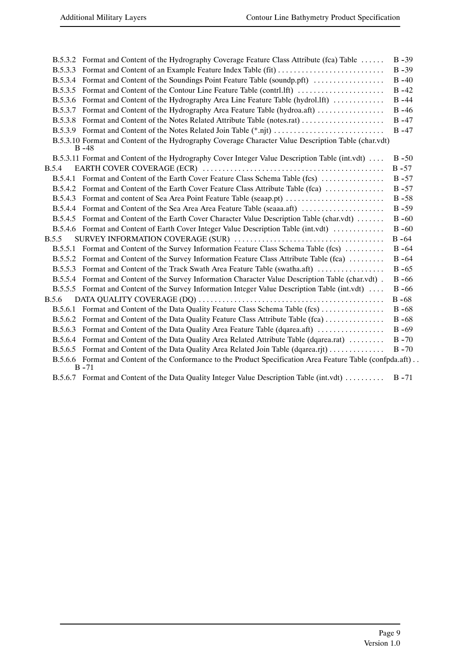|              | B.5.3.2 Format and Content of the Hydrography Coverage Feature Class Attribute (fca) Table                               | $B - 39$ |
|--------------|--------------------------------------------------------------------------------------------------------------------------|----------|
|              | B.5.3.3 Format and Content of an Example Feature Index Table (fit)                                                       | $B - 39$ |
|              | B.5.3.4 Format and Content of the Soundings Point Feature Table (soundp.pft)                                             | $B - 40$ |
|              | B.5.3.5 Format and Content of the Contour Line Feature Table (contrl.lft)                                                | $B - 42$ |
|              | B.5.3.6 Format and Content of the Hydrography Area Line Feature Table (hydrol.lft)                                       | $B - 44$ |
|              | B.5.3.7 Format and Content of the Hydrography Area Feature Table (hydroa.aft)                                            | $B - 46$ |
|              |                                                                                                                          | $B - 47$ |
|              | B.5.3.9 Format and Content of the Notes Related Join Table (*.njt)                                                       | $B - 47$ |
|              | B.5.3.10 Format and Content of the Hydrography Coverage Character Value Description Table (char.vdt)<br>$B - 48$         |          |
|              | B.5.3.11 Format and Content of the Hydrography Cover Integer Value Description Table (int.vdt)                           | $B - 50$ |
| B.5.4        |                                                                                                                          | $B - 57$ |
|              | B.5.4.1 Format and Content of the Earth Cover Feature Class Schema Table (fcs)                                           | $B - 57$ |
|              | B.5.4.2 Format and Content of the Earth Cover Feature Class Attribute Table (fca)                                        | $B - 57$ |
|              | B.5.4.3 Format and content of Sea Area Point Feature Table (seaap.pt)                                                    | $B - 58$ |
|              | B.5.4.4 Format and Content of the Sea Area Area Feature Table (seaaa.aft)                                                | $B - 59$ |
|              | B.5.4.5 Format and Content of the Earth Cover Character Value Description Table (char.vdt)                               | $B - 60$ |
|              | B.5.4.6 Format and Content of Earth Cover Integer Value Description Table (int.vdt)                                      | $B - 60$ |
| <b>B.5.5</b> |                                                                                                                          | $B - 64$ |
|              | B.5.5.1 Format and Content of the Survey Information Feature Class Schema Table (fcs)                                    | $B - 64$ |
|              | B.5.5.2 Format and Content of the Survey Information Feature Class Attribute Table (fca)                                 | $B - 64$ |
|              | B.5.5.3 Format and Content of the Track Swath Area Feature Table (swatha.aft)                                            | $B - 65$ |
|              | B.5.5.4 Format and Content of the Survey Information Character Value Description Table (char.vdt).                       | $B - 66$ |
|              | B.5.5.5 Format and Content of the Survey Information Integer Value Description Table (int.vdt)                           | $B - 66$ |
| <b>B.5.6</b> |                                                                                                                          | $B - 68$ |
|              | B.5.6.1 Format and Content of the Data Quality Feature Class Schema Table (fcs)                                          | $B - 68$ |
|              | B.5.6.2 Format and Content of the Data Quality Feature Class Attribute Table (fca)                                       | $B - 68$ |
|              | B.5.6.3 Format and Content of the Data Quality Area Feature Table (dqarea.aft)                                           | $B - 69$ |
|              | B.5.6.4 Format and Content of the Data Quality Area Related Attribute Table (dqarea.rat)                                 | $B - 70$ |
|              | B.5.6.5 Format and Content of the Data Quality Area Related Join Table (dqarea.rjt)                                      | $B - 70$ |
|              | B.5.6.6 Format and Content of the Conformance to the Product Specification Area Feature Table (confpda.aft).<br>$B - 71$ |          |
|              | B.5.6.7 Format and Content of the Data Quality Integer Value Description Table (int.vdt)                                 | $B - 71$ |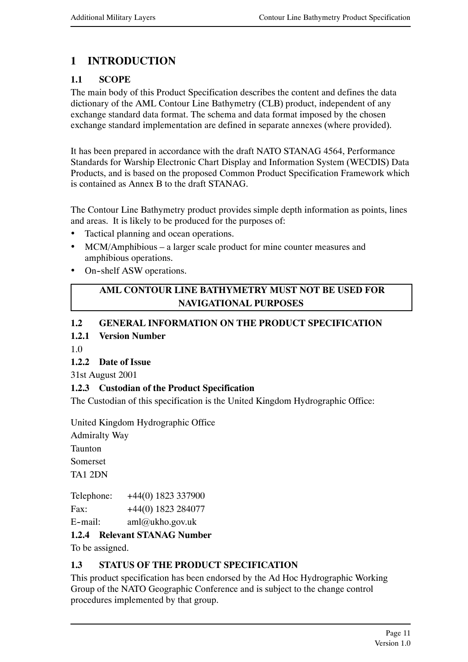# **1 INTRODUCTION**

## **1.1 SCOPE**

The main body of this Product Specification describes the content and defines the data dictionary of the AML Contour Line Bathymetry (CLB) product, independent of any exchange standard data format. The schema and data format imposed by the chosen exchange standard implementation are defined in separate annexes (where provided).

It has been prepared in accordance with the draft NATO STANAG 4564, Performance Standards for Warship Electronic Chart Display and Information System (WECDIS) Data Products, and is based on the proposed Common Product Specification Framework which is contained as Annex B to the draft STANAG.

The Contour Line Bathymetry product provides simple depth information as points, lines and areas. It is likely to be produced for the purposes of:

- · Tactical planning and ocean operations.
- · MCM/Amphibious a larger scale product for mine counter measures and amphibious operations.
- · On-shelf ASW operations.

## **AML CONTOUR LINE BATHYMETRY MUST NOT BE USED FOR NAVIGATIONAL PURPOSES**

#### **1.2 GENERAL INFORMATION ON THE PRODUCT SPECIFICATION**

**1.2.1 Version Number**

1.0

**1.2.2 Date of Issue**

31st August 2001

#### **1.2.3 Custodian of the Product Specification**

The Custodian of this specification is the United Kingdom Hydrographic Office:

United Kingdom Hydrographic Office

Admiralty Way

Taunton

Somerset

TA1 2DN

Telephone: +44(0) 1823 337900

Fax: +44(0) 1823 284077

E-mail: aml@ukho.gov.uk

#### **1.2.4 Relevant STANAG Number**

To be assigned.

#### **1.3 STATUS OF THE PRODUCT SPECIFICATION**

This product specification has been endorsed by the Ad Hoc Hydrographic Working Group of the NATO Geographic Conference and is subject to the change control procedures implemented by that group.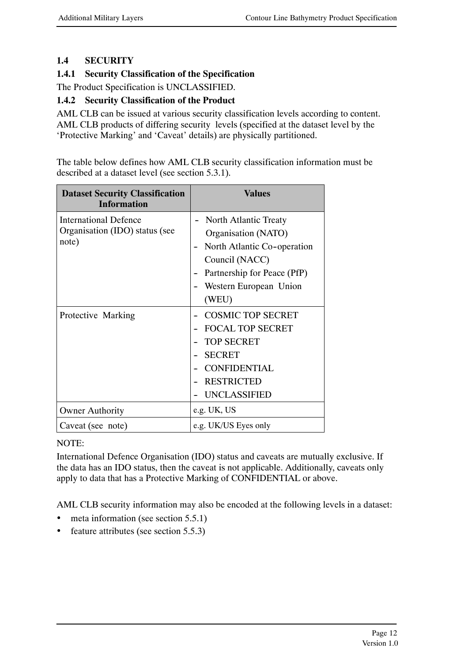## **1.4 SECURITY**

## **1.4.1 Security Classification of the Specification**

The Product Specification is UNCLASSIFIED.

## **1.4.2 Security Classification of the Product**

AML CLB can be issued at various security classification levels according to content. AML CLB products of differing security levels (specified at the dataset level by the 'Protective Marking' and 'Caveat' details) are physically partitioned.

The table below defines how AML CLB security classification information must be described at a dataset level (see section 5.3.1).

| <b>Dataset Security Classification</b><br><b>Information</b>            | <b>Values</b>                                                                                                                                                   |
|-------------------------------------------------------------------------|-----------------------------------------------------------------------------------------------------------------------------------------------------------------|
| <b>International Defence</b><br>Organisation (IDO) status (see<br>note) | North Atlantic Treaty<br>Organisation (NATO)<br>North Atlantic Co-operation<br>Council (NACC)<br>Partnership for Peace (PfP)<br>Western European Union<br>(WEU) |
| Protective Marking                                                      | <b>COSMIC TOP SECRET</b><br><b>FOCAL TOP SECRET</b><br><b>TOP SECRET</b><br><b>SECRET</b><br><b>CONFIDENTIAL</b><br><b>RESTRICTED</b><br><b>UNCLASSIFIED</b>    |
| <b>Owner Authority</b>                                                  | e.g. UK, US                                                                                                                                                     |
| Caveat (see note)                                                       | e.g. UK/US Eyes only                                                                                                                                            |

#### NOTE:

International Defence Organisation (IDO) status and caveats are mutually exclusive. If the data has an IDO status, then the caveat is not applicable. Additionally, caveats only apply to data that has a Protective Marking of CONFIDENTIAL or above.

AML CLB security information may also be encoded at the following levels in a dataset:

- meta information (see section 5.5.1)
- feature attributes (see section 5.5.3)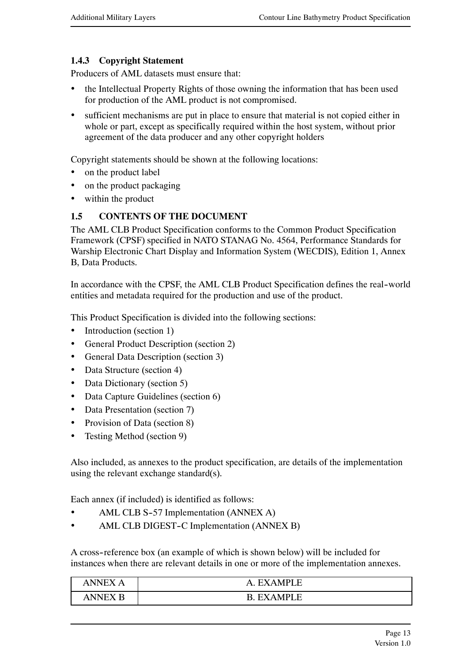## **1.4.3 Copyright Statement**

Producers of AML datasets must ensure that:

- · the Intellectual Property Rights of those owning the information that has been used for production of the AML product is not compromised.
- sufficient mechanisms are put in place to ensure that material is not copied either in whole or part, except as specifically required within the host system, without prior agreement of the data producer and any other copyright holders

Copyright statements should be shown at the following locations:

- on the product label
- on the product packaging
- · within the product

#### **1.5 CONTENTS OF THE DOCUMENT**

The AML CLB Product Specification conforms to the Common Product Specification Framework (CPSF) specified in NATO STANAG No. 4564, Performance Standards for Warship Electronic Chart Display and Information System (WECDIS), Edition 1, Annex B, Data Products.

In accordance with the CPSF, the AML CLB Product Specification defines the real- world entities and metadata required for the production and use of the product.

This Product Specification is divided into the following sections:

- Introduction (section 1)
- · General Product Description (section 2)
- · General Data Description (section 3)
- Data Structure (section 4)
- Data Dictionary (section 5)
- Data Capture Guidelines (section 6)
- Data Presentation (section 7)
- Provision of Data (section 8)
- Testing Method (section 9)

Also included, as annexes to the product specification, are details of the implementation using the relevant exchange standard(s).

Each annex (if included) is identified as follows:

- AML CLB S-57 Implementation (ANNEX A)
- AML CLB DIGEST-C Implementation (ANNEX B)

A cross-reference box (an example of which is shown below) will be included for instances when there are relevant details in one or more of the implementation annexes.

| ANNEX<br>$\Delta$ | <b><i>CAMPLE</i></b><br>H<br>A<br>$\mathbf{x}$ |
|-------------------|------------------------------------------------|
| NNFX R<br>∸       | R FXAMPLE                                      |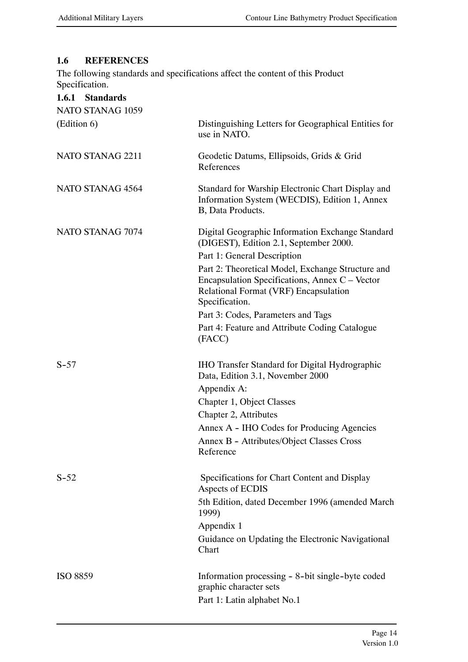## **1.6 REFERENCES**

The following standards and specifications affect the content of this Product Specification.

| 1.6.1 Standards<br>NATO STANAG 1059 |                                                                                                                                                                  |
|-------------------------------------|------------------------------------------------------------------------------------------------------------------------------------------------------------------|
| (Edition 6)                         | Distinguishing Letters for Geographical Entities for<br>use in NATO.                                                                                             |
| NATO STANAG 2211                    | Geodetic Datums, Ellipsoids, Grids & Grid<br>References                                                                                                          |
| NATO STANAG 4564                    | Standard for Warship Electronic Chart Display and<br>Information System (WECDIS), Edition 1, Annex<br>B, Data Products.                                          |
| NATO STANAG 7074                    | Digital Geographic Information Exchange Standard<br>(DIGEST), Edition 2.1, September 2000.<br>Part 1: General Description                                        |
|                                     | Part 2: Theoretical Model, Exchange Structure and<br>Encapsulation Specifications, Annex $C -$ Vector<br>Relational Format (VRF) Encapsulation<br>Specification. |
|                                     | Part 3: Codes, Parameters and Tags                                                                                                                               |
|                                     | Part 4: Feature and Attribute Coding Catalogue<br>(FACC)                                                                                                         |
| $S-57$                              | <b>IHO Transfer Standard for Digital Hydrographic</b><br>Data, Edition 3.1, November 2000                                                                        |
|                                     | Appendix A:                                                                                                                                                      |
|                                     | Chapter 1, Object Classes                                                                                                                                        |
|                                     | Chapter 2, Attributes                                                                                                                                            |
|                                     | Annex A - IHO Codes for Producing Agencies                                                                                                                       |
|                                     | Annex B - Attributes/Object Classes Cross<br>Reference                                                                                                           |
| $S-52$                              | Specifications for Chart Content and Display<br>Aspects of ECDIS                                                                                                 |
|                                     | 5th Edition, dated December 1996 (amended March<br>1999)                                                                                                         |
|                                     | Appendix 1                                                                                                                                                       |
|                                     | Guidance on Updating the Electronic Navigational<br>Chart                                                                                                        |
| <b>ISO 8859</b>                     | Information processing - 8-bit single-byte coded<br>graphic character sets                                                                                       |
|                                     | Part 1: Latin alphabet No.1                                                                                                                                      |
|                                     |                                                                                                                                                                  |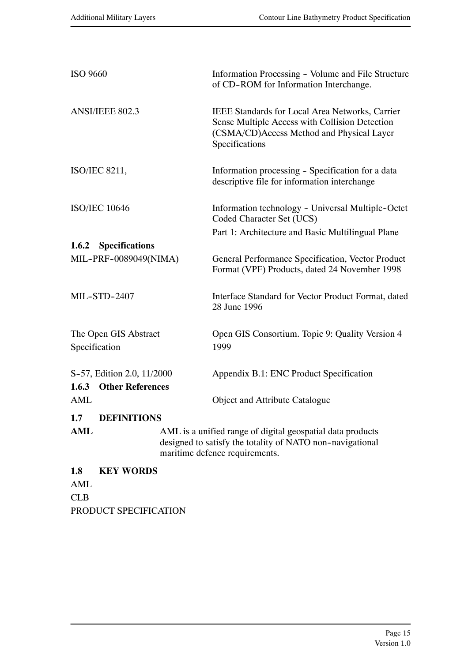| <b>ISO 9660</b>                        | Information Processing - Volume and File Structure<br>of CD-ROM for Information Interchange.                                                                     |
|----------------------------------------|------------------------------------------------------------------------------------------------------------------------------------------------------------------|
| ANSI/IEEE 802.3                        | IEEE Standards for Local Area Networks, Carrier<br>Sense Multiple Access with Collision Detection<br>(CSMA/CD)Access Method and Physical Layer<br>Specifications |
| ISO/IEC 8211,                          | Information processing - Specification for a data<br>descriptive file for information interchange                                                                |
| <b>ISO/IEC 10646</b>                   | Information technology - Universal Multiple-Octet<br>Coded Character Set (UCS)                                                                                   |
|                                        | Part 1: Architecture and Basic Multilingual Plane                                                                                                                |
| 1.6.2 Specifications                   |                                                                                                                                                                  |
| MIL-PRF-0089049(NIMA)                  | General Performance Specification, Vector Product<br>Format (VPF) Products, dated 24 November 1998                                                               |
| MIL-STD-2407                           | Interface Standard for Vector Product Format, dated<br>28 June 1996                                                                                              |
| The Open GIS Abstract<br>Specification | Open GIS Consortium. Topic 9: Quality Version 4<br>1999                                                                                                          |
| S-57, Edition 2.0, 11/2000             | Appendix B.1: ENC Product Specification                                                                                                                          |
| 1.6.3 Other References                 |                                                                                                                                                                  |
| AML                                    | Object and Attribute Catalogue                                                                                                                                   |
| 1.7<br><b>DEFINITIONS</b>              |                                                                                                                                                                  |
| <b>AML</b>                             | AML is a unified range of digital geospatial data products<br>designed to satisfy the totality of NATO non-navigational<br>maritime defence requirements.        |
| 1.8<br><b>KEY WORDS</b>                |                                                                                                                                                                  |

AML CLB PRODUCT SPECIFICATION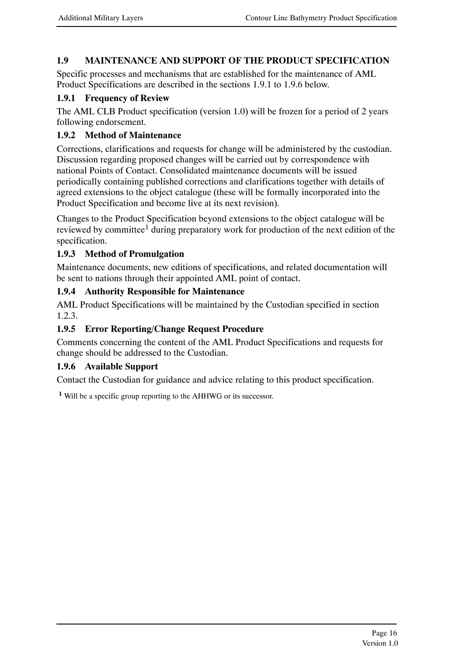#### **1.9 MAINTENANCE AND SUPPORT OF THE PRODUCT SPECIFICATION**

Specific processes and mechanisms that are established for the maintenance of AML Product Specifications are described in the sections 1.9.1 to 1.9.6 below.

#### **1.9.1 Frequency of Review**

The AML CLB Product specification (version 1.0) will be frozen for a period of 2 years following endorsement.

#### **1.9.2 Method of Maintenance**

Corrections, clarifications and requests for change will be administered by the custodian. Discussion regarding proposed changes will be carried out by correspondence with national Points of Contact. Consolidated maintenance documents will be issued periodically containing published corrections and clarifications together with details of agreed extensions to the object catalogue (these will be formally incorporated into the Product Specification and become live at its next revision).

Changes to the Product Specification beyond extensions to the object catalogue will be reviewed by committee<sup>1</sup> during preparatory work for production of the next edition of the specification.

#### **1.9.3 Method of Promulgation**

Maintenance documents, new editions of specifications, and related documentation will be sent to nations through their appointed AML point of contact.

#### **1.9.4 Authority Responsible for Maintenance**

AML Product Specifications will be maintained by the Custodian specified in section 1.2.3.

#### **1.9.5 Error Reporting/Change Request Procedure**

Comments concerning the content of the AML Product Specifications and requests for change should be addressed to the Custodian.

#### **1.9.6 Available Support**

Contact the Custodian for guidance and advice relating to this product specification.

**<sup>1</sup>** Will be a specific group reporting to the AHHWG or its successor.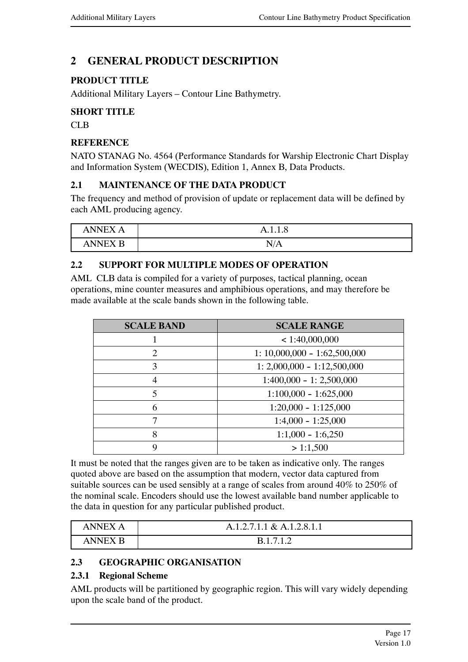# **2 GENERAL PRODUCT DESCRIPTION**

#### **PRODUCT TITLE**

Additional Military Layers – Contour Line Bathymetry.

#### **SHORT TITLE**

CLB

#### **REFERENCE**

NATO STANAG No. 4564 (Performance Standards for Warship Electronic Chart Display and Information System (WECDIS), Edition 1, Annex B, Data Products.

#### **2.1 MAINTENANCE OF THE DATA PRODUCT**

The frequency and method of provision of update or replacement data will be defined by each AML producing agency.

| <b>ATATTIV</b><br>NNH<br>Д<br>$\overline{ }$<br>$\overline{\phantom{a}}$ | A.  |
|--------------------------------------------------------------------------|-----|
| NNFX R                                                                   | N/A |

#### **2.2 SUPPORT FOR MULTIPLE MODES OF OPERATION**

AML CLB data is compiled for a variety of purposes, tactical planning, ocean operations, mine counter measures and amphibious operations, and may therefore be made available at the scale bands shown in the following table.

| <b>SCALE BAND</b> | <b>SCALE RANGE</b>             |
|-------------------|--------------------------------|
|                   | $<$ 1:40,000,000               |
| 2                 | $1: 10,000,000 - 1:62,500,000$ |
| 3                 | $1: 2,000,000 - 1:12,500,000$  |
|                   | $1:400,000 - 1:2,500,000$      |
| 5                 | $1:100,000 - 1:625,000$        |
| 6                 | $1:20,000 - 1:125,000$         |
|                   | $1:4,000 - 1:25,000$           |
| 8                 | $1:1,000 - 1:6,250$            |
|                   | >1:1,500                       |

It must be noted that the ranges given are to be taken as indicative only. The ranges quoted above are based on the assumption that modern, vector data captured from suitable sources can be used sensibly at a range of scales from around 40% to 250% of the nominal scale. Encoders should use the lowest available band number applicable to the data in question for any particular published product.

| NNF.       | $A.1.2.7.1.1 \& A.1.2.8.1.1$ |
|------------|------------------------------|
| <b>NNH</b> | B.1.7.1.2                    |
| хĸ         | $\overline{\phantom{a}}$     |

#### **2.3 GEOGRAPHIC ORGANISATION**

#### **2.3.1 Regional Scheme**

AML products will be partitioned by geographic region. This will vary widely depending upon the scale band of the product.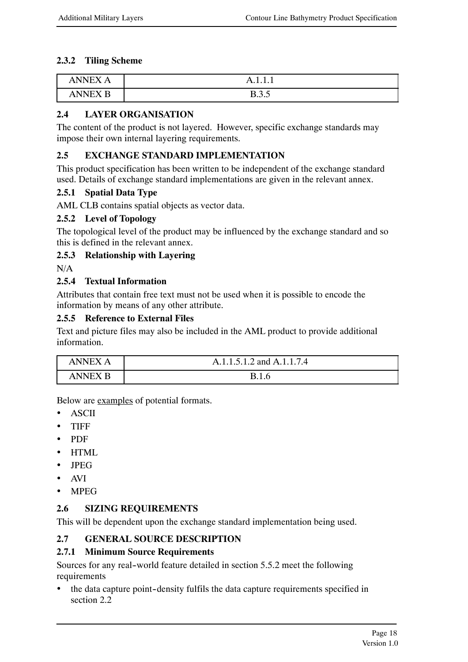## **2.3.2 Tiling Scheme**

| N<br>. IN 1<br>А                   | A.1.1.1                   |
|------------------------------------|---------------------------|
| N<br>$^{\prime}$ N $_{\cdot}$<br>А | $D \Omega \zeta$<br>D.3.3 |

## **2.4 LAYER ORGANISATION**

The content of the product is not layered. However, specific exchange standards may impose their own internal layering requirements.

## **2.5 EXCHANGE STANDARD IMPLEMENTATION**

This product specification has been written to be independent of the exchange standard used. Details of exchange standard implementations are given in the relevant annex.

## **2.5.1 Spatial Data Type**

AML CLB contains spatial objects as vector data.

#### **2.5.2 Level of Topology**

The topological level of the product may be influenced by the exchange standard and so this is defined in the relevant annex.

#### **2.5.3 Relationship with Layering**

N/A

#### **2.5.4 Textual Information**

Attributes that contain free text must not be used when it is possible to encode the information by means of any other attribute.

#### **2.5.5 Reference to External Files**

Text and picture files may also be included in the AML product to provide additional information.

| ANNEX  | A.1.1.5.1.2 and A.1.1.7.4 |
|--------|---------------------------|
| NNFX R |                           |

Below are examples of potential formats.

- · ASCII
- · TIFF
- · PDF
- · HTML
- · JPEG
- · AVI
- · MPEG

## **2.6 SIZING REQUIREMENTS**

This will be dependent upon the exchange standard implementation being used.

#### **2.7 GENERAL SOURCE DESCRIPTION**

#### **2.7.1 Minimum Source Requirements**

Sources for any real- world feature detailed in section 5.5.2 meet the following requirements

· the data capture point- density fulfils the data capture requirements specified in section 2.2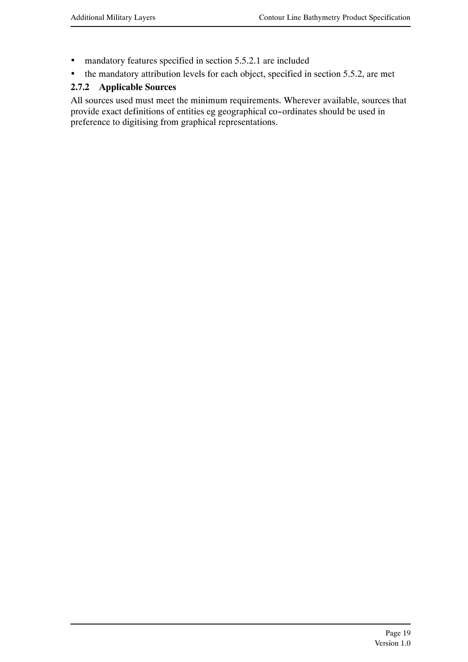- mandatory features specified in section 5.5.2.1 are included
- the mandatory attribution levels for each object, specified in section 5.5.2, are met

## **2.7.2 Applicable Sources**

All sources used must meet the minimum requirements. Wherever available, sources that provide exact definitions of entities eg geographical co- ordinates should be used in preference to digitising from graphical representations.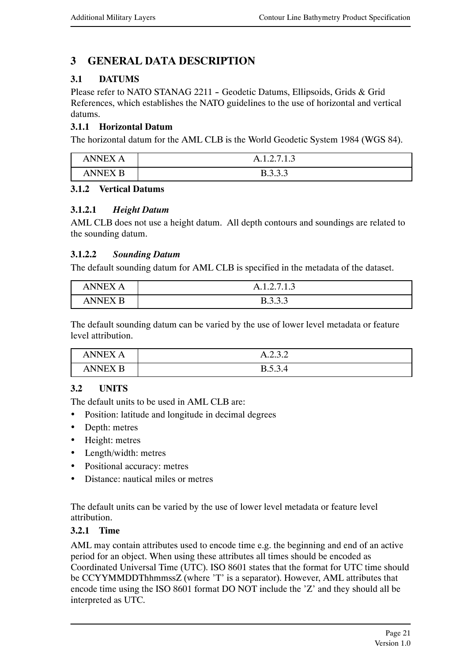## **3 GENERAL DATA DESCRIPTION**

## **3.1 DATUMS**

Please refer to NATO STANAG 2211 - Geodetic Datums, Ellipsoids, Grids & Grid References, which establishes the NATO guidelines to the use of horizontal and vertical datums.

#### **3.1.1 Horizontal Datum**

The horizontal datum for the AML CLB is the World Geodetic System 1984 (WGS 84).

| NNH  | A.1.2.7.1.3 |
|------|-------------|
| NNH. | B.3.3.3     |

#### **3.1.2 Vertical Datums**

#### **3.1.2.1** *Height Datum*

AML CLB does not use a height datum. All depth contours and soundings are related to the sounding datum.

## **3.1.2.2** *Sounding Datum*

The default sounding datum for AML CLB is specified in the metadata of the dataset.

| NNH<br>$\triangleright$ | A.1.2.7.1.3 |
|-------------------------|-------------|
| NNE                     | B.3.3.3     |

The default sounding datum can be varied by the use of lower level metadata or feature level attribution.

| .NNF<br>д  | A.2.3.2 |
|------------|---------|
| P<br>. NNF | B.5.3.4 |

## **3.2 UNITS**

The default units to be used in AML CLB are:

- Position: latitude and longitude in decimal degrees
- · Depth: metres
- Height: metres
- · Length/width: metres
- · Positional accuracy: metres
- · Distance: nautical miles or metres

The default units can be varied by the use of lower level metadata or feature level attribution.

#### **3.2.1 Time**

AML may contain attributes used to encode time e.g. the beginning and end of an active period for an object. When using these attributes all times should be encoded as Coordinated Universal Time (UTC). ISO 8601 states that the format for UTC time should be CCYYMMDDThhmmssZ (where 'T' is a separator). However, AML attributes that encode time using the ISO 8601 format DO NOT include the 'Z' and they should all be interpreted as UTC.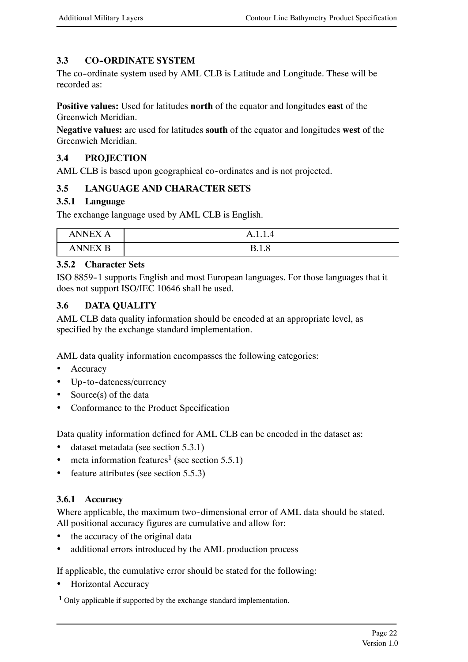#### **3.3 CO-ORDINATE SYSTEM**

The co- ordinate system used by AML CLB is Latitude and Longitude. These will be recorded as:

**Positive values:** Used for latitudes **north** of the equator and longitudes **east** of the Greenwich Meridian.

**Negative values:** are used for latitudes **south** of the equator and longitudes **west** of the Greenwich Meridian.

#### **3.4 PROJECTION**

AML CLB is based upon geographical co- ordinates and is not projected.

#### **3.5 LANGUAGE AND CHARACTER SETS**

#### **3.5.1 Language**

The exchange language used by AML CLB is English.

| .NNH   | A.         |
|--------|------------|
| Δ      | 4.4        |
| NNEY P | D 1<br>"…… |

#### **3.5.2 Character Sets**

ISO 8859- 1 supports English and most European languages. For those languages that it does not support ISO/IEC 10646 shall be used.

#### **3.6 DATA QUALITY**

AML CLB data quality information should be encoded at an appropriate level, as specified by the exchange standard implementation.

AML data quality information encompasses the following categories:

- Accuracy
- · Up-to- dateness/currency
- Source(s) of the data
- · Conformance to the Product Specification

Data quality information defined for AML CLB can be encoded in the dataset as:

- dataset metadata (see section 5.3.1)
- meta information features<sup>1</sup> (see section 5.5.1)
- feature attributes (see section 5.5.3)

#### **3.6.1 Accuracy**

Where applicable, the maximum two-dimensional error of AML data should be stated. All positional accuracy figures are cumulative and allow for:

- the accuracy of the original data
- · additional errors introduced by the AML production process

If applicable, the cumulative error should be stated for the following:

· Horizontal Accuracy

**<sup>1</sup>** Only applicable if supported by the exchange standard implementation.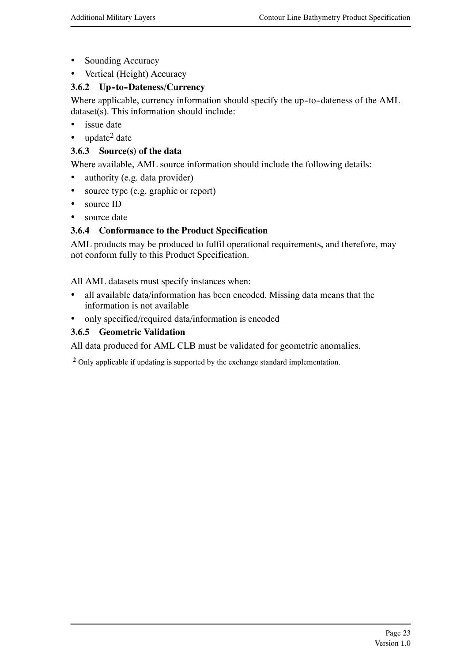- · Sounding Accuracy
- · Vertical (Height) Accuracy

## **3.6.2 Up-to- Dateness/Currency**

Where applicable, currency information should specify the up-to- dateness of the AML dataset(s). This information should include:

- issue date
- update<sup>2</sup> date

## **3.6.3 Source(s) of the data**

Where available, AML source information should include the following details:

- authority (e.g. data provider)
- · source type (e.g. graphic or report)
- source ID
- source date

## **3.6.4 Conformance to the Product Specification**

AML products may be produced to fulfil operational requirements, and therefore, may not conform fully to this Product Specification.

All AML datasets must specify instances when:

- · all available data/information has been encoded. Missing data means that the information is not available
- only specified/required data/information is encoded

## **3.6.5 Geometric Validation**

All data produced for AML CLB must be validated for geometric anomalies.

**<sup>2</sup>** Only applicable if updating is supported by the exchange standard implementation.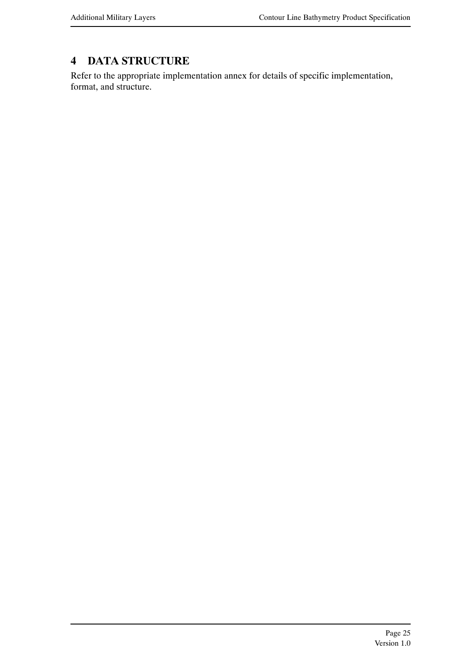# **4 DATA STRUCTURE**

Refer to the appropriate implementation annex for details of specific implementation, format, and structure.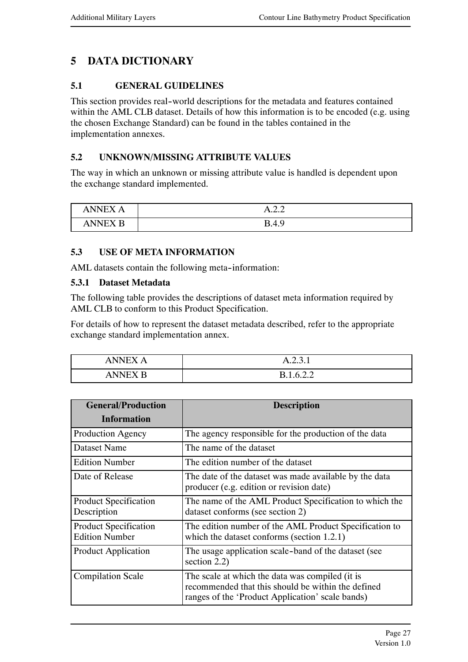# **5 DATA DICTIONARY**

#### **5.1 GENERAL GUIDELINES**

This section provides real- world descriptions for the metadata and features contained within the AML CLB dataset. Details of how this information is to be encoded (e.g. using the chosen Exchange Standard) can be found in the tables contained in the implementation annexes.

## **5.2 UNKNOWN/MISSING ATTRIBUTE VALUES**

The way in which an unknown or missing attribute value is handled is dependent upon the exchange standard implemented.

| <b>NNFX</b>    | $\sim$ $\sim$ |
|----------------|---------------|
| А              | A.2.2         |
| ட<br>. IN<br>N | <b>B.4.9</b>  |

#### **5.3 USE OF META INFORMATION**

AML datasets contain the following meta-information:

#### **5.3.1 Dataset Metadata**

The following table provides the descriptions of dataset meta information required by AML CLB to conform to this Product Specification.

For details of how to represent the dataset metadata described, refer to the appropriate exchange standard implementation annex.

| <b>ANNEY</b><br>А                | A.2.3.1                                     |
|----------------------------------|---------------------------------------------|
| <b>NNEY</b><br>R<br>$\mathbf{A}$ | B.1.6.2.2<br>$\cdot \cup \cdot \dots \dots$ |

| <b>General/Production</b><br><b>Information</b>       | <b>Description</b>                                                                                                                                        |
|-------------------------------------------------------|-----------------------------------------------------------------------------------------------------------------------------------------------------------|
| <b>Production Agency</b>                              | The agency responsible for the production of the data                                                                                                     |
| Dataset Name                                          | The name of the dataset                                                                                                                                   |
| <b>Edition Number</b>                                 | The edition number of the dataset                                                                                                                         |
| Date of Release                                       | The date of the dataset was made available by the data<br>producer (e.g. edition or revision date)                                                        |
| <b>Product Specification</b><br>Description           | The name of the AML Product Specification to which the<br>dataset conforms (see section 2)                                                                |
| <b>Product Specification</b><br><b>Edition Number</b> | The edition number of the AML Product Specification to<br>which the dataset conforms (section 1.2.1)                                                      |
| <b>Product Application</b>                            | The usage application scale-band of the dataset (see<br>section 2.2)                                                                                      |
| <b>Compilation Scale</b>                              | The scale at which the data was compiled (it is<br>recommended that this should be within the defined<br>ranges of the 'Product Application' scale bands) |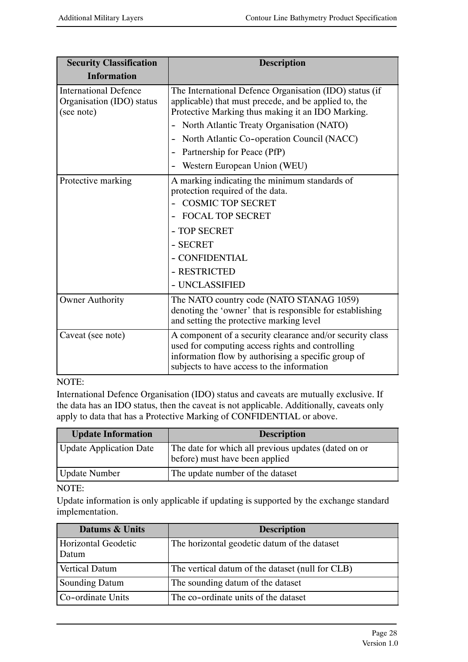| <b>Security Classification</b>                                          | <b>Description</b>                                                                                                                                                                                                       |
|-------------------------------------------------------------------------|--------------------------------------------------------------------------------------------------------------------------------------------------------------------------------------------------------------------------|
| <b>Information</b>                                                      |                                                                                                                                                                                                                          |
| <b>International Defence</b><br>Organisation (IDO) status<br>(see note) | The International Defence Organisation (IDO) status (if<br>applicable) that must precede, and be applied to, the<br>Protective Marking thus making it an IDO Marking.                                                    |
|                                                                         | North Atlantic Treaty Organisation (NATO)                                                                                                                                                                                |
|                                                                         | North Atlantic Co-operation Council (NACC)                                                                                                                                                                               |
|                                                                         | Partnership for Peace (PfP)                                                                                                                                                                                              |
|                                                                         | Western European Union (WEU)                                                                                                                                                                                             |
| Protective marking                                                      | A marking indicating the minimum standards of<br>protection required of the data.<br><b>COSMIC TOP SECRET</b><br><b>FOCAL TOP SECRET</b><br>- TOP SECRET<br>- SECRET<br>- CONFIDENTIAL<br>- RESTRICTED<br>- UNCLASSIFIED |
| <b>Owner Authority</b>                                                  | The NATO country code (NATO STANAG 1059)<br>denoting the 'owner' that is responsible for establishing<br>and setting the protective marking level                                                                        |
| Caveat (see note)                                                       | A component of a security clearance and/or security class<br>used for computing access rights and controlling<br>information flow by authorising a specific group of<br>subjects to have access to the information       |

#### NOTE:

International Defence Organisation (IDO) status and caveats are mutually exclusive. If the data has an IDO status, then the caveat is not applicable. Additionally, caveats only apply to data that has a Protective Marking of CONFIDENTIAL or above.

| <b>Update Information</b> | <b>Description</b>                                                                     |
|---------------------------|----------------------------------------------------------------------------------------|
| Update Application Date   | The date for which all previous updates (dated on or<br>before) must have been applied |
| <b>Update Number</b>      | The update number of the dataset                                                       |

#### NOTE:

Update information is only applicable if updating is supported by the exchange standard implementation.

| Datums & Units                      | <b>Description</b>                               |
|-------------------------------------|--------------------------------------------------|
| <b>Horizontal Geodetic</b><br>Datum | The horizontal geodetic datum of the dataset     |
| <b>Vertical Datum</b>               | The vertical datum of the dataset (null for CLB) |
| <b>Sounding Datum</b>               | The sounding datum of the dataset                |
| Co-ordinate Units                   | The co-ordinate units of the dataset             |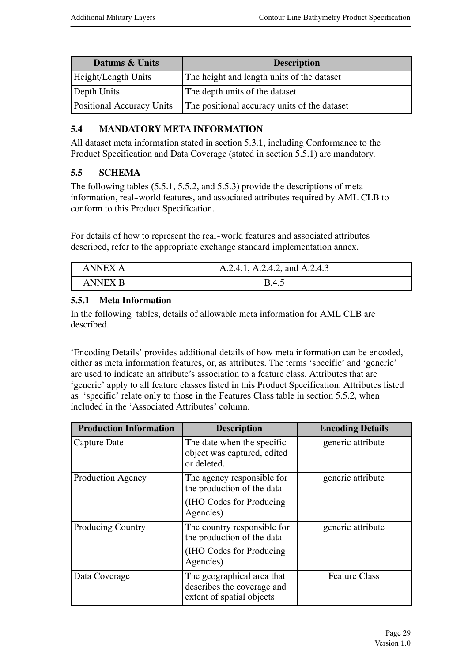| Datums & Units                   | <b>Description</b>                           |
|----------------------------------|----------------------------------------------|
| Height/Length Units              | The height and length units of the dataset   |
| Depth Units                      | The depth units of the dataset               |
| <b>Positional Accuracy Units</b> | The positional accuracy units of the dataset |

#### **5.4 MANDATORY META INFORMATION**

All dataset meta information stated in section 5.3.1, including Conformance to the Product Specification and Data Coverage (stated in section 5.5.1) are mandatory.

## **5.5 SCHEMA**

The following tables (5.5.1, 5.5.2, and 5.5.3) provide the descriptions of meta information, real- world features, and associated attributes required by AML CLB to conform to this Product Specification.

For details of how to represent the real- world features and associated attributes described, refer to the appropriate exchange standard implementation annex.

| NNE     | A.2.4.1, A.2.4.2, and A.2.4.3 |
|---------|-------------------------------|
| ANNEX R | 34                            |

#### **5.5.1 Meta Information**

In the following tables, details of allowable meta information for AML CLB are described.

'Encoding Details' provides additional details of how meta information can be encoded, either as meta information features, or, as attributes. The terms 'specific' and 'generic' are used to indicate an attribute's association to a feature class. Attributes that are 'generic' apply to all feature classes listed in this Product Specification. Attributes listed as 'specific' relate only to those in the Features Class table in section 5.5.2, when included in the 'Associated Attributes' column.

| <b>Production Information</b> | <b>Description</b>                                                                                  | <b>Encoding Details</b> |
|-------------------------------|-----------------------------------------------------------------------------------------------------|-------------------------|
| Capture Date                  | The date when the specific<br>object was captured, edited<br>or deleted.                            | generic attribute       |
| <b>Production Agency</b>      | The agency responsible for<br>the production of the data<br>(IHO Codes for Producing)<br>Agencies)  | generic attribute       |
| <b>Producing Country</b>      | The country responsible for<br>the production of the data<br>(IHO Codes for Producing)<br>Agencies) | generic attribute       |
| Data Coverage                 | The geographical area that<br>describes the coverage and<br>extent of spatial objects               | <b>Feature Class</b>    |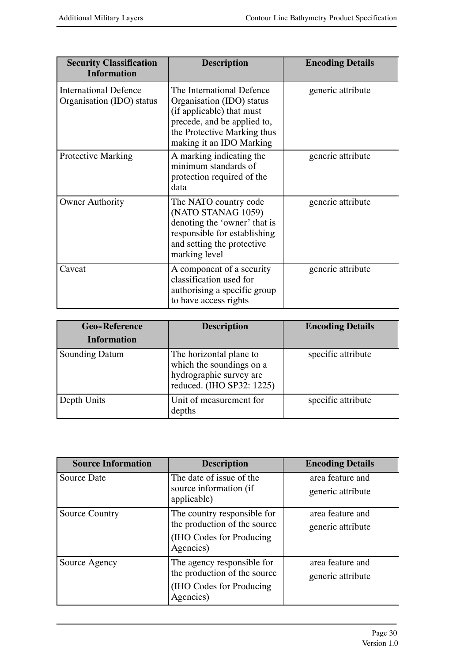| <b>Security Classification</b><br><b>Information</b>      | <b>Description</b>                                                                                                                                                            | <b>Encoding Details</b> |
|-----------------------------------------------------------|-------------------------------------------------------------------------------------------------------------------------------------------------------------------------------|-------------------------|
| <b>International Defence</b><br>Organisation (IDO) status | The International Defence<br>Organisation (IDO) status<br>(if applicable) that must<br>precede, and be applied to,<br>the Protective Marking thus<br>making it an IDO Marking | generic attribute       |
| <b>Protective Marking</b>                                 | A marking indicating the<br>minimum standards of<br>protection required of the<br>data                                                                                        | generic attribute       |
| <b>Owner Authority</b>                                    | The NATO country code<br>(NATO STANAG 1059)<br>denoting the 'owner' that is<br>responsible for establishing<br>and setting the protective<br>marking level                    | generic attribute       |
| Caveat                                                    | A component of a security<br>classification used for<br>authorising a specific group<br>to have access rights                                                                 | generic attribute       |

| <b>Geo-Reference</b><br><b>Information</b> | <b>Description</b>                                                                                          | <b>Encoding Details</b> |
|--------------------------------------------|-------------------------------------------------------------------------------------------------------------|-------------------------|
| <b>Sounding Datum</b>                      | The horizontal plane to<br>which the soundings on a<br>hydrographic survey are<br>reduced. (IHO SP32: 1225) | specific attribute      |
| Depth Units                                | Unit of measurement for<br>depths                                                                           | specific attribute      |

| <b>Source Information</b> | <b>Description</b>                                                                                    | <b>Encoding Details</b>               |
|---------------------------|-------------------------------------------------------------------------------------------------------|---------------------------------------|
| Source Date               | The date of issue of the<br>source information (if<br>applicable)                                     | area feature and<br>generic attribute |
| <b>Source Country</b>     | The country responsible for<br>the production of the source<br>(IHO Codes for Producing)<br>Agencies) | area feature and<br>generic attribute |
| Source Agency             | The agency responsible for<br>the production of the source<br>(IHO Codes for Producing)<br>Agencies)  | area feature and<br>generic attribute |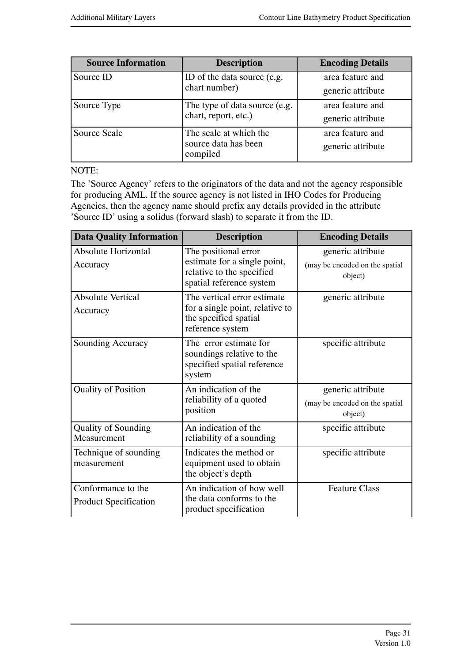| <b>Source Information</b> | <b>Description</b>                                         | <b>Encoding Details</b>               |
|---------------------------|------------------------------------------------------------|---------------------------------------|
| Source ID                 | ID of the data source (e.g.<br>chart number)               | area feature and<br>generic attribute |
| Source Type               | The type of data source (e.g.<br>chart, report, etc.)      | area feature and<br>generic attribute |
| Source Scale              | The scale at which the<br>source data has been<br>compiled | area feature and<br>generic attribute |

NOTE:

The 'Source Agency' refers to the originators of the data and not the agency responsible for producing AML. If the source agency is not listed in IHO Codes for Producing Agencies, then the agency name should prefix any details provided in the attribute 'Source ID' using a solidus (forward slash) to separate it from the ID.

| <b>Data Quality Information</b>                    | <b>Description</b>                                                                                            | <b>Encoding Details</b>                                        |
|----------------------------------------------------|---------------------------------------------------------------------------------------------------------------|----------------------------------------------------------------|
| Absolute Horizontal<br>Accuracy                    | The positional error<br>estimate for a single point,<br>relative to the specified<br>spatial reference system | generic attribute<br>(may be encoded on the spatial<br>object) |
| <b>Absolute Vertical</b><br>Accuracy               | The vertical error estimate<br>for a single point, relative to<br>the specified spatial<br>reference system   | generic attribute                                              |
| <b>Sounding Accuracy</b>                           | The error estimate for<br>soundings relative to the<br>specified spatial reference<br>system                  | specific attribute                                             |
| <b>Quality of Position</b>                         | An indication of the<br>reliability of a quoted<br>position                                                   | generic attribute<br>(may be encoded on the spatial<br>object) |
| Quality of Sounding<br>Measurement                 | An indication of the<br>reliability of a sounding                                                             | specific attribute                                             |
| Technique of sounding<br>measurement               | Indicates the method or<br>equipment used to obtain<br>the object's depth                                     | specific attribute                                             |
| Conformance to the<br><b>Product Specification</b> | An indication of how well<br>the data conforms to the<br>product specification                                | <b>Feature Class</b>                                           |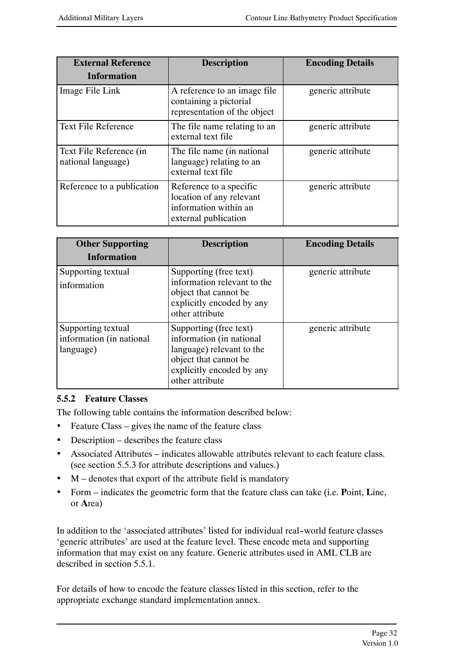| <b>External Reference</b><br><b>Information</b> | <b>Description</b>                                                                                   | <b>Encoding Details</b> |
|-------------------------------------------------|------------------------------------------------------------------------------------------------------|-------------------------|
| Image File Link                                 | A reference to an image file<br>containing a pictorial<br>representation of the object               | generic attribute       |
| <b>Text File Reference</b>                      | The file name relating to an<br>external text file                                                   | generic attribute       |
| Text File Reference (in<br>national language)   | The file name (in national<br>language) relating to an<br>external text file                         | generic attribute       |
| Reference to a publication                      | Reference to a specific<br>location of any relevant<br>information within an<br>external publication | generic attribute       |

| <b>Other Supporting</b><br><b>Information</b>               | <b>Description</b>                                                                                                                                       | <b>Encoding Details</b> |
|-------------------------------------------------------------|----------------------------------------------------------------------------------------------------------------------------------------------------------|-------------------------|
| Supporting textual<br>information                           | Supporting (free text)<br>information relevant to the<br>object that cannot be<br>explicitly encoded by any<br>other attribute                           | generic attribute       |
| Supporting textual<br>information (in national<br>language) | Supporting (free text)<br>information (in national<br>language) relevant to the<br>object that cannot be<br>explicitly encoded by any<br>other attribute | generic attribute       |

## **5.5.2 Feature Classes**

The following table contains the information described below:

- Feature Class gives the name of the feature class
- Description describes the feature class
- · Associated Attributes indicates allowable attributes relevant to each feature class. (see section 5.5.3 for attribute descriptions and values.)
- $M$  denotes that export of the attribute field is mandatory
- · Form indicates the geometric form that the feature class can take (i.e. **P**oint, **L**ine, or **A**rea)

In addition to the 'associated attributes' listed for individual real- world feature classes 'generic attributes' are used at the feature level. These encode meta and supporting information that may exist on any feature. Generic attributes used in AML CLB are described in section 5.5.1.

For details of how to encode the feature classes listed in this section, refer to the appropriate exchange standard implementation annex.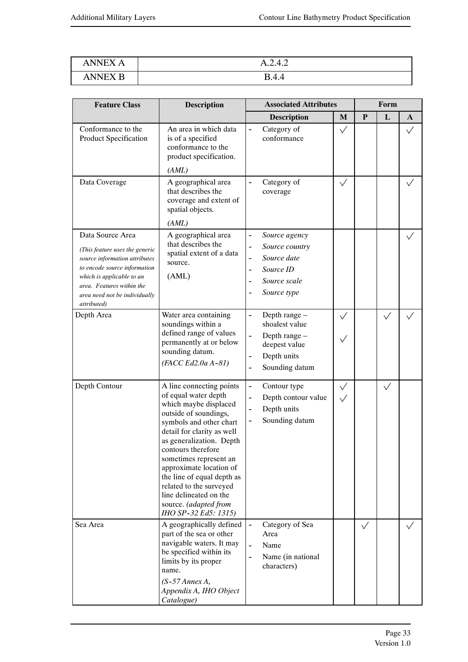| $^{\circ}$ NNE.<br>Δ<br>$\overline{\phantom{a}}$ | A.2.4.2               |
|--------------------------------------------------|-----------------------|
| р                                                | D<br>$\Delta$<br>$+·$ |

| <b>Feature Class</b>                                                                                                                                                                                                          | <b>Associated Attributes</b><br><b>Description</b>                                                                                                                                                                                                                                                                                                                                                     |                                                                                                                                               |                        |              | Form      |           |
|-------------------------------------------------------------------------------------------------------------------------------------------------------------------------------------------------------------------------------|--------------------------------------------------------------------------------------------------------------------------------------------------------------------------------------------------------------------------------------------------------------------------------------------------------------------------------------------------------------------------------------------------------|-----------------------------------------------------------------------------------------------------------------------------------------------|------------------------|--------------|-----------|-----------|
|                                                                                                                                                                                                                               |                                                                                                                                                                                                                                                                                                                                                                                                        | <b>Description</b>                                                                                                                            | M                      | $\mathbf{P}$ | L         | A         |
| Conformance to the<br><b>Product Specification</b>                                                                                                                                                                            | An area in which data<br>is of a specified<br>conformance to the<br>product specification.                                                                                                                                                                                                                                                                                                             | Category of<br>$\overline{\phantom{m}}$<br>conformance                                                                                        | $\sqrt{}$              |              |           | $\sqrt{}$ |
|                                                                                                                                                                                                                               | (AML)                                                                                                                                                                                                                                                                                                                                                                                                  |                                                                                                                                               |                        |              |           |           |
| Data Coverage                                                                                                                                                                                                                 | A geographical area<br>that describes the<br>coverage and extent of<br>spatial objects.<br>(AML)                                                                                                                                                                                                                                                                                                       | Category of<br>$\overline{a}$<br>coverage                                                                                                     | $\sqrt{}$              |              |           |           |
| Data Source Area<br>(This feature uses the generic<br>source information attributes<br>to encode source information<br>which is applicable to an<br>area. Features within the<br>area need not be individually<br>attributed) | A geographical area<br>that describes the<br>spatial extent of a data<br>source.<br>(AML)                                                                                                                                                                                                                                                                                                              | Source agency<br>$\overline{\phantom{0}}$<br>Source country<br>-<br>Source date<br>Source ID<br>-<br>Source scale<br>Source type<br>-         |                        |              |           |           |
| Depth Area                                                                                                                                                                                                                    | Water area containing<br>soundings within a<br>defined range of values<br>permanently at or below<br>sounding datum.<br>(FACC Ed2.0a A-81)                                                                                                                                                                                                                                                             | Depth range -<br>-<br>shoalest value<br>Depth range -<br>$\overline{\phantom{0}}$<br>deepest value<br>Depth units<br>-<br>Sounding datum<br>- | $\sqrt{}$<br>$\sqrt{}$ |              | $\sqrt{}$ |           |
| Depth Contour                                                                                                                                                                                                                 | A line connecting points<br>of equal water depth<br>which maybe displaced<br>outside of soundings,<br>symbols and other chart<br>detail for clarity as well<br>as generalization. Depth<br>contours therefore<br>sometimes represent an<br>approximate location of<br>the line of equal depth as<br>related to the surveyed<br>line delineated on the<br>source. (adapted from<br>IHO SP-32 Ed5: 1315) | $\overline{\phantom{0}}$<br>Contour type<br>Depth contour value<br>-<br>$\overline{a}$<br>Depth units<br>Sounding datum<br>-                  | $\sqrt{}$<br>$\sqrt{}$ |              | $\sqrt{}$ |           |
| Sea Area                                                                                                                                                                                                                      | A geographically defined<br>part of the sea or other<br>navigable waters. It may<br>be specified within its<br>limits by its proper<br>name.<br>$(S-57$ Annex A,<br>Appendix A, IHO Object<br>Catalogue)                                                                                                                                                                                               | $\blacksquare$<br>Category of Sea<br>Area<br>$\overline{a}$<br>Name<br>Name (in national<br>-<br>characters)                                  |                        | $\sqrt{}$    |           |           |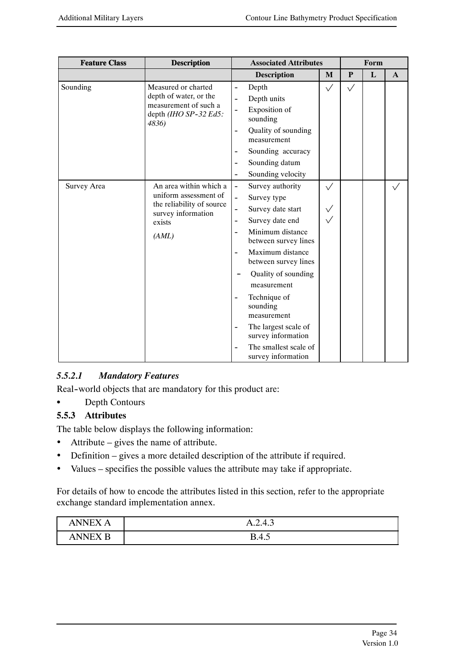| <b>Feature Class</b> | <b>Description</b>                                                                                                    | <b>Associated Attributes</b><br>Form                                                                                                                                                                                                                                                                                                                                           |                           |              |   |              |
|----------------------|-----------------------------------------------------------------------------------------------------------------------|--------------------------------------------------------------------------------------------------------------------------------------------------------------------------------------------------------------------------------------------------------------------------------------------------------------------------------------------------------------------------------|---------------------------|--------------|---|--------------|
|                      |                                                                                                                       | <b>Description</b>                                                                                                                                                                                                                                                                                                                                                             | M                         | P            | L | $\mathbf{A}$ |
| Sounding             | Measured or charted<br>depth of water, or the<br>measurement of such a<br>depth (IHO SP-32 Ed5:<br>4836)              | Depth<br>-<br>Depth units<br>÷,<br>Exposition of<br>-<br>sounding<br>Quality of sounding<br>-<br>measurement<br>Sounding accuracy<br>Sounding datum<br>-<br>Sounding velocity<br>$\qquad \qquad \blacksquare$                                                                                                                                                                  | $\sqrt{}$                 | $\checkmark$ |   |              |
| Survey Area          | An area within which a<br>uniform assessment of<br>the reliability of source<br>survey information<br>exists<br>(AML) | ÷<br>Survey authority<br>$\overline{a}$<br>Survey type<br>Survey date start<br>-<br>Survey date end<br>-<br>Minimum distance<br>between survey lines<br>Maximum distance<br>between survey lines<br>Quality of sounding<br>measurement<br>Technique of<br>sounding<br>measurement<br>The largest scale of<br>survey information<br>The smallest scale of<br>survey information | $\checkmark$<br>$\sqrt{}$ |              |   |              |

#### *5.5.2.1 Mandatory Features*

Real- world objects that are mandatory for this product are:

• Depth Contours

#### **5.5.3 Attributes**

The table below displays the following information:

- · Attribute gives the name of attribute.
- · Definition gives a more detailed description of the attribute if required.
- · Values specifies the possible values the attribute may take if appropriate.

For details of how to encode the attributes listed in this section, refer to the appropriate exchange standard implementation annex.

| ANNFV<br>Δ<br>$\rightarrow$ | A.2.4.3      |  |
|-----------------------------|--------------|--|
| в<br>NNH                    | <b>B.4.5</b> |  |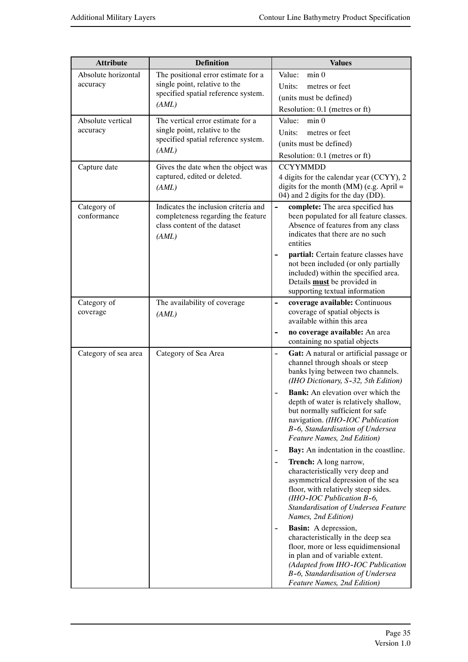| <b>Attribute</b>              | <b>Definition</b>                                                                                         | <b>Values</b>                                                                     |  |  |  |
|-------------------------------|-----------------------------------------------------------------------------------------------------------|-----------------------------------------------------------------------------------|--|--|--|
| Absolute horizontal           | The positional error estimate for a                                                                       | Value:<br>min 0                                                                   |  |  |  |
| accuracy                      | single point, relative to the<br>specified spatial reference system.                                      | Units:<br>metres or feet                                                          |  |  |  |
|                               | (AML)                                                                                                     | (units must be defined)                                                           |  |  |  |
|                               |                                                                                                           | Resolution: 0.1 (metres or ft)                                                    |  |  |  |
| Absolute vertical<br>accuracy | The vertical error estimate for a<br>single point, relative to the<br>specified spatial reference system. | Value:<br>min 0                                                                   |  |  |  |
|                               |                                                                                                           | Units:<br>metres or feet                                                          |  |  |  |
|                               | (AML)                                                                                                     | (units must be defined)<br>Resolution: 0.1 (metres or ft)                         |  |  |  |
| Capture date                  | Gives the date when the object was                                                                        | <b>CCYYMMDD</b>                                                                   |  |  |  |
|                               | captured, edited or deleted.                                                                              | 4 digits for the calendar year (CCYY), 2                                          |  |  |  |
|                               | (AML)                                                                                                     | digits for the month (MM) (e.g. April $=$                                         |  |  |  |
|                               |                                                                                                           | 04) and 2 digits for the day (DD).                                                |  |  |  |
| Category of<br>conformance    | Indicates the inclusion criteria and<br>completeness regarding the feature                                | complete: The area specified has<br>been populated for all feature classes.       |  |  |  |
|                               | class content of the dataset                                                                              | Absence of features from any class                                                |  |  |  |
|                               | (AML)                                                                                                     | indicates that there are no such                                                  |  |  |  |
|                               |                                                                                                           | entities                                                                          |  |  |  |
|                               |                                                                                                           | partial: Certain feature classes have<br>not been included (or only partially     |  |  |  |
|                               |                                                                                                           | included) within the specified area.                                              |  |  |  |
|                               |                                                                                                           | Details <b>must</b> be provided in<br>supporting textual information              |  |  |  |
| Category of                   | The availability of coverage                                                                              | coverage available: Continuous                                                    |  |  |  |
| coverage                      | (AML)                                                                                                     | coverage of spatial objects is                                                    |  |  |  |
|                               |                                                                                                           | available within this area                                                        |  |  |  |
|                               |                                                                                                           | no coverage available: An area<br>-<br>containing no spatial objects              |  |  |  |
| Category of sea area          | Category of Sea Area                                                                                      | Gat: A natural or artificial passage or                                           |  |  |  |
|                               |                                                                                                           | channel through shoals or steep                                                   |  |  |  |
|                               |                                                                                                           | banks lying between two channels.                                                 |  |  |  |
|                               |                                                                                                           | (IHO Dictionary, S-32, 5th Edition)                                               |  |  |  |
|                               |                                                                                                           | <b>Bank:</b> An elevation over which the<br>depth of water is relatively shallow, |  |  |  |
|                               |                                                                                                           | but normally sufficient for safe                                                  |  |  |  |
|                               |                                                                                                           | navigation. (IHO-IOC Publication                                                  |  |  |  |
|                               |                                                                                                           | B-6, Standardisation of Undersea<br>Feature Names, 2nd Edition)                   |  |  |  |
|                               |                                                                                                           | Bay: An indentation in the coastline.<br>-                                        |  |  |  |
|                               |                                                                                                           | Trench: A long narrow,                                                            |  |  |  |
|                               |                                                                                                           | characteristically very deep and                                                  |  |  |  |
|                               |                                                                                                           | asymmetrical depression of the sea                                                |  |  |  |
|                               |                                                                                                           | floor, with relatively steep sides.<br>(IHO-IOC Publication B-6,                  |  |  |  |
|                               |                                                                                                           | Standardisation of Undersea Feature                                               |  |  |  |
|                               |                                                                                                           | Names, 2nd Edition)                                                               |  |  |  |
|                               |                                                                                                           | <b>Basin:</b> A depression,                                                       |  |  |  |
|                               |                                                                                                           | characteristically in the deep sea<br>floor, more or less equidimensional         |  |  |  |
|                               |                                                                                                           | in plan and of variable extent.                                                   |  |  |  |
|                               |                                                                                                           | (Adapted from IHO-IOC Publication<br>B-6, Standardisation of Undersea             |  |  |  |
|                               |                                                                                                           | Feature Names, 2nd Edition)                                                       |  |  |  |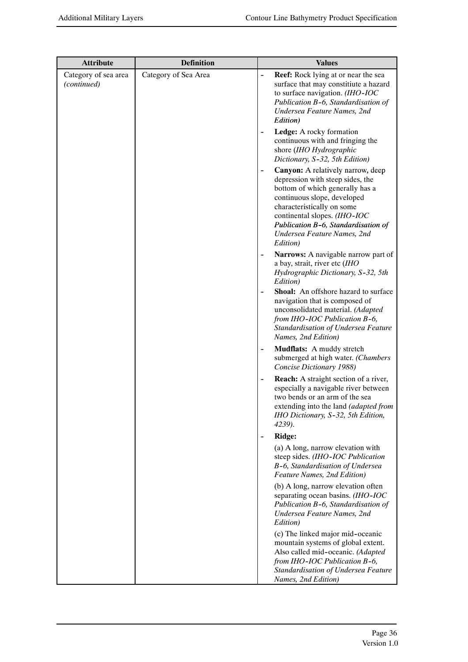| <b>Attribute</b>                    | <b>Definition</b>    | <b>Values</b>                                                                                                                                                                                                                                                                           |
|-------------------------------------|----------------------|-----------------------------------------------------------------------------------------------------------------------------------------------------------------------------------------------------------------------------------------------------------------------------------------|
| Category of sea area<br>(continued) | Category of Sea Area | <b>Reef:</b> Rock lying at or near the sea<br>surface that may constitiute a hazard<br>to surface navigation. (IHO-IOC<br>Publication B-6, Standardisation of<br>Undersea Feature Names, 2nd<br>Edition)                                                                                |
|                                     |                      | Ledge: A rocky formation<br>continuous with and fringing the<br>shore (IHO Hydrographic<br>Dictionary, S-32, 5th Edition)                                                                                                                                                               |
|                                     |                      | Canyon: A relatively narrow, deep<br>depression with steep sides, the<br>bottom of which generally has a<br>continuous slope, developed<br>characteristically on some<br>continental slopes. (IHO-IOC<br>Publication B-6, Standardisation of<br>Undersea Feature Names, 2nd<br>Edition) |
|                                     |                      | Narrows: A navigable narrow part of<br>a bay, strait, river etc (IHO<br>Hydrographic Dictionary, S-32, 5th<br>Edition)                                                                                                                                                                  |
|                                     |                      | <b>Shoal:</b> An offshore hazard to surface<br>navigation that is composed of<br>unconsolidated material. (Adapted<br>from IHO-IOC Publication B-6,<br>Standardisation of Undersea Feature<br>Names, 2nd Edition)                                                                       |
|                                     |                      | <b>Mudflats:</b> A muddy stretch<br>-<br>submerged at high water. (Chambers<br>Concise Dictionary 1988)                                                                                                                                                                                 |
|                                     |                      | <b>Reach:</b> A straight section of a river,<br>especially a navigable river between<br>two bends or an arm of the sea<br>extending into the land (adapted from<br>IHO Dictionary, S-32, 5th Edition,<br>4239).                                                                         |
|                                     |                      | <b>Ridge:</b>                                                                                                                                                                                                                                                                           |
|                                     |                      | (a) A long, narrow elevation with<br>steep sides. (IHO-IOC Publication<br>B-6, Standardisation of Undersea<br>Feature Names, 2nd Edition)                                                                                                                                               |
|                                     |                      | (b) A long, narrow elevation often<br>separating ocean basins. (IHO-IOC<br>Publication B-6, Standardisation of<br>Undersea Feature Names, 2nd<br>Edition)                                                                                                                               |
|                                     |                      | (c) The linked major mid-oceanic<br>mountain systems of global extent.<br>Also called mid-oceanic. (Adapted<br>from IHO-IOC Publication B-6,<br>Standardisation of Undersea Feature<br>Names, 2nd Edition)                                                                              |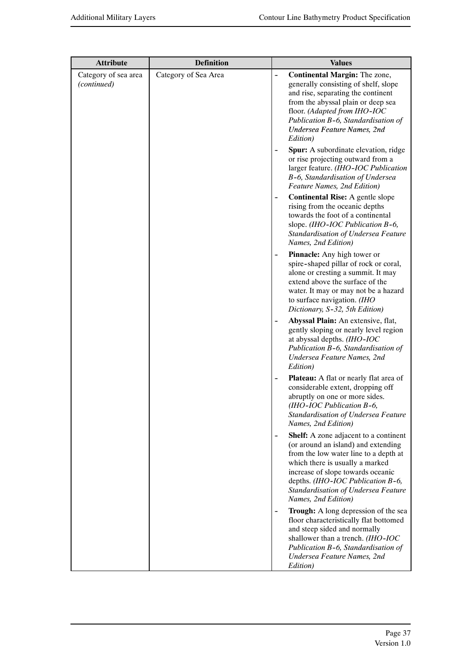| <b>Attribute</b>                    | <b>Definition</b>    | <b>Values</b>                                                                                                                                                                                                                                                                                    |
|-------------------------------------|----------------------|--------------------------------------------------------------------------------------------------------------------------------------------------------------------------------------------------------------------------------------------------------------------------------------------------|
| Category of sea area<br>(continued) | Category of Sea Area | Continental Margin: The zone,<br>-<br>generally consisting of shelf, slope<br>and rise, separating the continent<br>from the abyssal plain or deep sea<br>floor. (Adapted from IHO-IOC<br>Publication B-6, Standardisation of<br>Undersea Feature Names, 2nd<br>Edition)                         |
|                                     |                      | Spur: A subordinate elevation, ridge<br>or rise projecting outward from a<br>larger feature. (IHO-IOC Publication<br>B-6, Standardisation of Undersea<br>Feature Names, 2nd Edition)                                                                                                             |
|                                     |                      | Continental Rise: A gentle slope<br>۰<br>rising from the oceanic depths<br>towards the foot of a continental<br>slope. (IHO-IOC Publication B-6,<br>Standardisation of Undersea Feature<br>Names, 2nd Edition)                                                                                   |
|                                     |                      | <b>Pinnacle:</b> Any high tower or<br>۰<br>spire-shaped pillar of rock or coral,<br>alone or cresting a summit. It may<br>extend above the surface of the<br>water. It may or may not be a hazard<br>to surface navigation. (IHO<br>Dictionary, S-32, 5th Edition)                               |
|                                     |                      | Abyssal Plain: An extensive, flat,<br>-<br>gently sloping or nearly level region<br>at abyssal depths. (IHO-IOC<br>Publication B-6, Standardisation of<br>Undersea Feature Names, 2nd<br>Edition)                                                                                                |
|                                     |                      | Plateau: A flat or nearly flat area of<br>considerable extent, dropping off<br>abruptly on one or more sides.<br>( <i>IHO-IOC Publication B-6</i> ,<br>Standardisation of Undersea Feature<br>Names, 2nd Edition)                                                                                |
|                                     |                      | Shelf: A zone adjacent to a continent<br>(or around an island) and extending<br>from the low water line to a depth at<br>which there is usually a marked<br>increase of slope towards oceanic<br>depths. (IHO-IOC Publication B-6,<br>Standardisation of Undersea Feature<br>Names, 2nd Edition) |
|                                     |                      | Trough: A long depression of the sea<br>-<br>floor characteristically flat bottomed<br>and steep sided and normally<br>shallower than a trench. (IHO-IOC<br>Publication B-6, Standardisation of<br>Undersea Feature Names, 2nd<br>Edition)                                                       |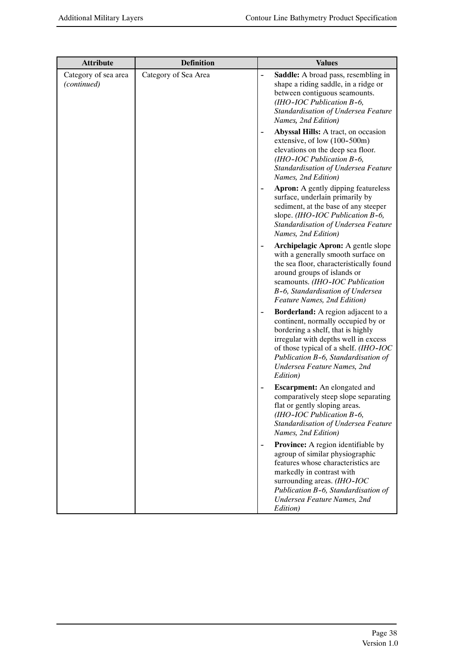| <b>Attribute</b>                    | <b>Definition</b>    | <b>Values</b>                                                                                                                                                                                                                                                                                |
|-------------------------------------|----------------------|----------------------------------------------------------------------------------------------------------------------------------------------------------------------------------------------------------------------------------------------------------------------------------------------|
| Category of sea area<br>(continued) | Category of Sea Area | -<br><b>Saddle:</b> A broad pass, resembling in<br>shape a riding saddle, in a ridge or<br>between contiguous seamounts.<br>(IHO-IOC Publication B-6,<br>Standardisation of Undersea Feature<br>Names, 2nd Edition)                                                                          |
|                                     |                      | Abyssal Hills: A tract, on occasion<br>$\qquad \qquad \blacksquare$<br>extensive, of low (100-500m)<br>elevations on the deep sea floor.<br>(IHO-IOC Publication B-6,<br>Standardisation of Undersea Feature<br>Names, 2nd Edition)                                                          |
|                                     |                      | <b>Apron:</b> A gently dipping featureless<br>$\qquad \qquad \blacksquare$<br>surface, underlain primarily by<br>sediment, at the base of any steeper<br>slope. (IHO-IOC Publication B-6,<br>Standardisation of Undersea Feature<br>Names, 2nd Edition)                                      |
|                                     |                      | Archipelagic Apron: A gentle slope<br>-<br>with a generally smooth surface on<br>the sea floor, characteristically found<br>around groups of islands or<br>seamounts. (IHO-IOC Publication<br>B-6, Standardisation of Undersea<br>Feature Names, 2nd Edition)                                |
|                                     |                      | <b>Borderland:</b> A region adjacent to a<br>۰<br>continent, normally occupied by or<br>bordering a shelf, that is highly<br>irregular with depths well in excess<br>of those typical of a shelf. (IHO-IOC<br>Publication B-6, Standardisation of<br>Undersea Feature Names, 2nd<br>Edition) |
|                                     |                      | <b>Escarpment:</b> An elongated and<br>comparatively steep slope separating<br>flat or gently sloping areas.<br>(IHO-IOC Publication B-6,<br>Standardisation of Undersea Feature<br>Names, 2nd Edition)                                                                                      |
|                                     |                      | Province: A region identifiable by<br>agroup of similar physiographic<br>features whose characteristics are<br>markedly in contrast with<br>surrounding areas. (IHO-IOC<br>Publication B-6, Standardisation of<br>Undersea Feature Names, 2nd<br>Edition)                                    |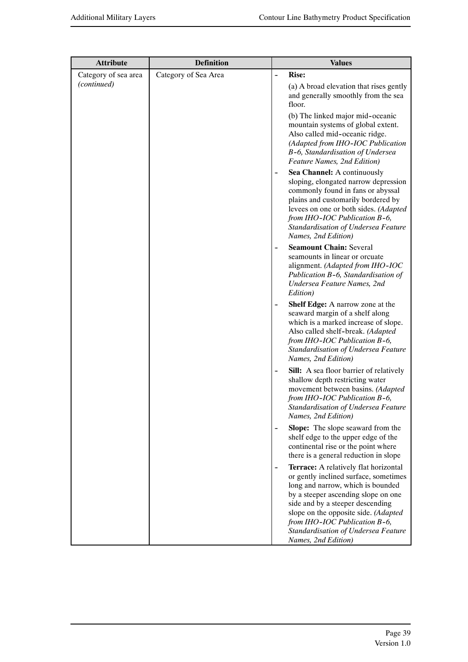| <b>Attribute</b>     | <b>Definition</b>    | <b>Values</b>                                                                                                                                                                                                                                                                                                                         |
|----------------------|----------------------|---------------------------------------------------------------------------------------------------------------------------------------------------------------------------------------------------------------------------------------------------------------------------------------------------------------------------------------|
| Category of sea area | Category of Sea Area | <b>Rise:</b><br>-                                                                                                                                                                                                                                                                                                                     |
| (continued)          |                      | (a) A broad elevation that rises gently<br>and generally smoothly from the sea<br>floor.                                                                                                                                                                                                                                              |
|                      |                      | (b) The linked major mid-oceanic<br>mountain systems of global extent.<br>Also called mid-oceanic ridge.<br>(Adapted from IHO-IOC Publication<br>B-6, Standardisation of Undersea<br>Feature Names, 2nd Edition)                                                                                                                      |
|                      |                      | Sea Channel: A continuously<br>sloping, elongated narrow depression<br>commonly found in fans or abyssal<br>plains and customarily bordered by<br>levees on one or both sides. (Adapted<br>from IHO-IOC Publication B-6,<br>Standardisation of Undersea Feature<br>Names, 2nd Edition)                                                |
|                      |                      | <b>Seamount Chain: Several</b><br>seamounts in linear or orcuate<br>alignment. (Adapted from IHO-IOC<br>Publication B-6, Standardisation of<br>Undersea Feature Names, 2nd<br>Edition)                                                                                                                                                |
|                      |                      | Shelf Edge: A narrow zone at the<br>seaward margin of a shelf along<br>which is a marked increase of slope.<br>Also called shelf-break. (Adapted<br>from IHO-IOC Publication B-6,<br>Standardisation of Undersea Feature<br>Names, 2nd Edition)                                                                                       |
|                      |                      | Sill: A sea floor barrier of relatively<br>shallow depth restricting water<br>movement between basins. (Adapted<br>from IHO-IOC Publication B-6,<br><b>Standardisation of Undersea Feature</b><br>Names, 2nd Edition)                                                                                                                 |
|                      |                      | Slope: The slope seaward from the<br>shelf edge to the upper edge of the<br>continental rise or the point where<br>there is a general reduction in slope                                                                                                                                                                              |
|                      |                      | Terrace: A relatively flat horizontal<br>or gently inclined surface, sometimes<br>long and narrow, which is bounded<br>by a steeper ascending slope on one<br>side and by a steeper descending<br>slope on the opposite side. (Adapted<br>from IHO-IOC Publication B-6,<br>Standardisation of Undersea Feature<br>Names, 2nd Edition) |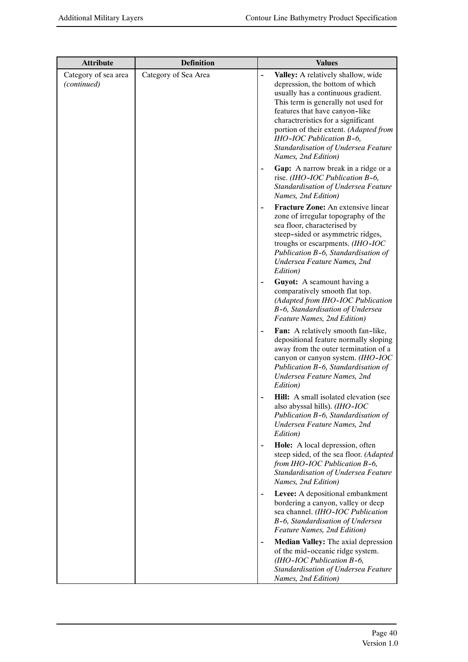| <b>Attribute</b>                    | <b>Definition</b>    | <b>Values</b>                                                                                                                                                                                                                                                                                                                                                  |
|-------------------------------------|----------------------|----------------------------------------------------------------------------------------------------------------------------------------------------------------------------------------------------------------------------------------------------------------------------------------------------------------------------------------------------------------|
| Category of sea area<br>(continued) | Category of Sea Area | Valley: A relatively shallow, wide<br>depression, the bottom of which<br>usually has a continuous gradient.<br>This term is generally not used for<br>features that have canyon-like<br>charactreristics for a significant<br>portion of their extent. (Adapted from<br>IHO-IOC Publication B-6,<br>Standardisation of Undersea Feature<br>Names, 2nd Edition) |
|                                     |                      | Gap: A narrow break in a ridge or a<br>rise. (IHO-IOC Publication B-6,<br>Standardisation of Undersea Feature<br>Names, 2nd Edition)                                                                                                                                                                                                                           |
|                                     |                      | Fracture Zone: An extensive linear<br>zone of irregular topography of the<br>sea floor, characterised by<br>steep-sided or asymmetric ridges,<br>troughs or escarpments. (IHO-IOC<br>Publication B-6, Standardisation of<br>Undersea Feature Names, 2nd<br>Edition)                                                                                            |
|                                     |                      | Guyot: A seamount having a<br>comparatively smooth flat top.<br>(Adapted from IHO-IOC Publication<br>B-6, Standardisation of Undersea<br>Feature Names, 2nd Edition)                                                                                                                                                                                           |
|                                     |                      | Fan: A relatively smooth fan-like,<br>depositional feature normally sloping<br>away from the outer termination of a<br>canyon or canyon system. (IHO-IOC<br>Publication B-6, Standardisation of<br>Undersea Feature Names, 2nd<br>Edition)                                                                                                                     |
|                                     |                      | Hill: A small isolated elevation (see<br>also abyssal hills). (IHO-IOC<br>Publication B-6, Standardisation of<br>Undersea Feature Names, 2nd<br>Edition)                                                                                                                                                                                                       |
|                                     |                      | Hole: A local depression, often<br>steep sided, of the sea floor. (Adapted<br>from IHO-IOC Publication B-6,<br>Standardisation of Undersea Feature<br>Names, 2nd Edition)                                                                                                                                                                                      |
|                                     |                      | Levee: A depositional embankment<br>bordering a canyon, valley or deep<br>sea channel. (IHO-IOC Publication<br>B-6, Standardisation of Undersea<br>Feature Names, 2nd Edition)                                                                                                                                                                                 |
|                                     |                      | Median Valley: The axial depression<br>of the mid-oceanic ridge system.<br>(IHO-IOC Publication B-6,<br>Standardisation of Undersea Feature<br>Names, 2nd Edition)                                                                                                                                                                                             |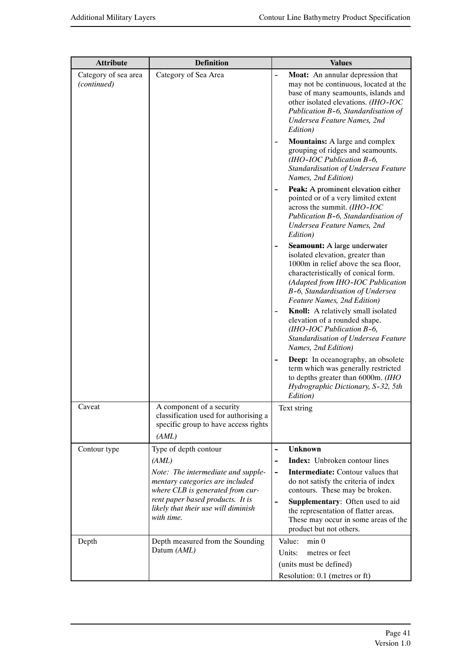| <b>Attribute</b>                    | <b>Definition</b>                                                                                                   | <b>Values</b>                                                                                                                                                                                                                                                                                                                                                                                                                |
|-------------------------------------|---------------------------------------------------------------------------------------------------------------------|------------------------------------------------------------------------------------------------------------------------------------------------------------------------------------------------------------------------------------------------------------------------------------------------------------------------------------------------------------------------------------------------------------------------------|
| Category of sea area<br>(continued) | Category of Sea Area                                                                                                | Moat: An annular depression that<br>may not be continuous, located at the<br>base of many seamounts, islands and<br>other isolated elevations. (IHO-IOC<br>Publication B-6, Standardisation of<br>Undersea Feature Names, 2nd<br>Edition)                                                                                                                                                                                    |
|                                     |                                                                                                                     | <b>Mountains:</b> A large and complex<br>grouping of ridges and seamounts.<br>(IHO-IOC Publication $B-6$ ,<br>Standardisation of Undersea Feature<br>Names, 2nd Edition)                                                                                                                                                                                                                                                     |
|                                     |                                                                                                                     | Peak: A prominent elevation either<br>pointed or of a very limited extent<br>across the summit. (IHO-IOC<br>Publication B-6, Standardisation of<br>Undersea Feature Names, 2nd<br>Edition)                                                                                                                                                                                                                                   |
|                                     |                                                                                                                     | Seamount: A large underwater<br>isolated elevation, greater than<br>1000m in relief above the sea floor,<br>characteristically of conical form.<br>(Adapted from IHO-IOC Publication<br>B-6, Standardisation of Undersea<br>Feature Names, 2nd Edition)<br>Knoll: A relatively small isolated<br>elevation of a rounded shape.<br>(IHO-IOC Publication $B-6$ ,<br>Standardisation of Undersea Feature<br>Names, 2nd Edition) |
|                                     |                                                                                                                     | <b>Deep:</b> In oceanography, an obsolete<br>term which was generally restricted<br>to depths greater than 6000m. (IHO<br>Hydrographic Dictionary, S-32, 5th<br>Edition)                                                                                                                                                                                                                                                     |
| Caveat                              | A component of a security<br>classification used for authorising a<br>specific group to have access rights<br>(AML) | Text string                                                                                                                                                                                                                                                                                                                                                                                                                  |
| Contour type                        | Type of depth contour                                                                                               | <b>Unknown</b>                                                                                                                                                                                                                                                                                                                                                                                                               |
|                                     | (AML)                                                                                                               | <b>Index:</b> Unbroken contour lines                                                                                                                                                                                                                                                                                                                                                                                         |
|                                     | Note: The intermediate and supple-<br>mentary categories are included<br>where CLB is generated from cur-           | <b>Intermediate:</b> Contour values that<br>do not satisfy the criteria of index<br>contours. These may be broken.                                                                                                                                                                                                                                                                                                           |
|                                     | rent paper based products. It is<br>likely that their use will diminish<br>with time.                               | Supplementary: Often used to aid<br>the representation of flatter areas.<br>These may occur in some areas of the<br>product but not others.                                                                                                                                                                                                                                                                                  |
| Depth                               | Depth measured from the Sounding<br>Datum (AML)                                                                     | Value:<br>min 0<br>Units:<br>metres or feet<br>(units must be defined)                                                                                                                                                                                                                                                                                                                                                       |
|                                     |                                                                                                                     | Resolution: 0.1 (metres or ft)                                                                                                                                                                                                                                                                                                                                                                                               |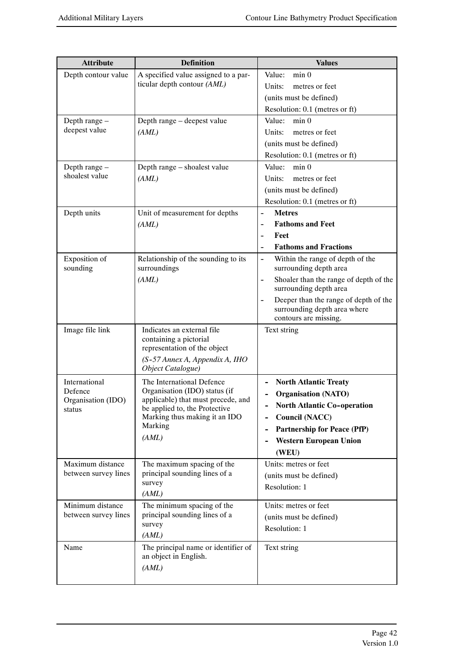| <b>Attribute</b>                                         | <b>Definition</b>                                                                                                                                                                      | <b>Values</b>                                                                                                                                                                                                                                                                                         |
|----------------------------------------------------------|----------------------------------------------------------------------------------------------------------------------------------------------------------------------------------------|-------------------------------------------------------------------------------------------------------------------------------------------------------------------------------------------------------------------------------------------------------------------------------------------------------|
| Depth contour value                                      | A specified value assigned to a par-<br>ticular depth contour (AML)                                                                                                                    | min 0<br>Value:<br>Units:<br>metres or feet<br>(units must be defined)<br>Resolution: 0.1 (metres or ft)                                                                                                                                                                                              |
| Depth range -<br>deepest value                           | Depth range - deepest value<br>(AML)                                                                                                                                                   | Value:<br>min 0<br>Units:<br>metres or feet<br>(units must be defined)<br>Resolution: 0.1 (metres or ft)                                                                                                                                                                                              |
| Depth range -<br>shoalest value                          | Depth range - shoalest value<br>(AML)                                                                                                                                                  | Value:<br>min 0<br>Units:<br>metres or feet<br>(units must be defined)<br>Resolution: 0.1 (metres or ft)                                                                                                                                                                                              |
| Depth units                                              | Unit of measurement for depths<br>(AML)                                                                                                                                                | <b>Metres</b><br>$\overline{\phantom{a}}$<br><b>Fathoms and Feet</b><br>$\qquad \qquad$<br>Feet<br><b>Fathoms and Fractions</b>                                                                                                                                                                       |
| Exposition of<br>sounding                                | Relationship of the sounding to its<br>surroundings<br>(AML)                                                                                                                           | Within the range of depth of the<br>-<br>surrounding depth area<br>Shoaler than the range of depth of the<br>$\qquad \qquad \blacksquare$<br>surrounding depth area<br>Deeper than the range of depth of the<br>$\qquad \qquad \blacksquare$<br>surrounding depth area where<br>contours are missing. |
| Image file link                                          | Indicates an external file<br>containing a pictorial<br>representation of the object<br>(S-57 Annex A, Appendix A, IHO<br>Object Catalogue)                                            | Text string                                                                                                                                                                                                                                                                                           |
| International<br>Defence<br>Organisation (IDO)<br>status | The International Defence<br>Organisation (IDO) status (if<br>applicable) that must precede, and<br>be applied to, the Protective<br>Marking thus making it an IDO<br>Marking<br>(AML) | <b>North Atlantic Treaty</b><br><b>Organisation (NATO)</b><br><b>North Atlantic Co-operation</b><br><b>Council (NACC)</b><br><b>Partnership for Peace (PfP)</b><br><b>Western European Union</b><br>(WEU)                                                                                             |
| Maximum distance<br>between survey lines                 | The maximum spacing of the<br>principal sounding lines of a<br>survey<br>(AML)                                                                                                         | Units: metres or feet<br>(units must be defined)<br>Resolution: 1                                                                                                                                                                                                                                     |
| Minimum distance<br>between survey lines                 | The minimum spacing of the<br>principal sounding lines of a<br>survey<br>(AML)                                                                                                         | Units: metres or feet<br>(units must be defined)<br>Resolution: 1                                                                                                                                                                                                                                     |
| Name                                                     | The principal name or identifier of<br>an object in English.<br>(AML)                                                                                                                  | Text string                                                                                                                                                                                                                                                                                           |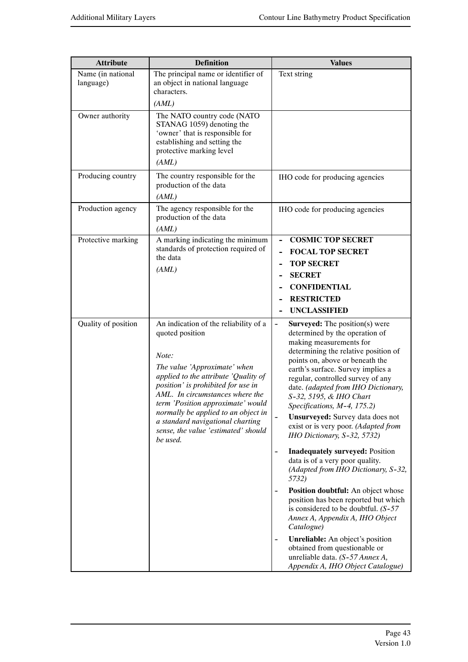| <b>Attribute</b>               | <b>Definition</b>                                                                                                                                                                                                                                                                                                                                                                     | <b>Values</b>                                                                                                                                                                                                                                                                                                                                                                                                                                                                                                                                                                                                                                                                                                                                                                                                                                                                                                                                                                           |
|--------------------------------|---------------------------------------------------------------------------------------------------------------------------------------------------------------------------------------------------------------------------------------------------------------------------------------------------------------------------------------------------------------------------------------|-----------------------------------------------------------------------------------------------------------------------------------------------------------------------------------------------------------------------------------------------------------------------------------------------------------------------------------------------------------------------------------------------------------------------------------------------------------------------------------------------------------------------------------------------------------------------------------------------------------------------------------------------------------------------------------------------------------------------------------------------------------------------------------------------------------------------------------------------------------------------------------------------------------------------------------------------------------------------------------------|
| Name (in national<br>language) | The principal name or identifier of<br>an object in national language<br>characters.                                                                                                                                                                                                                                                                                                  | Text string                                                                                                                                                                                                                                                                                                                                                                                                                                                                                                                                                                                                                                                                                                                                                                                                                                                                                                                                                                             |
|                                | (AML)                                                                                                                                                                                                                                                                                                                                                                                 |                                                                                                                                                                                                                                                                                                                                                                                                                                                                                                                                                                                                                                                                                                                                                                                                                                                                                                                                                                                         |
| Owner authority                | The NATO country code (NATO<br>STANAG 1059) denoting the<br>'owner' that is responsible for<br>establishing and setting the<br>protective marking level<br>(AML)                                                                                                                                                                                                                      |                                                                                                                                                                                                                                                                                                                                                                                                                                                                                                                                                                                                                                                                                                                                                                                                                                                                                                                                                                                         |
| Producing country              | The country responsible for the<br>production of the data<br>(AML)                                                                                                                                                                                                                                                                                                                    | IHO code for producing agencies                                                                                                                                                                                                                                                                                                                                                                                                                                                                                                                                                                                                                                                                                                                                                                                                                                                                                                                                                         |
| Production agency              | The agency responsible for the<br>production of the data<br>(AML)                                                                                                                                                                                                                                                                                                                     | IHO code for producing agencies                                                                                                                                                                                                                                                                                                                                                                                                                                                                                                                                                                                                                                                                                                                                                                                                                                                                                                                                                         |
| Protective marking             | A marking indicating the minimum<br>standards of protection required of<br>the data<br>(AML)                                                                                                                                                                                                                                                                                          | <b>COSMIC TOP SECRET</b><br><b>FOCAL TOP SECRET</b><br><b>TOP SECRET</b><br><b>SECRET</b><br><b>CONFIDENTIAL</b><br><b>RESTRICTED</b><br><b>UNCLASSIFIED</b>                                                                                                                                                                                                                                                                                                                                                                                                                                                                                                                                                                                                                                                                                                                                                                                                                            |
| Quality of position            | An indication of the reliability of a<br>quoted position<br>Note:<br>The value 'Approximate' when<br>applied to the attribute 'Quality of<br>position' is prohibited for use in<br>AML. In circumstances where the<br>term 'Position approximate' would<br>normally be applied to an object in<br>a standard navigational charting<br>sense, the value 'estimated' should<br>be used. | <b>Surveyed:</b> The position(s) were<br>$\overline{\phantom{0}}$<br>determined by the operation of<br>making measurements for<br>determining the relative position of<br>points on, above or beneath the<br>earth's surface. Survey implies a<br>regular, controlled survey of any<br>date. (adapted from IHO Dictionary,<br>S-32, 5195, & IHO Chart<br>Specifications, M-4, 175.2)<br>Unsurveyed: Survey data does not<br>exist or is very poor. (Adapted from<br>IHO Dictionary, S-32, 5732)<br><b>Inadequately surveyed: Position</b><br>-<br>data is of a very poor quality.<br>(Adapted from IHO Dictionary, S-32,<br>5732)<br><b>Position doubtful:</b> An object whose<br>$\overline{a}$<br>position has been reported but which<br>is considered to be doubtful. $(S-57)$<br>Annex A, Appendix A, IHO Object<br>Catalogue)<br><b>Unreliable:</b> An object's position<br>obtained from questionable or<br>unreliable data. (S-57 Annex A,<br>Appendix A, IHO Object Catalogue) |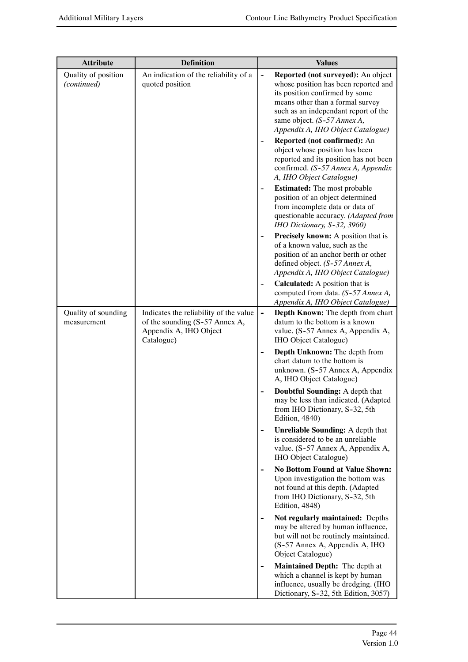| <b>Attribute</b>                   | <b>Definition</b>                                                                                                |   | <b>Values</b>                                                                                                                                                                                                                                                |
|------------------------------------|------------------------------------------------------------------------------------------------------------------|---|--------------------------------------------------------------------------------------------------------------------------------------------------------------------------------------------------------------------------------------------------------------|
| Quality of position<br>(continued) | An indication of the reliability of a<br>quoted position                                                         | - | Reported (not surveyed): An object<br>whose position has been reported and<br>its position confirmed by some<br>means other than a formal survey<br>such as an independant report of the<br>same object. (S-57 Annex A,<br>Appendix A, IHO Object Catalogue) |
|                                    |                                                                                                                  |   | Reported (not confirmed): An<br>object whose position has been<br>reported and its position has not been<br>confirmed. (S-57 Annex A, Appendix<br>A, IHO Object Catalogue)                                                                                   |
|                                    |                                                                                                                  |   | <b>Estimated:</b> The most probable<br>position of an object determined<br>from incomplete data or data of<br>questionable accuracy. (Adapted from<br>IHO Dictionary, S-32, 3960)                                                                            |
|                                    |                                                                                                                  |   | Precisely known: A position that is<br>of a known value, such as the<br>position of an anchor berth or other<br>defined object. (S-57 Annex A,<br>Appendix A, IHO Object Catalogue)                                                                          |
|                                    |                                                                                                                  |   | <b>Calculated:</b> A position that is<br>computed from data. (S-57 Annex A,<br>Appendix A, IHO Object Catalogue)                                                                                                                                             |
| Quality of sounding<br>measurement | Indicates the reliability of the value<br>of the sounding (S-57 Annex A,<br>Appendix A, IHO Object<br>Catalogue) |   | <b>Depth Known:</b> The depth from chart<br>datum to the bottom is a known<br>value. (S-57 Annex A, Appendix A,<br>IHO Object Catalogue)                                                                                                                     |
|                                    |                                                                                                                  |   | Depth Unknown: The depth from<br>chart datum to the bottom is<br>unknown. (S-57 Annex A, Appendix<br>A, IHO Object Catalogue)                                                                                                                                |
|                                    |                                                                                                                  |   | Doubtful Sounding: A depth that<br>may be less than indicated. (Adapted<br>from IHO Dictionary, S-32, 5th<br><b>Edition</b> , 4840)                                                                                                                          |
|                                    |                                                                                                                  |   | <b>Unreliable Sounding: A depth that</b><br>is considered to be an unreliable<br>value. (S-57 Annex A, Appendix A,<br>IHO Object Catalogue)                                                                                                                  |
|                                    |                                                                                                                  |   | <b>No Bottom Found at Value Shown:</b><br>Upon investigation the bottom was<br>not found at this depth. (Adapted<br>from IHO Dictionary, S-32, 5th<br><b>Edition</b> , 4848)                                                                                 |
|                                    |                                                                                                                  |   | Not regularly maintained: Depths<br>may be altered by human influence,<br>but will not be routinely maintained.<br>(S-57 Annex A, Appendix A, IHO<br>Object Catalogue)                                                                                       |
|                                    |                                                                                                                  |   | Maintained Depth: The depth at<br>which a channel is kept by human<br>influence, usually be dredging. (IHO<br>Dictionary, S-32, 5th Edition, 3057)                                                                                                           |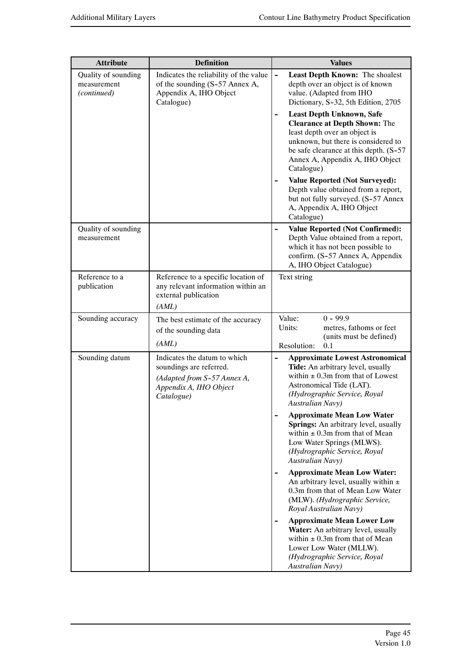| <b>Attribute</b>                                  | <b>Definition</b>                                                                                                              | <b>Values</b>                                                                                                                                                                                                                                                                                                                                                                                                                       |
|---------------------------------------------------|--------------------------------------------------------------------------------------------------------------------------------|-------------------------------------------------------------------------------------------------------------------------------------------------------------------------------------------------------------------------------------------------------------------------------------------------------------------------------------------------------------------------------------------------------------------------------------|
| Quality of sounding<br>measurement<br>(continued) | Indicates the reliability of the value<br>of the sounding (S-57 Annex A,<br>Appendix A, IHO Object<br>Catalogue)               | Least Depth Known: The shoalest<br>-<br>depth over an object is of known<br>value. (Adapted from IHO<br>Dictionary, S-32, 5th Edition, 2705<br><b>Least Depth Unknown, Safe</b><br><b>Clearance at Depth Shown: The</b><br>least depth over an object is<br>unknown, but there is considered to<br>be safe clearance at this depth. (S-57<br>Annex A, Appendix A, IHO Object<br>Catalogue)<br><b>Value Reported (Not Surveyed):</b> |
|                                                   |                                                                                                                                | Depth value obtained from a report,<br>but not fully surveyed. (S-57 Annex<br>A, Appendix A, IHO Object<br>Catalogue)                                                                                                                                                                                                                                                                                                               |
| Quality of sounding<br>measurement                |                                                                                                                                | Value Reported (Not Confirmed):<br>Depth Value obtained from a report,<br>which it has not been possible to<br>confirm. (S-57 Annex A, Appendix<br>A, IHO Object Catalogue)                                                                                                                                                                                                                                                         |
| Reference to a<br>publication                     | Reference to a specific location of<br>any relevant information within an<br>external publication<br>(AML)                     | Text string                                                                                                                                                                                                                                                                                                                                                                                                                         |
| Sounding accuracy                                 | The best estimate of the accuracy<br>of the sounding data<br>(AML)                                                             | $0 - 99.9$<br>Value:<br>Units:<br>metres, fathoms or feet<br>(units must be defined)<br>Resolution:<br>0.1                                                                                                                                                                                                                                                                                                                          |
| Sounding datum                                    | Indicates the datum to which<br>soundings are referred.<br>(Adapted from S-57 Annex A,<br>Appendix A, IHO Object<br>Catalogue) | <b>Approximate Lowest Astronomical</b><br>Tide: An arbitrary level, usually<br>within $\pm$ 0.3m from that of Lowest<br>Astronomical Tide (LAT).<br>(Hydrographic Service, Royal<br><b>Australian Navy</b> )<br><b>Approximate Mean Low Water</b><br>Springs: An arbitrary level, usually<br>within $\pm$ 0.3m from that of Mean                                                                                                    |
|                                                   |                                                                                                                                | Low Water Springs (MLWS).<br>(Hydrographic Service, Royal<br><b>Australian Navy)</b>                                                                                                                                                                                                                                                                                                                                                |
|                                                   |                                                                                                                                | <b>Approximate Mean Low Water:</b><br>An arbitrary level, usually within $\pm$<br>0.3m from that of Mean Low Water<br>(MLW). (Hydrographic Service,<br>Royal Australian Navy)                                                                                                                                                                                                                                                       |
|                                                   |                                                                                                                                | <b>Approximate Mean Lower Low</b><br>Water: An arbitrary level, usually<br>within $\pm$ 0.3m from that of Mean<br>Lower Low Water (MLLW).<br>(Hydrographic Service, Royal<br><b>Australian Navy)</b>                                                                                                                                                                                                                                |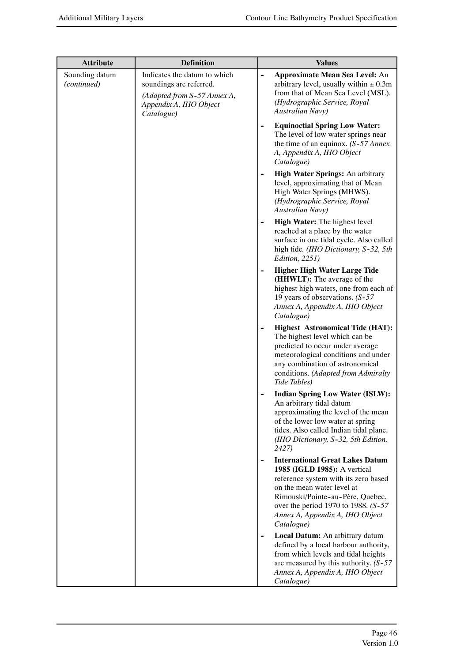| <b>Attribute</b>              | <b>Definition</b>                                                                                                              | <b>Values</b>                                                                                                                                                                                                                                                               |
|-------------------------------|--------------------------------------------------------------------------------------------------------------------------------|-----------------------------------------------------------------------------------------------------------------------------------------------------------------------------------------------------------------------------------------------------------------------------|
| Sounding datum<br>(continued) | Indicates the datum to which<br>soundings are referred.<br>(Adapted from S-57 Annex A,<br>Appendix A, IHO Object<br>Catalogue) | <b>Approximate Mean Sea Level: An</b><br>arbitrary level, usually within $\pm$ 0.3m<br>from that of Mean Sea Level (MSL).<br>(Hydrographic Service, Royal<br><b>Australian Navy)</b>                                                                                        |
|                               |                                                                                                                                | <b>Equinoctial Spring Low Water:</b><br>The level of low water springs near<br>the time of an equinox. $(S-57$ Annex<br>A, Appendix A, IHO Object<br>Catalogue)                                                                                                             |
|                               |                                                                                                                                | High Water Springs: An arbitrary<br>level, approximating that of Mean<br>High Water Springs (MHWS).<br>(Hydrographic Service, Royal<br><b>Australian Navy)</b>                                                                                                              |
|                               |                                                                                                                                | High Water: The highest level<br>reached at a place by the water<br>surface in one tidal cycle. Also called<br>high tide. (IHO Dictionary, S-32, 5th<br><i>Edition, 2251)</i>                                                                                               |
|                               |                                                                                                                                | <b>Higher High Water Large Tide</b><br>(HHWLT): The average of the<br>highest high waters, one from each of<br>19 years of observations. $(S-57)$<br>Annex A, Appendix A, IHO Object<br>Catalogue)                                                                          |
|                               |                                                                                                                                | <b>Highest Astronomical Tide (HAT):</b><br>The highest level which can be<br>predicted to occur under average<br>meteorological conditions and under<br>any combination of astronomical<br>conditions. (Adapted from Admiralty<br>Tide Tables)                              |
|                               |                                                                                                                                | <b>Indian Spring Low Water (ISLW):</b><br>An arbitrary tidal datum<br>approximating the level of the mean<br>of the lower low water at spring<br>tides. Also called Indian tidal plane.<br>(IHO Dictionary, S-32, 5th Edition,<br>2427)                                     |
|                               |                                                                                                                                | <b>International Great Lakes Datum</b><br>1985 (IGLD 1985): A vertical<br>reference system with its zero based<br>on the mean water level at<br>Rimouski/Pointe-au-Père, Quebec,<br>over the period 1970 to 1988. $(S-57)$<br>Annex A, Appendix A, IHO Object<br>Catalogue) |
|                               |                                                                                                                                | Local Datum: An arbitrary datum<br>defined by a local harbour authority,<br>from which levels and tidal heights<br>are measured by this authority. $(S-57)$<br>Annex A, Appendix A, IHO Object<br>Catalogue)                                                                |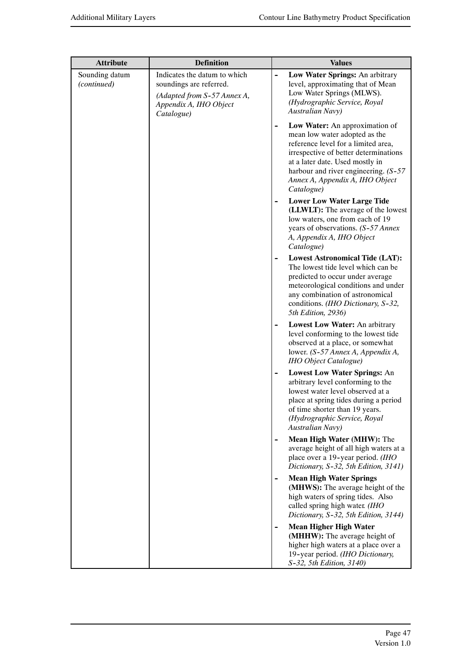| <b>Attribute</b>              | <b>Definition</b>                                                                                                              | <b>Values</b>                                                                                                                                                                                                                                                                  |
|-------------------------------|--------------------------------------------------------------------------------------------------------------------------------|--------------------------------------------------------------------------------------------------------------------------------------------------------------------------------------------------------------------------------------------------------------------------------|
| Sounding datum<br>(continued) | Indicates the datum to which<br>soundings are referred.<br>(Adapted from S-57 Annex A,<br>Appendix A, IHO Object<br>Catalogue) | Low Water Springs: An arbitrary<br>level, approximating that of Mean<br>Low Water Springs (MLWS).<br>(Hydrographic Service, Royal<br><b>Australian Navy</b> )                                                                                                                  |
|                               |                                                                                                                                | Low Water: An approximation of<br>mean low water adopted as the<br>reference level for a limited area,<br>irrespective of better determinations<br>at a later date. Used mostly in<br>harbour and river engineering. $(S-57)$<br>Annex A, Appendix A, IHO Object<br>Catalogue) |
|                               |                                                                                                                                | <b>Lower Low Water Large Tide</b><br>(LLWLT): The average of the lowest<br>low waters, one from each of 19<br>years of observations. (S-57 Annex<br>A, Appendix A, IHO Object<br>Catalogue)                                                                                    |
|                               |                                                                                                                                | <b>Lowest Astronomical Tide (LAT):</b><br>۰<br>The lowest tide level which can be<br>predicted to occur under average<br>meteorological conditions and under<br>any combination of astronomical<br>conditions. (IHO Dictionary, S-32,<br>5th Edition, 2936)                    |
|                               |                                                                                                                                | Lowest Low Water: An arbitrary<br>۰<br>level conforming to the lowest tide<br>observed at a place, or somewhat<br>lower. (S-57 Annex A, Appendix A,<br><b>IHO Object Catalogue)</b>                                                                                            |
|                               |                                                                                                                                | <b>Lowest Low Water Springs: An</b><br>۰<br>arbitrary level conforming to the<br>lowest water level observed at a<br>place at spring tides during a period<br>of time shorter than 19 years.<br>(Hydrographic Service, Royal<br><b>Australian Navy)</b>                        |
|                               |                                                                                                                                | Mean High Water (MHW): The<br>average height of all high waters at a<br>place over a 19-year period. (IHO<br>Dictionary, S-32, 5th Edition, 3141)                                                                                                                              |
|                               |                                                                                                                                | <b>Mean High Water Springs</b><br>(MHWS): The average height of the<br>high waters of spring tides. Also<br>called spring high water. (IHO<br>Dictionary, S-32, 5th Edition, 3144)                                                                                             |
|                               |                                                                                                                                | <b>Mean Higher High Water</b><br>(MHHW): The average height of<br>higher high waters at a place over a<br>19-year period. (IHO Dictionary,<br>S-32, 5th Edition, 3140)                                                                                                         |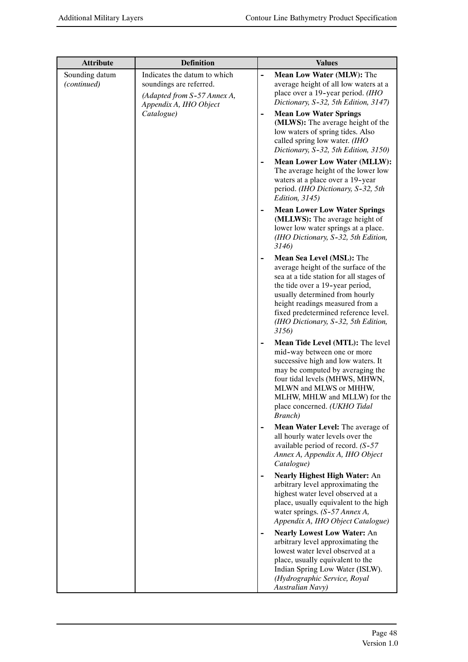| <b>Attribute</b>              | <b>Definition</b>                                                                                                              | <b>Values</b>                                                                                                                                                                                                                                                                                                                                  |
|-------------------------------|--------------------------------------------------------------------------------------------------------------------------------|------------------------------------------------------------------------------------------------------------------------------------------------------------------------------------------------------------------------------------------------------------------------------------------------------------------------------------------------|
| Sounding datum<br>(continued) | Indicates the datum to which<br>soundings are referred.<br>(Adapted from S-57 Annex A,<br>Appendix A, IHO Object<br>Catalogue) | <b>Mean Low Water (MLW): The</b><br>-<br>average height of all low waters at a<br>place over a 19-year period. (IHO<br>Dictionary, S-32, 5th Edition, 3147)<br><b>Mean Low Water Springs</b><br>(MLWS): The average height of the<br>low waters of spring tides. Also<br>called spring low water. (IHO<br>Dictionary, S-32, 5th Edition, 3150) |
|                               |                                                                                                                                | <b>Mean Lower Low Water (MLLW):</b><br>The average height of the lower low<br>waters at a place over a 19-year<br>period. (IHO Dictionary, S-32, 5th<br><i>Edition</i> , 3145)                                                                                                                                                                 |
|                               |                                                                                                                                | <b>Mean Lower Low Water Springs</b><br>(MLLWS): The average height of<br>lower low water springs at a place.<br>(IHO Dictionary, S-32, 5th Edition,<br>3146)                                                                                                                                                                                   |
|                               |                                                                                                                                | Mean Sea Level (MSL): The<br>average height of the surface of the<br>sea at a tide station for all stages of<br>the tide over a 19-year period,<br>usually determined from hourly<br>height readings measured from a<br>fixed predetermined reference level.<br>(IHO Dictionary, S-32, 5th Edition,<br>3156)                                   |
|                               |                                                                                                                                | Mean Tide Level (MTL): The level<br>mid-way between one or more<br>successive high and low waters. It<br>may be computed by averaging the<br>four tidal levels (MHWS, MHWN,<br>MLWN and MLWS or MHHW,<br>MLHW, MHLW and MLLW) for the<br>place concerned. (UKHO Tidal<br>Branch)                                                               |
|                               |                                                                                                                                | Mean Water Level: The average of<br>all hourly water levels over the<br>available period of record. $(S-57)$<br>Annex A, Appendix A, IHO Object<br>Catalogue)                                                                                                                                                                                  |
|                               |                                                                                                                                | <b>Nearly Highest High Water: An</b><br>arbitrary level approximating the<br>highest water level observed at a<br>place, usually equivalent to the high<br>water springs. (S-57 Annex A,<br>Appendix A, IHO Object Catalogue)                                                                                                                  |
|                               |                                                                                                                                | <b>Nearly Lowest Low Water: An</b><br>arbitrary level approximating the<br>lowest water level observed at a<br>place, usually equivalent to the<br>Indian Spring Low Water (ISLW).<br>(Hydrographic Service, Royal<br><b>Australian Navy</b> )                                                                                                 |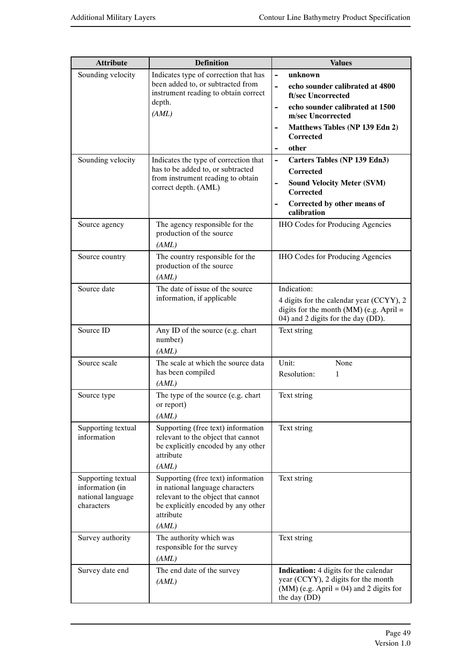| <b>Attribute</b>                                                         | <b>Definition</b>                                                                                                                                                       | <b>Values</b>                                                                                                                                                                                                                    |
|--------------------------------------------------------------------------|-------------------------------------------------------------------------------------------------------------------------------------------------------------------------|----------------------------------------------------------------------------------------------------------------------------------------------------------------------------------------------------------------------------------|
| Sounding velocity                                                        | Indicates type of correction that has<br>been added to, or subtracted from<br>instrument reading to obtain correct<br>depth.<br>(AML)                                   | unknown<br>÷,<br>echo sounder calibrated at 4800<br>$\blacksquare$<br>ft/sec Uncorrected<br>echo sounder calibrated at 1500<br>۰<br>m/sec Uncorrected<br><b>Matthews Tables (NP 139 Edn 2)</b><br>۰<br><b>Corrected</b><br>other |
| Sounding velocity                                                        | Indicates the type of correction that<br>has to be added to, or subtracted<br>from instrument reading to obtain<br>correct depth. (AML)                                 | Carters Tables (NP 139 Edn3)<br>۰<br><b>Corrected</b><br><b>Sound Velocity Meter (SVM)</b><br><b>Corrected</b><br>Corrected by other means of<br>۰<br>calibration                                                                |
| Source agency                                                            | The agency responsible for the<br>production of the source<br>(AML)                                                                                                     | IHO Codes for Producing Agencies                                                                                                                                                                                                 |
| Source country                                                           | The country responsible for the<br>production of the source<br>(AML)                                                                                                    | <b>IHO Codes for Producing Agencies</b>                                                                                                                                                                                          |
| Source date                                                              | The date of issue of the source<br>information, if applicable                                                                                                           | Indication:<br>4 digits for the calendar year (CCYY), 2<br>digits for the month (MM) (e.g. April $=$<br>04) and 2 digits for the day (DD).                                                                                       |
| Source ID                                                                | Any ID of the source (e.g. chart<br>number)<br>(AML)                                                                                                                    | Text string                                                                                                                                                                                                                      |
| Source scale                                                             | The scale at which the source data<br>has been compiled<br>(AML)                                                                                                        | Unit:<br>None<br>Resolution:<br>1                                                                                                                                                                                                |
| Source type                                                              | The type of the source (e.g. chart<br>or report)<br>(AML)                                                                                                               | Text string                                                                                                                                                                                                                      |
| Supporting textual<br>information                                        | Supporting (free text) information<br>relevant to the object that cannot<br>be explicitly encoded by any other<br>attribute<br>(AML)                                    | Text string                                                                                                                                                                                                                      |
| Supporting textual<br>information (in<br>national language<br>characters | Supporting (free text) information<br>in national language characters<br>relevant to the object that cannot<br>be explicitly encoded by any other<br>attribute<br>(AML) | Text string                                                                                                                                                                                                                      |
| Survey authority                                                         | The authority which was<br>responsible for the survey<br>(AML)                                                                                                          | Text string                                                                                                                                                                                                                      |
| Survey date end                                                          | The end date of the survey<br>(AML)                                                                                                                                     | <b>Indication:</b> 4 digits for the calendar<br>year (CCYY), 2 digits for the month<br>$(MM)$ (e.g. April = 04) and 2 digits for<br>the day (DD)                                                                                 |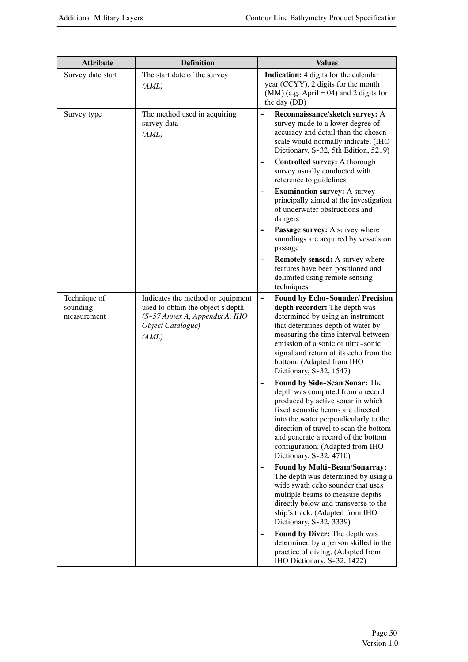| <b>Attribute</b>                        | <b>Definition</b>                                                                                                                       | <b>Values</b>                                                                                                                                                                                                                                                                                                                        |  |
|-----------------------------------------|-----------------------------------------------------------------------------------------------------------------------------------------|--------------------------------------------------------------------------------------------------------------------------------------------------------------------------------------------------------------------------------------------------------------------------------------------------------------------------------------|--|
| Survey date start                       | The start date of the survey<br>(AML)                                                                                                   | Indication: 4 digits for the calendar<br>year (CCYY), 2 digits for the month<br>$(MM)$ (e.g. April = 04) and 2 digits for<br>the day (DD)                                                                                                                                                                                            |  |
| Survey type                             | The method used in acquiring<br>survey data<br>(AML)                                                                                    | Reconnaissance/sketch survey: A<br>survey made to a lower degree of<br>accuracy and detail than the chosen<br>scale would normally indicate. (IHO<br>Dictionary, S-32, 5th Edition, 5219)<br>Controlled survey: A thorough<br>survey usually conducted with<br>reference to guidelines<br><b>Examination survey:</b> A survey        |  |
|                                         |                                                                                                                                         | principally aimed at the investigation<br>of underwater obstructions and<br>dangers<br>Passage survey: A survey where<br>soundings are acquired by vessels on<br>passage                                                                                                                                                             |  |
|                                         |                                                                                                                                         | Remotely sensed: A survey where<br>features have been positioned and<br>delimited using remote sensing<br>techniques                                                                                                                                                                                                                 |  |
| Technique of<br>sounding<br>measurement | Indicates the method or equipment<br>used to obtain the object's depth.<br>(S-57 Annex A, Appendix A, IHO<br>Object Catalogue)<br>(AML) | Found by Echo-Sounder/ Precision<br>depth recorder: The depth was<br>determined by using an instrument<br>that determines depth of water by<br>measuring the time interval between<br>emission of a sonic or ultra-sonic<br>signal and return of its echo from the<br>bottom. (Adapted from IHO<br>Dictionary, S-32, 1547)           |  |
|                                         |                                                                                                                                         | Found by Side-Scan Sonar: The<br>depth was computed from a record<br>produced by active sonar in which<br>fixed acoustic beams are directed<br>into the water perpendicularly to the<br>direction of travel to scan the bottom<br>and generate a record of the bottom<br>configuration. (Adapted from IHO<br>Dictionary, S-32, 4710) |  |
|                                         |                                                                                                                                         | Found by Multi-Beam/Sonarray:<br>The depth was determined by using a<br>wide swath echo sounder that uses<br>multiple beams to measure depths<br>directly below and transverse to the<br>ship's track. (Adapted from IHO<br>Dictionary, S-32, 3339)                                                                                  |  |
|                                         |                                                                                                                                         | Found by Diver: The depth was<br>determined by a person skilled in the<br>practice of diving. (Adapted from<br>IHO Dictionary, S-32, 1422)                                                                                                                                                                                           |  |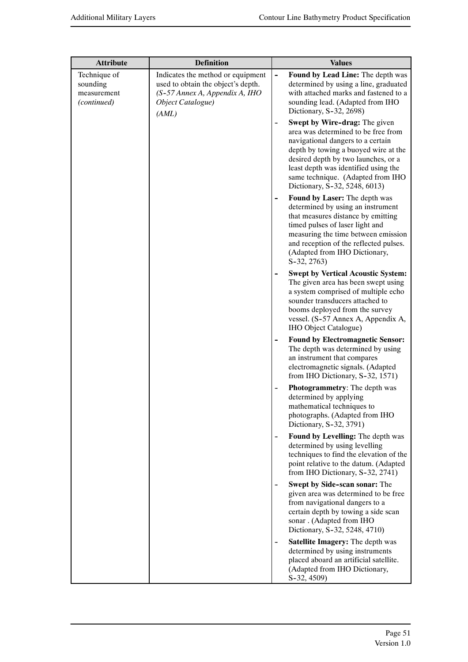| <b>Attribute</b>                                       | <b>Definition</b>                                                                                                                       | <b>Values</b>                                                                                                                                                                                                                                                                                          |
|--------------------------------------------------------|-----------------------------------------------------------------------------------------------------------------------------------------|--------------------------------------------------------------------------------------------------------------------------------------------------------------------------------------------------------------------------------------------------------------------------------------------------------|
| Technique of<br>sounding<br>measurement<br>(continued) | Indicates the method or equipment<br>used to obtain the object's depth.<br>(S-57 Annex A, Appendix A, IHO<br>Object Catalogue)<br>(AML) | Found by Lead Line: The depth was<br>determined by using a line, graduated<br>with attached marks and fastened to a<br>sounding lead. (Adapted from IHO<br>Dictionary, S-32, 2698)                                                                                                                     |
|                                                        |                                                                                                                                         | Swept by Wire-drag: The given<br>area was determined to be free from<br>navigational dangers to a certain<br>depth by towing a buoyed wire at the<br>desired depth by two launches, or a<br>least depth was identified using the<br>same technique. (Adapted from IHO<br>Dictionary, S-32, 5248, 6013) |
|                                                        |                                                                                                                                         | Found by Laser: The depth was<br>determined by using an instrument<br>that measures distance by emitting<br>timed pulses of laser light and<br>measuring the time between emission<br>and reception of the reflected pulses.<br>(Adapted from IHO Dictionary,<br>$S-32, 2763$                          |
|                                                        |                                                                                                                                         | <b>Swept by Vertical Acoustic System:</b><br>The given area has been swept using<br>a system comprised of multiple echo<br>sounder transducers attached to<br>booms deployed from the survey<br>vessel. (S-57 Annex A, Appendix A,<br>IHO Object Catalogue)                                            |
|                                                        |                                                                                                                                         | <b>Found by Electromagnetic Sensor:</b><br>The depth was determined by using<br>an instrument that compares<br>electromagnetic signals. (Adapted<br>from IHO Dictionary, S-32, 1571)                                                                                                                   |
|                                                        |                                                                                                                                         | Photogrammetry: The depth was<br>determined by applying<br>mathematical techniques to<br>photographs. (Adapted from IHO<br>Dictionary, S-32, 3791)                                                                                                                                                     |
|                                                        |                                                                                                                                         | Found by Levelling: The depth was<br>determined by using levelling<br>techniques to find the elevation of the<br>point relative to the datum. (Adapted<br>from IHO Dictionary, S-32, 2741)                                                                                                             |
|                                                        |                                                                                                                                         | Swept by Side-scan sonar: The<br>given area was determined to be free<br>from navigational dangers to a<br>certain depth by towing a side scan<br>sonar . (Adapted from IHO<br>Dictionary, S-32, 5248, 4710)                                                                                           |
|                                                        |                                                                                                                                         | Satellite Imagery: The depth was<br>-<br>determined by using instruments<br>placed aboard an artificial satellite.<br>(Adapted from IHO Dictionary,<br>$S-32, 4509$                                                                                                                                    |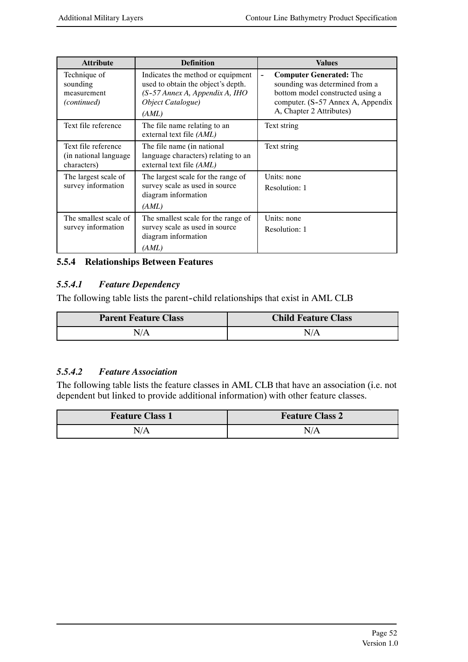| <b>Attribute</b>                                            | <b>Definition</b>                                                                                                                       | <b>Values</b>                                                                                                                                                              |
|-------------------------------------------------------------|-----------------------------------------------------------------------------------------------------------------------------------------|----------------------------------------------------------------------------------------------------------------------------------------------------------------------------|
| Technique of<br>sounding<br>measurement<br>(continued)      | Indicates the method or equipment<br>used to obtain the object's depth.<br>(S-57 Annex A, Appendix A, IHO<br>Object Catalogue)<br>(AML) | <b>Computer Generated: The</b><br>-<br>sounding was determined from a<br>bottom model constructed using a<br>computer. (S-57 Annex A, Appendix<br>A, Chapter 2 Attributes) |
| Text file reference                                         | The file name relating to an<br>external text file (AML)                                                                                | Text string                                                                                                                                                                |
| Text file reference<br>(in national language<br>characters) | The file name (in national<br>language characters) relating to an<br>external text file (AML)                                           | Text string                                                                                                                                                                |
| The largest scale of<br>survey information                  | The largest scale for the range of<br>survey scale as used in source<br>diagram information<br>(AML)                                    | Units: none<br>Resolution: 1                                                                                                                                               |
| The smallest scale of<br>survey information                 | The smallest scale for the range of<br>survey scale as used in source<br>diagram information<br>(AML)                                   | Units: none<br>Resolution: 1                                                                                                                                               |

# **5.5.4 Relationships Between Features**

# *5.5.4.1 Feature Dependency*

The following table lists the parent- child relationships that exist in AML CLB

| <b>Parent Feature Class</b> | <b>Child Feature Class</b> |  |
|-----------------------------|----------------------------|--|
| $\frac{1}{A}$               |                            |  |

# *5.5.4.2 Feature Association*

The following table lists the feature classes in AML CLB that have an association (i.e. not dependent but linked to provide additional information) with other feature classes.

| <b>Feature Class 1</b> | <b>Feature Class 2</b> |
|------------------------|------------------------|
| /A                     |                        |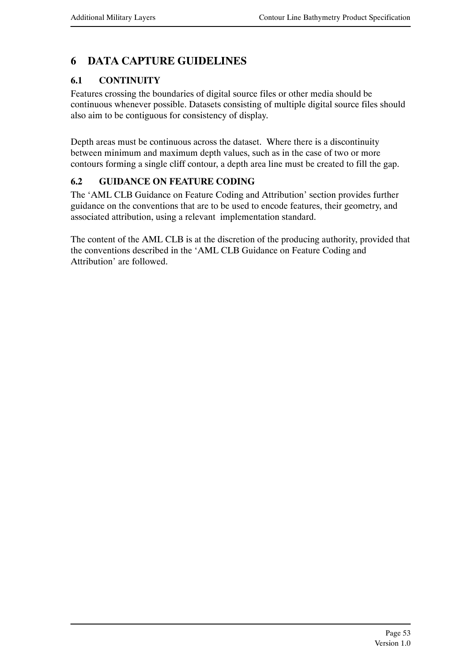# **6 DATA CAPTURE GUIDELINES**

# **6.1 CONTINUITY**

Features crossing the boundaries of digital source files or other media should be continuous whenever possible. Datasets consisting of multiple digital source files should also aim to be contiguous for consistency of display.

Depth areas must be continuous across the dataset. Where there is a discontinuity between minimum and maximum depth values, such as in the case of two or more contours forming a single cliff contour, a depth area line must be created to fill the gap.

# **6.2 GUIDANCE ON FEATURE CODING**

The 'AML CLB Guidance on Feature Coding and Attribution' section provides further guidance on the conventions that are to be used to encode features, their geometry, and associated attribution, using a relevant implementation standard.

The content of the AML CLB is at the discretion of the producing authority, provided that the conventions described in the 'AML CLB Guidance on Feature Coding and Attribution' are followed.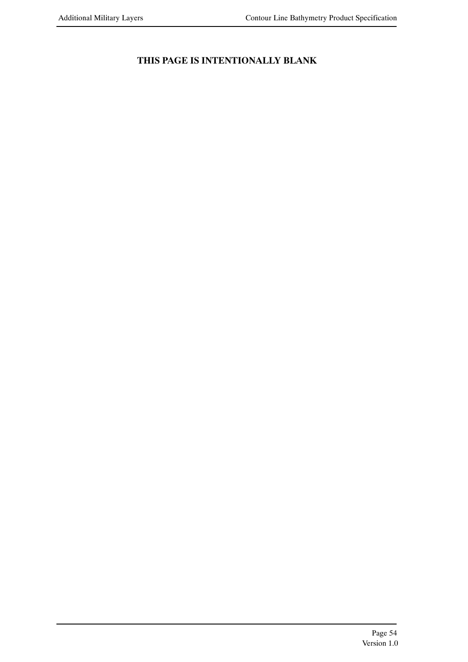# **THIS PAGE IS INTENTIONALLY BLANK**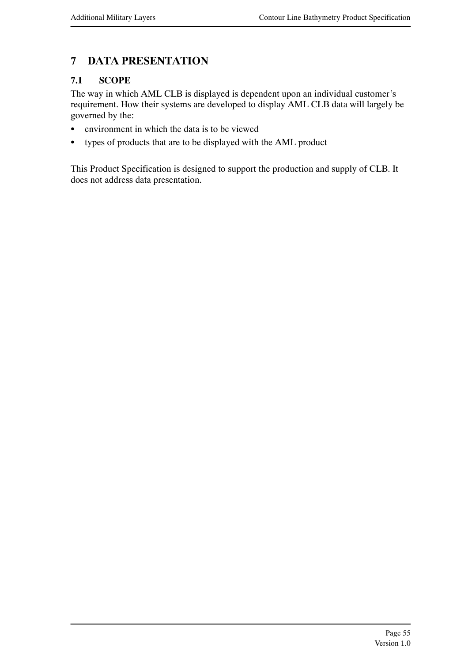# **7 DATA PRESENTATION**

# **7.1 SCOPE**

The way in which AML CLB is displayed is dependent upon an individual customer's requirement. How their systems are developed to display AML CLB data will largely be governed by the:

- environment in which the data is to be viewed
- types of products that are to be displayed with the AML product

This Product Specification is designed to support the production and supply of CLB. It does not address data presentation.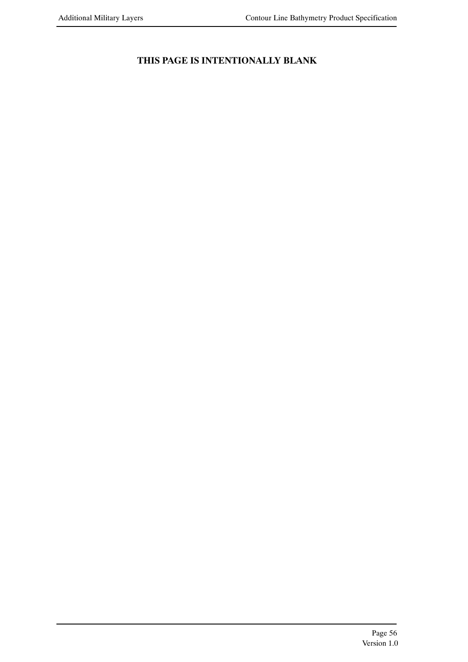# **THIS PAGE IS INTENTIONALLY BLANK**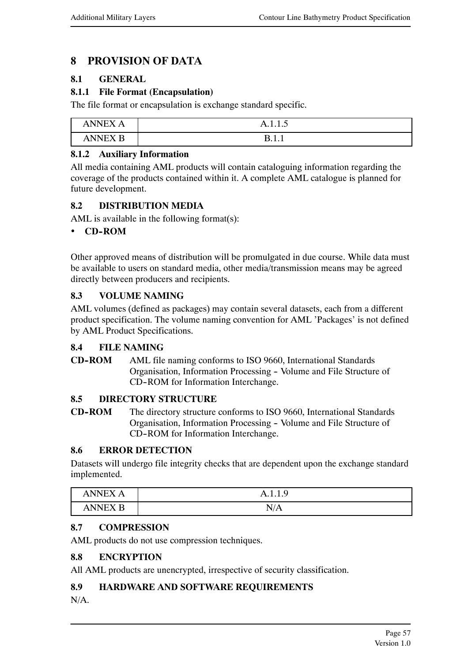# **8 PROVISION OF DATA**

### **8.1 GENERAL**

### **8.1.1 File Format (Encapsulation)**

The file format or encapsulation is exchange standard specific.

| $T^*$ $T^*$ $T^*$<br>ANNF <sup>*</sup><br>Д<br>$\boldsymbol{\lambda}$ | A.1.1.5        |
|-----------------------------------------------------------------------|----------------|
| R                                                                     | $\mathbf{D}$ 1 |
| ANNEX                                                                 | .              |

### **8.1.2 Auxiliary Information**

All media containing AML products will contain cataloguing information regarding the coverage of the products contained within it. A complete AML catalogue is planned for future development.

# **8.2 DISTRIBUTION MEDIA**

AML is available in the following format(s):

#### · **CD- ROM**

Other approved means of distribution will be promulgated in due course. While data must be available to users on standard media, other media/transmission means may be agreed directly between producers and recipients.

### **8.3 VOLUME NAMING**

AML volumes (defined as packages) may contain several datasets, each from a different product specification. The volume naming convention for AML 'Packages' is not defined by AML Product Specifications.

#### **8.4 FILE NAMING**

**CD- ROM** AML file naming conforms to ISO 9660, International Standards Organisation, Information Processing - Volume and File Structure of CD-ROM for Information Interchange.

#### **8.5 DIRECTORY STRUCTURE**

**CD- ROM** The directory structure conforms to ISO 9660, International Standards Organisation, Information Processing - Volume and File Structure of CD-ROM for Information Interchange.

#### **8.6 ERROR DETECTION**

Datasets will undergo file integrity checks that are dependent upon the exchange standard implemented.

| $- - - -$<br><b>NNF</b><br>А | -1<br>A.I.I. |
|------------------------------|--------------|
| $- - - -$<br>P<br>NNE<br>Y.  | N/A          |

# **8.7 COMPRESSION**

AML products do not use compression techniques.

#### **8.8 ENCRYPTION**

All AML products are unencrypted, irrespective of security classification.

#### **8.9 HARDWARE AND SOFTWARE REQUIREMENTS**

N/A.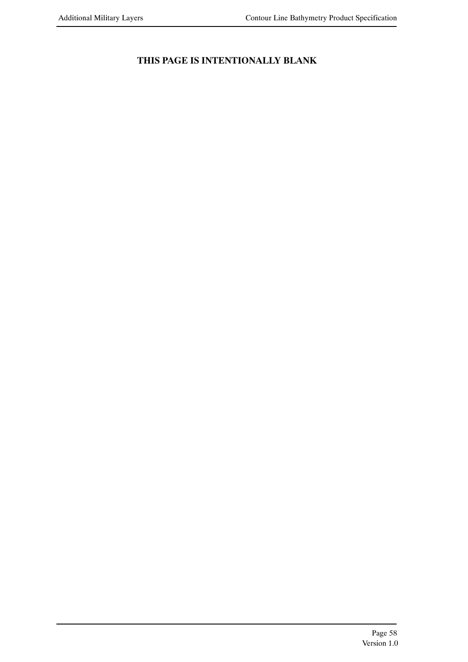# **THIS PAGE IS INTENTIONALLY BLANK**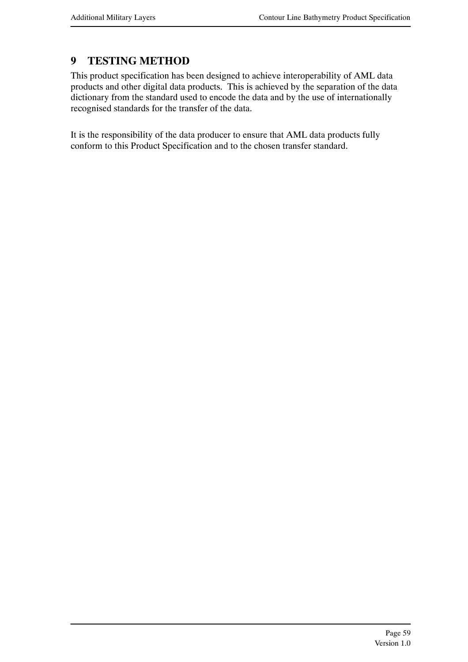# **9 TESTING METHOD**

This product specification has been designed to achieve interoperability of AML data products and other digital data products. This is achieved by the separation of the data dictionary from the standard used to encode the data and by the use of internationally recognised standards for the transfer of the data.

It is the responsibility of the data producer to ensure that AML data products fully conform to this Product Specification and to the chosen transfer standard.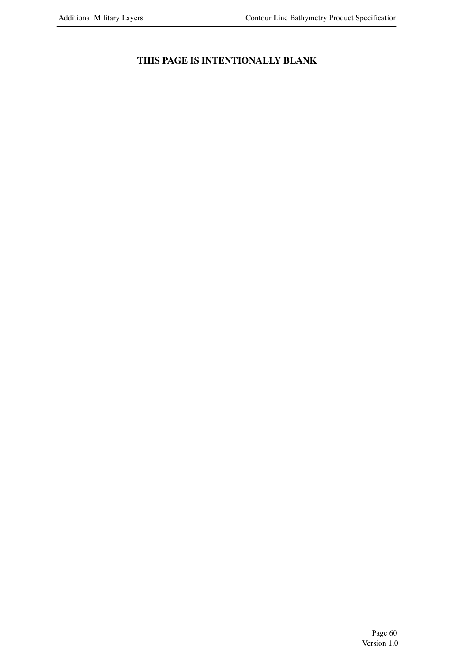# **THIS PAGE IS INTENTIONALLY BLANK**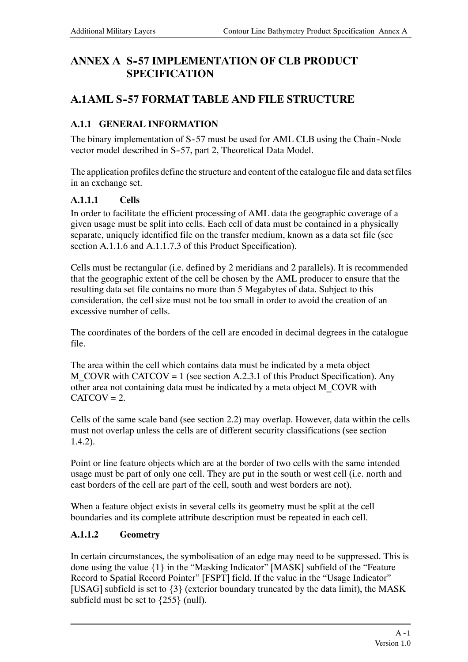# **ANNEX A S- 57 IMPLEMENTATION OF CLB PRODUCT SPECIFICATION**

# **A.1AML S- 57 FORMAT TABLE AND FILE STRUCTURE**

# **A.1.1 GENERAL INFORMATION**

The binary implementation of S-57 must be used for AML CLB using the Chain-Node vector model described in S-57, part 2, Theoretical Data Model.

The application profiles define the structure and content of the catalogue file and data set files in an exchange set.

### **A.1.1.1 Cells**

In order to facilitate the efficient processing of AML data the geographic coverage of a given usage must be split into cells. Each cell of data must be contained in a physically separate, uniquely identified file on the transfer medium, known as a data set file (see section A.1.1.6 and A.1.1.7.3 of this Product Specification).

Cells must be rectangular (i.e. defined by 2 meridians and 2 parallels). It is recommended that the geographic extent of the cell be chosen by the AML producer to ensure that the resulting data set file contains no more than 5 Megabytes of data. Subject to this consideration, the cell size must not be too small in order to avoid the creation of an excessive number of cells.

The coordinates of the borders of the cell are encoded in decimal degrees in the catalogue file.

The area within the cell which contains data must be indicated by a meta object M COVR with CATCOV = 1 (see section A.2.3.1 of this Product Specification). Any other area not containing data must be indicated by a meta object M\_COVR with  $CATCOV = 2.$ 

Cells of the same scale band (see section 2.2) may overlap. However, data within the cells must not overlap unless the cells are of different security classifications (see section 1.4.2).

Point or line feature objects which are at the border of two cells with the same intended usage must be part of only one cell. They are put in the south or west cell (i.e. north and east borders of the cell are part of the cell, south and west borders are not).

When a feature object exists in several cells its geometry must be split at the cell boundaries and its complete attribute description must be repeated in each cell.

#### **A.1.1.2 Geometry**

In certain circumstances, the symbolisation of an edge may need to be suppressed. This is done using the value  $\{1\}$  in the "Masking Indicator" [MASK] subfield of the "Feature" Record to Spatial Record Pointer" [FSPT] field. If the value in the "Usage Indicator" [USAG] subfield is set to {3} (exterior boundary truncated by the data limit), the MASK subfield must be set to  $\{255\}$  (null).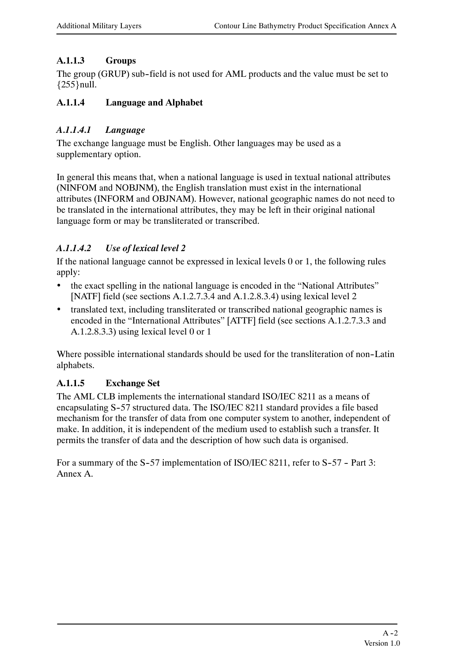# **A.1.1.3 Groups**

The group (GRUP) sub-field is not used for AML products and the value must be set to {255}null.

# **A.1.1.4 Language and Alphabet**

# *A.1.1.4.1 Language*

The exchange language must be English. Other languages may be used as a supplementary option.

In general this means that, when a national language is used in textual national attributes (NINFOM and NOBJNM), the English translation must exist in the international attributes (INFORM and OBJNAM). However, national geographic names do not need to be translated in the international attributes, they may be left in their original national language form or may be transliterated or transcribed.

# *A.1.1.4.2 Use of lexical level 2*

If the national language cannot be expressed in lexical levels 0 or 1, the following rules apply:

- the exact spelling in the national language is encoded in the "National Attributes" [NATF] field (see sections A.1.2.7.3.4 and A.1.2.8.3.4) using lexical level 2
- · translated text, including transliterated or transcribed national geographic names is encoded in the "International Attributes" [ATTF] field (see sections A.1.2.7.3.3 and A.1.2.8.3.3) using lexical level 0 or 1

Where possible international standards should be used for the transliteration of non-Latin alphabets.

# **A.1.1.5 Exchange Set**

The AML CLB implements the international standard ISO/IEC 8211 as a means of encapsulating S- 57 structured data. The ISO/IEC 8211 standard provides a file based mechanism for the transfer of data from one computer system to another, independent of make. In addition, it is independent of the medium used to establish such a transfer. It permits the transfer of data and the description of how such data is organised.

For a summary of the S-57 implementation of ISO/IEC 8211, refer to S-57 - Part 3: Annex A.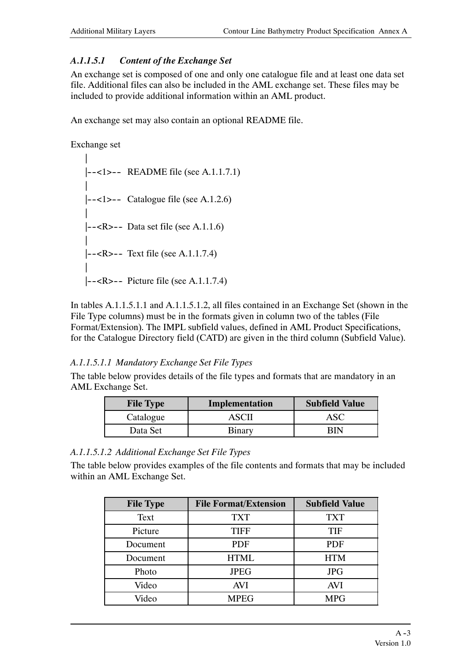### *A.1.1.5.1 Content of the Exchange Set*

An exchange set is composed of one and only one catalogue file and at least one data set file. Additional files can also be included in the AML exchange set. These files may be included to provide additional information within an AML product.

An exchange set may also contain an optional README file.

Exchange set

| |- - <1>- - README file (see A.1.1.7.1) |  $\left| \left| \left| \right| \right| < 1 \right|$  - -<1>- Catalogue file (see A.1.2.6) |  $\left| \left| \left| \right| - \left| \right| \right| \right|$  Data set file (see A.1.1.6) |  $\left| \text{--}\text{<}\text{R}\text{--}\text{--} \right|$  Text file (see A.1.1.7.4) |  $\left| - \langle R \rangle - \right|$  Picture file (see A.1.1.7.4)

In tables A.1.1.5.1.1 and A.1.1.5.1.2, all files contained in an Exchange Set (shown in the File Type columns) must be in the formats given in column two of the tables (File Format/Extension). The IMPL subfield values, defined in AML Product Specifications, for the Catalogue Directory field (CATD) are given in the third column (Subfield Value).

#### *A.1.1.5.1.1 Mandatory Exchange Set File Types*

The table below provides details of the file types and formats that are mandatory in an AML Exchange Set.

| <b>File Type</b> | Implementation | <b>Subfield Value</b> |
|------------------|----------------|-----------------------|
| Catalogue        | ASCII          | ASC                   |
| Data Set         | Binary         | RIN                   |

# *A.1.1.5.1.2 Additional Exchange Set File Types*

The table below provides examples of the file contents and formats that may be included within an AML Exchange Set.

| <b>File Type</b> | <b>File Format/Extension</b> | <b>Subfield Value</b> |
|------------------|------------------------------|-----------------------|
| Text             | <b>TXT</b>                   | <b>TXT</b>            |
| Picture          | TIFF                         | <b>TIF</b>            |
| Document         | <b>PDF</b>                   | <b>PDF</b>            |
| Document         | <b>HTML</b>                  | <b>HTM</b>            |
| Photo            | <b>JPEG</b>                  | <b>JPG</b>            |
| Video            | <b>AVI</b>                   | AVI                   |
| Video            | <b>MPEG</b>                  | <b>MPG</b>            |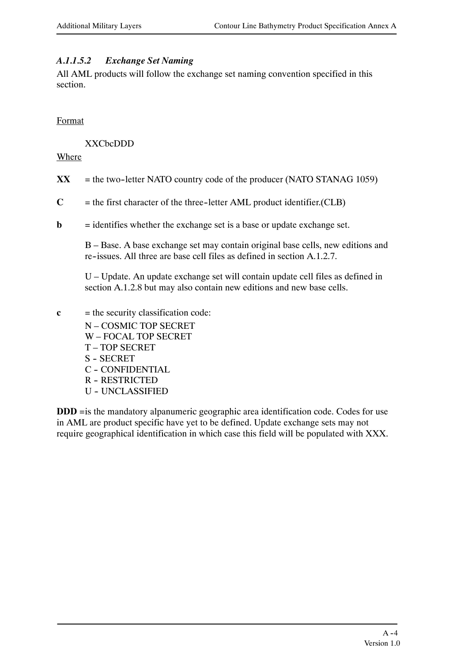### *A.1.1.5.2 Exchange Set Naming*

All AML products will follow the exchange set naming convention specified in this section.

Format

XXCbcDDD

Where

- $\bf{XX}$  = the two-letter NATO country code of the producer (NATO STANAG 1059)
- $C =$  the first character of the three-letter AML product identifier. (CLB)

**b** = identifies whether the exchange set is a base or update exchange set.

B – Base. A base exchange set may contain original base cells, new editions and re-issues. All three are base cell files as defined in section A.1.2.7.

U – Update. An update exchange set will contain update cell files as defined in section A.1.2.8 but may also contain new editions and new base cells.

- $c =$  the security classification code:
	- N COSMIC TOP SECRET W – FOCAL TOP SECRET T – TOP SECRET S - SECRET C - CONFIDENTIAL R - RESTRICTED U - UNCLASSIFIED

**DDD** = is the mandatory alpanumeric geographic area identification code. Codes for use in AML are product specific have yet to be defined. Update exchange sets may not require geographical identification in which case this field will be populated with XXX.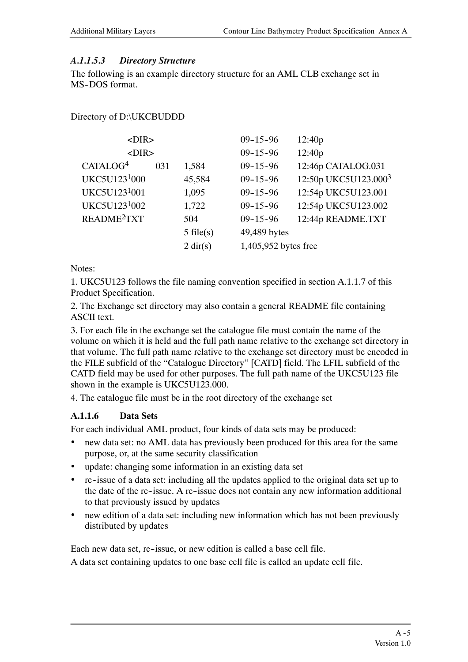### *A.1.1.5.3 Directory Structure*

The following is an example directory structure for an AML CLB exchange set in MS- DOS format.

Directory of D:\UKCBUDDD

| $<$ DIR $>$               |     |                    | $09 - 15 - 96$       | 12:40p               |
|---------------------------|-----|--------------------|----------------------|----------------------|
| $<$ DIR $>$               |     |                    | $09 - 15 - 96$       | 12:40p               |
| CATALOG <sup>4</sup>      | 031 | 1,584              | $09 - 15 - 96$       | 12:46p CATALOG.031   |
| <b>UKC5U1231000</b>       |     | 45,584             | $09 - 15 - 96$       | 12:50p UKC5U123.0003 |
| UKC5U123 <sup>1</sup> 001 |     | 1,095              | $09 - 15 - 96$       | 12:54p UKC5U123.001  |
| UKC5U123 <sup>1</sup> 002 |     | 1,722              | $09 - 15 - 96$       | 12:54p UKC5U123.002  |
| README <sup>2</sup> TXT   |     | 504                | $09 - 15 - 96$       | 12:44p README.TXT    |
|                           |     | $5$ file(s)        | 49,489 bytes         |                      |
|                           |     | $2 \text{ dir}(s)$ | 1,405,952 bytes free |                      |
|                           |     |                    |                      |                      |

Notes:

1. UKC5U123 follows the file naming convention specified in section A.1.1.7 of this Product Specification.

2. The Exchange set directory may also contain a general README file containing ASCII text.

3. For each file in the exchange set the catalogue file must contain the name of the volume on which it is held and the full path name relative to the exchange set directory in that volume. The full path name relative to the exchange set directory must be encoded in the FILE subfield of the "Catalogue Directory" [CATD] field. The LFIL subfield of the CATD field may be used for other purposes. The full path name of the UKC5U123 file shown in the example is UKC5U123.000.

4. The catalogue file must be in the root directory of the exchange set

# **A.1.1.6 Data Sets**

For each individual AML product, four kinds of data sets may be produced:

- new data set: no AML data has previously been produced for this area for the same purpose, or, at the same security classification
- · update: changing some information in an existing data set
- · re-issue of a data set: including all the updates applied to the original data set up to the date of the re-issue. A re-issue does not contain any new information additional to that previously issued by updates
- · new edition of a data set: including new information which has not been previously distributed by updates

Each new data set, re-issue, or new edition is called a base cell file.

A data set containing updates to one base cell file is called an update cell file.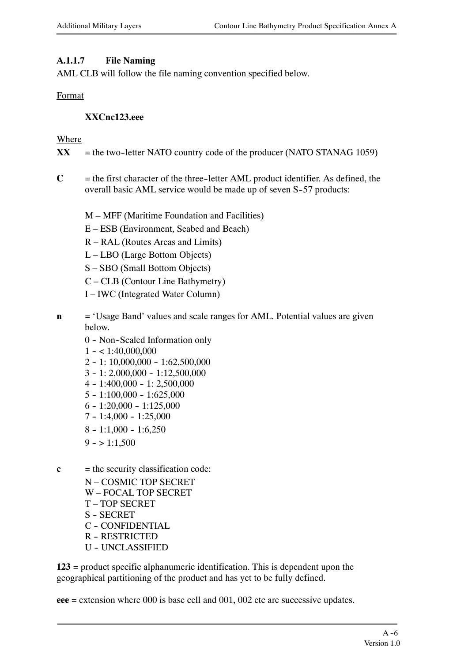# **A.1.1.7 File Naming**

AML CLB will follow the file naming convention specified below.

Format

# **XXCnc123.eee**

### Where

- $\bf{XX}$  = the two-letter NATO country code of the producer (NATO STANAG 1059)
- $C =$  the first character of the three-letter AML product identifier. As defined, the overall basic AML service would be made up of seven S-57 products:
	- M MFF (Maritime Foundation and Facilities)
	- E ESB (Environment, Seabed and Beach)
	- R RAL (Routes Areas and Limits)
	- L LBO (Large Bottom Objects)
	- S SBO (Small Bottom Objects)
	- C CLB (Contour Line Bathymetry)
	- I IWC (Integrated Water Column)
- **n** = 'Usage Band' values and scale ranges for AML. Potential values are given below.
	- 0 Non- Scaled Information only
	- $1 1.40,000,000$
	- 2 1: 10,000,000 1:62,500,000
	- 3 1: 2,000,000 1:12,500,000
	- 4 1:400,000 1: 2,500,000
	- $5 1:100,000 1:625,000$
	- $6 1:20,000 1:125,000$
	- 7 1:4,000 1:25,000
	- 8 1:1,000 1:6,250
	- $9 1:1,500$
- $c =$  the security classification code:
	- N COSMIC TOP SECRET W – FOCAL TOP SECRET
	- T TOP SECRET
	- S SECRET
	- C CONFIDENTIAL
	- R RESTRICTED
	- U UNCLASSIFIED

**123** = product specific alphanumeric identification. This is dependent upon the geographical partitioning of the product and has yet to be fully defined.

**eee** = extension where 000 is base cell and 001, 002 etc are successive updates.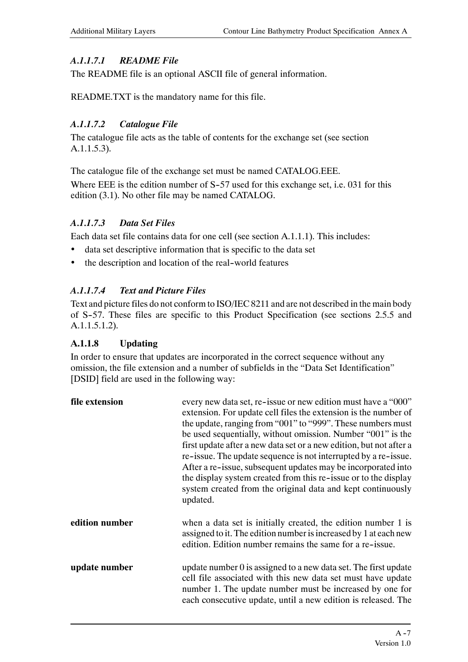# *A.1.1.7.1 README File*

The README file is an optional ASCII file of general information.

README.TXT is the mandatory name for this file.

# *A.1.1.7.2 Catalogue File*

The catalogue file acts as the table of contents for the exchange set (see section A.1.1.5.3).

The catalogue file of the exchange set must be named CATALOG.EEE.

Where EEE is the edition number of S-57 used for this exchange set, i.e. 031 for this edition (3.1). No other file may be named CATALOG.

# *A.1.1.7.3 Data Set Files*

Each data set file contains data for one cell (see section A.1.1.1). This includes:

- · data set descriptive information that is specific to the data set
- the description and location of the real-world features

# *A.1.1.7.4 Text and Picture Files*

Text and picture files do not conform to ISO/IEC8211 and are not described in the main body of S- 57. These files are specific to this Product Specification (see sections 2.5.5 and A.1.1.5.1.2).

#### **A.1.1.8 Updating**

In order to ensure that updates are incorporated in the correct sequence without any omission, the file extension and a number of subfields in the "Data Set Identification" [DSID] field are used in the following way:

| file extension | every new data set, re-issue or new edition must have a "000"<br>extension. For update cell files the extension is the number of<br>the update, ranging from "001" to "999". These numbers must<br>be used sequentially, without omission. Number "001" is the<br>first update after a new data set or a new edition, but not after a<br>re-issue. The update sequence is not interrupted by a re-issue.<br>After a re-issue, subsequent updates may be incorporated into<br>the display system created from this re-issue or to the display<br>system created from the original data and kept continuously<br>updated. |
|----------------|-------------------------------------------------------------------------------------------------------------------------------------------------------------------------------------------------------------------------------------------------------------------------------------------------------------------------------------------------------------------------------------------------------------------------------------------------------------------------------------------------------------------------------------------------------------------------------------------------------------------------|
| edition number | when a data set is initially created, the edition number 1 is<br>assigned to it. The edition number is increased by 1 at each new<br>edition. Edition number remains the same for a re-issue.                                                                                                                                                                                                                                                                                                                                                                                                                           |
| update number  | update number 0 is assigned to a new data set. The first update<br>cell file associated with this new data set must have update<br>number 1. The update number must be increased by one for<br>each consecutive update, until a new edition is released. The                                                                                                                                                                                                                                                                                                                                                            |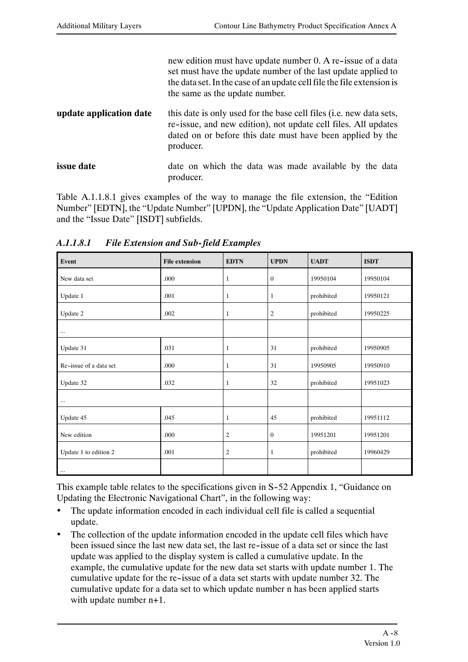|                         | new edition must have update number 0. A re-issue of a data<br>set must have the update number of the last update applied to<br>the data set. In the case of an update cell file the file extension is<br>the same as the update number. |
|-------------------------|------------------------------------------------------------------------------------------------------------------------------------------------------------------------------------------------------------------------------------------|
| update application date | this date is only used for the base cell files ( <i>i.e.</i> new data sets,<br>re-issue, and new edition), not update cell files. All updates<br>dated on or before this date must have been applied by the<br>producer.                 |
| issue date              | date on which the data was made available by the data<br>producer.                                                                                                                                                                       |

Table A.1.1.8.1 gives examples of the way to manage the file extension, the "Edition Number" [EDTN], the "Update Number" [UPDN], the "Update Application Date" [UADT] and the "Issue Date" [ISDT] subfields.

| Event                  | <b>File extension</b> | <b>EDTN</b>             | <b>UPDN</b>  | <b>UADT</b> | <b>ISDT</b> |
|------------------------|-----------------------|-------------------------|--------------|-------------|-------------|
| New data set           | .000                  | $\mathbf{1}$            | $\mathbf{0}$ | 19950104    | 19950104    |
| Update 1               | .001                  | 1                       | 1            | prohibited  | 19950121    |
| Update 2               | .002                  | 1                       | 2            | prohibited  | 19950225    |
| $\cdots$               |                       |                         |              |             |             |
| Update 31              | .031                  | 1                       | 31           | prohibited  | 19950905    |
| Re-issue of a data set | .000                  | $\mathbf{1}$            | 31           | 19950905    | 19950910    |
| Update 32              | .032                  | $\mathbf{1}$            | 32           | prohibited  | 19951023    |
| $\cdots$               |                       |                         |              |             |             |
| Update 45              | .045                  | $\mathbf{1}$            | 45           | prohibited  | 19951112    |
| New edition            | .000                  | $\overline{c}$          | $\mathbf{0}$ | 19951201    | 19951201    |
| Update 1 to edition 2  | .001                  | $\overline{\mathbf{c}}$ | 1            | prohibited  | 19960429    |
| $\cdots$               |                       |                         |              |             |             |

*A.1.1.8.1 File Extension and Sub-field Examples*

This example table relates to the specifications given in S-52 Appendix 1, "Guidance on Updating the Electronic Navigational Chart", in the following way:

- The update information encoded in each individual cell file is called a sequential update.
- · The collection of the update information encoded in the update cell files which have been issued since the last new data set, the last re-issue of a data set or since the last update was applied to the display system is called a cumulative update. In the example, the cumulative update for the new data set starts with update number 1. The cumulative update for the re-issue of a data set starts with update number 32. The cumulative update for a data set to which update number n has been applied starts with update number n+1.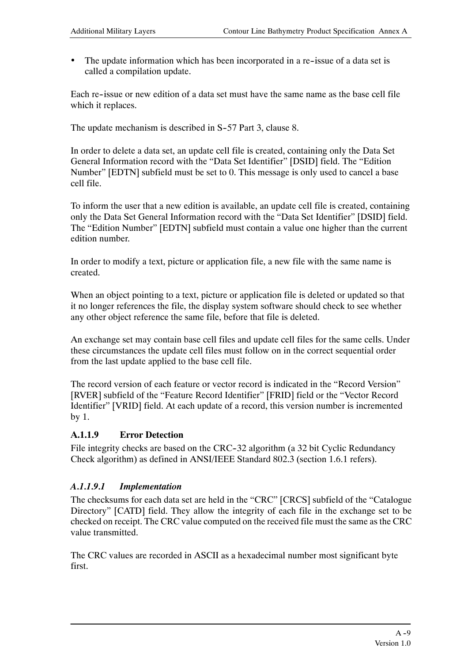· The update information which has been incorporated in a re-issue of a data set is called a compilation update.

Each re-issue or new edition of a data set must have the same name as the base cell file which it replaces.

The update mechanism is described in S-57 Part 3, clause 8.

In order to delete a data set, an update cell file is created, containing only the Data Set General Information record with the "Data Set Identifier" [DSID] field. The "Edition Number" [EDTN] subfield must be set to 0. This message is only used to cancel a base cell file.

To inform the user that a new edition is available, an update cell file is created, containing only the Data Set General Information record with the "Data Set Identifier" [DSID] field. The "Edition Number" [EDTN] subfield must contain a value one higher than the current edition number.

In order to modify a text, picture or application file, a new file with the same name is created.

When an object pointing to a text, picture or application file is deleted or updated so that it no longer references the file, the display system software should check to see whether any other object reference the same file, before that file is deleted.

An exchange set may contain base cell files and update cell files for the same cells. Under these circumstances the update cell files must follow on in the correct sequential order from the last update applied to the base cell file.

The record version of each feature or vector record is indicated in the "Record Version" [RVER] subfield of the "Feature Record Identifier" [FRID] field or the "Vector Record Identifier" [VRID] field. At each update of a record, this version number is incremented by 1.

# **A.1.1.9 Error Detection**

File integrity checks are based on the CRC- 32 algorithm (a 32 bit Cyclic Redundancy Check algorithm) as defined in ANSI/IEEE Standard 802.3 (section 1.6.1 refers).

# *A.1.1.9.1 Implementation*

The checksums for each data set are held in the "CRC" [CRCS] subfield of the "Catalogue Directory" [CATD] field. They allow the integrity of each file in the exchange set to be checked on receipt. The CRC value computed on the received file must the same as the CRC value transmitted.

The CRC values are recorded in ASCII as a hexadecimal number most significant byte first.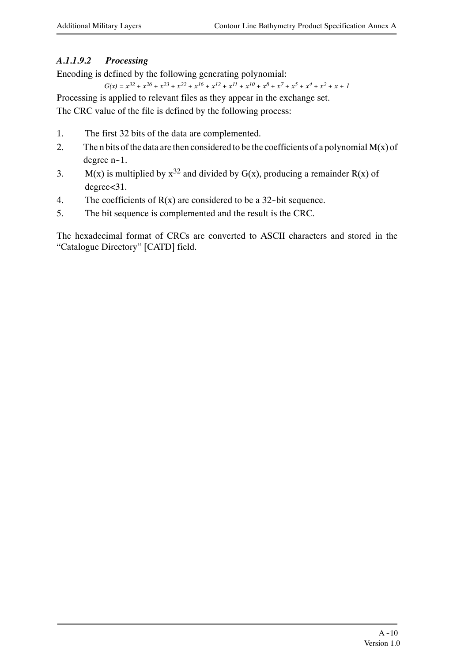# *A.1.1.9.2 Processing*

Encoding is defined by the following generating polynomial:

 $G(x) = x^{32} + x^{26} + x^{23} + x^{22} + x^{16} + x^{12} + x^{11} + x^{10} + x^8 + x^7 + x^5 + x^4 + x^2 + x + 1$ 

Processing is applied to relevant files as they appear in the exchange set.

The CRC value of the file is defined by the following process:

- 1. The first 32 bits of the data are complemented.
- 2. The n bits of the data are then considered to be the coefficients of a polynomial  $M(x)$  of degree n-1.
- 3. M(x) is multiplied by  $x^{32}$  and divided by G(x), producing a remainder R(x) of degree<31.
- 4. The coefficients of  $R(x)$  are considered to be a 32-bit sequence.
- 5. The bit sequence is complemented and the result is the CRC.

The hexadecimal format of CRCs are converted to ASCII characters and stored in the "Catalogue Directory" [CATD] field.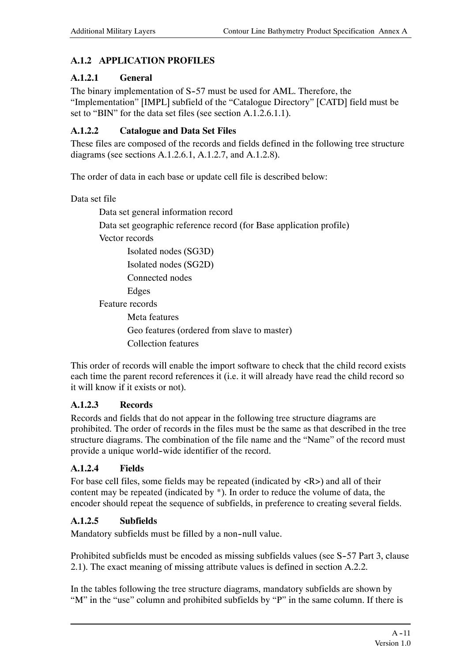# **A.1.2 APPLICATION PROFILES**

### **A.1.2.1 General**

The binary implementation of S-57 must be used for AML. Therefore, the "Implementation" [IMPL] subfield of the "Catalogue Directory" [CATD] field must be set to "BIN" for the data set files (see section A.1.2.6.1.1).

### **A.1.2.2 Catalogue and Data Set Files**

These files are composed of the records and fields defined in the following tree structure diagrams (see sections A.1.2.6.1, A.1.2.7, and A.1.2.8).

The order of data in each base or update cell file is described below:

Data set file

Data set general information record Data set geographic reference record (for Base application profile) Vector records Isolated nodes (SG3D) Isolated nodes (SG2D) Connected nodes Edges Feature records Meta features Geo features (ordered from slave to master) Collection features

This order of records will enable the import software to check that the child record exists each time the parent record references it (i.e. it will already have read the child record so it will know if it exists or not).

# **A.1.2.3 Records**

Records and fields that do not appear in the following tree structure diagrams are prohibited. The order of records in the files must be the same as that described in the tree structure diagrams. The combination of the file name and the "Name" of the record must provide a unique world- wide identifier of the record.

# **A.1.2.4 Fields**

For base cell files, some fields may be repeated (indicated by <R>) and all of their content may be repeated (indicated by \*). In order to reduce the volume of data, the encoder should repeat the sequence of subfields, in preference to creating several fields.

#### **A.1.2.5 Subfields**

Mandatory subfields must be filled by a non-null value.

Prohibited subfields must be encoded as missing subfields values (see S-57 Part 3, clause 2.1). The exact meaning of missing attribute values is defined in section A.2.2.

In the tables following the tree structure diagrams, mandatory subfields are shown by "M" in the "use" column and prohibited subfields by "P" in the same column. If there is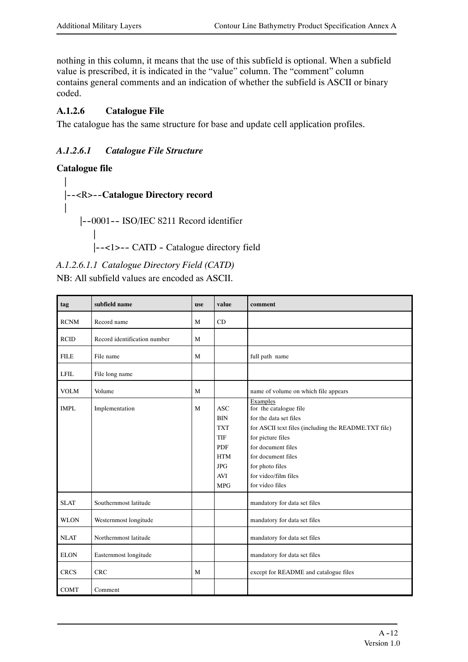nothing in this column, it means that the use of this subfield is optional. When a subfield value is prescribed, it is indicated in the "value" column. The "comment" column contains general comments and an indication of whether the subfield is ASCII or binary coded.

#### **A.1.2.6 Catalogue File**

The catalogue has the same structure for base and update cell application profiles.

#### *A.1.2.6.1 Catalogue File Structure*

#### **Catalogue file**

```
|
|- - <R>- - Catalogue Directory record
|
    |- - 0001- - ISO/IEC 8211 Record identifier
        |
       |- - <1>- - CATD - Catalogue directory field
```
*A.1.2.6.1.1 Catalogue Directory Field (CATD)* NB: All subfield values are encoded as ASCII.

| tag         | subfield name                | use | value                                                                                                 | comment                                                                                                                                                                                                                                             |
|-------------|------------------------------|-----|-------------------------------------------------------------------------------------------------------|-----------------------------------------------------------------------------------------------------------------------------------------------------------------------------------------------------------------------------------------------------|
| <b>RCNM</b> | Record name                  | M   | CD                                                                                                    |                                                                                                                                                                                                                                                     |
| <b>RCID</b> | Record identification number | M   |                                                                                                       |                                                                                                                                                                                                                                                     |
| <b>FILE</b> | File name                    | M   |                                                                                                       | full path name                                                                                                                                                                                                                                      |
| <b>LFIL</b> | File long name               |     |                                                                                                       |                                                                                                                                                                                                                                                     |
| <b>VOLM</b> | Volume                       | M   |                                                                                                       | name of volume on which file appears                                                                                                                                                                                                                |
| <b>IMPL</b> | Implementation               | M   | <b>ASC</b><br><b>BIN</b><br><b>TXT</b><br>TIF<br>PDF<br><b>HTM</b><br><b>JPG</b><br>AVI<br><b>MPG</b> | Examples<br>for the catalogue file<br>for the data set files<br>for ASCII text files (including the README.TXT file)<br>for picture files<br>for document files<br>for document files<br>for photo files<br>for video/film files<br>for video files |
| <b>SLAT</b> | Southernmost latitude        |     |                                                                                                       | mandatory for data set files                                                                                                                                                                                                                        |
| <b>WLON</b> | Westernmost longitude        |     |                                                                                                       | mandatory for data set files                                                                                                                                                                                                                        |
| <b>NLAT</b> | Northernmost latitude        |     |                                                                                                       | mandatory for data set files                                                                                                                                                                                                                        |
| <b>ELON</b> | Easternmost longitude        |     |                                                                                                       | mandatory for data set files                                                                                                                                                                                                                        |
| <b>CRCS</b> | <b>CRC</b>                   | M   |                                                                                                       | except for README and catalogue files                                                                                                                                                                                                               |
| <b>COMT</b> | Comment                      |     |                                                                                                       |                                                                                                                                                                                                                                                     |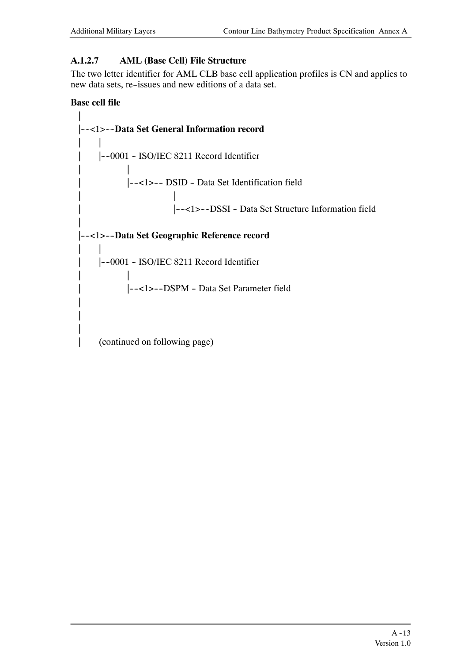## **A.1.2.7 AML (Base Cell) File Structure**

The two letter identifier for AML CLB base cell application profiles is CN and applies to new data sets, re-issues and new editions of a data set.

## **Base cell file**

| |- - <1>- - **Data Set General Information record**  $\vert$ | |- - 0001 - ISO/IEC 8211 Record Identifier | | | |- - <1>- - DSID - Data Set Identification field | | | |- - <1>- - DSSI - Data Set Structure Information field | |- - <1>- - **Data Set Geographic Reference record**  $\vert$ | |- - 0001 - ISO/IEC 8211 Record Identifier | | | |- - <1>- - DSPM - Data Set Parameter field | | | | (continued on following page)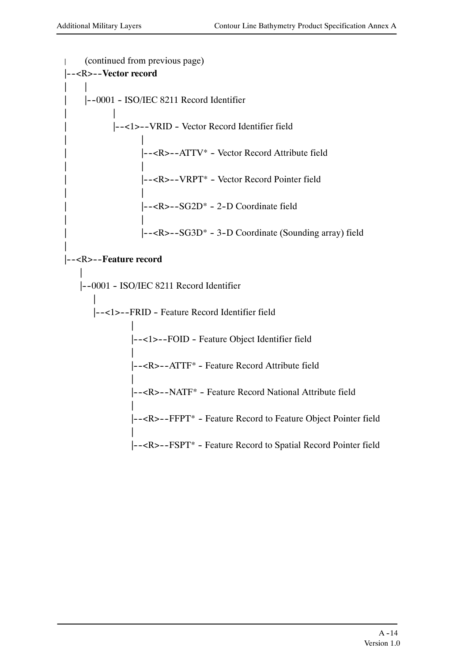```
| (continued from previous page)
|- - <R>- - Vector record
| |
     | |- - 0001 - ISO/IEC 8211 Record Identifier
| |
            | |- - <1>- - VRID - Vector Record Identifier field
| |
                   | |- - <R>- - ATTV* - Vector Record Attribute field
| |
                   | |- - <R>- - VRPT* - Vector Record Pointer field
| |
                   | |- - <R>- - SG2D* - 2- D Coordinate field
| |
                   | |- - <R>- - SG3D* - 3- D Coordinate (Sounding array) field
|
|- - <R>- -Feature record
    |
   |- - 0001 - ISO/IEC 8211 Record Identifier
       |
       |- - <1>- - FRID - Feature Record Identifier field
                 |
                |- - <1>- - FOID - Feature Object Identifier field
                 |
                |- - <R>- - ATTF* - Feature Record Attribute field
                 |
                |- - <R>- - NATF* - Feature Record National Attribute field
                 |
                |- - <R>- - FFPT* - Feature Record to Feature Object Pointer field
                 |
                |- - <R>- - FSPT* - Feature Record to Spatial Record Pointer field
```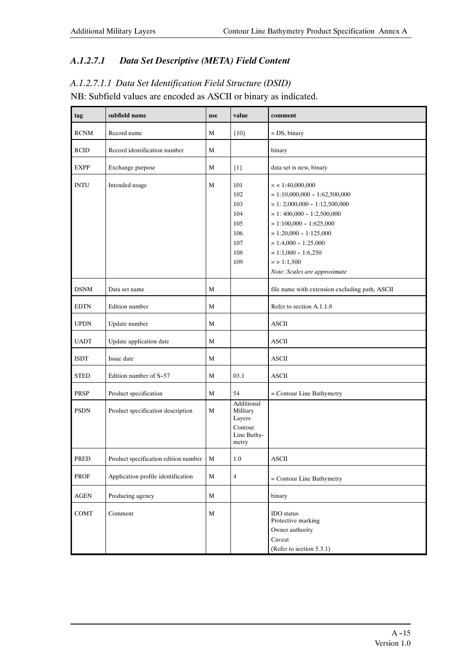# *A.1.2.7.1 Data Set Descriptive (META) Field Content*

| tag         | subfield name                        | use | value                                                               | comment                                                                                                                                                                                                                                                                               |
|-------------|--------------------------------------|-----|---------------------------------------------------------------------|---------------------------------------------------------------------------------------------------------------------------------------------------------------------------------------------------------------------------------------------------------------------------------------|
| <b>RCNM</b> | Record name                          | M   | ${10}$                                                              | $= DS$ , binary                                                                                                                                                                                                                                                                       |
| <b>RCID</b> | Record identification number         | M   |                                                                     | binary                                                                                                                                                                                                                                                                                |
| <b>EXPP</b> | Exchange purpose                     | М   | ${1}$                                                               | data set is new, binary                                                                                                                                                                                                                                                               |
| <b>INTU</b> | Intended usage                       | M   | 101<br>102<br>103<br>104<br>105<br>106<br>107<br>108<br>109         | $=$ < 1:40,000,000<br>$= 1:10,000,000 - 1:62,500,000$<br>$= 1: 2,000,000 - 1:12,500,000$<br>$= 1: 400,000 - 1:2,500,000$<br>$= 1:100,000 - 1:625,000$<br>$= 1:20,000 - 1:125,000$<br>$= 1:4,000 - 1:25,000$<br>$= 1:1,000 - 1:6,250$<br>$=$ > 1:1,500<br>Note: Scales are approximate |
| <b>DSNM</b> | Data set name                        | М   |                                                                     | file name with extension excluding path, ASCII                                                                                                                                                                                                                                        |
| <b>EDTN</b> | Edition number                       | М   |                                                                     | Refer to section A.1.1.8                                                                                                                                                                                                                                                              |
| <b>UPDN</b> | Update number                        | M   |                                                                     | <b>ASCII</b>                                                                                                                                                                                                                                                                          |
| <b>UADT</b> | Update application date              | M   |                                                                     | <b>ASCII</b>                                                                                                                                                                                                                                                                          |
| <b>ISDT</b> | Issue date                           | М   |                                                                     | <b>ASCII</b>                                                                                                                                                                                                                                                                          |
| <b>STED</b> | Edition number of S-57               | М   | 03.1                                                                | <b>ASCII</b>                                                                                                                                                                                                                                                                          |
| <b>PRSP</b> | Product specification                | M   | 54                                                                  | $=$ Contour Line Bathymetry                                                                                                                                                                                                                                                           |
| <b>PSDN</b> | Product specification description    | М   | Additional<br>Military<br>Layers<br>Contour<br>Line Bathy-<br>metry |                                                                                                                                                                                                                                                                                       |
| PRED        | Product specification edition number | M   | $1.0\,$                                                             | <b>ASCII</b>                                                                                                                                                                                                                                                                          |
| <b>PROF</b> | Application profile identification   | M   | $\overline{4}$                                                      | $=$ Contour Line Bathymetry                                                                                                                                                                                                                                                           |
| <b>AGEN</b> | Producing agency                     | M   |                                                                     | binary                                                                                                                                                                                                                                                                                |
| COMT        | Comment                              | М   |                                                                     | <b>IDO</b> status<br>Protective marking<br>Owner authority<br>Caveat<br>(Refer to section 5.3.1)                                                                                                                                                                                      |

# *A.1.2.7.1.1 Data Set Identification Field Structure (DSID)* NB: Subfield values are encoded as ASCII or binary as indicated.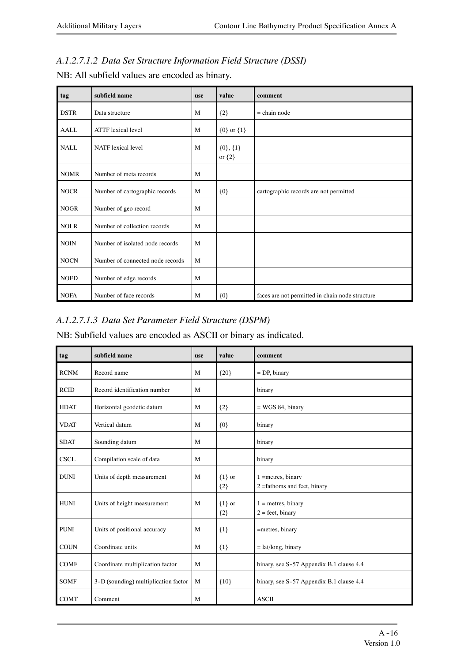# *A.1.2.7.1.2 Data Set Structure Information Field Structure (DSSI)*

NB: All subfield values are encoded as binary.

| tag         | subfield name                    | <b>use</b> | value                       | comment                                         |
|-------------|----------------------------------|------------|-----------------------------|-------------------------------------------------|
| <b>DSTR</b> | Data structure                   | M          | ${2}$                       | $=$ chain node                                  |
| <b>AALL</b> | <b>ATTF</b> lexical level        | M          | ${0}$ or ${1}$              |                                                 |
| <b>NALL</b> | <b>NATF</b> lexical level        | M          | $\{0\},\{1\}$<br>or $\{2\}$ |                                                 |
| <b>NOMR</b> | Number of meta records           | M          |                             |                                                 |
| <b>NOCR</b> | Number of cartographic records   | M          | ${0}$                       | cartographic records are not permitted          |
| <b>NOGR</b> | Number of geo record             | M          |                             |                                                 |
| <b>NOLR</b> | Number of collection records     | M          |                             |                                                 |
| <b>NOIN</b> | Number of isolated node records  | M          |                             |                                                 |
| <b>NOCN</b> | Number of connected node records | M          |                             |                                                 |
| <b>NOED</b> | Number of edge records           | M          |                             |                                                 |
| <b>NOFA</b> | Number of face records           | M          | ${0}$                       | faces are not permitted in chain node structure |

# *A.1.2.7.1.3 Data Set Parameter Field Structure (DSPM)*

NB: Subfield values are encoded as ASCII or binary as indicated.

| tag         | subfield name                        | use | value               | comment                                              |
|-------------|--------------------------------------|-----|---------------------|------------------------------------------------------|
| <b>RCNM</b> | Record name                          | M   | ${20}$              | $= DP$ , binary                                      |
| <b>RCID</b> | Record identification number         | M   |                     | binary                                               |
| <b>HDAT</b> | Horizontal geodetic datum            | M   | ${2}$               | $= WGS 84$ , binary                                  |
| <b>VDAT</b> | Vertical datum                       | M   | ${0}$               | binary                                               |
| <b>SDAT</b> | Sounding datum                       | M   |                     | binary                                               |
| <b>CSCL</b> | Compilation scale of data            | M   |                     | binary                                               |
| <b>DUNI</b> | Units of depth measurement           | M   | $\{1\}$ or<br>${2}$ | $1 =$ metres, binary<br>2 = fathoms and feet, binary |
| <b>HUNI</b> | Units of height measurement          | M   | ${1}$ or<br>${2}$   | $1 =$ metres, binary<br>$2 =$ feet, binary           |
| <b>PUNI</b> | Units of positional accuracy         | M   | ${1}$               | =metres, binary                                      |
| <b>COUN</b> | Coordinate units                     | M   | ${1}$               | $=$ lat/long, binary                                 |
| <b>COMF</b> | Coordinate multiplication factor     | M   |                     | binary, see S-57 Appendix B.1 clause 4.4             |
| <b>SOMF</b> | 3-D (sounding) multiplication factor | M   | ${10}$              | binary, see S-57 Appendix B.1 clause 4.4             |
| <b>COMT</b> | Comment                              | M   |                     | <b>ASCII</b>                                         |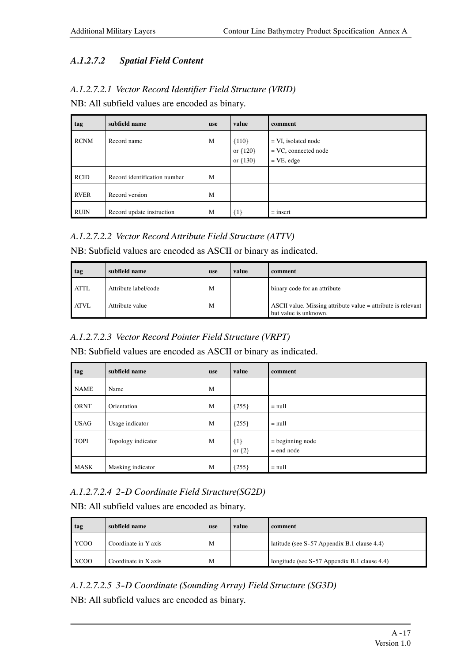# *A.1.2.7.2 Spatial Field Content*

### *A.1.2.7.2.1 Vector Record Identifier Field Structure (VRID)*

NB: All subfield values are encoded as binary.

| tag         | subfield name                | use | value                             | comment                                                          |
|-------------|------------------------------|-----|-----------------------------------|------------------------------------------------------------------|
| <b>RCNM</b> | Record name                  | M   | ${110}$<br>or ${120}$<br>or {130} | $= VI$ , isolated node<br>$=$ VC, connected node<br>$=$ VE, edge |
| <b>RCID</b> | Record identification number | M   |                                   |                                                                  |
| <b>RVER</b> | Record version               | M   |                                   |                                                                  |
| <b>RUIN</b> | Record update instruction    | M   | ${1}$                             | $=$ insert                                                       |

# *A.1.2.7.2.2 Vector Record Attribute Field Structure (ATTV)*

NB: Subfield values are encoded as ASCII or binary as indicated.

| tag         | subfield name        | use | value | comment                                                                               |
|-------------|----------------------|-----|-------|---------------------------------------------------------------------------------------|
| <b>ATTL</b> | Attribute label/code | M   |       | binary code for an attribute                                                          |
| <b>ATVL</b> | Attribute value      | M   |       | ASCII value. Missing attribute value = attribute is relevant<br>but value is unknown. |

# *A.1.2.7.2.3 Vector Record Pointer Field Structure (VRPT)*

NB: Subfield values are encoded as ASCII or binary as indicated.

| tag         | subfield name      | use | value                 | comment                            |
|-------------|--------------------|-----|-----------------------|------------------------------------|
| <b>NAME</b> | Name               | M   |                       |                                    |
| <b>ORNT</b> | Orientation        | M   | ${255}$               | $=$ null                           |
| <b>USAG</b> | Usage indicator    | M   | ${255}$               | $=$ null                           |
| <b>TOPI</b> | Topology indicator | M   | $\{1\}$<br>or $\{2\}$ | $=$ beginning node<br>$=$ end node |
| <b>MASK</b> | Masking indicator  | M   | ${255}$               | $=$ null                           |

# *A.1.2.7.2.4 2- D Coordinate Field Structure(SG2D)*

NB: All subfield values are encoded as binary.

| tag  | subfield name        | use | value | comment                                      |
|------|----------------------|-----|-------|----------------------------------------------|
| YCOO | Coordinate in Y axis | М   |       | latitude (see S-57 Appendix B.1 clause 4.4)  |
| XCOO | Coordinate in X axis | M   |       | longitude (see S-57 Appendix B.1 clause 4.4) |

*A.1.2.7.2.5 3- D Coordinate (Sounding Array) Field Structure (SG3D)*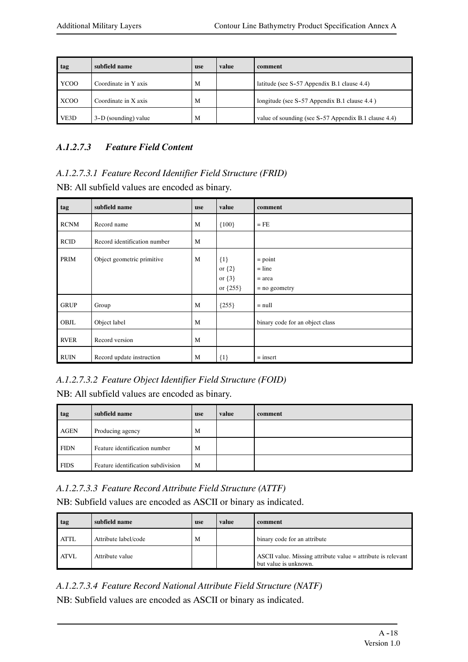| tag         | subfield name        | <b>use</b> | value | comment                                              |
|-------------|----------------------|------------|-------|------------------------------------------------------|
| <b>YCOO</b> | Coordinate in Y axis | M          |       | latitude (see S-57 Appendix B.1 clause 4.4)          |
| <b>XCOO</b> | Coordinate in X axis | M          |       | longitude (see S-57 Appendix B.1 clause 4.4)         |
| VE3D        | 3-D (sounding) value | M          |       | value of sounding (see S-57 Appendix B.1 clause 4.4) |

# *A.1.2.7.3 Feature Field Content*

## *A.1.2.7.3.1 Feature Record Identifier Field Structure (FRID)*

NB: All subfield values are encoded as binary.

| tag         | subfield name                | use | value                                             | comment                                              |
|-------------|------------------------------|-----|---------------------------------------------------|------------------------------------------------------|
| <b>RCNM</b> | Record name                  | M   | ${100}$                                           | $=$ FE                                               |
| <b>RCID</b> | Record identification number | M   |                                                   |                                                      |
| PRIM        | Object geometric primitive   | M   | $\{1\}$<br>or $\{2\}$<br>or $\{3\}$<br>or ${255}$ | $=$ point<br>$=$ line<br>$=$ area<br>$=$ no geometry |
| <b>GRUP</b> | Group                        | M   | ${255}$                                           | $= \text{null}$                                      |
| OBJL        | Object label                 | M   |                                                   | binary code for an object class                      |
| <b>RVER</b> | Record version               | M   |                                                   |                                                      |
| <b>RUIN</b> | Record update instruction    | M   | ${1}$                                             | $=$ insert                                           |

# *A.1.2.7.3.2 Feature Object Identifier Field Structure (FOID)*

NB: All subfield values are encoded as binary.

| tag         | subfield name                      | use | value | comment |
|-------------|------------------------------------|-----|-------|---------|
| <b>AGEN</b> | Producing agency                   | M   |       |         |
| <b>FIDN</b> | Feature identification number      | M   |       |         |
| <b>FIDS</b> | Feature identification subdivision | M   |       |         |

# *A.1.2.7.3.3 Feature Record Attribute Field Structure (ATTF)*

NB: Subfield values are encoded as ASCII or binary as indicated.

| tag         | subfield name        | use | value | comment                                                                               |
|-------------|----------------------|-----|-------|---------------------------------------------------------------------------------------|
| <b>ATTL</b> | Attribute label/code | M   |       | binary code for an attribute                                                          |
| <b>ATVL</b> | Attribute value      |     |       | ASCII value. Missing attribute value = attribute is relevant<br>but value is unknown. |

# *A.1.2.7.3.4 Feature Record National Attribute Field Structure (NATF)*

NB: Subfield values are encoded as ASCII or binary as indicated.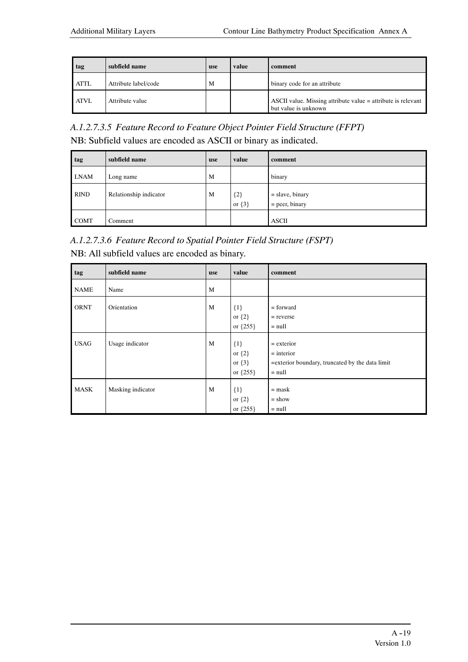| tag         | subfield name        | use | value | comment                                                                              |
|-------------|----------------------|-----|-------|--------------------------------------------------------------------------------------|
| <b>ATTL</b> | Attribute label/code | M   |       | binary code for an attribute                                                         |
| <b>ATVL</b> | Attribute value      |     |       | ASCII value. Missing attribute value = attribute is relevant<br>but value is unknown |

*A.1.2.7.3.5 Feature Record to Feature Object Pointer Field Structure (FFPT)* NB: Subfield values are encoded as ASCII or binary as indicated.

| tag         | subfield name          | use | value               | comment                               |
|-------------|------------------------|-----|---------------------|---------------------------------------|
| <b>LNAM</b> | Long name              | M   |                     | binary                                |
| <b>RIND</b> | Relationship indicator | M   | ${2}$<br>or $\{3\}$ | $=$ slave, binary<br>$=$ peer, binary |
| <b>COMT</b> | Comment                |     |                     | <b>ASCII</b>                          |

# *A.1.2.7.3.6 Feature Record to Spatial Pointer Field Structure (FSPT)* NB: All subfield values are encoded as binary.

| tag         | subfield name     | <b>use</b> | value                                           | comment                                                                                      |
|-------------|-------------------|------------|-------------------------------------------------|----------------------------------------------------------------------------------------------|
| <b>NAME</b> | Name              | M          |                                                 |                                                                                              |
| <b>ORNT</b> | Orientation       | M          | $\{1\}$<br>or $\{2\}$<br>or ${255}$             | $=$ forward<br>$=$ reverse<br>$=$ null                                                       |
| <b>USAG</b> | Usage indicator   | M          | $\{1\}$<br>or $\{2\}$<br>or $\{3\}$<br>or {255} | $=$ exterior<br>$=$ interior<br>= exterior boundary, truncated by the data limit<br>$=$ null |
| <b>MASK</b> | Masking indicator | M          | $\{1\}$<br>or $\{2\}$<br>or $\{255\}$           | $=$ mask<br>$=$ show<br>$=$ null                                                             |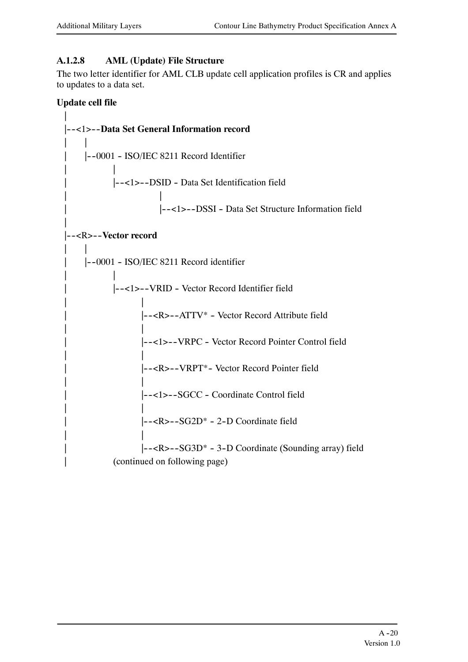# **A.1.2.8 AML (Update) File Structure**

The two letter identifier for AML CLB update cell application profiles is CR and applies to updates to a data set.

# **Update cell file**

| |- - <1>- - **Data Set General Information record**  $| \cdot |$ | |- - 0001 - ISO/IEC 8211 Record Identifier | | | |- - <1>- - DSID - Data Set Identification field | | | |- - <1>- - DSSI - Data Set Structure Information field | |- - <R>- - **Vector record**  $| \cdot |$ | |- - 0001 - ISO/IEC 8211 Record identifier | | | |- - <1>- - VRID - Vector Record Identifier field | | | |- - <R>- - ATTV\* - Vector Record Attribute field | | | |- - <1>- - VRPC - Vector Record Pointer Control field | | | |- - <R>- - VRPT\*- Vector Record Pointer field | | | |- - <1>- - SGCC - Coordinate Control field | | | |- - <R>- - SG2D\* - 2- D Coordinate field | | | |- - <R>- - SG3D\* - 3- D Coordinate (Sounding array) field | (continued on following page)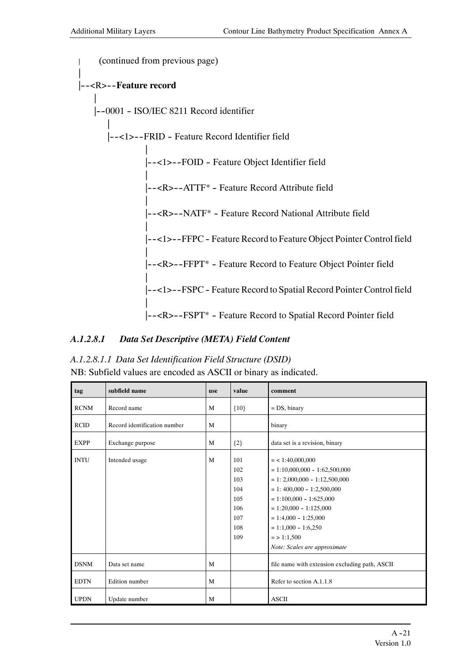```
| (continued from previous page)
|
|- - <R>- -Feature record
    |
    |- - 0001 - ISO/IEC 8211 Record identifier
        |
       |- - <1>- - FRID - Feature Record Identifier field
                  |
                  |- - <1>- - FOID - Feature Object Identifier field
                  |
                  |- - <R>- - ATTF* - Feature Record Attribute field
                  |
                  |- - <R>- - NATF* - Feature Record National Attribute field
                  |
                  |- - <1>- - FFPC - FeatureRecord to Feature Object Pointer Controlfield
                  |
                  |- - <R>- - FFPT* - Feature Record to Feature Object Pointer field
                  |
                  |--<1>--FSPC - Feature Record to Spatial Record Pointer Control field
                  |
                  |- - <R>- - FSPT* - Feature Record to Spatial Record Pointer field
```
# *A.1.2.8.1 Data Set Descriptive (META) Field Content*

| A.1.2.8.1.1 Data Set Identification Field Structure (DSID)       |
|------------------------------------------------------------------|
| NB: Subfield values are encoded as ASCII or binary as indicated. |

| tag         | subfield name                | <b>use</b> | value                                                       | comment                                                                                                                                                                                                                                                                               |  |
|-------------|------------------------------|------------|-------------------------------------------------------------|---------------------------------------------------------------------------------------------------------------------------------------------------------------------------------------------------------------------------------------------------------------------------------------|--|
| <b>RCNM</b> | Record name                  | M          | ${10}$                                                      | $= DS$ , binary                                                                                                                                                                                                                                                                       |  |
| <b>RCID</b> | Record identification number | M          |                                                             | binary                                                                                                                                                                                                                                                                                |  |
| <b>EXPP</b> | Exchange purpose             | M          | ${2}$                                                       | data set is a revision, binary                                                                                                                                                                                                                                                        |  |
| <b>INTU</b> | Intended usage               | M          | 101<br>102<br>103<br>104<br>105<br>106<br>107<br>108<br>109 | $=$ < 1:40,000,000<br>$= 1:10,000,000 - 1:62,500,000$<br>$= 1: 2,000,000 - 1:12,500,000$<br>$= 1: 400,000 - 1:2,500,000$<br>$= 1:100,000 - 1:625,000$<br>$= 1:20,000 - 1:125,000$<br>$= 1:4,000 - 1:25,000$<br>$= 1:1,000 - 1:6,250$<br>$=$ > 1:1,500<br>Note: Scales are approximate |  |
| <b>DSNM</b> | Data set name                | M          |                                                             | file name with extension excluding path, ASCII                                                                                                                                                                                                                                        |  |
| <b>EDTN</b> | <b>Edition</b> number        | M          |                                                             | Refer to section A.1.1.8                                                                                                                                                                                                                                                              |  |
| <b>UPDN</b> | Update number                | M          |                                                             | <b>ASCII</b>                                                                                                                                                                                                                                                                          |  |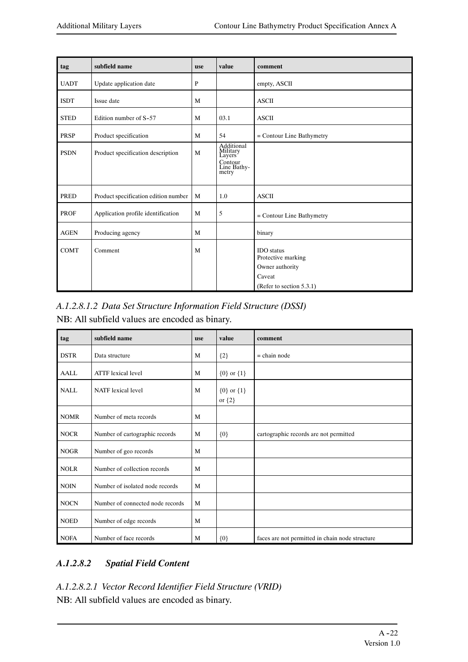| tag         | subfield name                        | use | value                                                               | comment                                                                                          |
|-------------|--------------------------------------|-----|---------------------------------------------------------------------|--------------------------------------------------------------------------------------------------|
| <b>UADT</b> | Update application date              | P   |                                                                     | empty, ASCII                                                                                     |
| <b>ISDT</b> | Issue date                           | M   |                                                                     | <b>ASCII</b>                                                                                     |
| <b>STED</b> | Edition number of S-57               | M   | 03.1                                                                | <b>ASCII</b>                                                                                     |
| <b>PRSP</b> | Product specification                | M   | 54                                                                  | = Contour Line Bathymetry                                                                        |
| <b>PSDN</b> | Product specification description    | M   | Additional<br>Military<br>Layers<br>Contour<br>Line Bathy-<br>metry |                                                                                                  |
| <b>PRED</b> | Product specification edition number | M   | 1.0                                                                 | <b>ASCII</b>                                                                                     |
| <b>PROF</b> | Application profile identification   | M   | 5                                                                   | $=$ Contour Line Bathymetry                                                                      |
| <b>AGEN</b> | Producing agency                     | M   |                                                                     | binary                                                                                           |
| <b>COMT</b> | Comment                              | M   |                                                                     | <b>IDO</b> status<br>Protective marking<br>Owner authority<br>Caveat<br>(Refer to section 5.3.1) |

# *A.1.2.8.1.2 Data Set Structure Information Field Structure (DSSI)*

NB: All subfield values are encoded as binary.

| tag         | subfield name                    | use | value                        | comment                                         |
|-------------|----------------------------------|-----|------------------------------|-------------------------------------------------|
| <b>DSTR</b> | Data structure                   | M   | ${2}$                        | $=$ chain node                                  |
| <b>AALL</b> | <b>ATTF</b> lexical level        | M   | ${0}$ or ${1}$               |                                                 |
| <b>NALL</b> | <b>NATF</b> lexical level        | M   | ${0}$ or ${1}$<br>or $\{2\}$ |                                                 |
| <b>NOMR</b> | Number of meta records           | M   |                              |                                                 |
| <b>NOCR</b> | Number of cartographic records   | M   | $\{0\}$                      | cartographic records are not permitted          |
| <b>NOGR</b> | Number of geo records            | M   |                              |                                                 |
| <b>NOLR</b> | Number of collection records     | M   |                              |                                                 |
| <b>NOIN</b> | Number of isolated node records  | M   |                              |                                                 |
| <b>NOCN</b> | Number of connected node records | M   |                              |                                                 |
| <b>NOED</b> | Number of edge records           | M   |                              |                                                 |
| <b>NOFA</b> | Number of face records           | M   | ${0}$                        | faces are not permitted in chain node structure |

# *A.1.2.8.2 Spatial Field Content*

# *A.1.2.8.2.1 Vector Record Identifier Field Structure (VRID)*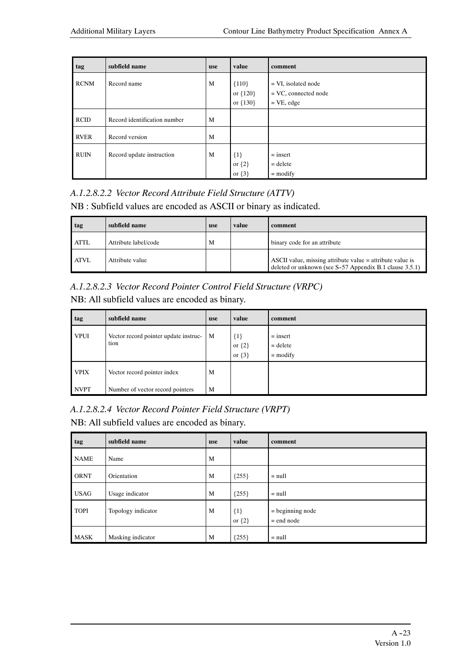| tag         | subfield name                | use | value                               | comment                                                          |
|-------------|------------------------------|-----|-------------------------------------|------------------------------------------------------------------|
| <b>RCNM</b> | Record name                  | M   | ${110}$<br>or ${120}$<br>or ${130}$ | $= VI$ , isolated node<br>$=$ VC, connected node<br>$= VE, edge$ |
| <b>RCID</b> | Record identification number | M   |                                     |                                                                  |
| <b>RVER</b> | Record version               | M   |                                     |                                                                  |
| <b>RUIN</b> | Record update instruction    | M   | $\{1\}$<br>or $\{2\}$<br>or $\{3\}$ | $=$ insert<br>$=$ delete<br>$=$ modify                           |

| A.1.2.8.2.2 Vector Record Attribute Field Structure (ATTV) |  |
|------------------------------------------------------------|--|
|                                                            |  |

NB : Subfield values are encoded as ASCII or binary as indicated.

| tag         | subfield name        | use | value | comment                                                                                                              |  |  |
|-------------|----------------------|-----|-------|----------------------------------------------------------------------------------------------------------------------|--|--|
| ATTL        | Attribute label/code | M   |       | binary code for an attribute                                                                                         |  |  |
| <b>ATVL</b> | Attribute value      |     |       | ASCII value, missing attribute value = attribute value is<br>deleted or unknown (see S-57 Appendix B.1 clause 3.5.1) |  |  |

# *A.1.2.8.2.3 Vector Record Pointer Control Field Structure (VRPC)*

NB: All subfield values are encoded as binary.

| tag         | subfield name                                 | use | value                               | comment                                |
|-------------|-----------------------------------------------|-----|-------------------------------------|----------------------------------------|
| <b>VPUI</b> | Vector record pointer update instruc-<br>tion | M   | $\{1\}$<br>or $\{2\}$<br>or $\{3\}$ | $=$ insert<br>$=$ delete<br>$=$ modify |
| <b>VPIX</b> | Vector record pointer index                   | M   |                                     |                                        |
| <b>NVPT</b> | Number of vector record pointers              | M   |                                     |                                        |

*A.1.2.8.2.4 Vector Record Pointer Field Structure (VRPT)*

| tag         | subfield name      | use | value                 | comment                            |
|-------------|--------------------|-----|-----------------------|------------------------------------|
| <b>NAME</b> | Name               | M   |                       |                                    |
| <b>ORNT</b> | Orientation        | M   | ${255}$               | $=$ null                           |
| <b>USAG</b> | Usage indicator    | M   | ${255}$               | $=$ null                           |
| <b>TOPI</b> | Topology indicator | M   | $\{1\}$<br>or $\{2\}$ | $=$ beginning node<br>$=$ end node |
| <b>MASK</b> | Masking indicator  | M   | ${255}$               | $=$ null                           |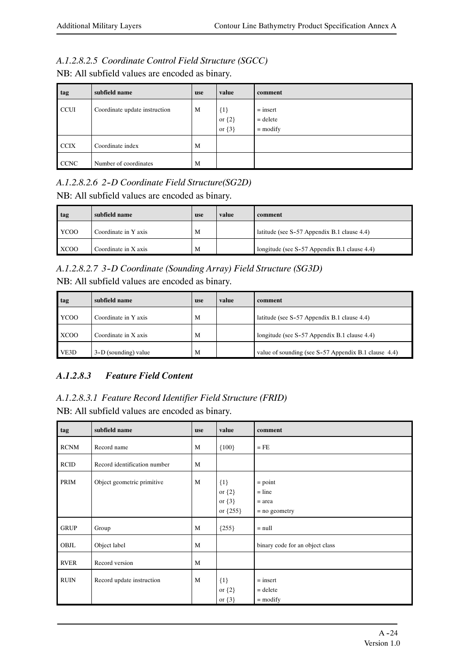# *A.1.2.8.2.5 Coordinate Control Field Structure (SGCC)*

| NB: All subfield values are encoded as binary. |  |  |  |  |  |
|------------------------------------------------|--|--|--|--|--|
|------------------------------------------------|--|--|--|--|--|

| tag         | subfield name                 | use | value                               | comment                                |
|-------------|-------------------------------|-----|-------------------------------------|----------------------------------------|
| <b>CCUI</b> | Coordinate update instruction | M   | $\{1\}$<br>or $\{2\}$<br>or $\{3\}$ | $=$ insert<br>$=$ delete<br>$=$ modify |
| <b>CCIX</b> | Coordinate index              | M   |                                     |                                        |
| <b>CCNC</b> | Number of coordinates         | M   |                                     |                                        |

## *A.1.2.8.2.6 2- D Coordinate Field Structure(SG2D)*

NB: All subfield values are encoded as binary.

| tag         | subfield name        | use | value | comment                                      |
|-------------|----------------------|-----|-------|----------------------------------------------|
| <b>YCOO</b> | Coordinate in Y axis | M   |       | latitude (see S-57 Appendix B.1 clause 4.4)  |
| <b>XCOO</b> | Coordinate in X axis | M   |       | longitude (see S-57 Appendix B.1 clause 4.4) |

# *A.1.2.8.2.7 3- D Coordinate (Sounding Array) Field Structure (SG3D)*

NB: All subfield values are encoded as binary.

| tag         | subfield name        | <b>use</b> | value | comment                                              |
|-------------|----------------------|------------|-------|------------------------------------------------------|
| <b>YCOO</b> | Coordinate in Y axis | М          |       | latitude (see S-57 Appendix B.1 clause 4.4)          |
| <b>XCOO</b> | Coordinate in X axis | M          |       | longitude (see S-57 Appendix B.1 clause 4.4)         |
| VE3D        | 3-D (sounding) value | M          |       | value of sounding (see S-57 Appendix B.1 clause 4.4) |

# *A.1.2.8.3 Feature Field Content*

# *A.1.2.8.3.1 Feature Record Identifier Field Structure (FRID)*

| tag         | subfield name                | use | value                                             | comment                                              |
|-------------|------------------------------|-----|---------------------------------------------------|------------------------------------------------------|
| <b>RCNM</b> | Record name                  | M   | ${100}$                                           | $=$ FE                                               |
| <b>RCID</b> | Record identification number | M   |                                                   |                                                      |
| PRIM        | Object geometric primitive   | M   | $\{1\}$<br>or $\{2\}$<br>or $\{3\}$<br>or ${255}$ | $=$ point<br>$=$ line<br>$=$ area<br>$=$ no geometry |
| <b>GRUP</b> | Group                        | M   | ${255}$                                           | $= \text{null}$                                      |
| OBJL        | Object label                 | M   |                                                   | binary code for an object class                      |
| <b>RVER</b> | Record version               | M   |                                                   |                                                      |
| <b>RUIN</b> | Record update instruction    | M   | $\{1\}$<br>or $\{2\}$<br>or $\{3\}$               | $=$ insert<br>$=$ delete<br>$=$ modify               |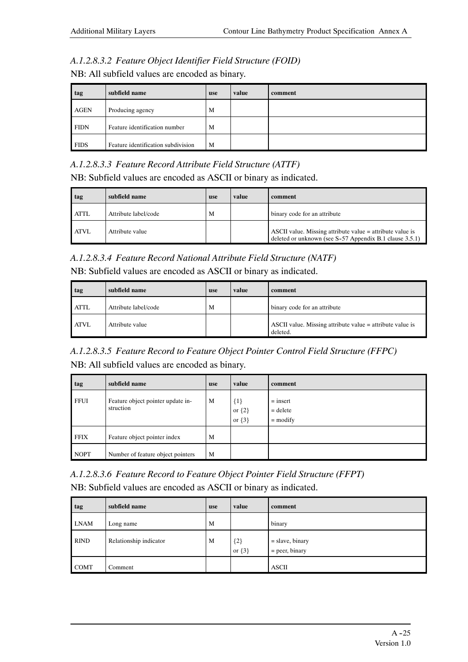# *A.1.2.8.3.2 Feature Object Identifier Field Structure (FOID)* NB: All subfield values are encoded as binary.

| tag         | subfield name                      | use | value | comment |
|-------------|------------------------------------|-----|-------|---------|
| <b>AGEN</b> | Producing agency                   | M   |       |         |
| <b>FIDN</b> | Feature identification number      | M   |       |         |
| <b>FIDS</b> | Feature identification subdivision | M   |       |         |

*A.1.2.8.3.3 Feature Record Attribute Field Structure (ATTF)*

NB: Subfield values are encoded as ASCII or binary as indicated.

| tag         | subfield name        | use | value | comment                                                                                                              |
|-------------|----------------------|-----|-------|----------------------------------------------------------------------------------------------------------------------|
| <b>ATTL</b> | Attribute label/code | M   |       | binary code for an attribute                                                                                         |
| <b>ATVL</b> | Attribute value      |     |       | ASCII value. Missing attribute value = attribute value is<br>deleted or unknown (see S-57 Appendix B.1 clause 3.5.1) |

# *A.1.2.8.3.4 Feature Record National Attribute Field Structure (NATF)* NB: Subfield values are encoded as ASCII or binary as indicated.

| tag         | subfield name        | use | value | comment                                                               |
|-------------|----------------------|-----|-------|-----------------------------------------------------------------------|
| <b>ATTL</b> | Attribute label/code | M   |       | binary code for an attribute                                          |
| <b>ATVL</b> | Attribute value      |     |       | ASCII value. Missing attribute value = attribute value is<br>deleted. |

# *A.1.2.8.3.5 Feature Record to Feature Object Pointer Control Field Structure (FFPC)* NB: All subfield values are encoded as binary.

| tag         | subfield name                                  | use | value                             | comment                                |
|-------------|------------------------------------------------|-----|-----------------------------------|----------------------------------------|
| <b>FFUI</b> | Feature object pointer update in-<br>struction | M   | ${1}$<br>or $\{2\}$<br>or $\{3\}$ | $=$ insert<br>$=$ delete<br>$=$ modify |
| <b>FFIX</b> | Feature object pointer index                   | M   |                                   |                                        |
| <b>NOPT</b> | Number of feature object pointers              | M   |                                   |                                        |

*A.1.2.8.3.6 Feature Record to Feature Object Pointer Field Structure (FFPT)* NB: Subfield values are encoded as ASCII or binary as indicated.

| tag         | subfield name          | use | value               | comment                               |
|-------------|------------------------|-----|---------------------|---------------------------------------|
| <b>LNAM</b> | Long name              | M   |                     | binary                                |
| <b>RIND</b> | Relationship indicator | M   | ${2}$<br>or $\{3\}$ | $=$ slave, binary<br>$=$ peer, binary |
| <b>COMT</b> | Comment                |     |                     | <b>ASCII</b>                          |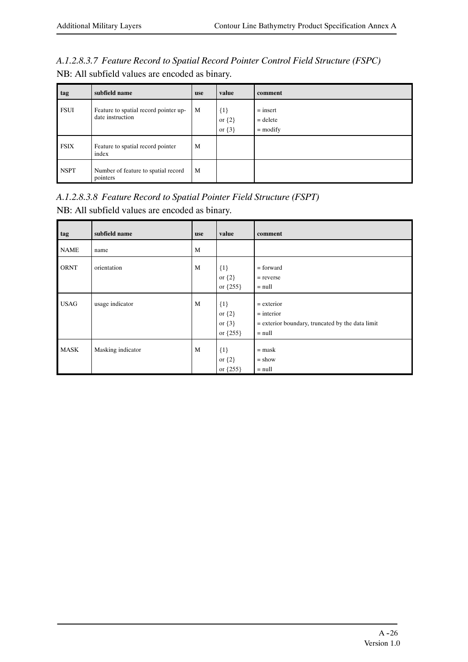*A.1.2.8.3.7 Feature Record to Spatial Record Pointer Control Field Structure (FSPC)* NB: All subfield values are encoded as binary.

| tag         | subfield name                                             | use | value                               | comment                                |
|-------------|-----------------------------------------------------------|-----|-------------------------------------|----------------------------------------|
| <b>FSUI</b> | Feature to spatial record pointer up-<br>date instruction | M   | $\{1\}$<br>or $\{2\}$<br>or $\{3\}$ | $=$ insert<br>$=$ delete<br>$=$ modify |
| <b>FSIX</b> | Feature to spatial record pointer<br>index                | M   |                                     |                                        |
| <b>NSPT</b> | Number of feature to spatial record<br>pointers           | M   |                                     |                                        |

# *A.1.2.8.3.8 Feature Record to Spatial Pointer Field Structure (FSPT)*

| tag         | subfield name     | use | value                                             | comment                                                                                               |
|-------------|-------------------|-----|---------------------------------------------------|-------------------------------------------------------------------------------------------------------|
| <b>NAME</b> | name              | M   |                                                   |                                                                                                       |
| <b>ORNT</b> | orientation       | M   | $\{1\}$<br>or $\{2\}$<br>or ${255}$               | $=$ forward<br>$=$ reverse<br>$=$ null                                                                |
| <b>USAG</b> | usage indicator   | M   | $\{1\}$<br>or $\{2\}$<br>or $\{3\}$<br>or ${255}$ | $=$ exterior<br>$=$ interior<br>$=$ exterior boundary, truncated by the data limit<br>$= \text{null}$ |
| <b>MASK</b> | Masking indicator | M   | $\{1\}$<br>or $\{2\}$<br>or ${255}$               | $=$ mask<br>$=$ show<br>$= \text{null}$                                                               |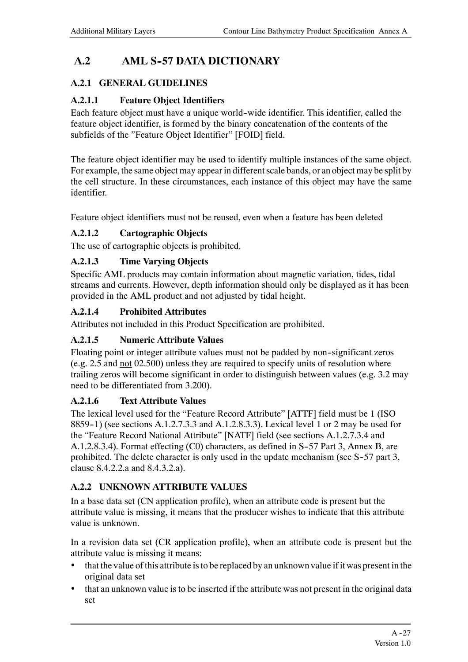# **A.2 AML S- 57 DATA DICTIONARY**

## **A.2.1 GENERAL GUIDELINES**

## **A.2.1.1 Feature Object Identifiers**

Each feature object must have a unique world- wide identifier. This identifier, called the feature object identifier, is formed by the binary concatenation of the contents of the subfields of the "Feature Object Identifier" [FOID] field.

The feature object identifier may be used to identify multiple instances of the same object. For example, the same object may appear in different scale bands, or an object may be split by the cell structure. In these circumstances, each instance of this object may have the same identifier.

Feature object identifiers must not be reused, even when a feature has been deleted

## **A.2.1.2 Cartographic Objects**

The use of cartographic objects is prohibited.

## **A.2.1.3 Time Varying Objects**

Specific AML products may contain information about magnetic variation, tides, tidal streams and currents. However, depth information should only be displayed as it has been provided in the AML product and not adjusted by tidal height.

#### **A.2.1.4 Prohibited Attributes**

Attributes not included in this Product Specification are prohibited.

#### **A.2.1.5 Numeric Attribute Values**

Floating point or integer attribute values must not be padded by non-significant zeros (e.g. 2.5 and not 02.500) unless they are required to specify units of resolution where trailing zeros will become significant in order to distinguish between values (e.g. 3.2 may need to be differentiated from 3.200).

#### **A.2.1.6 Text Attribute Values**

The lexical level used for the "Feature Record Attribute" [ATTF] field must be 1 (ISO 8859-1) (see sections A.1.2.7.3.3 and A.1.2.8.3.3). Lexical level 1 or 2 may be used for the "Feature Record National Attribute" [NATF] field (see sections A.1.2.7.3.4 and A.1.2.8.3.4). Format effecting (C0) characters, as defined in S-57 Part 3, Annex B, are prohibited. The delete character is only used in the update mechanism (see  $S-57$  part 3, clause 8.4.2.2.a and 8.4.3.2.a).

# **A.2.2 UNKNOWN ATTRIBUTE VALUES**

In a base data set (CN application profile), when an attribute code is present but the attribute value is missing, it means that the producer wishes to indicate that this attribute value is unknown.

In a revision data set (CR application profile), when an attribute code is present but the attribute value is missing it means:

- that the value of this attribute is to be replaced by an unknown value if it was present in the original data set
- · that an unknown value isto be inserted if the attribute was not present in the original data set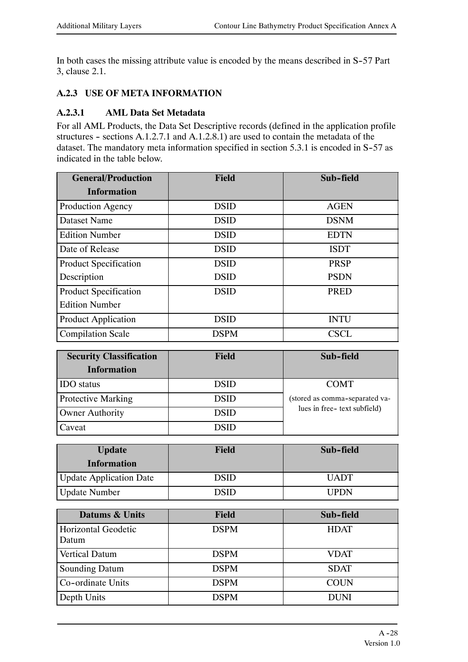In both cases the missing attribute value is encoded by the means described in S-57 Part 3, clause 2.1.

# **A.2.3 USE OF META INFORMATION**

# **A.2.3.1 AML Data Set Metadata**

For all AML Products, the Data Set Descriptive records (defined in the application profile structures - sections A.1.2.7.1 and A.1.2.8.1) are used to contain the metadata of the dataset. The mandatory meta information specified in section 5.3.1 is encoded in S-57 as indicated in the table below.

| <b>General/Production</b>    | <b>Field</b> | Sub-field   |
|------------------------------|--------------|-------------|
| <b>Information</b>           |              |             |
| <b>Production Agency</b>     | <b>DSID</b>  | <b>AGEN</b> |
| Dataset Name                 | <b>DSID</b>  | <b>DSNM</b> |
| <b>Edition Number</b>        | <b>DSID</b>  | <b>EDTN</b> |
| Date of Release              | <b>DSID</b>  | <b>ISDT</b> |
| <b>Product Specification</b> | <b>DSID</b>  | <b>PRSP</b> |
| Description                  | <b>DSID</b>  | <b>PSDN</b> |
| <b>Product Specification</b> | <b>DSID</b>  | <b>PRED</b> |
| <b>Edition Number</b>        |              |             |
| <b>Product Application</b>   | <b>DSID</b>  | <b>INTU</b> |
| <b>Compilation Scale</b>     | <b>DSPM</b>  | <b>CSCL</b> |

| <b>Security Classification</b><br><b>Information</b> | <b>Field</b> | Sub-field                      |
|------------------------------------------------------|--------------|--------------------------------|
| <b>IDO</b> status                                    | <b>DSID</b>  | <b>COMT</b>                    |
| <b>Protective Marking</b>                            | <b>DSID</b>  | (stored as comma-separated va- |
| <b>Owner Authority</b>                               | <b>DSID</b>  | lues in free-text subfield)    |
| Caveat                                               | DSID         |                                |

| <b>Update</b><br><b>Information</b> | Field | Sub-field   |
|-------------------------------------|-------|-------------|
| <b>Update Application Date</b>      | DSID  | <b>UADT</b> |
| <b>Update Number</b>                | NSID  | UPDN        |

| Datums & Units                      | <b>Field</b> | Sub-field   |
|-------------------------------------|--------------|-------------|
| <b>Horizontal Geodetic</b><br>Datum | <b>DSPM</b>  | <b>HDAT</b> |
| <b>Vertical Datum</b>               | <b>DSPM</b>  | VDAT        |
| <b>Sounding Datum</b>               | <b>DSPM</b>  | <b>SDAT</b> |
| Co-ordinate Units                   | <b>DSPM</b>  | <b>COUN</b> |
| Depth Units                         | <b>DSPM</b>  | <b>DUNI</b> |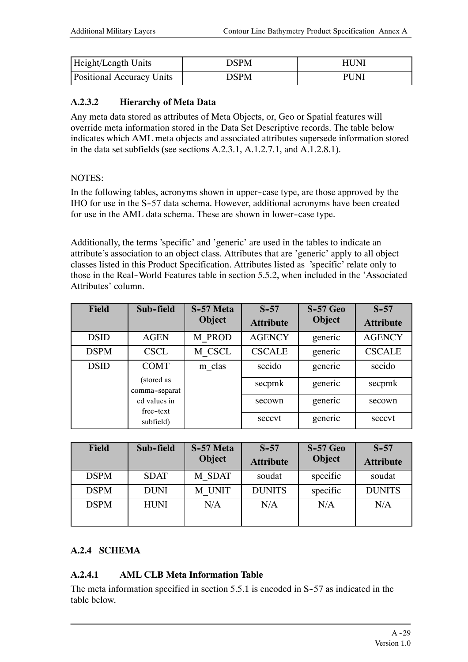| Height/Length Units              | 7SPM | HUNI |
|----------------------------------|------|------|
| <b>Positional Accuracy Units</b> | DSPM | PHNI |

# **A.2.3.2 Hierarchy of Meta Data**

Any meta data stored as attributes of Meta Objects, or, Geo or Spatial features will override meta information stored in the Data Set Descriptive records. The table below indicates which AML meta objects and associated attributes supersede information stored in the data set subfields (see sections A.2.3.1, A.1.2.7.1, and A.1.2.8.1).

## NOTES:

In the following tables, acronyms shown in upper- case type, are those approved by the IHO for use in the S-57 data schema. However, additional acronyms have been created for use in the AML data schema. These are shown in lower-case type.

Additionally, the terms 'specific' and 'generic' are used in the tables to indicate an attribute's association to an object class. Attributes that are 'generic' apply to all object classes listed in this Product Specification. Attributes listed as 'specific' relate only to those in the Real-World Features table in section 5.5.2, when included in the 'Associated Attributes' column.

| <b>Field</b> | Sub-field                   | S-57 Meta<br>Object | $S-57$<br><b>Attribute</b> | <b>S-57 Geo</b><br>Object | $S-57$<br><b>Attribute</b> |
|--------------|-----------------------------|---------------------|----------------------------|---------------------------|----------------------------|
| <b>DSID</b>  | <b>AGEN</b>                 | M PROD              | <b>AGENCY</b>              | generic                   | <b>AGENCY</b>              |
| <b>DSPM</b>  | <b>CSCL</b>                 | M CSCL              | <b>CSCALE</b>              | generic                   | <b>CSCALE</b>              |
| <b>DSID</b>  | <b>COMT</b>                 | m clas              | secido                     | generic                   | secido                     |
|              | (stored as<br>comma-separat |                     | secpmk                     | generic                   | secpmk                     |
|              | ed values in<br>free-text   |                     | secown                     | generic                   | secown                     |
|              | subfield)                   |                     | seccvt                     | generic                   | seccvt                     |

| <b>Field</b> | Sub-field   | S-57 Meta<br><b>Object</b> | $S-57$<br><b>Attribute</b> | <b>S-57 Geo</b><br>Object | $S-57$<br><b>Attribute</b> |
|--------------|-------------|----------------------------|----------------------------|---------------------------|----------------------------|
| <b>DSPM</b>  | <b>SDAT</b> | M SDAT                     | soudat                     | specific                  | soudat                     |
| <b>DSPM</b>  | <b>DUNI</b> | M UNIT                     | <b>DUNITS</b>              | specific                  | <b>DUNITS</b>              |
| <b>DSPM</b>  | <b>HUNI</b> | N/A                        | N/A                        | N/A                       | N/A                        |

#### **A.2.4 SCHEMA**

# **A.2.4.1 AML CLB Meta Information Table**

The meta information specified in section 5.5.1 is encoded in S-57 as indicated in the table below.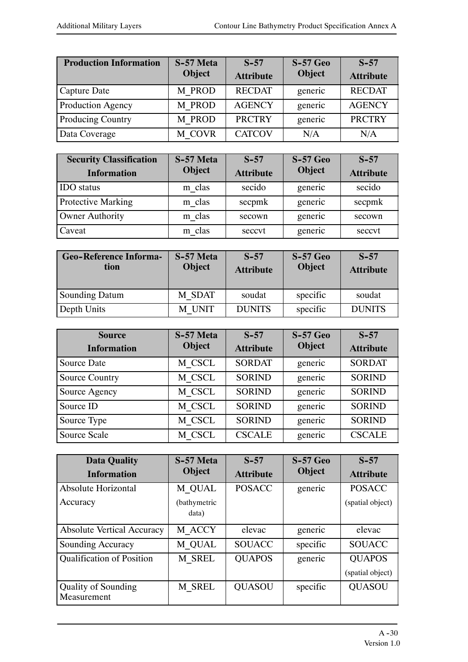| <b>Production Information</b> | S-57 Meta<br>Object | $S-57$<br><b>Attribute</b> | <b>S-57 Geo</b><br>Object | $S-57$<br><b>Attribute</b> |
|-------------------------------|---------------------|----------------------------|---------------------------|----------------------------|
| Capture Date                  | M PROD              | <b>RECDAT</b>              | generic                   | <b>RECDAT</b>              |
| <b>Production Agency</b>      | M PROD              | <b>AGENCY</b>              | generic                   | <b>AGENCY</b>              |
| Producing Country             | M PROD              | <b>PRCTRY</b>              | generic                   | <b>PRCTRY</b>              |
| Data Coverage                 | M COVR              | <b>CATCOV</b>              | N/A                       | N/A                        |

| <b>Security Classification</b><br><b>Information</b> | S-57 Meta<br>Object | $S-57$<br><b>Attribute</b> | <b>S-57 Geo</b><br>Object | $S-57$<br><b>Attribute</b> |
|------------------------------------------------------|---------------------|----------------------------|---------------------------|----------------------------|
|                                                      |                     |                            |                           |                            |
| <b>IDO</b> status                                    | m clas              | secido                     | generic                   | secido                     |
| <b>Protective Marking</b>                            | m clas              | secpmk                     | generic                   | secpmk                     |
| <b>Owner Authority</b>                               | m clas              | secown                     | generic                   | secown                     |
| Caveat                                               | m clas              | seccyt                     | generic                   | seccvt                     |

| <b>Geo-Reference Informa-</b><br>tion | S-57 Meta<br><b>Object</b> | $S-57$<br><b>Attribute</b> | <b>S-57 Geo</b><br>Object | $S-57$<br><b>Attribute</b> |
|---------------------------------------|----------------------------|----------------------------|---------------------------|----------------------------|
| <b>Sounding Datum</b>                 | M SDAT                     | soudat                     | specific                  | soudat                     |
| Depth Units                           | M UNIT                     | <b>DUNITS</b>              | specific                  | <b>DUNITS</b>              |

| <b>Source</b><br><b>Information</b> | S-57 Meta<br>Object | $S-57$<br><b>Attribute</b> | <b>S-57 Geo</b><br>Object | $S-57$<br><b>Attribute</b> |
|-------------------------------------|---------------------|----------------------------|---------------------------|----------------------------|
| Source Date                         | M CSCL              | <b>SORDAT</b>              | generic                   | <b>SORDAT</b>              |
| <b>Source Country</b>               | M CSCL              | <b>SORIND</b>              | generic                   | <b>SORIND</b>              |
| Source Agency                       | M CSCL              | <b>SORIND</b>              | generic                   | <b>SORIND</b>              |
| Source ID                           | M CSCL              | <b>SORIND</b>              | generic                   | <b>SORIND</b>              |
| Source Type                         | M CSCL              | <b>SORIND</b>              | generic                   | <b>SORIND</b>              |
| Source Scale                        | M CSCL              | <b>CSCALE</b>              | generic                   | <b>CSCALE</b>              |

| <b>Data Quality</b>                       | S-57 Meta             | $S-57$           | <b>S-57 Geo</b> | $S-57$                            |
|-------------------------------------------|-----------------------|------------------|-----------------|-----------------------------------|
| <b>Information</b>                        | Object                | <b>Attribute</b> | Object          | <b>Attribute</b>                  |
| Absolute Horizontal                       | M QUAL                | <b>POSACC</b>    | generic         | <b>POSACC</b>                     |
| Accuracy                                  | (bathymetric<br>data) |                  |                 | (spatial object)                  |
| <b>Absolute Vertical Accuracy</b>         | M ACCY                | elevac           | generic         | elevac                            |
| Sounding Accuracy                         | M QUAL                | <b>SOUACC</b>    | specific        | <b>SOUACC</b>                     |
| <b>Qualification of Position</b>          | M SREL                | <b>QUAPOS</b>    | generic         | <b>QUAPOS</b><br>(spatial object) |
| <b>Quality of Sounding</b><br>Measurement | M SREL                | <b>QUASOU</b>    | specific        | <b>QUASOU</b>                     |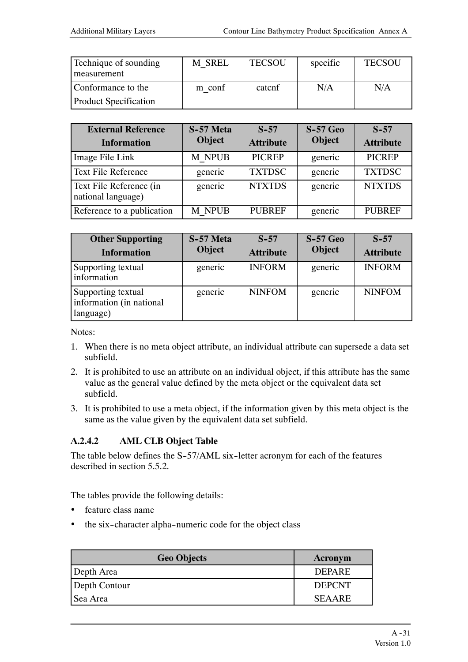| Technique of sounding<br>measurement               | M SREL | <b>TECSOU</b> | specific  | <b>TECSOU</b> |
|----------------------------------------------------|--------|---------------|-----------|---------------|
| Conformance to the<br><b>Product Specification</b> | m conf | catcnf        | $\rm N/A$ | N/A           |

| <b>External Reference</b><br><b>Information</b> | S-57 Meta<br>Object | $S-57$<br><b>Attribute</b> | <b>S-57 Geo</b><br>Object | $S-57$<br><b>Attribute</b> |
|-------------------------------------------------|---------------------|----------------------------|---------------------------|----------------------------|
| Image File Link                                 | <b>M NPUB</b>       | <b>PICREP</b>              | generic                   | <b>PICREP</b>              |
| <b>Text File Reference</b>                      | generic             | <b>TXTDSC</b>              | generic                   | <b>TXTDSC</b>              |
| Text File Reference (in<br>national language)   | generic             | <b>NTXTDS</b>              | generic                   | <b>NTXTDS</b>              |
| Reference to a publication                      | <b>M NPUB</b>       | <b>PUBREF</b>              | generic                   | <b>PUBREF</b>              |

| <b>Other Supporting</b><br><b>Information</b>               | S-57 Meta<br>Object | $S-57$<br><b>Attribute</b> | <b>S-57 Geo</b><br><b>Object</b> | $S-57$<br><b>Attribute</b> |
|-------------------------------------------------------------|---------------------|----------------------------|----------------------------------|----------------------------|
| Supporting textual<br>information                           | generic             | <b>INFORM</b>              | generic                          | <b>INFORM</b>              |
| Supporting textual<br>information (in national<br>language) | generic             | <b>NINFOM</b>              | generic                          | <b>NINFOM</b>              |

Notes:

- 1. When there is no meta object attribute, an individual attribute can supersede a data set subfield.
- 2. It is prohibited to use an attribute on an individual object, if this attribute has the same value as the general value defined by the meta object or the equivalent data set subfield.
- 3. It is prohibited to use a meta object, if the information given by this meta object is the same as the value given by the equivalent data set subfield.

# **A.2.4.2 AML CLB Object Table**

The table below defines the S-57/AML six-letter acronym for each of the features described in section 5.5.2.

The tables provide the following details:

- · feature class name
- the six-character alpha-numeric code for the object class

| <b>Geo Objects</b> | Acronym       |
|--------------------|---------------|
| Depth Area         | <b>DEPARE</b> |
| Depth Contour      | <b>DEPCNT</b> |
| Sea Area           | <b>SEAARE</b> |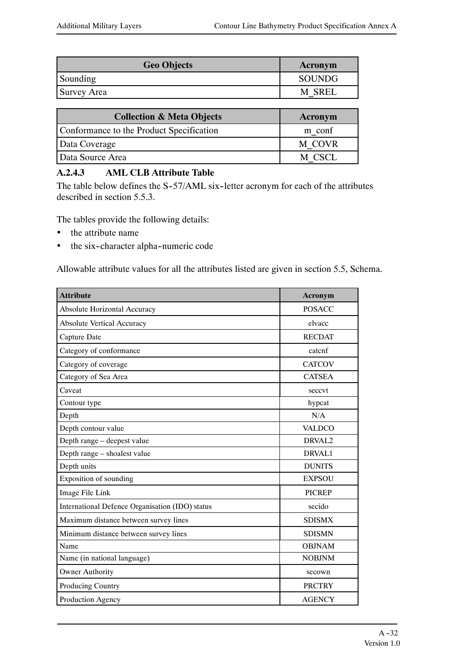| <b>Geo Objects</b> | <b>Acronym</b> |
|--------------------|----------------|
| Sounding           | <b>SOUNDG</b>  |
| Survey Area        | M SREI         |

| <b>Collection &amp; Meta Objects</b>     | <b>Acronym</b> |
|------------------------------------------|----------------|
| Conformance to the Product Specification | m conf         |
| Data Coverage                            | M COVR         |
| Data Source Area                         | M CSCL         |

#### **A.2.4.3 AML CLB Attribute Table**

The table below defines the S-57/AML six-letter acronym for each of the attributes described in section 5.5.3.

The tables provide the following details:

- the attribute name
- the six-character alpha-numeric code

Allowable attribute values for all the attributes listed are given in section 5.5, Schema.

| <b>Attribute</b>                                | <b>Acronym</b> |
|-------------------------------------------------|----------------|
| Absolute Horizontal Accuracy                    | <b>POSACC</b>  |
| <b>Absolute Vertical Accuracy</b>               | elvacc         |
| Capture Date                                    | <b>RECDAT</b>  |
| Category of conformance                         | catcnf         |
| Category of coverage                            | <b>CATCOV</b>  |
| Category of Sea Area                            | <b>CATSEA</b>  |
| Caveat                                          | seccvt         |
| Contour type                                    | hypcat         |
| Depth                                           | N/A            |
| Depth contour value                             | <b>VALDCO</b>  |
| Depth range - deepest value                     | DRVAL2         |
| Depth range - shoalest value                    | DRVAL1         |
| Depth units                                     | <b>DUNITS</b>  |
| <b>Exposition of sounding</b>                   | <b>EXPSOU</b>  |
| Image File Link                                 | <b>PICREP</b>  |
| International Defence Organisation (IDO) status | secido         |
| Maximum distance between survey lines           | <b>SDISMX</b>  |
| Minimum distance between survey lines           | <b>SDISMN</b>  |
| Name                                            | <b>OBJNAM</b>  |
| Name (in national language)                     | <b>NOBJNM</b>  |
| <b>Owner Authority</b>                          | secown         |
| Producing Country                               | <b>PRCTRY</b>  |
| Production Agency                               | <b>AGENCY</b>  |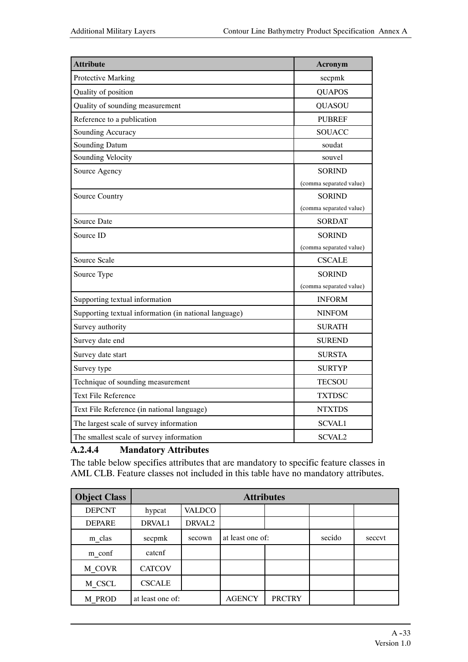| <b>Attribute</b>                                      | <b>Acronym</b>          |
|-------------------------------------------------------|-------------------------|
| <b>Protective Marking</b>                             | secpmk                  |
| Quality of position                                   | <b>QUAPOS</b>           |
| Quality of sounding measurement                       | <b>OUASOU</b>           |
| Reference to a publication                            | <b>PUBREF</b>           |
| Sounding Accuracy                                     | <b>SOUACC</b>           |
| <b>Sounding Datum</b>                                 | soudat                  |
| Sounding Velocity                                     | souvel                  |
| Source Agency                                         | <b>SORIND</b>           |
|                                                       | (comma separated value) |
| Source Country                                        | <b>SORIND</b>           |
|                                                       | (comma separated value) |
| Source Date                                           | <b>SORDAT</b>           |
| Source ID                                             | <b>SORIND</b>           |
|                                                       | (comma separated value) |
| Source Scale                                          | <b>CSCALE</b>           |
| Source Type                                           | <b>SORIND</b>           |
|                                                       | (comma separated value) |
| Supporting textual information                        | <b>INFORM</b>           |
| Supporting textual information (in national language) | <b>NINFOM</b>           |
| Survey authority                                      | <b>SURATH</b>           |
| Survey date end                                       | <b>SUREND</b>           |
| Survey date start                                     | <b>SURSTA</b>           |
| Survey type                                           | <b>SURTYP</b>           |
| Technique of sounding measurement                     | <b>TECSOU</b>           |
| Text File Reference                                   | <b>TXTDSC</b>           |
| Text File Reference (in national language)            | <b>NTXTDS</b>           |
| The largest scale of survey information               | <b>SCVAL1</b>           |
| The smallest scale of survey information              | <b>SCVAL2</b>           |

#### **A.2.4.4 Mandatory Attributes**

The table below specifies attributes that are mandatory to specific feature classes in AML CLB. Feature classes not included in this table have no mandatory attributes.

| <b>Object Class</b> |                  |                    | <b>Attributes</b> |               |        |        |
|---------------------|------------------|--------------------|-------------------|---------------|--------|--------|
| <b>DEPCNT</b>       | hypcat           | <b>VALDCO</b>      |                   |               |        |        |
| <b>DEPARE</b>       | DRVAL1           | DRVAL <sub>2</sub> |                   |               |        |        |
| $m$ <sub>clas</sub> | secpmk           | secown             | at least one of:  |               | secido | seccvt |
| m conf              | catcnf           |                    |                   |               |        |        |
| M COVR              | <b>CATCOV</b>    |                    |                   |               |        |        |
| M CSCL              | <b>CSCALE</b>    |                    |                   |               |        |        |
| M PROD              | at least one of: |                    | <b>AGENCY</b>     | <b>PRCTRY</b> |        |        |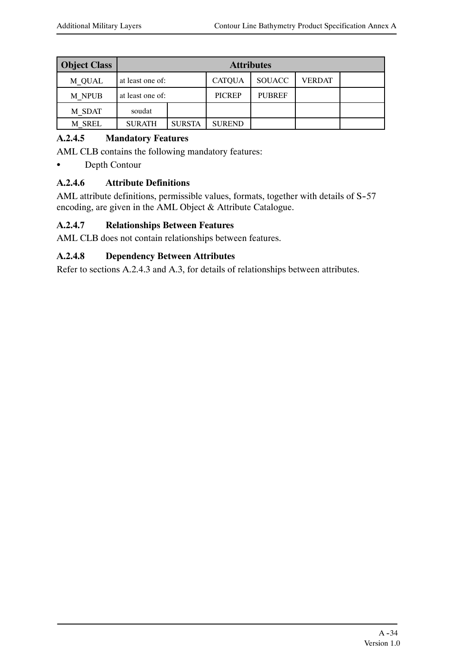| <b>Object Class</b> |                  |               |               | <b>Attributes</b> |               |  |
|---------------------|------------------|---------------|---------------|-------------------|---------------|--|
| M QUAL              | at least one of: |               | <b>CATQUA</b> | <b>SOUACC</b>     | <b>VERDAT</b> |  |
| M NPUB              | at least one of: |               | <b>PICREP</b> | <b>PUBREF</b>     |               |  |
| M SDAT              | soudat           |               |               |                   |               |  |
| M SREL              | <b>SURATH</b>    | <b>SURSTA</b> | <b>SUREND</b> |                   |               |  |

## **A.2.4.5 Mandatory Features**

AML CLB contains the following mandatory features:

• Depth Contour

#### **A.2.4.6 Attribute Definitions**

AML attribute definitions, permissible values, formats, together with details of S-57 encoding, are given in the AML Object & Attribute Catalogue.

#### **A.2.4.7 Relationships Between Features**

AML CLB does not contain relationships between features.

#### **A.2.4.8 Dependency Between Attributes**

Refer to sections A.2.4.3 and A.3, for details of relationships between attributes.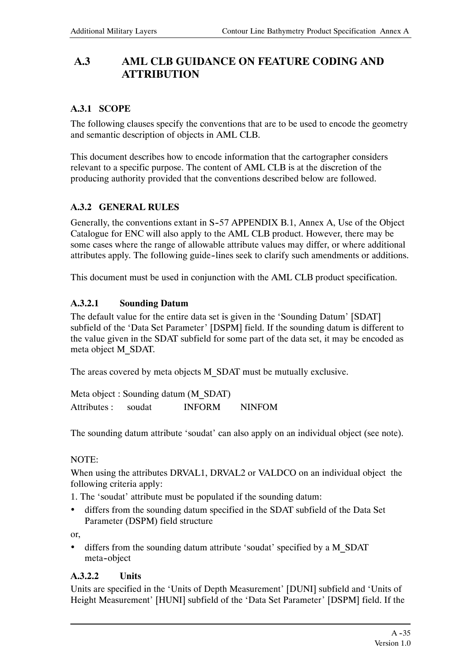# **A.3 AML CLB GUIDANCE ON FEATURE CODING AND ATTRIBUTION**

## **A.3.1 SCOPE**

The following clauses specify the conventions that are to be used to encode the geometry and semantic description of objects in AML CLB.

This document describes how to encode information that the cartographer considers relevant to a specific purpose. The content of AML CLB is at the discretion of the producing authority provided that the conventions described below are followed.

#### **A.3.2 GENERAL RULES**

Generally, the conventions extant in S-57 APPENDIX B.1, Annex A, Use of the Object Catalogue for ENC will also apply to the AML CLB product. However, there may be some cases where the range of allowable attribute values may differ, or where additional attributes apply. The following guide-lines seek to clarify such amendments or additions.

This document must be used in conjunction with the AML CLB product specification.

## **A.3.2.1 Sounding Datum**

The default value for the entire data set is given in the 'Sounding Datum' [SDAT] subfield of the 'Data Set Parameter' [DSPM] field. If the sounding datum is different to the value given in the SDAT subfield for some part of the data set, it may be encoded as meta object M\_SDAT.

The areas covered by meta objects M\_SDAT must be mutually exclusive.

Meta object : Sounding datum (M\_SDAT) Attributes : soudat INFORM NINFOM

The sounding datum attribute 'soudat' can also apply on an individual object (see note).

#### NOTE:

When using the attributes DRVAL1, DRVAL2 or VALDCO on an individual object the following criteria apply:

1. The 'soudat' attribute must be populated if the sounding datum:

differs from the sounding datum specified in the SDAT subfield of the Data Set Parameter (DSPM) field structure

or,

differs from the sounding datum attribute 'soudat' specified by a M\_SDAT meta- object

#### **A.3.2.2 Units**

Units are specified in the 'Units of Depth Measurement' [DUNI] subfield and 'Units of Height Measurement' [HUNI] subfield of the 'Data Set Parameter' [DSPM] field. If the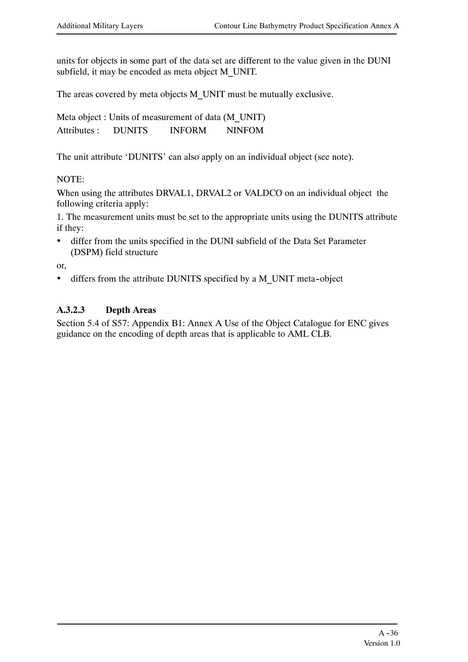units for objects in some part of the data set are different to the value given in the DUNI subfield, it may be encoded as meta object M\_UNIT.

The areas covered by meta objects M\_UNIT must be mutually exclusive.

Meta object : Units of measurement of data (M\_UNIT) Attributes : DUNITS INFORM NINFOM

The unit attribute 'DUNITS' can also apply on an individual object (see note).

#### NOTE:

When using the attributes DRVAL1, DRVAL2 or VALDCO on an individual object the following criteria apply:

1. The measurement units must be set to the appropriate units using the DUNITS attribute if they:

· differ from the units specified in the DUNI subfield of the Data Set Parameter (DSPM) field structure

or,

• differs from the attribute DUNITS specified by a M\_UNIT meta-object

## **A.3.2.3 Depth Areas**

Section 5.4 of S57: Appendix B1: Annex A Use of the Object Catalogue for ENC gives guidance on the encoding of depth areas that is applicable to AML CLB.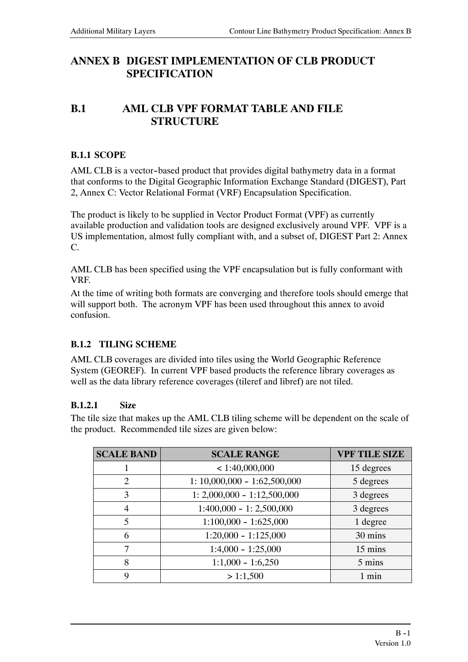# **ANNEX B DIGEST IMPLEMENTATION OF CLB PRODUCT SPECIFICATION**

# **B.1 AML CLB VPF FORMAT TABLE AND FILE STRUCTURE**

### **B.1.1 SCOPE**

AML CLB is a vector- based product that provides digital bathymetry data in a format that conforms to the Digital Geographic Information Exchange Standard (DIGEST), Part 2, Annex C: Vector Relational Format (VRF) Encapsulation Specification.

The product is likely to be supplied in Vector Product Format (VPF) as currently available production and validation tools are designed exclusively around VPF. VPF is a US implementation, almost fully compliant with, and a subset of, DIGEST Part 2: Annex C.

AML CLB has been specified using the VPF encapsulation but is fully conformant with VRF.

At the time of writing both formats are converging and therefore tools should emerge that will support both. The acronym VPF has been used throughout this annex to avoid confusion.

# **B.1.2 TILING SCHEME**

AML CLB coverages are divided into tiles using the World Geographic Reference System (GEOREF). In current VPF based products the reference library coverages as well as the data library reference coverages (tileref and libref) are not tiled.

# **B.1.2.1 Size**

The tile size that makes up the AML CLB tiling scheme will be dependent on the scale of the product. Recommended tile sizes are given below:

| <b>SCALE BAND</b> | <b>SCALE RANGE</b>             | <b>VPF TILE SIZE</b> |
|-------------------|--------------------------------|----------------------|
|                   | $<$ 1:40,000,000               | 15 degrees           |
| 2                 | $1: 10,000,000 - 1:62,500,000$ | 5 degrees            |
| 3                 | $1: 2,000,000 - 1:12,500,000$  | 3 degrees            |
| 4                 | $1:400,000 - 1:2,500,000$      | 3 degrees            |
| 5                 | $1:100,000 - 1:625,000$        | 1 degree             |
| 6                 | $1:20,000 - 1:125,000$         | 30 mins              |
| 7                 | $1:4,000 - 1:25,000$           | 15 mins              |
| 8                 | $1:1,000 - 1:6,250$            | 5 mins               |
| 9                 | >1:1,500                       | 1 min                |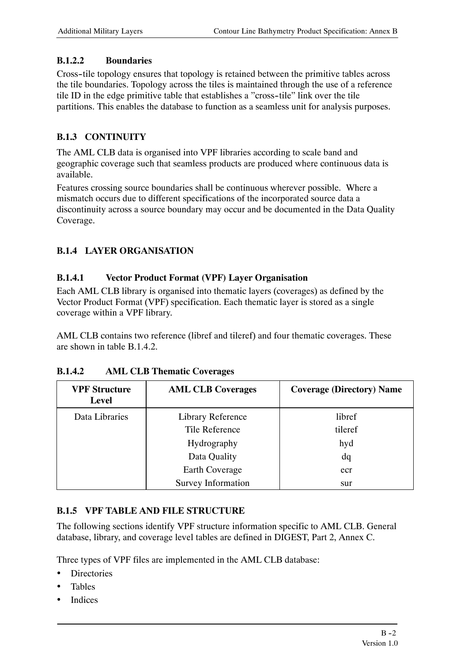## **B.1.2.2 Boundaries**

Cross-tile topology ensures that topology is retained between the primitive tables across the tile boundaries. Topology across the tiles is maintained through the use of a reference tile ID in the edge primitive table that establishes a "cross-tile" link over the tile partitions. This enables the database to function as a seamless unit for analysis purposes.

## **B.1.3 CONTINUITY**

The AML CLB data is organised into VPF libraries according to scale band and geographic coverage such that seamless products are produced where continuous data is available.

Features crossing source boundaries shall be continuous wherever possible. Where a mismatch occurs due to different specifications of the incorporated source data a discontinuity across a source boundary may occur and be documented in the Data Quality Coverage.

# **B.1.4 LAYER ORGANISATION**

#### **B.1.4.1 Vector Product Format (VPF) Layer Organisation**

Each AML CLB library is organised into thematic layers (coverages) as defined by the Vector Product Format (VPF) specification. Each thematic layer is stored as a single coverage within a VPF library.

AML CLB contains two reference (libref and tileref) and four thematic coverages. These are shown in table B.1.4.2.

| <b>B.1.4.2</b><br><b>AML CLB Thematic Coverages</b> |                          |                                  |  |  |  |
|-----------------------------------------------------|--------------------------|----------------------------------|--|--|--|
| <b>VPF Structure</b><br><b>Level</b>                | <b>AML CLB Coverages</b> | <b>Coverage (Directory) Name</b> |  |  |  |
| Data Libraries                                      | Library Reference        | libref                           |  |  |  |
|                                                     | Tile Reference           | tileref                          |  |  |  |
|                                                     | Hydrography              | hyd                              |  |  |  |
|                                                     | Data Quality             | dq                               |  |  |  |
|                                                     | Earth Coverage           | ecr                              |  |  |  |

Survey Information

#### **B.1.4.2 AML CLB Thematic Coverages**

#### **B.1.5 VPF TABLE AND FILE STRUCTURE**

The following sections identify VPF structure information specific to AML CLB. General database, library, and coverage level tables are defined in DIGEST, Part 2, Annex C.

Three types of VPF files are implemented in the AML CLB database:

- **Directories**
- **Tables**
- **Indices**

sur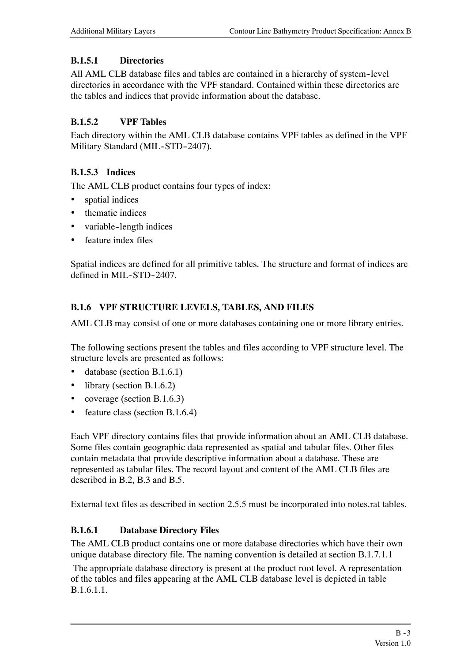## **B.1.5.1 Directories**

All AML CLB database files and tables are contained in a hierarchy of system-level directories in accordance with the VPF standard. Contained within these directories are the tables and indices that provide information about the database.

## **B.1.5.2 VPF Tables**

Each directory within the AML CLB database contains VPF tables as defined in the VPF Military Standard (MIL-STD-2407).

## **B.1.5.3 Indices**

The AML CLB product contains four types of index:

- spatial indices
- thematic indices
- · variable-length indices
- · feature index files

Spatial indices are defined for all primitive tables. The structure and format of indices are defined in MIL-STD-2407.

#### **B.1.6 VPF STRUCTURE LEVELS, TABLES, AND FILES**

AML CLB may consist of one or more databases containing one or more library entries.

The following sections present the tables and files according to VPF structure level. The structure levels are presented as follows:

- database (section B.1.6.1)
- library (section B.1.6.2)
- coverage (section B.1.6.3)
- feature class (section B.1.6.4)

Each VPF directory contains files that provide information about an AML CLB database. Some files contain geographic data represented as spatial and tabular files. Other files contain metadata that provide descriptive information about a database. These are represented as tabular files. The record layout and content of the AML CLB files are described in B.2, B.3 and B.5.

External text files as described in section 2.5.5 must be incorporated into notes.rat tables.

#### **B.1.6.1 Database Directory Files**

The AML CLB product contains one or more database directories which have their own unique database directory file. The naming convention is detailed at section B.1.7.1.1

The appropriate database directory is present at the product root level. A representation of the tables and files appearing at the AML CLB database level is depicted in table B.1.6.1.1.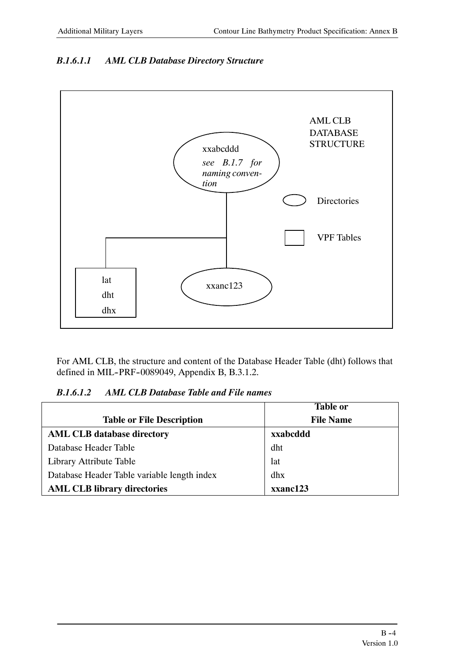## *B.1.6.1.1 AML CLB Database Directory Structure*



For AML CLB, the structure and content of the Database Header Table (dht) follows that defined in MIL- PRF- 0089049, Appendix B, B.3.1.2.

*B.1.6.1.2 AML CLB Database Table and File names*

|                                             | <b>Table or</b>  |
|---------------------------------------------|------------------|
| <b>Table or File Description</b>            | <b>File Name</b> |
| <b>AML CLB database directory</b>           | xxabcddd         |
| Database Header Table                       | dht              |
| Library Attribute Table                     | lat              |
| Database Header Table variable length index | $d$ hx           |
| <b>AML CLB library directories</b>          | xxanc123         |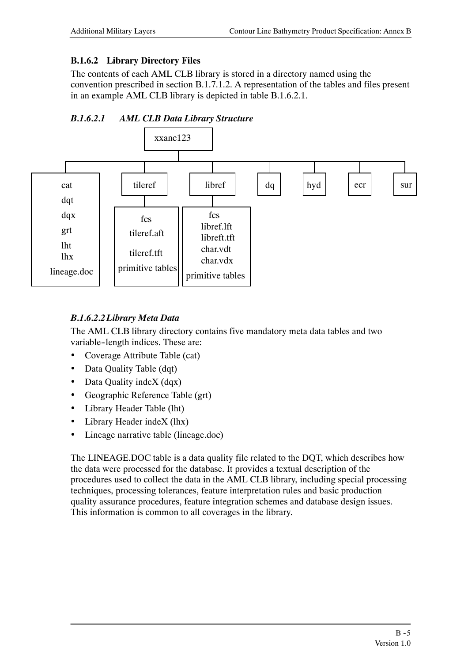# **B.1.6.2 Library Directory Files**

The contents of each AML CLB library is stored in a directory named using the convention prescribed in section B.1.7.1.2. A representation of the tables and files present in an example AML CLB library is depicted in table B.1.6.2.1.





# *B.1.6.2.2Library Meta Data*

The AML CLB library directory contains five mandatory meta data tables and two variable-length indices. These are:

- · Coverage Attribute Table (cat)
- Data Quality Table (dqt)
- Data Quality indeX (dqx)
- · Geographic Reference Table (grt)
- · Library Header Table (lht)
- Library Header indeX (lhx)
- · Lineage narrative table (lineage.doc)

The LINEAGE.DOC table is a data quality file related to the DQT, which describes how the data were processed for the database. It provides a textual description of the procedures used to collect the data in the AML CLB library, including special processing techniques, processing tolerances, feature interpretation rules and basic production quality assurance procedures, feature integration schemes and database design issues. This information is common to all coverages in the library.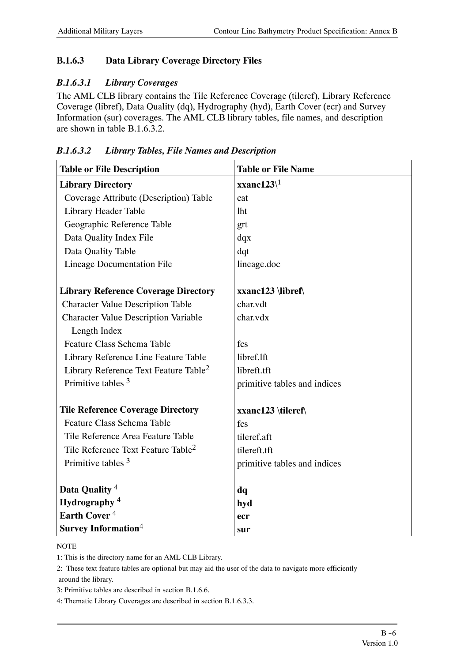# **B.1.6.3 Data Library Coverage Directory Files**

# *B.1.6.3.1 Library Coverages*

The AML CLB library contains the Tile Reference Coverage (tileref), Library Reference Coverage (libref), Data Quality (dq), Hydrography (hyd), Earth Cover (ecr) and Survey Information (sur) coverages. The AML CLB library tables, file names, and description are shown in table B.1.6.3.2.

| <b>Table or File Description</b>                  | <b>Table or File Name</b>          |
|---------------------------------------------------|------------------------------------|
| <b>Library Directory</b>                          | xxanc123 $\backslash$ <sup>1</sup> |
| Coverage Attribute (Description) Table            | cat                                |
| Library Header Table                              | <b>lht</b>                         |
| Geographic Reference Table                        | grt                                |
| Data Quality Index File                           | $\frac{dq}{dx}$                    |
| Data Quality Table                                | dqt                                |
| <b>Lineage Documentation File</b>                 | lineage.doc                        |
| <b>Library Reference Coverage Directory</b>       | xxanc123 \libref\                  |
| <b>Character Value Description Table</b>          | char.vdt                           |
| <b>Character Value Description Variable</b>       | char.vdx                           |
| Length Index                                      |                                    |
| Feature Class Schema Table                        | fcs                                |
| Library Reference Line Feature Table              | libref.lft                         |
| Library Reference Text Feature Table <sup>2</sup> | libreft.tft                        |
| Primitive tables <sup>3</sup>                     | primitive tables and indices       |
| <b>Tile Reference Coverage Directory</b>          | xxanc123 \tileref\                 |
| Feature Class Schema Table                        | fcs                                |
| Tile Reference Area Feature Table                 | tileref.aft                        |
| Tile Reference Text Feature Table <sup>2</sup>    | tilereft.tft                       |
| Primitive tables <sup>3</sup>                     | primitive tables and indices       |
| Data Quality <sup>4</sup>                         | dq                                 |
| Hydrography <sup>4</sup>                          | hyd                                |
| Earth Cover <sup>4</sup>                          | ecr                                |
| <b>Survey Information</b> <sup>4</sup>            | sur                                |

| <b>B.1.6.3.2</b> Library Tables, File Names and Description |  |  |  |  |
|-------------------------------------------------------------|--|--|--|--|
|                                                             |  |  |  |  |

#### **NOTE**

1: This is the directory name for an AML CLB Library.

2: These text feature tables are optional but may aid the user of the data to navigate more efficiently

around the library.

3: Primitive tables are described in section B.1.6.6.

4: Thematic Library Coverages are described in section B.1.6.3.3.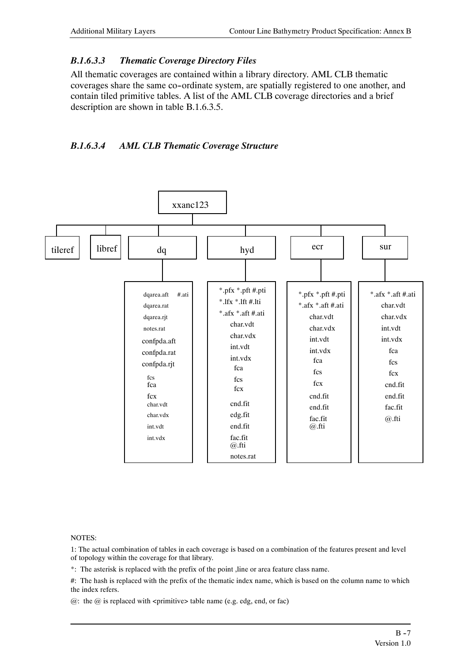## *B.1.6.3.3 Thematic Coverage Directory Files*

All thematic coverages are contained within a library directory. AML CLB thematic coverages share the same co- ordinate system, are spatially registered to one another, and contain tiled primitive tables. A list of the AML CLB coverage directories and a brief description are shown in table B.1.6.3.5.

# *B.1.6.3.4 AML CLB Thematic Coverage Structure*



NOTES:

1: The actual combination of tables in each coverage is based on a combination of the features present and level of topology within the coverage for that library.

\*: The asterisk is replaced with the prefix of the point ,line or area feature class name.

#: The hash is replaced with the prefix of the thematic index name, which is based on the column name to which the index refers.

 $\omega$ : the  $\omega$  is replaced with <primitive> table name (e.g. edg, end, or fac)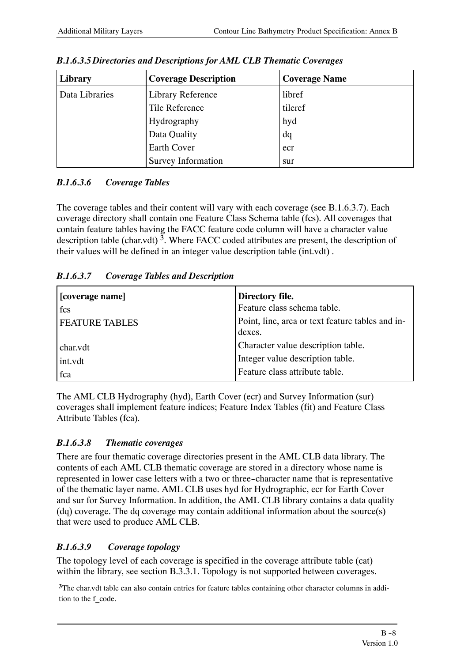| Library        | <b>Coverage Description</b> | <b>Coverage Name</b> |
|----------------|-----------------------------|----------------------|
| Data Libraries | Library Reference           | libref               |
|                | Tile Reference              | tileref              |
|                | Hydrography                 | hyd                  |
|                | Data Quality                | dq                   |
|                | <b>Earth Cover</b>          | ecr                  |
|                | <b>Survey Information</b>   | sur                  |

*B.1.6.3.5Directories and Descriptions for AML CLB Thematic Coverages*

# *B.1.6.3.6 Coverage Tables*

The coverage tables and their content will vary with each coverage (see B.1.6.3.7). Each coverage directory shall contain one Feature Class Schema table (fcs). All coverages that contain feature tables having the FACC feature code column will have a character value description table (char.vdt)<sup>3</sup>. Where FACC coded attributes are present, the description of their values will be defined in an integer value description table (int.vdt) .

*B.1.6.3.7 Coverage Tables and Description*

| [coverage name]       | Directory file.                                            |
|-----------------------|------------------------------------------------------------|
| fcs                   | Feature class schema table.                                |
| <b>FEATURE TABLES</b> | Point, line, area or text feature tables and in-<br>dexes. |
| char.vdt              | Character value description table.                         |
| int.vdt               | Integer value description table.                           |
| fca                   | Feature class attribute table.                             |

The AML CLB Hydrography (hyd), Earth Cover (ecr) and Survey Information (sur) coverages shall implement feature indices; Feature Index Tables (fit) and Feature Class Attribute Tables (fca).

# *B.1.6.3.8 Thematic coverages*

There are four thematic coverage directories present in the AML CLB data library. The contents of each AML CLB thematic coverage are stored in a directory whose name is represented in lower case letters with a two or three- character name that is representative of the thematic layer name. AML CLB uses hyd for Hydrographic, ecr for Earth Cover and sur for Survey Information. In addition, the AML CLB library contains a data quality (dq) coverage. The dq coverage may contain additional information about the source(s) that were used to produce AML CLB.

# *B.1.6.3.9 Coverage topology*

The topology level of each coverage is specified in the coverage attribute table (cat) within the library, see section B.3.3.1. Topology is not supported between coverages.

<sup>3</sup>The char.vdt table can also contain entries for feature tables containing other character columns in addition to the f\_code.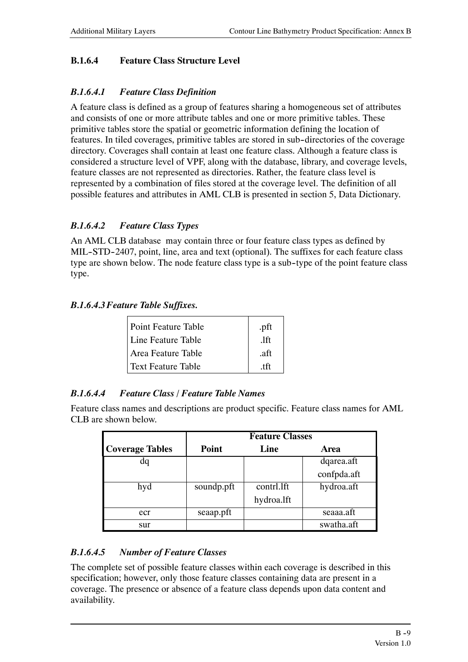# **B.1.6.4 Feature Class Structure Level**

# *B.1.6.4.1 Feature Class Definition*

A feature class is defined as a group of features sharing a homogeneous set of attributes and consists of one or more attribute tables and one or more primitive tables. These primitive tables store the spatial or geometric information defining the location of features. In tiled coverages, primitive tables are stored in sub- directories of the coverage directory. Coverages shall contain at least one feature class. Although a feature class is considered a structure level of VPF, along with the database, library, and coverage levels, feature classes are not represented as directories. Rather, the feature class level is represented by a combination of files stored at the coverage level. The definition of all possible features and attributes in AML CLB is presented in section 5, Data Dictionary.

## *B.1.6.4.2 Feature Class Types*

An AML CLB database may contain three or four feature class types as defined by MIL- STD- 2407, point, line, area and text (optional). The suffixes for each feature class type are shown below. The node feature class type is a sub-type of the point feature class type.

## *B.1.6.4.3Feature Table Suffixes.*

| l Point Feature Table     | .pft |
|---------------------------|------|
| l Line Feature Table      | .1ft |
| Area Feature Table        | .aft |
| <b>Text Feature Table</b> |      |

#### *B.1.6.4.4 Feature Class / Feature Table Names*

Feature class names and descriptions are product specific. Feature class names for AML CLB are shown below.

|                        | <b>Feature Classes</b> |            |             |
|------------------------|------------------------|------------|-------------|
| <b>Coverage Tables</b> | Point                  | Line       | Area        |
| dq                     |                        |            | dqarea.aft  |
|                        |                        |            | confpda.aft |
| hyd                    | soundp.pft             | contrl.lft | hydroa.aft  |
|                        |                        | hydroa.lft |             |
| ecr                    | seaap.pft              |            | seaaa.aft   |
| sur                    |                        |            | swatha.aft  |

#### *B.1.6.4.5 Number of Feature Classes*

The complete set of possible feature classes within each coverage is described in this specification; however, only those feature classes containing data are present in a coverage. The presence or absence of a feature class depends upon data content and availability.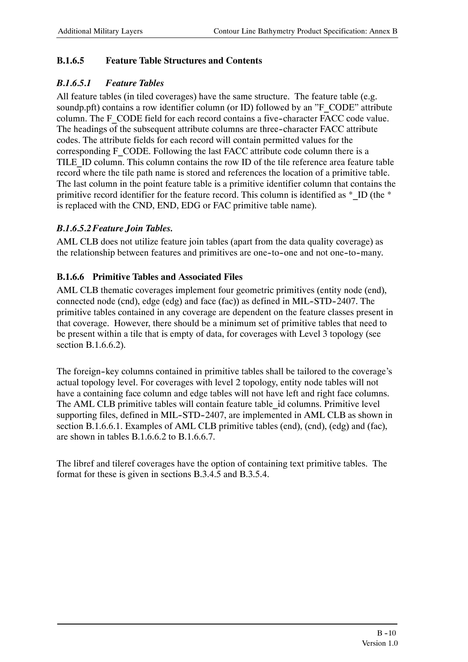#### **B.1.6.5 Feature Table Structures and Contents**

## *B.1.6.5.1 Feature Tables*

All feature tables (in tiled coverages) have the same structure. The feature table (e.g. soundp.pft) contains a row identifier column (or ID) followed by an "F\_CODE" attribute column. The F\_CODE field for each record contains a five-character FACC code value. The headings of the subsequent attribute columns are three- character FACC attribute codes. The attribute fields for each record will contain permitted values for the corresponding F\_CODE. Following the last FACC attribute code column there is a TILE\_ID column. This column contains the row ID of the tile reference area feature table record where the tile path name is stored and references the location of a primitive table. The last column in the point feature table is a primitive identifier column that contains the primitive record identifier for the feature record. This column is identified as \* ID (the \* is replaced with the CND, END, EDG or FAC primitive table name).

## *B.1.6.5.2Feature Join Tables.*

AML CLB does not utilize feature join tables (apart from the data quality coverage) as the relationship between features and primitives are one-to- one and not one-to-many.

#### **B.1.6.6 Primitive Tables and Associated Files**

AML CLB thematic coverages implement four geometric primitives (entity node (end), connected node (cnd), edge (edg) and face (fac)) as defined in MIL- $\overline{STD-2407}$ . The primitive tables contained in any coverage are dependent on the feature classes present in that coverage. However, there should be a minimum set of primitive tables that need to be present within a tile that is empty of data, for coverages with Level 3 topology (see section B.1.6.6.2).

The foreign- key columns contained in primitive tables shall be tailored to the coverage's actual topology level. For coverages with level 2 topology, entity node tables will not have a containing face column and edge tables will not have left and right face columns. The AML CLB primitive tables will contain feature table id columns. Primitive level supporting files, defined in MIL-STD-2407, are implemented in AML CLB as shown in section B.1.6.6.1. Examples of AML CLB primitive tables (end), (cnd), (edg) and (fac), are shown in tables B.1.6.6.2 to B.1.6.6.7.

The libref and tileref coverages have the option of containing text primitive tables. The format for these is given in sections B.3.4.5 and B.3.5.4.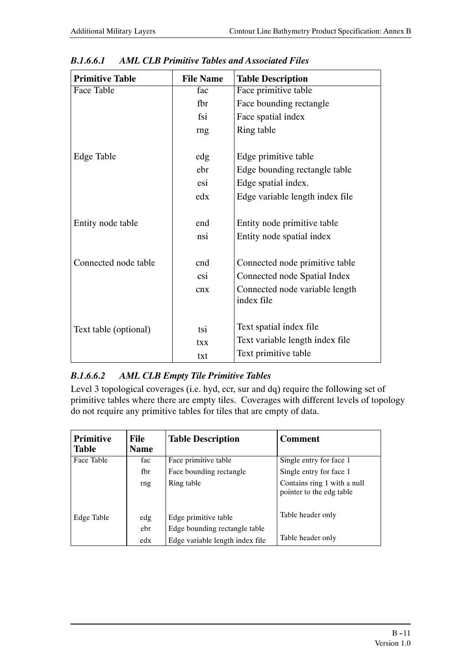| <b>Primitive Table</b> | <b>File Name</b> | <b>Table Description</b>        |
|------------------------|------------------|---------------------------------|
| <b>Face Table</b>      | fac              | Face primitive table            |
|                        | fbr              | Face bounding rectangle         |
|                        | fsi              | Face spatial index              |
|                        | rng              | Ring table                      |
|                        |                  |                                 |
| <b>Edge Table</b>      | edg              | Edge primitive table            |
|                        | ebr              | Edge bounding rectangle table   |
|                        | esi              | Edge spatial index.             |
|                        | edx              | Edge variable length index file |
|                        |                  |                                 |
| Entity node table      | end              | Entity node primitive table     |
|                        | nsi              | Entity node spatial index       |
|                        |                  |                                 |
| Connected node table   | cnd              | Connected node primitive table  |
|                        | csi              | Connected node Spatial Index    |
|                        | cnx              | Connected node variable length  |
|                        |                  | index file                      |
|                        |                  |                                 |
| Text table (optional)  | tsi              | Text spatial index file         |
|                        | <b>txx</b>       | Text variable length index file |
|                        | txt              | Text primitive table            |

*B.1.6.6.1 AML CLB Primitive Tables and Associated Files*

# *B.1.6.6.2 AML CLB Empty Tile Primitive Tables*

Level 3 topological coverages (i.e. hyd, ecr, sur and dq) require the following set of primitive tables where there are empty tiles. Coverages with different levels of topology do not require any primitive tables for tiles that are empty of data.

| <b>Primitive</b><br><b>Table</b> | <b>File</b><br>Name | <b>Table Description</b>        | Comment                                                 |
|----------------------------------|---------------------|---------------------------------|---------------------------------------------------------|
| Face Table                       | fac                 | Face primitive table            | Single entry for face $1$                               |
|                                  | fbr                 | Face bounding rectangle         | Single entry for face 1                                 |
|                                  | rng                 | Ring table                      | Contains ring 1 with a null<br>pointer to the edg table |
| Edge Table                       | edg                 | Edge primitive table            | Table header only                                       |
|                                  | ebr                 | Edge bounding rectangle table   |                                                         |
|                                  | edx                 | Edge variable length index file | Table header only                                       |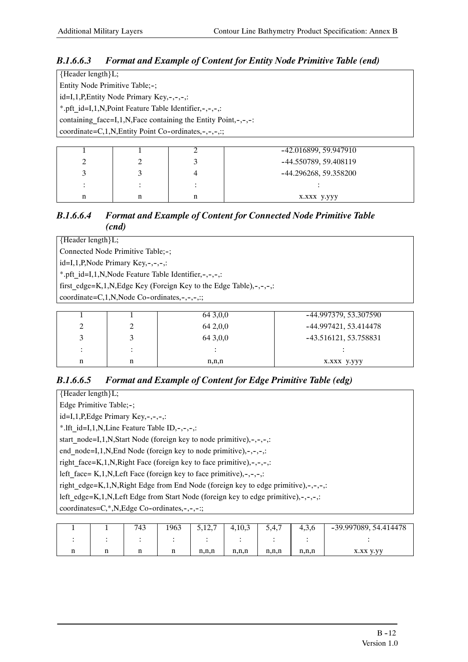#### *B.1.6.6.3 Format and Example of Content for Entity Node Primitive Table (end)*

| {Header length}L;                                                          |
|----------------------------------------------------------------------------|
| Entity Node Primitive Table;-;                                             |
| $id=I,1,P,Entity Node Primary Key, -, -, -$                                |
| <sup>*</sup> .pft id=I,1,N,Point Feature Table Identifier,-,-,-,:          |
| containing face=I,1,N, Face containing the Entity Point, $-$ , $-$ , $-$ : |
| coordinate=C,1,N,Entity Point Co-ordinates,-,-,-,:;                        |

|         |                                       | -42.016899, 59.947910 |
|---------|---------------------------------------|-----------------------|
|         |                                       | -44.550789, 59.408119 |
|         |                                       | -44.296268, 59.358200 |
| $\cdot$ | $\bullet$<br>$\overline{\phantom{a}}$ |                       |
|         |                                       | X.XXX V.VVV           |

## *B.1.6.6.4 Format and Example of Content for Connected Node Primitive Table (cnd)*

| ${Header length}L;$                                                           |  |
|-------------------------------------------------------------------------------|--|
| Connected Node Primitive Table;-;                                             |  |
| $id=I,1,P,Node Primary Key, -, -, -$                                          |  |
| *.pft id=I,1,N, Node Feature Table Identifier,-,-,-,:                         |  |
| first edge=K,1,N,Edge Key (Foreign Key to the Edge Table), $-$ , $-$ , $-$ ,: |  |
| coordinate= $C$ ,1,N,Node $Co$ -ordinates,-,-,-,:;                            |  |
|                                                                               |  |

|                                       |         | 64 3,0,0  | -44.997379, 53.307590 |
|---------------------------------------|---------|-----------|-----------------------|
|                                       |         | 64 2,0,0  | -44.997421, 53.414478 |
|                                       |         | 64 3,0,0  | -43.516121, 53.758831 |
| $\bullet$<br>$\overline{\phantom{a}}$ | $\cdot$ | $\bullet$ |                       |
|                                       | n       | n,n,n     | X.XXX V.YVV           |

# *B.1.6.6.5 Format and Example of Content for Edge Primitive Table (edg)*

| {Header length} $L$ ;                                                             |                         |                                      |      |        |        |       |       |                       |  |  |
|-----------------------------------------------------------------------------------|-------------------------|--------------------------------------|------|--------|--------|-------|-------|-----------------------|--|--|
|                                                                                   | Edge Primitive Table;-; |                                      |      |        |        |       |       |                       |  |  |
|                                                                                   |                         | $id=I,1,P,Edge Primary Key, -, -, -$ |      |        |        |       |       |                       |  |  |
| *.1ft id=I,1,N,Line Feature Table ID,-,-,-,:                                      |                         |                                      |      |        |        |       |       |                       |  |  |
| start node=I,1,N,Start Node (foreign key to node primitive),-,-,-,:               |                         |                                      |      |        |        |       |       |                       |  |  |
| end node=I,1,N,End Node (foreign key to node primitive),-,-,-,:                   |                         |                                      |      |        |        |       |       |                       |  |  |
| right face=K,1,N,Right Face (foreign key to face primitive), $-$ , $-$ , $-$ ,:   |                         |                                      |      |        |        |       |       |                       |  |  |
| left face= K,1,N,Left Face (foreign key to face primitive), $-$ , $-$ , $-$ ,:    |                         |                                      |      |        |        |       |       |                       |  |  |
| right edge=K,1,N,Right Edge from End Node (foreign key to edge primitive),-,-,-,: |                         |                                      |      |        |        |       |       |                       |  |  |
| left edge=K,1,N,Left Edge from Start Node (foreign key to edge primitive),-,-,-,: |                         |                                      |      |        |        |       |       |                       |  |  |
| coordinates=C,*,N,Edge Co-ordinates,-,-,-:;                                       |                         |                                      |      |        |        |       |       |                       |  |  |
|                                                                                   |                         |                                      |      |        |        |       |       |                       |  |  |
|                                                                                   |                         | 743                                  | 1963 | 5.12.7 | 4.10.3 | 5.4.7 | 4,3,6 | -39.997089, 54.414478 |  |  |

|  | 743 | 1963 | <b>س د</b> اء ح<br>$\sim$ . 1 $\sim$ | 4.10.3 | 547<br>$\cup$ . T. I | 4,3,6 | -39.997089, 54.414478 |
|--|-----|------|--------------------------------------|--------|----------------------|-------|-----------------------|
|  |     |      |                                      |        |                      |       |                       |
|  |     |      | n,n,n                                | n,n,n  | n,n,n                | n,n,n | X.XX V.VV             |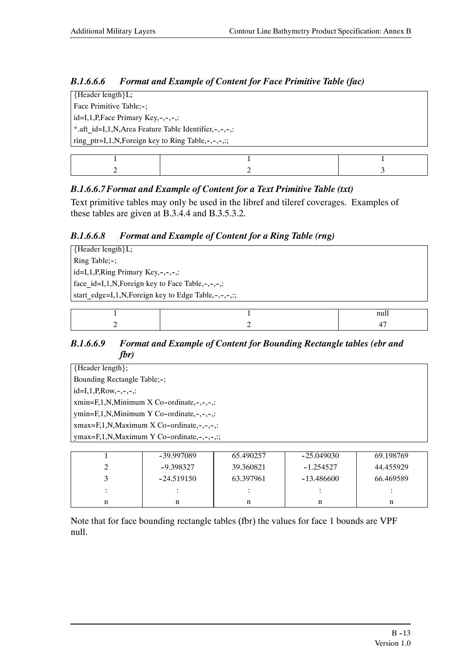### *B.1.6.6.6 Format and Example of Content for Face Primitive Table (fac)*

| $H$ eader length $L$ ;                                           |
|------------------------------------------------------------------|
| Face Primitive Table;-;                                          |
| $id=I,1,P,$ Face Primary Key,-,-,-,:                             |
| <sup>*</sup> .aft id=I,1,N,Area Feature Table Identifier,-,-,-,: |
| ring ptr=I,1,N,Foreign key to Ring Table,-,-,-,:;                |
|                                                                  |

# *B.1.6.6.7Format and Example of Content for a Text Primitive Table (txt)*

Text primitive tables may only be used in the libref and tileref coverages. Examples of these tables are given at B.3.4.4 and B.3.5.3.2.

### *B.1.6.6.8 Format and Example of Content for a Ring Table (rng)*

| ${Header length}L;$                                 |  |      |  |  |  |
|-----------------------------------------------------|--|------|--|--|--|
| $Ring Table; -;$                                    |  |      |  |  |  |
| $id=I,1,P,$ Ring Primary Key,-,-,-,:                |  |      |  |  |  |
| face id=I,1,N,Foreign key to Face Table,-,-,-,:     |  |      |  |  |  |
| start_edge=I,1,N,Foreign key to Edge Table,-,-,-,:; |  |      |  |  |  |
|                                                     |  |      |  |  |  |
|                                                     |  | null |  |  |  |
|                                                     |  | 47   |  |  |  |

### *B.1.6.6.9 Format and Example of Content for Bounding Rectangle tables (ebr and fbr)*

{Header length}; Bounding Rectangle Table;-;  $id = I, 1, P, Row, -, -, -, :$ xmin=F,1,N,Minimum X Co-ordinate,-,-,-,: ymin=F,1,N,Minimum Y Co-ordinate,-,-,-,: xmax=F,1,N,Maximum X Co-ordinate,-,-,-,: ymax=F,1,N,Maximum Y Co-ordinate,-,-,-,:;

| -39.997089   | 65.490257 | $-25.049030$ | 69.198769 |
|--------------|-----------|--------------|-----------|
| $-9.398327$  | 39.360821 | $-1.254527$  | 44.455929 |
| $-24.519150$ | 63.397961 | $-13.486600$ | 66.469589 |
|              |           |              |           |
| n            |           |              |           |

Note that for face bounding rectangle tables (fbr) the values for face 1 bounds are VPF null.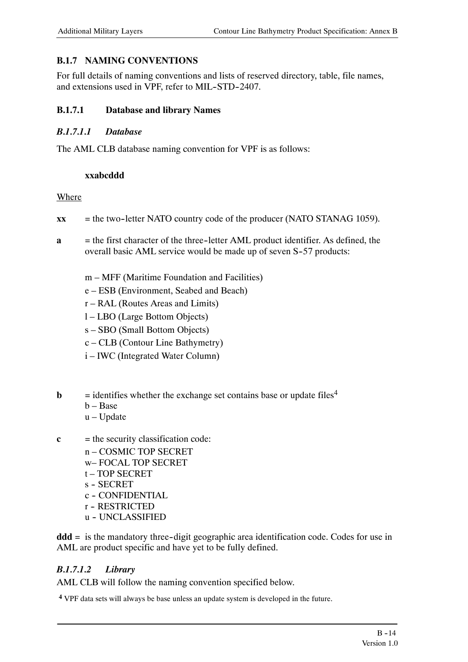### **B.1.7 NAMING CONVENTIONS**

For full details of naming conventions and lists of reserved directory, table, file names, and extensions used in VPF, refer to MIL-STD-2407.

#### **B.1.7.1 Database and library Names**

### *B.1.7.1.1 Database*

The AML CLB database naming convention for VPF is as follows:

#### **xxabcddd**

#### Where

- **xx** = the two-letter NATO country code of the producer (NATO STANAG 1059).
- **a** = the first character of the three-letter AML product identifier. As defined, the overall basic AML service would be made up of seven S-57 products:
	- m MFF (Maritime Foundation and Facilities)
	- e ESB (Environment, Seabed and Beach)
	- r RAL (Routes Areas and Limits)
	- l LBO (Large Bottom Objects)
	- s SBO (Small Bottom Objects)
	- c CLB (Contour Line Bathymetry)
	- i IWC (Integrated Water Column)
- **= identifies whether the exchange set contains base or update files<sup>4</sup>** 
	- b Base
	- u Update
- $c =$  the security classification code:
	- n COSMIC TOP SECRET w– FOCAL TOP SECRET t – TOP SECRET s - SECRET c - CONFIDENTIAL r - RESTRICTED u - UNCLASSIFIED

**ddd** = is the mandatory three-digit geographic area identification code. Codes for use in AML are product specific and have yet to be fully defined.

### *B.1.7.1.2 Library*

AML CLB will follow the naming convention specified below.

**<sup>4</sup>** VPF data sets will always be base unless an update system is developed in the future.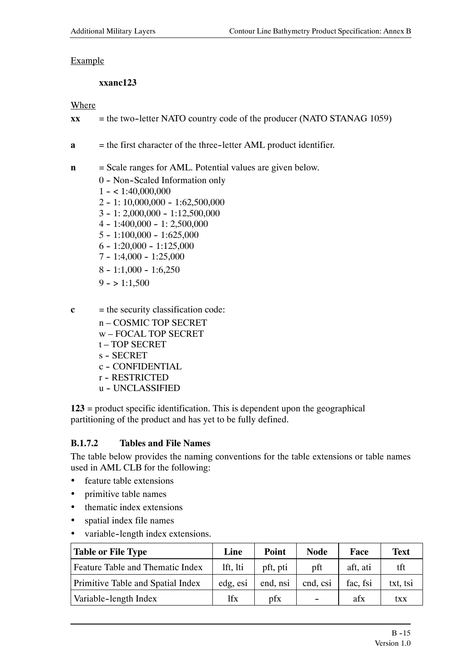Example

### **xxanc123**

#### Where

- $\mathbf{x} \mathbf{x}$  = the two-letter NATO country code of the producer (NATO STANAG 1059)
- **a** = the first character of the three-letter AML product identifier.
- **n** = Scale ranges for AML. Potential values are given below.
	- 0 Non- Scaled Information only
	- $1 1:40,000,000$ 2 - 1: 10,000,000 - 1:62,500,000 3 - 1: 2,000,000 - 1:12,500,000 4 - 1:400,000 - 1: 2,500,000 5 - 1:100,000 - 1:625,000  $6 - 1:20,000 - 1:125,000$ 7 - 1:4,000 - 1:25,000 8 - 1:1,000 - 1:6,250  $9 - 1:1,500$
- $c =$  the security classification code:
	- n COSMIC TOP SECRET
	- w FOCAL TOP SECRET
	- t TOP SECRET
	- s SECRET
	- c CONFIDENTIAL
	- r RESTRICTED
	- u UNCLASSIFIED

**123** = product specific identification. This is dependent upon the geographical partitioning of the product and has yet to be fully defined.

### **B.1.7.2 Tables and File Names**

The table below provides the naming conventions for the table extensions or table names used in AML CLB for the following:

- · feature table extensions
- · primitive table names
- · thematic index extensions
- · spatial index file names
- · variable-length index extensions.

| <b>Table or File Type</b>         | Line     | <b>Point</b> | <b>Node</b>              | Face     | <b>Text</b> |
|-----------------------------------|----------|--------------|--------------------------|----------|-------------|
| Feature Table and Thematic Index  | lft, lti | pft, pti     | pft                      | aft, ati | tft         |
| Primitive Table and Spatial Index | edg, esi | end, nsi     | cnd, csi                 | fac, fsi | txt, tsi    |
| Variable-length Index             | lfx      | pfx          | $\overline{\phantom{a}}$ | afx      | txx         |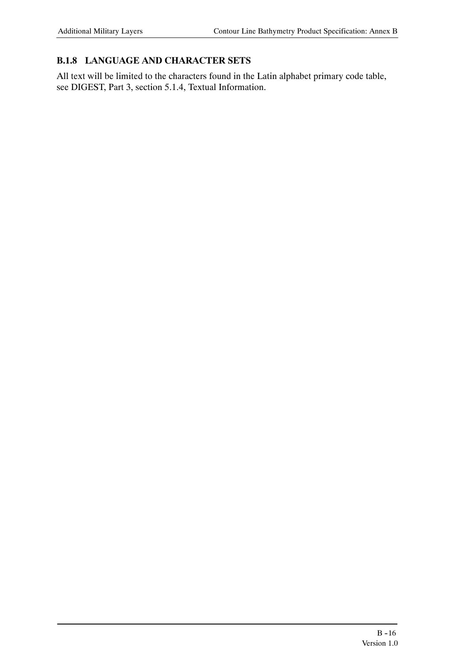# **B.1.8 LANGUAGE AND CHARACTER SETS**

All text will be limited to the characters found in the Latin alphabet primary code table, see DIGEST, Part 3, section 5.1.4, Textual Information.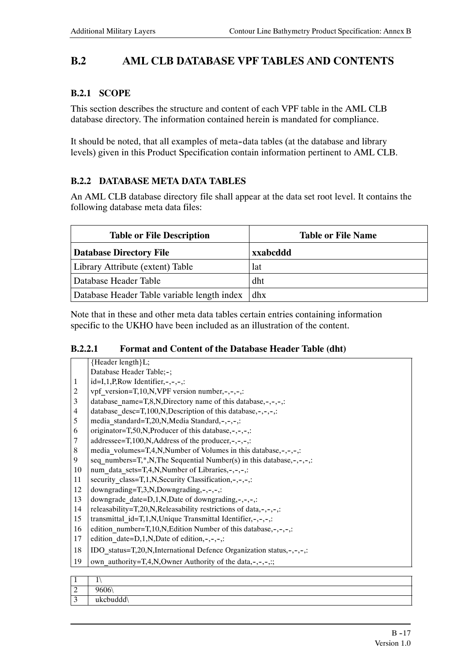# **B.2 AML CLB DATABASE VPF TABLES AND CONTENTS**

### **B.2.1 SCOPE**

This section describes the structure and content of each VPF table in the AML CLB database directory. The information contained herein is mandated for compliance.

It should be noted, that all examples of meta- data tables (at the database and library levels) given in this Product Specification contain information pertinent to AML CLB.

### **B.2.2 DATABASE META DATA TABLES**

An AML CLB database directory file shall appear at the data set root level. It contains the following database meta data files:

| <b>Table or File Description</b>            | <b>Table or File Name</b> |
|---------------------------------------------|---------------------------|
| <b>Database Directory File</b>              | xxabcddd                  |
| Library Attribute (extent) Table            | lat                       |
| Database Header Table                       | dht                       |
| Database Header Table variable length index | dhx                       |

Note that in these and other meta data tables certain entries containing information specific to the UKHO have been included as an illustration of the content.

#### **B.2.2.1 Format and Content of the Database Header Table (dht)**

|                         | {Header length}L;                                                            |
|-------------------------|------------------------------------------------------------------------------|
|                         | Database Header Table;-;                                                     |
| $\mathbf{1}$            | $id=I,1,P,Row Identification, -,-,-,$ :                                      |
| $\overline{\mathbf{c}}$ | vpf version=T,10,N,VPF version number,-,-,-,:                                |
| $\overline{3}$          | database name=T,8,N,Directory name of this database,-,-,-,:                  |
| $\overline{4}$          | database desc=T,100,N,Description of this database,-,-,-,:                   |
| $\sqrt{5}$              | media standard=T,20,N,Media Standard,-,-,-,:                                 |
| 6                       | originator=T,50,N,Producer of this database,-,-,-,:                          |
| $\boldsymbol{7}$        | addressee=T,100,N,Address of the producer,-,-,-,:                            |
| $8\,$                   | media volumes=T,4,N,Number of Volumes in this database, $-$ , $-$ , $-$ ,:   |
| 9                       | seq numbers= $T^*$ , N, The Sequential Number(s) in this database, -, -, -,: |
| 10                      | num data sets=T,4,N,Number of Libraries,-,-,-,:                              |
| 11                      | security class=T,1,N,Security Classification,-,-,-,:                         |
| 12                      | $downgrading=T,3,N,Downgrading,-,-,-,.$                                      |
| 13                      | downgrade_date=D,1,N,Date of downgrading,-,-,-,:                             |
| 14                      | releasability= $T, 20, N$ , Releasability restrictions of data, -, -, -,:    |
| 15                      | transmittal $id=T,1,N,$ Unique Transmittal Identifier,-,-,-,:                |
| 16                      | edition number=T,10,N,Edition Number of this database,-,-,-,:                |
| 17                      | edition date= $D,1,N,D$ ate of edition,-,-,-,:                               |
| 18                      | IDO status=T,20,N,International Defence Organization status,-,-,-,:          |
| 19                      | own authority=T,4,N,Owner Authority of the data,-,-,-,:;                     |

|                          | <b>.</b> |
|--------------------------|----------|
| $\sqrt{2}$<br>∸          | 9606     |
| $\overline{\phantom{a}}$ | ukcbuddd |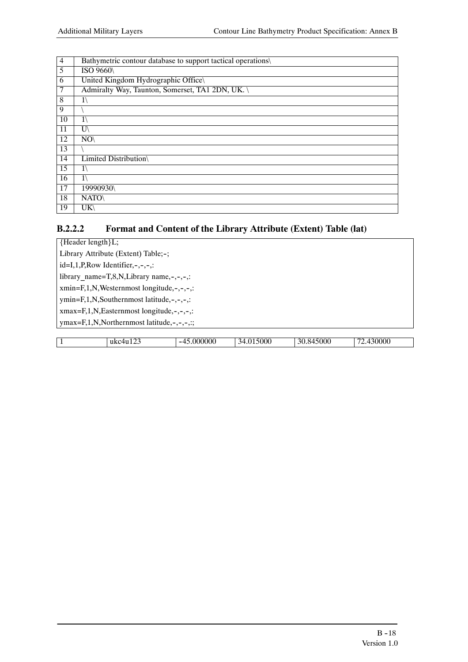| 4  | Bathymetric contour database to support tactical operations\ |
|----|--------------------------------------------------------------|
| 5  | <b>ISO 9660\</b>                                             |
| 6  | United Kingdom Hydrographic Office\                          |
| 7  | Admiralty Way, Taunton, Somerset, TA1 2DN, UK.               |
| 8  | $1\backslash$                                                |
| 9  |                                                              |
| 10 | $1\backslash$                                                |
| 11 | U١                                                           |
| 12 | NO(                                                          |
| 13 |                                                              |
| 14 | Limited Distribution\                                        |
| 15 | $1\backslash$                                                |
| 16 | $1\backslash$                                                |
| 17 | 19990930\                                                    |
| 18 | <b>NATO</b>                                                  |
| 19 | $UK \setminus$                                               |

# **B.2.2.2 Format and Content of the Library Attribute (Extent) Table (lat)**

| $Header length\}L;$                                                                 |  |
|-------------------------------------------------------------------------------------|--|
| Library Attribute (Extent) Table;-;                                                 |  |
| $id=L,1,P,Row$ Identifier, -, -, -,:                                                |  |
| library name=T,8,N,Library name,-,-,-,:                                             |  |
| $\mathbf{xmin} = \mathbf{F}, 1, \mathbf{N}, \mathbf{Westernmost longitude}, -,-,-,$ |  |
| ymin=F,1,N,Southernmost latitude,-,-,-,:                                            |  |
| $\vert$ xmax=F,1,N,Easternmost longitude,-,-,-,:                                    |  |
| ymax=F,1,N,Northernmost latitude,-,-,-,:;                                           |  |
|                                                                                     |  |

| - | $\sim$<br>ukc<br>.<br>. | $\sim$ $\sim$<br>יחר.<br>0000<br>$\prime\prime$<br>$-4$ | 5000<br>∼<br>$\sim$ | റററ<br>71 1<br>∪∪∪<br>30.)<br>$\sim$<br>. | 30000<br>- |
|---|-------------------------|---------------------------------------------------------|---------------------|-------------------------------------------|------------|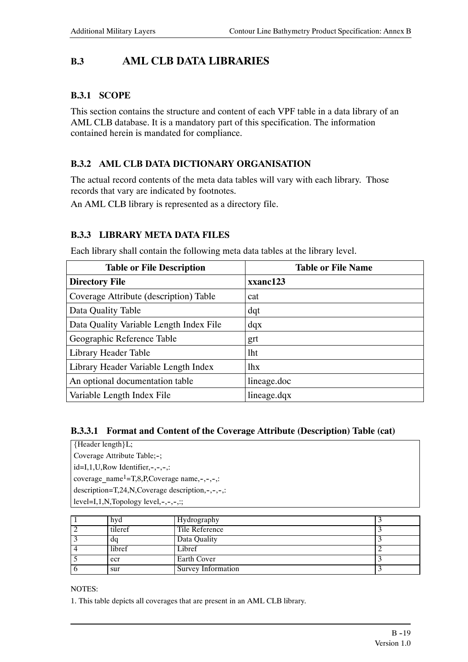# **B.3 AML CLB DATA LIBRARIES**

### **B.3.1 SCOPE**

This section contains the structure and content of each VPF table in a data library of an AML CLB database. It is a mandatory part of this specification. The information contained herein is mandated for compliance.

### **B.3.2 AML CLB DATA DICTIONARY ORGANISATION**

The actual record contents of the meta data tables will vary with each library. Those records that vary are indicated by footnotes.

An AML CLB library is represented as a directory file.

### **B.3.3 LIBRARY META DATA FILES**

Each library shall contain the following meta data tables at the library level.

| <b>Table or File Description</b>        | <b>Table or File Name</b> |
|-----------------------------------------|---------------------------|
| <b>Directory File</b>                   | xxanc123                  |
| Coverage Attribute (description) Table  | cat                       |
| Data Quality Table                      | dqt                       |
| Data Quality Variable Length Index File | $\frac{dq}{dx}$           |
| Geographic Reference Table              | grt                       |
| Library Header Table                    | <b>lht</b>                |
| Library Header Variable Length Index    | lhx                       |
| An optional documentation table         | lineage.doc               |
| Variable Length Index File              | lineage.dqx               |

#### **B.3.3.1 Format and Content of the Coverage Attribute (Description) Table (cat)**

{Header length}L;

Coverage Attribute Table;-;

id=I,1,U,Row Identifier,-,-,-,:

coverage\_name<sup>1</sup>=T,8,P,Coverage name,-,-,-,:

description=T,24,N,Coverage description,-,-,-,:

level=I,1,N,Topology level,-,-,-,:;

| hvd     | Hydrography        |  |
|---------|--------------------|--|
| tileref | Tile Reference     |  |
| da      | Data Quality       |  |
| libref  | Libref             |  |
| ecr     | Earth Cover        |  |
| sur     | Survey Information |  |

NOTES:

1. This table depicts all coverages that are present in an AML CLB library.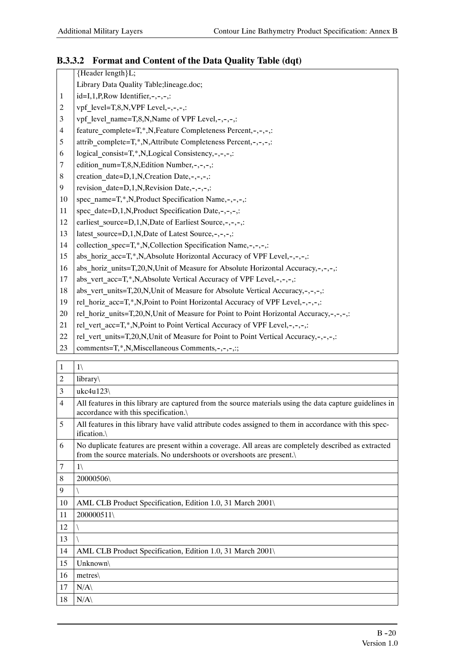# **B.3.3.2 Format and Content of the Data Quality Table (dqt)**

|                | {Header length}L;                                                                                                                                                            |
|----------------|------------------------------------------------------------------------------------------------------------------------------------------------------------------------------|
|                | Library Data Quality Table; lineage.doc;                                                                                                                                     |
| $\mathbf{1}$   | $id=I,1,P,Row$ Identifier, -, -, -,:                                                                                                                                         |
| $\overline{2}$ | vpf level= $T, 8, N, VPF$ Level,-,-,-,:                                                                                                                                      |
| 3              | vpf level name=T,8,N,Name of VPF Level,-,-,-,:                                                                                                                               |
| 4              | feature complete=T,*,N,Feature Completeness Percent,-,-,-,:                                                                                                                  |
| 5              | attrib_complete=T,*,N,Attribute Completeness Percent,-,-,-,:                                                                                                                 |
| 6              | logical consist=T,*,N,Logical Consistency,-,-,-,:                                                                                                                            |
| 7              | edition num=T,8,N,Edition Number,-,-,-,:                                                                                                                                     |
| 8              | creation date= $D,1,N,C$ reation Date,-,-,-,:                                                                                                                                |
| 9              | revision date=D,1,N,Revision Date,-,-,-,:                                                                                                                                    |
| 10             | spec name=T,*,N,Product Specification Name,-,-,-,:                                                                                                                           |
| 11             | spec_date=D,1,N,Product Specification Date,-,-,-,:                                                                                                                           |
| 12             | earliest source=D,1,N,Date of Earliest Source,-,-,-,:                                                                                                                        |
| 13             | latest source=D,1,N,Date of Latest Source,-,-,-,:                                                                                                                            |
| 14             | collection_spec=T,*,N,Collection Specification Name,-,-,-,:                                                                                                                  |
| 15             | abs horiz acc=T,*,N,Absolute Horizontal Accuracy of VPF Level,-,-,-,:                                                                                                        |
| 16             | abs_horiz_units=T,20,N,Unit of Measure for Absolute Horizontal Accuracy,-,-,-,:                                                                                              |
| 17             | abs vert acc=T,*,N,Absolute Vertical Accuracy of VPF Level,-,-,-,:                                                                                                           |
| 18             | abs vert units=T,20,N,Unit of Measure for Absolute Vertical Accuracy,-,-,-,:                                                                                                 |
| 19             | rel_horiz_acc=T,*,N,Point to Point Horizontal Accuracy of VPF Level,-,-,-,:                                                                                                  |
| 20             | rel_horiz_units=T,20,N,Unit of Measure for Point to Point Horizontal Accuracy,-,-,-,:                                                                                        |
| 21             | rel vert acc=T,*,N,Point to Point Vertical Accuracy of VPF Level,-,-,-,:                                                                                                     |
| 22             | rel vert units=T,20,N,Unit of Measure for Point to Point Vertical Accuracy,-,-,-,:                                                                                           |
| 23             | comments=T,*,N,Miscellaneous Comments,-,-,-,:;                                                                                                                               |
|                |                                                                                                                                                                              |
| $\mathbf{1}$   | $1\backslash$                                                                                                                                                                |
| $\overline{c}$ | library\                                                                                                                                                                     |
| 3              | ukc4u123                                                                                                                                                                     |
| $\overline{4}$ | All features in this library are captured from the source materials using the data capture guidelines in<br>accordance with this specification.\                             |
| 5              | All features in this library have valid attribute codes assigned to them in accordance with this spec-<br>ification.\                                                        |
| 6              | No duplicate features are present within a coverage. All areas are completely described as extracted<br>from the source materials. No undershoots or overshoots are present. |
| 7              | $1\setminus$                                                                                                                                                                 |
| $\mathbf{Q}$   | 20000506                                                                                                                                                                     |

| $\circ$ | <b>ZUUUUJUU</b>                                            |
|---------|------------------------------------------------------------|
| 9       |                                                            |
| 10      | AML CLB Product Specification, Edition 1.0, 31 March 2001\ |
| 11      | 200000511                                                  |
| 12      |                                                            |
| 13      |                                                            |
| 14      | AML CLB Product Specification, Edition 1.0, 31 March 2001\ |
| 15      | Unknown $\langle$                                          |
| 16      | metres                                                     |
| 17      | $N/A\backslash$                                            |
| 18      | $N/A\backslash$                                            |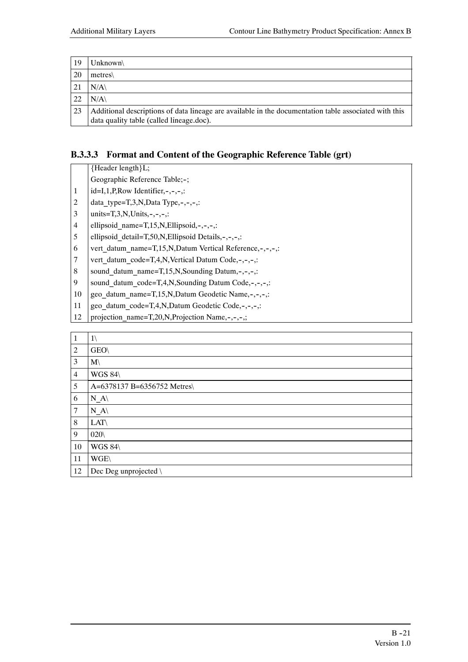| 19 | Unknown $\langle$                                                                                                                                 |
|----|---------------------------------------------------------------------------------------------------------------------------------------------------|
| 20 | $metres\backslash$                                                                                                                                |
| 21 | N/A                                                                                                                                               |
| 22 | N/A                                                                                                                                               |
| 23 | Additional descriptions of data lineage are available in the documentation table associated with this<br>data quality table (called lineage.doc). |

# **B.3.3.3 Format and Content of the Geographic Reference Table (grt)**

|              | {Header length}L;                                       |
|--------------|---------------------------------------------------------|
|              | Geographic Reference Table;-;                           |
| $\mathbf{1}$ | $id=I,1,P,Row Identification, -,-,-$                    |
| 2            | data type= $T, 3, N, Data Type, -, -, -$                |
| 3            | units= $T, 3, N$ , Units, -, -, -,:                     |
| 4            | ellipsoid name= $T, 15, N,$ Ellipsoid,-,-,-,:           |
| 5            | ellipsoid detail=T,50,N,Ellipsoid Details,-,-,-,:       |
| 6            | vert datum name=T,15,N,Datum Vertical Reference,-,-,-,: |
| 7            | vert datum code=T,4,N,Vertical Datum Code,-,-,-,:       |
| 8            | sound datum name=T,15,N,Sounding Datum,-,-,-,:          |
| 9            | sound datum $code=T,4,N,$ Sounding Datum Code,-,-,-,:   |
| 10           | geo datum name=T,15,N,Datum Geodetic Name,-,-,-,:       |
| 11           | geo datum code=T,4,N,Datum Geodetic Code,-,-,-,:        |
| 12           | projection name=T,20,N,Projection Name,-,-,-,;          |

| $\mathbf{1}$   | $1\backslash$               |
|----------------|-----------------------------|
| 2              | $GEO\setminus$              |
| $\mathfrak{Z}$ | $M\setminus$                |
| $\overline{4}$ | <b>WGS 84\</b>              |
| 5              | A=6378137 B=6356752 Metres\ |
| 6              | $N_A$                       |
| $\tau$         | $N_A$                       |
| 8              | <b>LAT</b>                  |
| 9              | $020\backslash$             |
| 10             | WGS 84\                     |
| 11             | <b>WGE\</b>                 |
| 12             | Dec Deg unprojected         |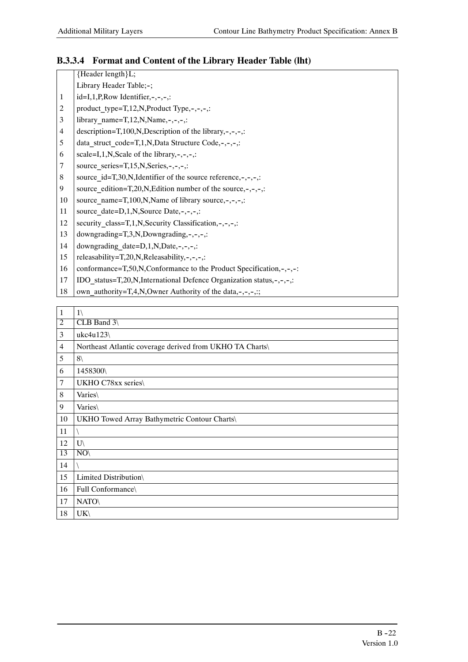16 Full Conformance\

17 NATO\ 18 UK\

### **B.3.3.4 Format and Content of the Library Header Table (lht)**

|                | {Header length}L;                                                   |
|----------------|---------------------------------------------------------------------|
|                | Library Header Table;-;                                             |
| $\mathbf{1}$   | $id=I,1,P,Row$ Identifier,-,-,-,:                                   |
| $\overline{c}$ | product type= $T$ ,12,N,Product Type,-,-,-,:                        |
| 3              | library name=T,12,N,Name,-,-,-,:                                    |
| $\overline{4}$ | description=T,100,N,Description of the library,-,-,-,:              |
| 5              | data struct code=T,1,N,Data Structure Code,-,-,-,:                  |
| 6              | scale=I,1,N,Scale of the library,-,-,-,:                            |
| 7              | source series=T,15,N,Series,-,-,-,:                                 |
| 8              | source id=T,30,N,Identifier of the source reference,-,-,-,:         |
| 9              | source edition=T,20,N,Edition number of the source,-,-,-,:          |
| 10             | source name=T,100,N,Name of library source,-,-,-,:                  |
| 11             | source date=D,1,N,Source Date,-,-,-,:                               |
| 12             | security_class=T,1,N,Security Classification,-,-,-,:                |
| 13             | downgrading= $T,3,N,$ Downgrading,-,-,-,:                           |
| 14             | downgrading_date=D,1,N,Date,-,-,-,:                                 |
| 15             | releasability=T,20,N,Releasability,-,-,-,:                          |
| 16             | conformance=T,50,N,Conformance to the Product Specification,-,-,-:  |
| 17             | IDO_status=T,20,N,International Defence Organization status,-,-,-,: |
| 18             | own authority=T,4,N,Owner Authority of the data,-,-,-,:;            |
|                |                                                                     |
| $1\,$          | $1\backslash$                                                       |
| $\overline{2}$ | CLB Band $3\overline{\ }$                                           |
| $\mathfrak{Z}$ | ukc4u123                                                            |
| $\overline{4}$ | Northeast Atlantic coverage derived from UKHO TA Charts\            |
| 5              | $8\backslash$                                                       |
| 6              | 1458300\                                                            |
| $\tau$         | UKHO C78xx series\                                                  |
| 8              | Varies\                                                             |
| 9              | Varies\                                                             |
| 10             | UKHO Towed Array Bathymetric Contour Charts\                        |
| 11             | $\backslash$                                                        |
| 12             | $U\setminus$                                                        |
| 13             | NO(                                                                 |
| 14             | $\backslash$                                                        |
| 15             | Limited Distribution\                                               |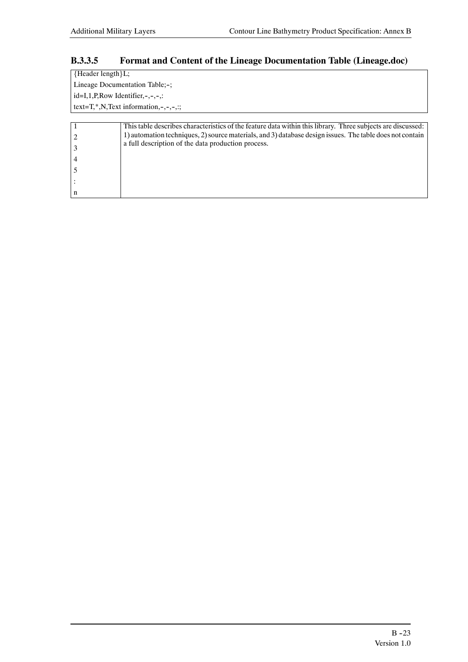# **B.3.3.5 Format and Content of the Lineage Documentation Table (Lineage.doc)**

{Header length}L; Lineage Documentation Table;-; id=I,1,P,Row Identifier,-,-,-,:

text=T,\*,N,Text information,-,-,-,:;

| This table describes characteristics of the feature data within this library. Three subjects are discussed: |
|-------------------------------------------------------------------------------------------------------------|
| 1) automation techniques, 2) source materials, and 3) database design issues. The table does not contain    |
| a full description of the data production process.                                                          |
|                                                                                                             |
|                                                                                                             |
|                                                                                                             |
|                                                                                                             |
|                                                                                                             |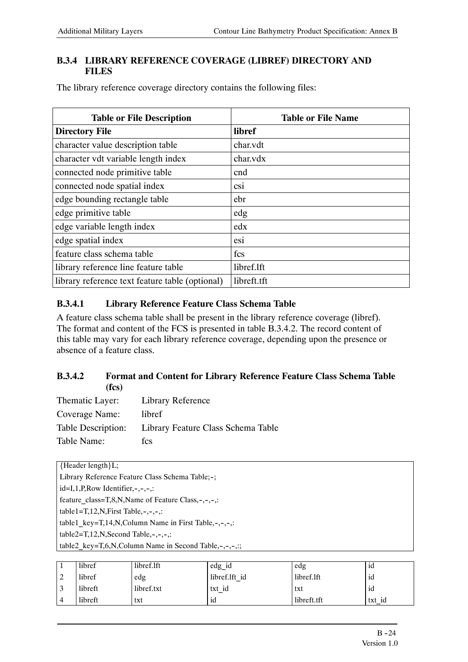### **B.3.4 LIBRARY REFERENCE COVERAGE (LIBREF) DIRECTORY AND FILES**

The library reference coverage directory contains the following files:

| <b>Table or File Description</b>                | <b>Table or File Name</b> |
|-------------------------------------------------|---------------------------|
| <b>Directory File</b>                           | <b>libref</b>             |
| character value description table               | char.vdt                  |
| character vdt variable length index             | char.vdx                  |
| connected node primitive table                  | cnd                       |
| connected node spatial index                    | csi                       |
| edge bounding rectangle table                   | ebr                       |
| edge primitive table                            | edg                       |
| edge variable length index                      | edx                       |
| edge spatial index                              | esi                       |
| feature class schema table                      | fcs                       |
| library reference line feature table            | libref.lft                |
| library reference text feature table (optional) | libreft.tft               |

### **B.3.4.1 Library Reference Feature Class Schema Table**

A feature class schema table shall be present in the library reference coverage (libref). The format and content of the FCS is presented in table B.3.4.2. The record content of this table may vary for each library reference coverage, depending upon the presence or absence of a feature class.

### **B.3.4.2 Format and Content for Library Reference Feature Class Schema Table (fcs)**

| Thematic Layer: | Library Reference                                     |
|-----------------|-------------------------------------------------------|
| Coverage Name:  | libref                                                |
|                 | Table Description: Library Feature Class Schema Table |
| Table Name:     | fcs                                                   |

 $\overline{\text{Header length}}$ 

| Library Reference Feature Class Schema Table;-;                 |
|-----------------------------------------------------------------|
| $id=L,1,P,Row Identification, -,-,-,$ :                         |
| feature class=T,8,N,Name of Feature Class,-,-,-,:               |
| table1=T,12,N,First Table,-,-,-,:                               |
| table1 key=T,14,N,Column Name in First Table,-,-,-,:            |
| table2=T,12,N,Second Table,-,-,-,:                              |
| table2 key= $T, 6, N$ , Column Name in Second Table, -, -, -,:; |

|            | libref  | libref.lft | edg_id        | edg         | ıd     |
|------------|---------|------------|---------------|-------------|--------|
| ∠          | libref  | edg        | libref.lft id | libref.lft  | id     |
| <b>.</b> J | libreft | libref.txt | txt id        | txt         | id     |
|            | libreft | txt        | ıd            | libreft.tft | txt id |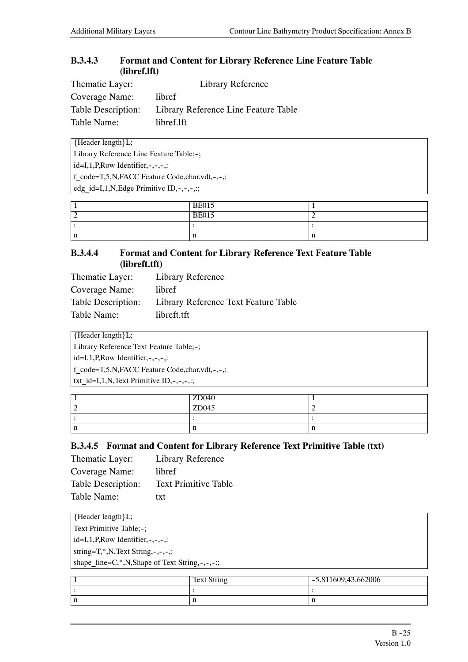### **B.3.4.3 Format and Content for Library Reference Line Feature Table (libref.lft)**

| Thematic Layer:    | Library Reference                    |
|--------------------|--------------------------------------|
| Coverage Name:     | libref                               |
| Table Description: | Library Reference Line Feature Table |
| Table Name:        | libref.lft                           |

{Header length}L;

Library Reference Line Feature Table;-;

id=I,1,P,Row Identifier,-,-,-,:

f\_code=T,5,N,FACC Feature Code,char.vdt,-,-,:

edg\_id=I,1,N,Edge Primitive ID,-,-,-,:;

| <b>BE015</b> |  |
|--------------|--|
| <b>BE015</b> |  |
|              |  |
|              |  |

### **B.3.4.4 Format and Content for Library Reference Text Feature Table (libreft.tft)**

| Library Reference                    |
|--------------------------------------|
| libref                               |
| Library Reference Text Feature Table |
| libreft.tft                          |
|                                      |

{Header length}L;

Library Reference Text Feature Table;-;

id=I,1,P,Row Identifier,-,-,-,:

f\_code=T,5,N,FACC Feature Code,char.vdt,-,-,:

txt id=I,1,N,Text Primitive ID,-,-,-,:;

| ZD040 |  |
|-------|--|
| ZD045 |  |
|       |  |
|       |  |

### **B.3.4.5 Format and Content for Library Reference Text Primitive Table (txt)**

| Thematic Layer:    | Library Reference           |
|--------------------|-----------------------------|
| Coverage Name:     | libref                      |
| Table Description: | <b>Text Primitive Table</b> |
| Table Name:        | txt                         |

{Header length}L; Text Primitive Table;-; id=I,1,P,Row Identifier,-,-,-,:

string=T,\*,N,Text String,-,-,-,:

shape\_line=C,\*,N,Shape of Text String,-,-,-:;

|     | <b>Text String</b> | $-5.811609,43.662006$ |
|-----|--------------------|-----------------------|
|     |                    |                       |
| -11 |                    |                       |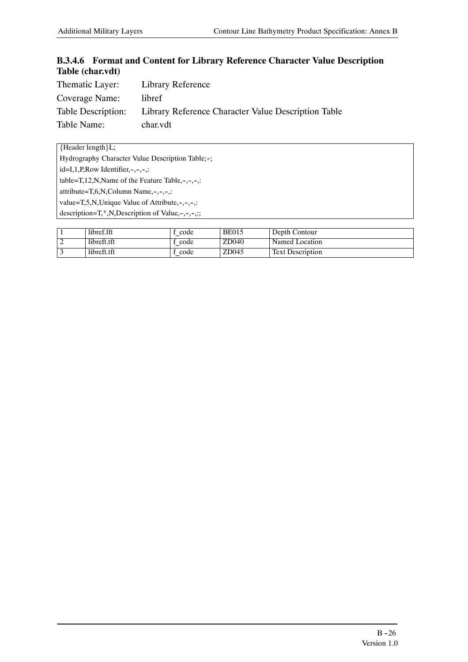### **B.3.4.6 Format and Content for Library Reference Character Value Description Table (char.vdt)**

| Thematic Layer: | Library Reference                                                      |
|-----------------|------------------------------------------------------------------------|
| Coverage Name:  | libref                                                                 |
|                 | Table Description: Library Reference Character Value Description Table |
| Table Name:     | char.vdt                                                               |

{Header length}L;

Hydrography Character Value Description Table;-;  $id=I,1,P,Row$  Identifier, $-,-,-$ ; table=T,12,N,Name of the Feature Table,-,-,-,: attribute=T,6,N,Column Name,-,-,-,: value=T,5,N,Unique Value of Attribute,-,-,-,: description=T,\*,N,Description of Value,-,-,-,:;

| libref.lft  | code | <b>BE015</b> | Depth Contour           |
|-------------|------|--------------|-------------------------|
| libreft.tft | code | ZD040        | Named Location          |
| libreft.tft | code | ZD045        | <b>Text Description</b> |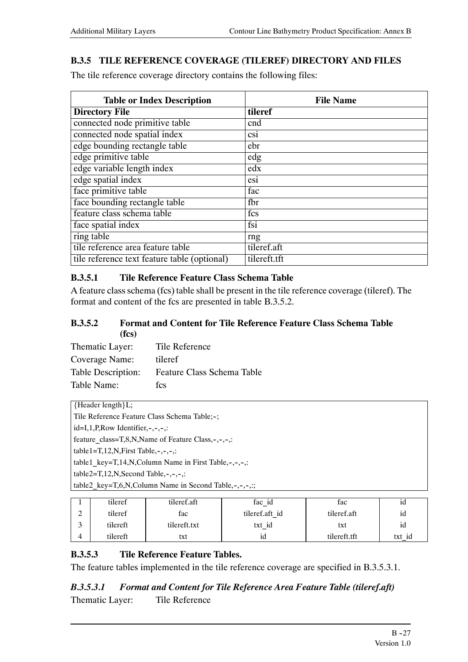### **B.3.5 TILE REFERENCE COVERAGE (TILEREF) DIRECTORY AND FILES**

The tile reference coverage directory contains the following files:

| <b>Table or Index Description</b>            | <b>File Name</b> |
|----------------------------------------------|------------------|
| <b>Directory File</b>                        | tileref          |
| connected node primitive table               | cnd              |
| connected node spatial index                 | $\c{c}$          |
| edge bounding rectangle table                | ebr              |
| edge primitive table                         | edg              |
| edge variable length index                   | edx              |
| edge spatial index                           | esi              |
| face primitive table                         | fac              |
| face bounding rectangle table                | fbr              |
| feature class schema table                   | fcs              |
| face spatial index                           | fsi              |
| ring table                                   | rng              |
| tile reference area feature table            | tileref.aft      |
| tile reference text feature table (optional) | tilereft.tft     |

### **B.3.5.1 Tile Reference Feature Class Schema Table**

A feature class schema (fcs) table shall be present in the tile reference coverage (tileref). The format and content of the fcs are presented in table B.3.5.2.

### **B.3.5.2 Format and Content for Tile Reference Feature Class Schema Table (fcs)**

| Thematic Layer:    | Tile Reference             |
|--------------------|----------------------------|
| Coverage Name:     | tileref                    |
| Table Description: | Feature Class Schema Table |
| Table Name:        | fcs                        |

{Header length}L;

Tile Reference Feature Class Schema Table;-;

id=I,1,P,Row Identifier,-,-,-,:

feature\_class=T,8,N,Name of Feature Class,-,-,-,:

table1=T,12,N,First Table,-,-,-,:

table1 key=T,14,N,Column Name in First Table,-,-,-,:

table2=T,12,N,Second Table,-,-,-,:

table2\_key=T,6,N,Column Name in Second Table,-,-,-,:;

|   | tileref  | tileref.aft  | fac id         | fac          | ıd     |
|---|----------|--------------|----------------|--------------|--------|
| ∼ | tileref  | fac          | tileref.aft id | tileref.aft  | ıd     |
|   | tilereft | tilereft.txt | txt id         | txt          | ıd     |
|   | tilereft | txt          | ıd             | tilereft.tft | txt id |

### **B.3.5.3 Tile Reference Feature Tables.**

The feature tables implemented in the tile reference coverage are specified in B.3.5.3.1.

# *B.3.5.3.1 Format and Content for Tile Reference Area Feature Table (tileref.aft)* Thematic Layer: Tile Reference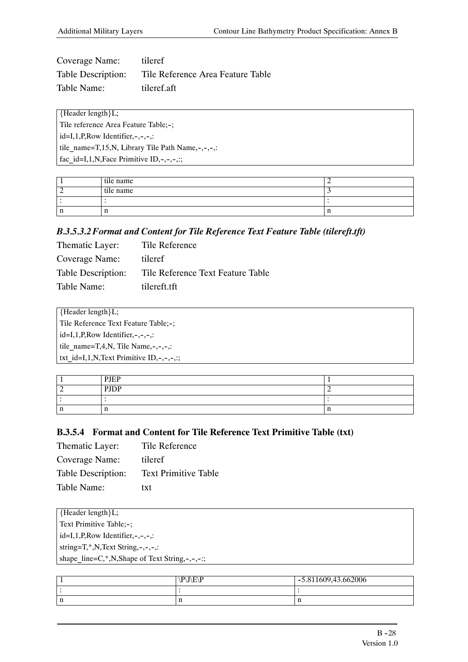| Coverage Name: | tileref                                              |
|----------------|------------------------------------------------------|
|                | Table Description: Tile Reference Area Feature Table |
| Table Name:    | tileref.aft                                          |

{Header length}L; Tile reference Area Feature Table;-; id=I,1,P,Row Identifier,-,-,-,: tile\_name=T,15,N, Library Tile Path Name,-,-,-,: fac\_id=I,1,N,Face Primitive ID,-,-,-,:;

| tile name |  |
|-----------|--|
| tile name |  |
|           |  |
|           |  |

### *B.3.5.3.2Format and Content for Tile Reference Text Feature Table (tilereft.tft)*

| Thematic Layer:    | Tile Reference                    |
|--------------------|-----------------------------------|
| Coverage Name:     | tileref                           |
| Table Description: | Tile Reference Text Feature Table |
| Table Name:        | tilereft.tft                      |

| $\mathcal{A}$ {Header length}L;         |
|-----------------------------------------|
| Tile Reference Text Feature Table:-:    |
| $id=I,1,P,Row Identification, -,-,-,$   |
| tile name=T,4,N, Tile Name,-,-,-,:      |
| txt id=I,1,N,Text Primitive ID,-,-,-,:; |

| <b>PJEP</b> |  |
|-------------|--|
| <b>PJDP</b> |  |
|             |  |
|             |  |

### **B.3.5.4 Format and Content for Tile Reference Text Primitive Table (txt)**

| Thematic Layer:    | Tile Reference              |
|--------------------|-----------------------------|
| Coverage Name:     | tileref                     |
| Table Description: | <b>Text Primitive Table</b> |
| Table Name:        | txt                         |

| $\{Header length\}L;$                           |  |
|-------------------------------------------------|--|
| Text Primitive Table;-;                         |  |
| $id=I,1,P$ Row Identifier,-,-,-,:               |  |
| string= $T^*$ , N, Text String, -, -, -,:       |  |
| shape $line=C,*,N,Shape$ of Text String,-,-,-:; |  |
|                                                 |  |

|             | \P\J\E\P | -5.811609,43.662006 |
|-------------|----------|---------------------|
|             |          |                     |
| $\mathbf n$ |          | -11                 |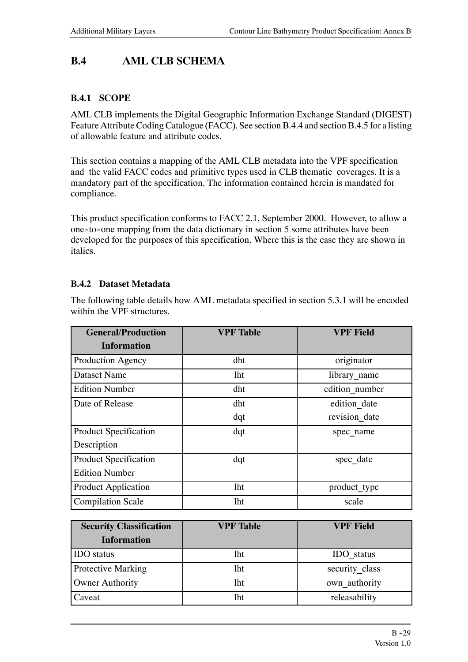# **B.4 AML CLB SCHEMA**

### **B.4.1 SCOPE**

AML CLB implements the Digital Geographic Information Exchange Standard (DIGEST) Feature Attribute Coding Catalogue (FACC). See section B.4.4 and section B.4.5 for a listing of allowable feature and attribute codes.

This section contains a mapping of the AML CLB metadata into the VPF specification and the valid FACC codes and primitive types used in CLB thematic coverages. It is a mandatory part of the specification. The information contained herein is mandated for compliance.

This product specification conforms to FACC 2.1, September 2000. However, to allow a one-to- one mapping from the data dictionary in section 5 some attributes have been developed for the purposes of this specification. Where this is the case they are shown in italics.

### **B.4.2 Dataset Metadata**

The following table details how AML metadata specified in section 5.3.1 will be encoded within the VPF structures.

| <b>General/Production</b>    | <b>VPF Table</b> | <b>VPF Field</b> |
|------------------------------|------------------|------------------|
| <b>Information</b>           |                  |                  |
| <b>Production Agency</b>     | dht              | originator       |
| Dataset Name                 | <b>lht</b>       | library name     |
| <b>Edition Number</b>        | dht              | edition number   |
| Date of Release              | dht              | edition date     |
|                              | dqt              | revision date    |
| <b>Product Specification</b> | $\frac{dq}{dt}$  | spec name        |
| Description                  |                  |                  |
| <b>Product Specification</b> | $\frac{dq}{dt}$  | spec date        |
| <b>Edition Number</b>        |                  |                  |
| <b>Product Application</b>   | <b>lht</b>       | product type     |
| <b>Compilation Scale</b>     | <b>lht</b>       | scale            |

| <b>Security Classification</b><br><b>Information</b> | <b>VPF</b> Table | <b>VPF Field</b>  |
|------------------------------------------------------|------------------|-------------------|
| <b>IDO</b> status                                    | <b>lht</b>       | <b>IDO</b> status |
| <b>Protective Marking</b>                            | <b>lht</b>       | security class    |
| <b>Owner Authority</b>                               | <b>lht</b>       | own authority     |
| Caveat                                               | <b>lht</b>       | releasability     |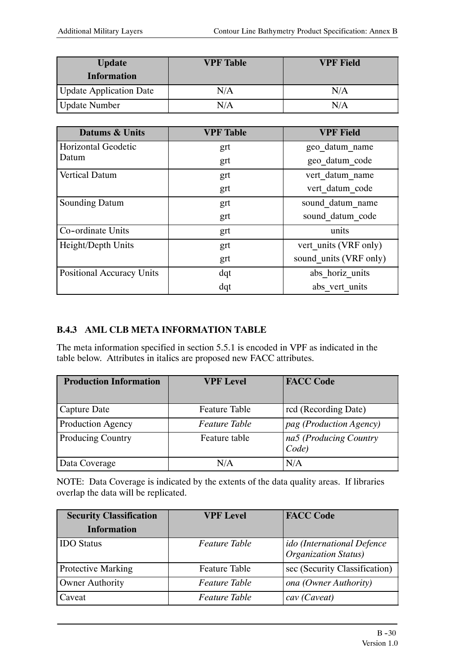| <b>Update</b><br>Information   | <b>VPF</b> Table | <b>VPF Field</b> |
|--------------------------------|------------------|------------------|
| <b>Update Application Date</b> | $\rm N/A$        | N/A              |
| <b>Update Number</b>           | N/A              | $\rm N/A$        |

| Datums & Units                   | <b>VPF Table</b> | <b>VPF Field</b>       |
|----------------------------------|------------------|------------------------|
| <b>Horizontal Geodetic</b>       | grt              | geo datum name         |
| Datum                            | grt              | geo_datum_code         |
| <b>Vertical Datum</b>            | grt              | vert datum name        |
|                                  | grt              | vert datum code        |
| <b>Sounding Datum</b>            | grt              | sound datum name       |
|                                  | grt              | sound datum code       |
| Co-ordinate Units                | grt              | units                  |
| Height/Depth Units               | grt              | vert units (VRF only)  |
|                                  | grt              | sound units (VRF only) |
| <b>Positional Accuracy Units</b> | dqt              | abs horiz units        |
|                                  | dqt              | abs vert units         |

### **B.4.3 AML CLB META INFORMATION TABLE**

The meta information specified in section 5.5.1 is encoded in VPF as indicated in the table below. Attributes in italics are proposed new FACC attributes.

| <b>Production Information</b> | <b>VPF Level</b>     | <b>FACC Code</b>                |
|-------------------------------|----------------------|---------------------------------|
| Capture Date                  | <b>Feature Table</b> | rcd (Recording Date)            |
| <b>Production Agency</b>      | <i>Feature Table</i> | pag (Production Agency)         |
| <b>Producing Country</b>      | Feature table        | na5 (Producing Country<br>Code) |
| Data Coverage                 | N/A                  | N/A                             |

NOTE: Data Coverage is indicated by the extents of the data quality areas. If libraries overlap the data will be replicated.

| <b>Security Classification</b> | <b>VPF Level</b>     | <b>FACC Code</b>                                           |
|--------------------------------|----------------------|------------------------------------------------------------|
| <b>Information</b>             |                      |                                                            |
| <b>IDO</b> Status              | <b>Feature Table</b> | ido (International Defence<br><b>Organization Status</b> ) |
| <b>Protective Marking</b>      | <b>Feature Table</b> | sec (Security Classification)                              |
| <b>Owner Authority</b>         | <b>Feature Table</b> | ona (Owner Authority)                                      |
| Caveat                         | <b>Feature Table</b> | cav (Caveat)                                               |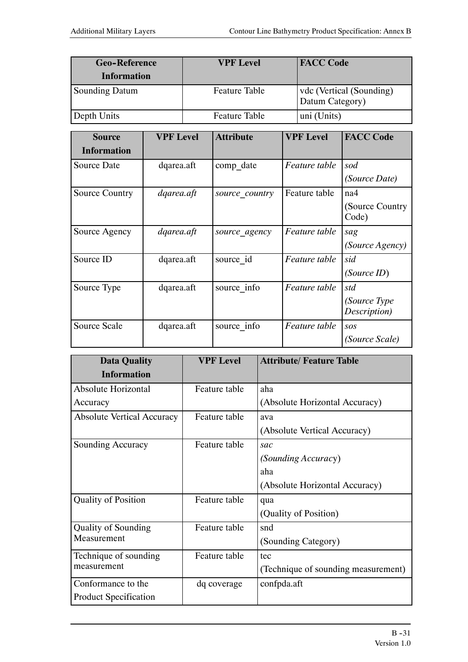| <b>Geo-Reference</b><br><b>Information</b> | VPF Level            | <b>FACC Code</b>                            |
|--------------------------------------------|----------------------|---------------------------------------------|
| <b>Sounding Datum</b>                      | <b>Feature Table</b> | vdc (Vertical (Sounding)<br>Datum Category) |
| Depth Units                                | <b>Feature Table</b> | uni (Units)                                 |

| Source                | <b>VPF Level</b> | <b>Attribute</b> | <b>VPF Level</b>     | <b>FACC Code</b>         |
|-----------------------|------------------|------------------|----------------------|--------------------------|
| <b>Information</b>    |                  |                  |                      |                          |
| Source Date           | dqarea.aft       | comp date        | <i>Feature table</i> | sod                      |
|                       |                  |                  |                      | (Source Date)            |
| <b>Source Country</b> | dqarea.aft       | source country   | Feature table        | na4                      |
|                       |                  |                  |                      | (Source Country<br>Code) |
| Source Agency         | dqarea.aft       | source agency    | Feature table        | sag                      |
|                       |                  |                  |                      | (Source Agency)          |
| Source ID             | dqarea.aft       | source id        | <i>Feature table</i> | sid                      |
|                       |                  |                  |                      | (Source ID)              |
| Source Type           | dqarea.aft       | source info      | Feature table        | std                      |
|                       |                  |                  |                      | (Source Type             |
|                       |                  |                  |                      | Description)             |
| <b>Source Scale</b>   | dqarea.aft       | source info      | <i>Feature table</i> | <b>SOS</b>               |
|                       |                  |                  |                      | (Source Scale)           |

| <b>Data Quality</b>               | <b>VPF Level</b> | <b>Attribute/ Feature Table</b>     |
|-----------------------------------|------------------|-------------------------------------|
| <b>Information</b>                |                  |                                     |
| <b>Absolute Horizontal</b>        | Feature table    | aha                                 |
| Accuracy                          |                  | (Absolute Horizontal Accuracy)      |
| <b>Absolute Vertical Accuracy</b> | Feature table    | ava                                 |
|                                   |                  | (Absolute Vertical Accuracy)        |
| <b>Sounding Accuracy</b>          | Feature table    | sac                                 |
|                                   |                  | <i>(Sounding Accuracy)</i>          |
|                                   |                  | aha                                 |
|                                   |                  | (Absolute Horizontal Accuracy)      |
| <b>Quality of Position</b>        | Feature table    | qua                                 |
|                                   |                  | (Quality of Position)               |
| <b>Quality of Sounding</b>        | Feature table    | snd                                 |
| Measurement                       |                  | (Sounding Category)                 |
| Technique of sounding             | Feature table    | tec                                 |
| measurement                       |                  | (Technique of sounding measurement) |
| Conformance to the                | dq coverage      | confpda.aft                         |
| <b>Product Specification</b>      |                  |                                     |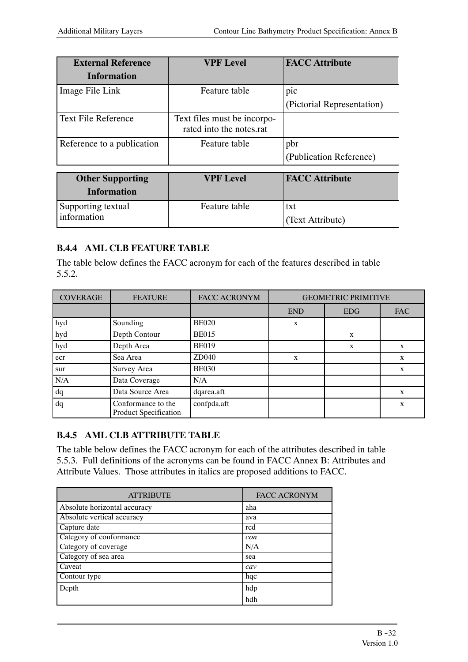| <b>External Reference</b>  | <b>VPF</b> Level                                        | <b>FACC Attribute</b>      |
|----------------------------|---------------------------------------------------------|----------------------------|
| <b>Information</b>         |                                                         |                            |
| Image File Link            | Feature table                                           | pic                        |
|                            |                                                         | (Pictorial Representation) |
| <b>Text File Reference</b> | Text files must be incorpo-<br>rated into the notes.rat |                            |
| Reference to a publication | Feature table                                           | pbr                        |
|                            |                                                         | (Publication Reference)    |
|                            |                                                         |                            |
| <b>Other Supporting</b>    | <b>VPF Level</b>                                        | <b>FACC Attribute</b>      |
| <b>Information</b>         |                                                         |                            |
| Supporting textual         | Feature table                                           | txt                        |
| information                |                                                         | (Text Attribute)           |

### **B.4.4 AML CLB FEATURE TABLE**

The table below defines the FACC acronym for each of the features described in table 5.5.2.

| <b>COVERAGE</b> | <b>FEATURE</b>                                     | <b>FACC ACRONYM</b> | <b>GEOMETRIC PRIMITIVE</b> |            |             |
|-----------------|----------------------------------------------------|---------------------|----------------------------|------------|-------------|
|                 |                                                    |                     | <b>END</b>                 | <b>EDG</b> | <b>FAC</b>  |
| hyd             | Sounding                                           | <b>BE020</b>        | X                          |            |             |
| hyd             | Depth Contour                                      | <b>BE015</b>        |                            | X          |             |
| hyd             | Depth Area                                         | <b>BE019</b>        |                            | X          | X           |
| ecr             | Sea Area                                           | ZD040               | X                          |            | $\mathbf X$ |
| sur             | Survey Area                                        | <b>BE030</b>        |                            |            | X           |
| N/A             | Data Coverage                                      | N/A                 |                            |            |             |
| dq              | Data Source Area                                   | dqarea.aft          |                            |            | X           |
| dq              | Conformance to the<br><b>Product Specification</b> | confpda.aft         |                            |            | $\mathbf X$ |

# **B.4.5 AML CLB ATTRIBUTE TABLE**

The table below defines the FACC acronym for each of the attributes described in table 5.5.3. Full definitions of the acronyms can be found in FACC Annex B: Attributes and Attribute Values. Those attributes in italics are proposed additions to FACC.

| <b>ATTRIBUTE</b>             | <b>FACC ACRONYM</b> |
|------------------------------|---------------------|
| Absolute horizontal accuracy | aha                 |
| Absolute vertical accuracy   | ava                 |
| Capture date                 | rcd                 |
| Category of conformance      | con                 |
| Category of coverage         | N/A                 |
| Category of sea area         | sea                 |
| Caveat                       | cav                 |
| Contour type                 | hqc                 |
| Depth                        | hdp                 |
|                              | hdh                 |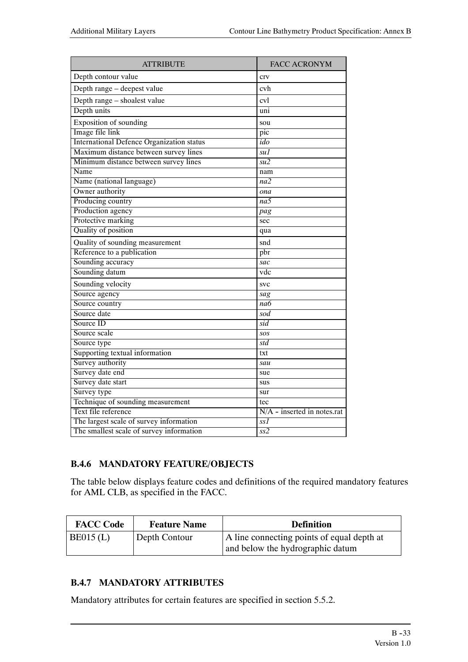| <b>ATTRIBUTE</b>                                 | <b>FACC ACRONYM</b>           |
|--------------------------------------------------|-------------------------------|
| Depth contour value                              | crv                           |
| Depth range - deepest value                      | cvh                           |
| Depth range - shoalest value                     | cvl                           |
| Depth units                                      | uni                           |
| Exposition of sounding                           | sou                           |
| Image file link                                  | pic                           |
| <b>International Defence Organization status</b> | ido                           |
| Maximum distance between survey lines            | su1                           |
| Minimum distance between survey lines            | su2                           |
| Name                                             | nam                           |
| Name (national language)                         | na2                           |
| Owner authority                                  | ona                           |
| Producing country                                | na5                           |
| Production agency                                | pag                           |
| Protective marking                               | sec                           |
| Quality of position                              | qua                           |
| Quality of sounding measurement                  | snd                           |
| Reference to a publication                       | pbr                           |
| Sounding accuracy                                | sac                           |
| Sounding datum                                   | vdc                           |
| Sounding velocity                                | <b>SVC</b>                    |
| Source agency                                    | sag                           |
| Source country                                   | na6                           |
| Source date                                      | sod                           |
| Source ID                                        | sid                           |
| Source scale                                     | <b>SOS</b>                    |
| Source type                                      | std                           |
| Supporting textual information                   | txt                           |
| Survey authority                                 | sau                           |
| Survey date end                                  | sue                           |
| Survey date start                                | sus                           |
| Survey type                                      | sur                           |
| Technique of sounding measurement                | tec                           |
| Text file reference                              | $N/A$ - inserted in notes.rat |
| The largest scale of survey information          | ss1                           |
| The smallest scale of survey information         | ss2                           |

### **B.4.6 MANDATORY FEATURE/OBJECTS**

The table below displays feature codes and definitions of the required mandatory features for AML CLB, as specified in the FACC.

| <b>FACC Code</b>  | <b>Feature Name</b> | <b>Definition</b>                                                              |
|-------------------|---------------------|--------------------------------------------------------------------------------|
| $\vert$ BE015 (L) | Depth Contour       | A line connecting points of equal depth at<br>and below the hydrographic datum |

### **B.4.7 MANDATORY ATTRIBUTES**

Mandatory attributes for certain features are specified in section 5.5.2.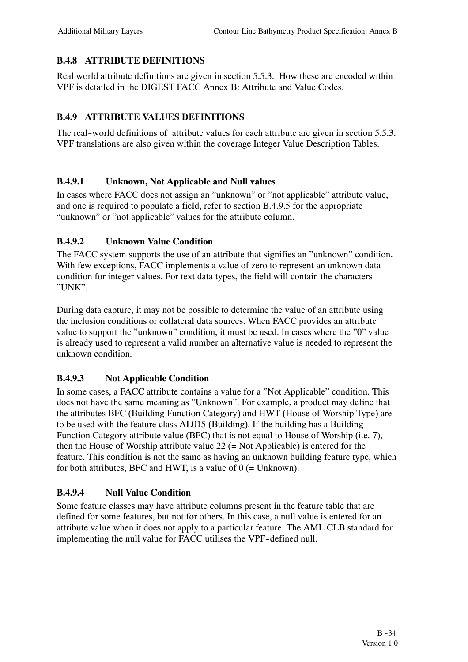### **B.4.8 ATTRIBUTE DEFINITIONS**

Real world attribute definitions are given in section 5.5.3. How these are encoded within VPF is detailed in the DIGEST FACC Annex B: Attribute and Value Codes.

### **B.4.9 ATTRIBUTE VALUES DEFINITIONS**

The real-world definitions of attribute values for each attribute are given in section 5.5.3. VPF translations are also given within the coverage Integer Value Description Tables.

### **B.4.9.1 Unknown, Not Applicable and Null values**

In cases where FACC does not assign an "unknown" or "not applicable" attribute value, and one is required to populate a field, refer to section B.4.9.5 for the appropriate "unknown" or "not applicable" values for the attribute column.

### **B.4.9.2 Unknown Value Condition**

The FACC system supports the use of an attribute that signifies an "unknown" condition. With few exceptions, FACC implements a value of zero to represent an unknown data condition for integer values. For text data types, the field will contain the characters "UNK".

During data capture, it may not be possible to determine the value of an attribute using the inclusion conditions or collateral data sources. When FACC provides an attribute value to support the "unknown" condition, it must be used. In cases where the "0" value is already used to represent a valid number an alternative value is needed to represent the unknown condition.

### **B.4.9.3 Not Applicable Condition**

In some cases, a FACC attribute contains a value for a "Not Applicable" condition. This does not have the same meaning as "Unknown". For example, a product may define that the attributes BFC (Building Function Category) and HWT (House of Worship Type) are to be used with the feature class AL015 (Building). If the building has a Building Function Category attribute value (BFC) that is not equal to House of Worship (i.e. 7), then the House of Worship attribute value 22 (= Not Applicable) is entered for the feature. This condition is not the same as having an unknown building feature type, which for both attributes, BFC and HWT, is a value of  $0$  (= Unknown).

# **B.4.9.4 Null Value Condition**

Some feature classes may have attribute columns present in the feature table that are defined for some features, but not for others. In this case, a null value is entered for an attribute value when it does not apply to a particular feature. The AML CLB standard for implementing the null value for FACC utilises the VPF- defined null.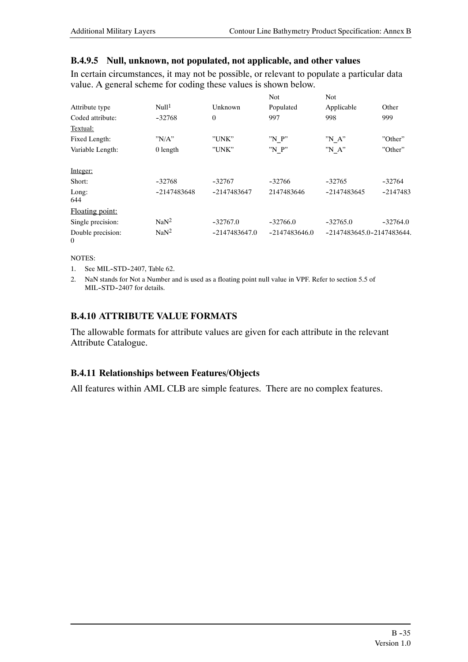### **B.4.9.5 Null, unknown, not populated, not applicable, and other values**

In certain circumstances, it may not be possible, or relevant to populate a particular data value. A general scheme for coding these values is shown below.

|                               |                   |                 | <b>Not</b>      | <b>Not</b>                |            |
|-------------------------------|-------------------|-----------------|-----------------|---------------------------|------------|
| Attribute type                | Nu11 <sup>1</sup> | Unknown         | Populated       | Applicable                | Other      |
| Coded attribute:              | $-32768$          | $\theta$        | 997             | 998                       | 999        |
| Textual:                      |                   |                 |                 |                           |            |
| Fixed Length:                 | "N/A"             | "UNK"           | "N $P$ "        | "N $A$ "                  | "Other"    |
| Variable Length:              | 0 length          | "UNK"           | "N $P$ "        | "N $A$ "                  | "Other"    |
| Integer:                      |                   |                 |                 |                           |            |
| Short:                        | $-32768$          | $-32767$        | -32766          | $-32765$                  | $-32764$   |
| Long:<br>644                  | -2147483648       | -2147483647     | 2147483646      | -2147483645               | $-2147483$ |
| Floating point:               |                   |                 |                 |                           |            |
| Single precision:             | NaN <sup>2</sup>  | $-32767.0$      | $-32766.0$      | $-32765.0$                | $-32764.0$ |
| Double precision:<br>$\theta$ | NaN <sup>2</sup>  | $-2147483647.0$ | $-2147483646.0$ | -2147483645.0-2147483644. |            |

NOTES:

1. See MIL-STD- 2407, Table 62.

2. NaN stands for Not a Number and is used as a floating point null value in VPF. Refer to section 5.5 of MIL-STD-2407 for details.

# **B.4.10 ATTRIBUTE VALUE FORMATS**

The allowable formats for attribute values are given for each attribute in the relevant Attribute Catalogue.

### **B.4.11 Relationships between Features/Objects**

All features within AML CLB are simple features. There are no complex features.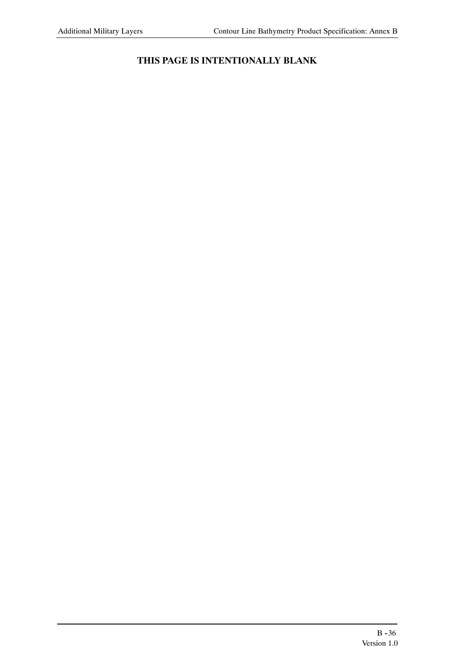# **THIS PAGE IS INTENTIONALLY BLANK**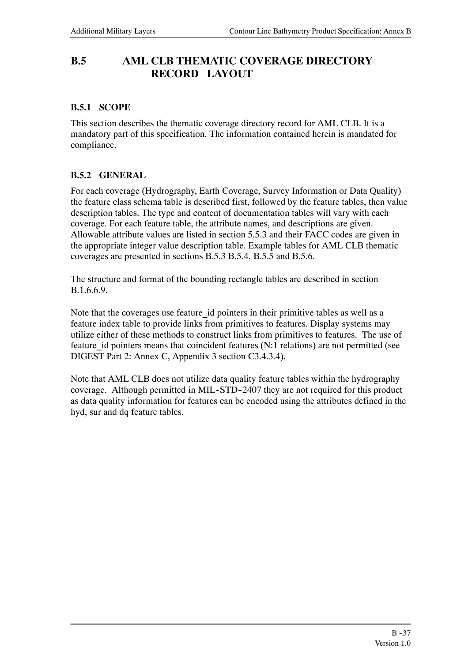# **B.5 AML CLB THEMATIC COVERAGE DIRECTORY RECORD LAYOUT**

# **B.5.1 SCOPE**

This section describes the thematic coverage directory record for AML CLB. It is a mandatory part of this specification. The information contained herein is mandated for compliance.

### **B.5.2 GENERAL**

For each coverage (Hydrography, Earth Coverage, Survey Information or Data Quality) the feature class schema table is described first, followed by the feature tables, then value description tables. The type and content of documentation tables will vary with each coverage. For each feature table, the attribute names, and descriptions are given. Allowable attribute values are listed in section 5.5.3 and their FACC codes are given in the appropriate integer value description table. Example tables for AML CLB thematic coverages are presented in sections B.5.3 B.5.4, B.5.5 and B.5.6.

The structure and format of the bounding rectangle tables are described in section B.1.6.6.9.

Note that the coverages use feature id pointers in their primitive tables as well as a feature index table to provide links from primitives to features. Display systems may utilize either of these methods to construct links from primitives to features. The use of feature\_id pointers means that coincident features (N:1 relations) are not permitted (see DIGEST Part 2: Annex C, Appendix 3 section C3.4.3.4).

Note that AML CLB does not utilize data quality feature tables within the hydrography coverage. Although permitted in MIL-STD-2407 they are not required for this product as data quality information for features can be encoded using the attributes defined in the hyd, sur and dq feature tables.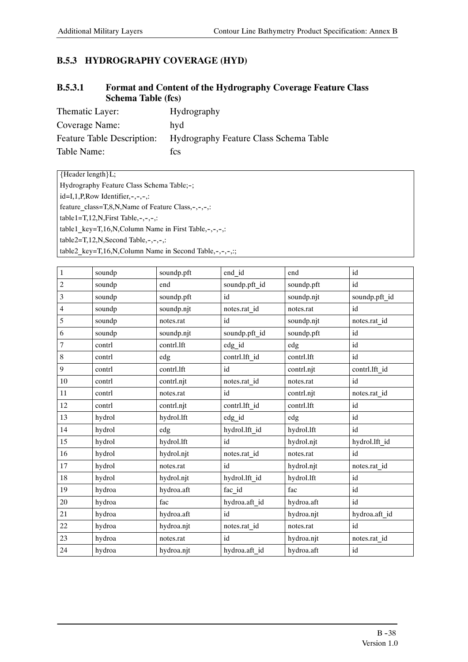# **B.5.3 HYDROGRAPHY COVERAGE (HYD)**

### **B.5.3.1 Format and Content of the Hydrography Coverage Feature Class Schema Table (fcs)**

| Thematic Layer:                   | Hydrography                            |
|-----------------------------------|----------------------------------------|
| Coverage Name:                    | hyd                                    |
| <b>Feature Table Description:</b> | Hydrography Feature Class Schema Table |
| Table Name:                       | fcs                                    |

{Header length}L; Hydrography Feature Class Schema Table;-; id=I,1,P,Row Identifier,-,-,-,: feature\_class=T,8,N,Name of Feature Class,-,-,-,: table1=T,12,N,First Table,-,-,-,: table1 key=T,16,N,Column Name in First Table,-,-,-,: table2=T,12,N,Second Table,-,-,-,: table2 key=T,16,N,Column Name in Second Table,-,-,-,:;

| $\mathbf{1}$   | soundp | soundp.pft | end id        | end        | id            |
|----------------|--------|------------|---------------|------------|---------------|
| $\overline{c}$ | soundp | end        | soundp.pft id | soundp.pft | id            |
| 3              | soundp | soundp.pft | id            | soundp.njt | soundp.pft id |
| $\overline{4}$ | soundp | soundp.njt | notes.rat id  | notes.rat  | id            |
| 5              | soundp | notes.rat  | id            | soundp.njt | notes.rat_id  |
| 6              | soundp | soundp.njt | soundp.pft id | soundp.pft | id            |
| 7              | contrl | contrl.lft | edg_id        | edg        | id            |
| $8\,$          | contrl | edg        | contrl.lft id | contrl.lft | id            |
| 9              | contrl | contrl.lft | id            | contrl.njt | contrl.lft_id |
| 10             | contrl | contrl.njt | notes.rat id  | notes.rat  | id            |
| 11             | contrl | notes.rat  | id            | contrl.njt | notes.rat_id  |
| 12             | contrl | contrl.njt | contrl.lft id | contrl.lft | id            |
| 13             | hydrol | hydrol.lft | edg_id        | edg        | id            |
| 14             | hydrol | edg        | hydrol.lft id | hydrol.lft | id            |
| 15             | hydrol | hydrol.lft | id            | hydrol.njt | hydrol.lft_id |
| 16             | hydrol | hydrol.njt | notes.rat_id  | notes.rat  | id            |
| 17             | hydrol | notes.rat  | id            | hydrol.njt | notes.rat id  |
| 18             | hydrol | hydrol.njt | hydrol.lft_id | hydrol.lft | id            |
| 19             | hydroa | hydroa.aft | fac id        | fac        | id            |
| 20             | hydroa | fac        | hydroa.aft id | hydroa.aft | id            |
| 21             | hydroa | hydroa.aft | id            | hydroa.njt | hydroa.aft id |
| 22             | hydroa | hydroa.njt | notes.rat_id  | notes.rat  | id            |
| 23             | hydroa | notes.rat  | id            | hydroa.njt | notes.rat id  |
| 24             | hydroa | hydroa.njt | hydroa.aft_id | hydroa.aft | id            |
|                |        |            |               |            |               |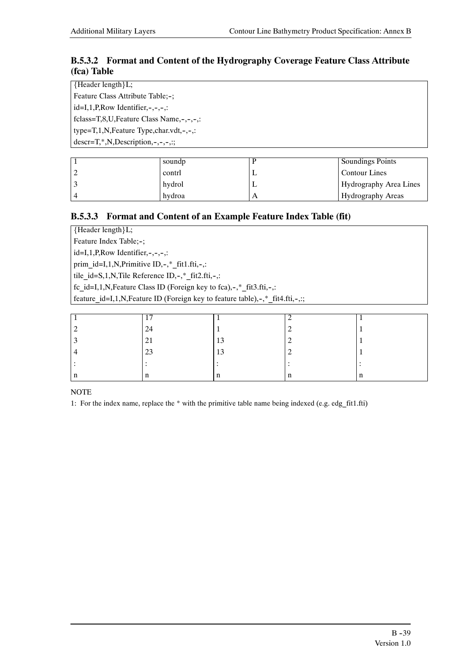### **B.5.3.2 Format and Content of the Hydrography Coverage Feature Class Attribute (fca) Table**

| ${Header length}L;$                                        |
|------------------------------------------------------------|
| Feature Class Attribute Table;-;                           |
| $id=I,1,P,Row$ Identifier, $-,-,-$ .                       |
| fclass= $T, 8, U$ , Feature Class Name, $-$ , $-$ , $-$ ,: |
| $type = T, 1, N, Feature Type, char.vdt, -, -, :$          |
| $descr=T,*,N,Description,-,-,-,::;$                        |

| soundp | <b>Soundings Points</b>  |
|--------|--------------------------|
| contrl | <b>Contour Lines</b>     |
| hydrol | Hydrography Area Lines   |
| hvdroa | <b>Hydrography Areas</b> |

### **B.5.3.3 Format and Content of an Example Feature Index Table (fit)**

{Header length}L;

Feature Index Table;-;

id=I,1,P,Row Identifier,-,-,-,:

prim\_id=I,1,N,Primitive ID,-,\*\_fit1.fti,-,:

tile\_id=S,1,N,Tile Reference ID,-,\*\_fit2.fti,-,:

fc\_id=I,1,N,Feature Class ID (Foreign key to fca),-,\*\_fit3.fti,-,:

feature\_id=I,1,N,Feature ID (Foreign key to feature table),-,\*\_fit4.fti,-,:;

| 24 |          |  |
|----|----------|--|
| 21 | 13       |  |
| 23 | 12<br>19 |  |
|    |          |  |
|    |          |  |

#### **NOTE**

1: For the index name, replace the \* with the primitive table name being indexed (e.g. edg fit1.fti)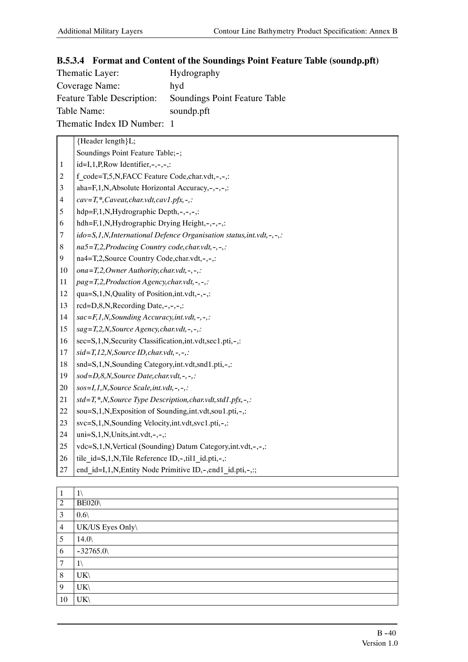### **B.5.3.4 Format and Content of the Soundings Point Feature Table (soundp.pft)**

| Thematic Layer:                   | Hydrography                   |
|-----------------------------------|-------------------------------|
| Coverage Name:                    | hyd                           |
| <b>Feature Table Description:</b> | Soundings Point Feature Table |
| Table Name:                       | soundp.pft                    |
| Thematic Index ID Number: 1       |                               |

#### 1 2 3 4 5 6 7 8 9 10 11 12 13 14 15 16 17 18 19 20 21 22 23 24 25 26 27 {Header length}L; Soundings Point Feature Table;-; id=I,1,P,Row Identifier,-,-,-,: f\_code=T,5,N,FACC Feature Code,char.vdt,-,-,: aha=F,1,N,Absolute Horizontal Accuracy,-,-,-,: *cav=T,\*,Caveat,char.vdt,cav1.pfx,-,:* hdp=F,1,N,Hydrographic Depth,-,-,-,: hdh=F,1,N,Hydrographic Drying Height,-,-,-,: *ido=S,1,N,International Defence Organisation status,int.vdt,-,-,: na5=T,2,Producing Country code,char.vdt,-,-,:* na4=T,2,Source Country Code,char.vdt,-,-,: *ona=T,2,Owner Authority,char.vdt,-,-,: pag=T,2,Production Agency,char.vdt,-,-,:* qua=S,1,N,Quality of Position,int.vdt,-,-,: rcd=D,8,N,Recording Date,-,-,-,: *sac=F,1,N,Sounding Accuracy,int.vdt,-,-,: sag=T,2,N,Source Agency,char.vdt,-,-,:* sec=S,1,N,Security Classification,int.vdt,sec1.pti,-,: *sid=T,12,N,Source ID,char.vdt,-,-,:* snd=S,1,N,Sounding Category,int.vdt,snd1.pti,-,: *sod=D,8,N,Source Date,char.vdt,-,-,: sos=I,1,N,Source Scale,int.vdt,-,-,: std=T,\*,N,Source Type Description,char.vdt,std1.pfx,-,:* sou=S,1,N,Exposition of Sounding,int.vdt,sou1.pti,-,: svc=S,1,N,Sounding Velocity,int.vdt,svc1.pti,-,: uni=S,1,N,Units,int.vdt,-,-,: vdc=S,1,N,Vertical (Sounding) Datum Category,int.vdt,-,-,: tile\_id=S,1,N,Tile Reference ID,-,til1\_id.pti,-,: end id=I,1,N,Entity Node Primitive ID,-,end1 id.pti,-,:;

| $\mathbf{1}$   | $1^{\prime}$     |
|----------------|------------------|
| $\overline{2}$ | <b>BE020\</b>    |
| $\overline{3}$ | $0.6\%$          |
| $\overline{4}$ | UK/US Eyes Only\ |
| $\mathfrak{S}$ | $14.0\%$         |
| 6              | $-32765.0\%$     |
| 7              | $1^{\prime}$     |
| $\,8\,$        | UK\              |
| $\overline{9}$ | UK\              |
| 10             | UK\              |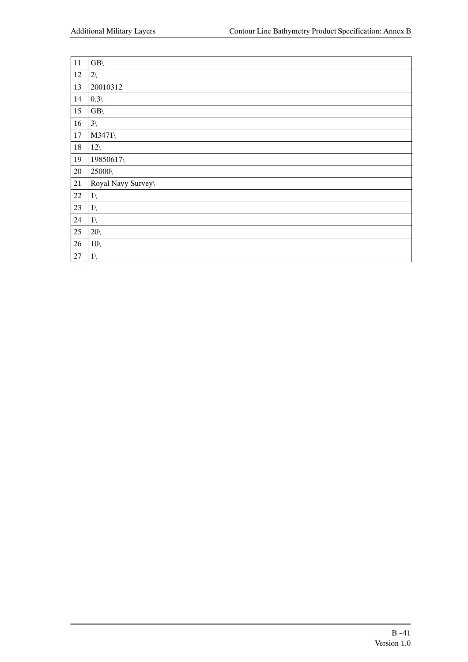| 11     | $GB\wedge$         |
|--------|--------------------|
| 12     | $2\langle$         |
| 13     | 20010312           |
| 14     | $0.3\backslash$    |
| 15     | $GB\wedge$         |
| 16     | $3\langle$         |
| 17     | M3471              |
| 18     | $12\%$             |
| 19     | 19850617           |
| 20     | 25000\             |
| $21\,$ | Royal Navy Survey\ |
| 22     | $1\backslash$      |
| 23     | $1\backslash$      |
| 24     | $1\backslash$      |
| 25     | $20\backslash$     |
| 26     | $10\backslash$     |
| 27     | $1\backslash$      |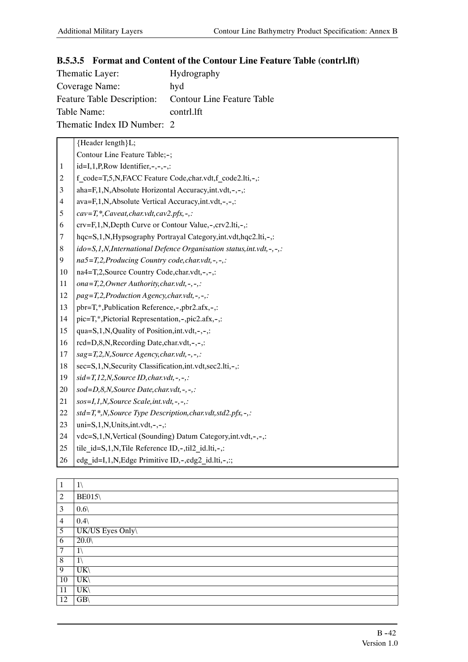# **B.5.3.5 Format and Content of the Contour Line Feature Table (contrl.lft)**

| Thematic Layer:                   | Hydrography                |
|-----------------------------------|----------------------------|
| Coverage Name:                    | hyd                        |
| <b>Feature Table Description:</b> | Contour Line Feature Table |
| Table Name:                       | contrl. Ift.               |
| Thematic Index ID Number: 2       |                            |

#### {Header length}L;

|                  | {Header length}L;                                                           |
|------------------|-----------------------------------------------------------------------------|
|                  | Contour Line Feature Table;-;                                               |
| $\mathbf{1}$     | $id=I,1,P,Row$ Identifier,-,-,-,:                                           |
| $\overline{c}$   | f code=T,5,N,FACC Feature Code,char.vdt,f_code2.lti,-,:                     |
| 3                | aha=F,1,N,Absolute Horizontal Accuracy,int.vdt,-,-,:                        |
| $\overline{4}$   | ava=F,1,N,Absolute Vertical Accuracy,int.vdt,-,-,:                          |
| 5                | $cav = T, *, Caveat, char.vdt, cav2.pfx, -, :$                              |
| 6                | crv=F,1,N,Depth Curve or Contour Value,-,crv2.lti,-,:                       |
| $\boldsymbol{7}$ | hqc=S,1,N,Hypsography Portrayal Category,int.vdt,hqc2.lti,-,:               |
| $8\,$            | $ido = S, 1, N, International$ Defence Organisation status, int.vdt, -, -,: |
| 9                | $na5 = T, 2, Producing Country code, char.vdt, -, -, :$                     |
| 10               | na4=T,2,Source Country Code,char.vdt,-,-,:                                  |
| 11               | ona=T,2,Owner Authority,char.vdt,-,-,:                                      |
| 12               | $pag=T, 2, Production Agency, char. vdt, -, -,$                             |
| 13               | pbr=T,*,Publication Reference,-,pbr2.afx,-,:                                |
| 14               | pic=T,*,Pictorial Representation,-,pic2.afx,-,:                             |
| 15               | qua= $S$ ,1,N,Quality of Position, int.vdt,-,-,:                            |
| 16               | rcd=D,8,N,Recording Date,char.vdt,-,-,:                                     |
| 17               | $sag = T, 2, N, Source Agency, char. vdt, -, -, $                           |
| 18               | sec=S,1,N,Security Classification,int.vdt,sec2.lti,-,:                      |
| 19               | $sid = T, 12, N, Source ID, char.vdt, -, -, :$                              |
| 20               | sod= $D$ ,8,N,Source Date,char.vdt,-,-,:                                    |
| 21               | $sos=I,1,N$ , Source Scale, int. vdt, -, -,:                                |
| 22               | $std=T, *, N, Source Type Description, char.vdt, std2. pfx, -, :$           |
| 23               | uni=S,1,N,Units,int.vdt,-,-,:                                               |
| 24               | vdc=S,1,N,Vertical (Sounding) Datum Category,int.vdt,-,-,:                  |
| 25               | tile id=S,1,N,Tile Reference ID,-,til2 id.lti,-,:                           |
| 26               | edg id=I,1,N,Edge Primitive ID,-,edg2 id.lti,-,:;                           |

| $\mathbf 1$     | $1\setminus$     |
|-----------------|------------------|
| 2               | BE015            |
| 3               | $0.6\%$          |
| $\overline{4}$  | $0.4\%$          |
| $\overline{5}$  | UK/US Eyes Only\ |
| 6               | $20.0\%$         |
| 7               | $1\vee$          |
| 8               | $1^{\backslash}$ |
| 9               | $UK \setminus$   |
| 10              | $UK \setminus$   |
| 11              | $UK \setminus$   |
| $\overline{12}$ | GB(              |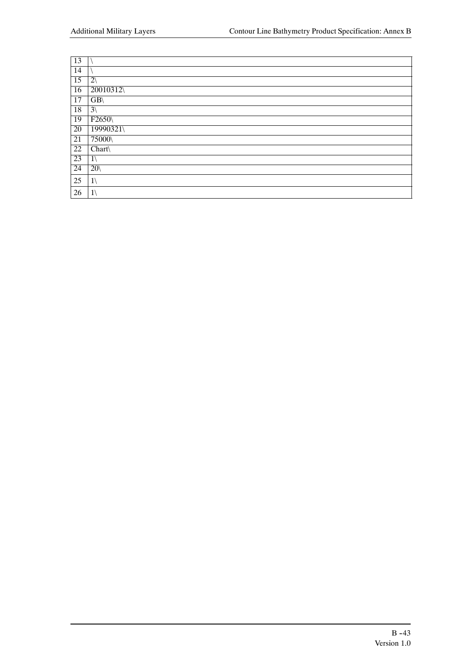| 13              |                   |
|-----------------|-------------------|
| $\overline{14}$ |                   |
| $\overline{15}$ | $2\langle$        |
| 16              | 20010312          |
| 17              | GB(               |
| 18              | $\overline{3}$    |
| 19              | $F2650\backslash$ |
| 20              | 19990321\         |
| 21              | 75000\            |
| 22              | Char <sub>1</sub> |
| 23              | $1\backslash$     |
| 24              | $20\sqrt{ }$      |
| 25              | $1\backslash$     |
| 26              | $1\backslash$     |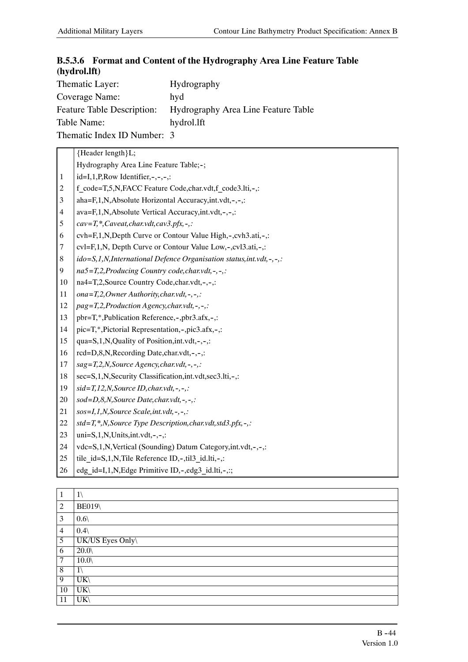# **B.5.3.6 Format and Content of the Hydrography Area Line Feature Table (hydrol.lft)**

| Thematic Layer:                   | Hydrography                         |
|-----------------------------------|-------------------------------------|
| Coverage Name:                    | hyd                                 |
| <b>Feature Table Description:</b> | Hydrography Area Line Feature Table |
| Table Name:                       | hydrol.lft                          |
| Thematic Index ID Number: 3       |                                     |

|                  | {Header length}L;                                                           |
|------------------|-----------------------------------------------------------------------------|
|                  | Hydrography Area Line Feature Table;-;                                      |
| $1\,$            | $id=I,1,P,Row$ Identifier, -, -, -,:                                        |
| $\overline{c}$   | f code=T,5,N,FACC Feature Code,char.vdt,f code3.lti,-,:                     |
| 3                | aha=F,1,N,Absolute Horizontal Accuracy,int.vdt,-,-,:                        |
| $\overline{4}$   | ava=F,1,N,Absolute Vertical Accuracy,int.vdt,-,-,:                          |
| 5                | $cav = T, *, Caveat, char.vdt, cav3.pfx, -, :$                              |
| 6                | cvh=F,1,N,Depth Curve or Contour Value High,-,cvh3.ati,-,:                  |
| $\boldsymbol{7}$ | cvl=F,1,N, Depth Curve or Contour Value Low,-,cvl3.ati,-,:                  |
| 8                | $ido = S, 1, N, International$ Defence Organisation status, int.vdt, -, -,: |
| 9                | $na5 = T, 2, Producing Country code, char.vdt, -, -, :$                     |
| 10               | na4=T,2,Source Country Code,char.vdt,-,-,:                                  |
| 11               | ona=T,2,Owner Authority,char.vdt,-,-,:                                      |
| 12               | pag=T,2,Production Agency,char.vdt,-,-,:                                    |
| 13               | pbr=T,*,Publication Reference,-,pbr3.afx,-,:                                |
| 14               | pic=T,*,Pictorial Representation,-,pic3.afx,-,:                             |
| 15               | qua=S,1,N,Quality of Position, int.vdt,-,-,:                                |
| 16               | rcd=D,8,N,Recording Date,char.vdt,-,-,:                                     |
| 17               | $sag = T, 2, N, Source Agency, char. vdt, -, -,$                            |
| 18               | sec=S,1,N,Security Classification,int.vdt,sec3.lti,-,:                      |
| 19               | $sid = T, 12, N, Source ID, char.vdt, -, -, :$                              |
| 20               | sod=D,8,N,Source Date,char.vdt,-,-,:                                        |
| 21               | $sos=I,1,N$ , Source Scale, int. vdt, -, -,:                                |
| 22               | $std=T, *, N, Source Type Description, char.vdt, std3. pfx, -,.$            |
| 23               | $uni=S,1,N, Units, int.vdt,-,-$                                             |
| 24               | vdc=S,1,N,Vertical (Sounding) Datum Category,int.vdt,-,-,:                  |
| 25               | tile id=S,1,N,Tile Reference ID,-,til3 id.lti,-,:                           |
| 26               | edg id=I,1,N,Edge Primitive ID,-,edg3 id.lti,-,:;                           |

| 1              | 1<br>Τ.          |
|----------------|------------------|
| 2              | <b>BE019\</b>    |
| 3              | $0.6\%$          |
| $\overline{4}$ | $0.4\%$          |
| $\overline{5}$ | UK/US Eyes Only\ |
| 6              | $20.0\backslash$ |
| $\overline{7}$ | $10.0\backslash$ |
| 8              | $1^{\prime}$     |
| 9              | UK)              |
| 10             | UK)              |
| 11             | <b>UK</b>        |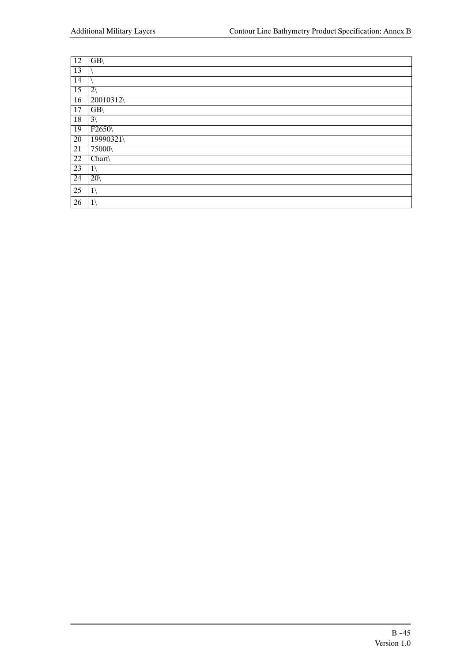| 12 | GB(               |
|----|-------------------|
| 13 |                   |
| 14 |                   |
| 15 | $2\langle$        |
| 16 | 20010312          |
| 17 | GB(               |
| 18 | $3\sqrt{ }$       |
| 19 | $F2650\backslash$ |
| 20 | 19990321\         |
| 21 | 75000\            |
| 22 | Char <sub>1</sub> |
| 23 | $1\backslash$     |
| 24 | $20\sqrt{ }$      |
| 25 | $1\backslash$     |
| 26 | $1\backslash$     |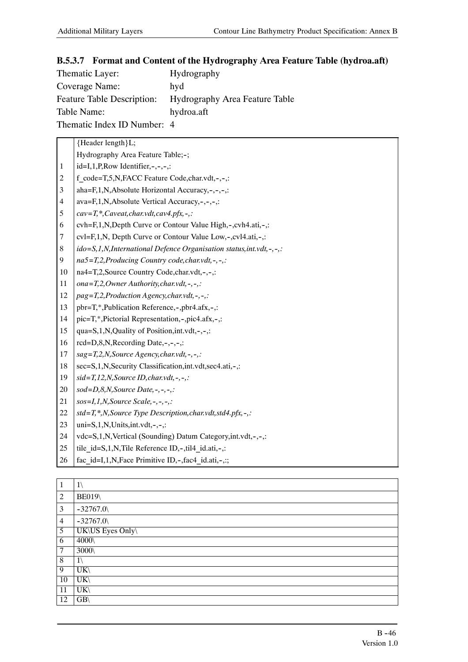# **B.5.3.7 Format and Content of the Hydrography Area Feature Table (hydroa.aft)**

| Thematic Layer:                   | Hydrography                    |
|-----------------------------------|--------------------------------|
| Coverage Name:                    | hyd                            |
| <b>Feature Table Description:</b> | Hydrography Area Feature Table |
| Table Name:                       | hydroa.aft                     |
| Thematic Index ID Number: 4       |                                |

#### $\sqrt{\text{Header length}}$

|                  | {Header length}L;                                                           |
|------------------|-----------------------------------------------------------------------------|
|                  | Hydrography Area Feature Table;-;                                           |
| $\mathbf{1}$     | $id=I,1,P,Row$ Identifier, -, -, -,:                                        |
| $\boldsymbol{2}$ | f code=T,5,N,FACC Feature Code,char.vdt,-,-,:                               |
| 3                | aha=F,1,N,Absolute Horizontal Accuracy,-,-,-,:                              |
| $\overline{4}$   | ava=F,1,N,Absolute Vertical Accuracy,-,-,-,:                                |
| 5                | $cav = T, *, Caveat, char. vdt, cav4. pfx, -, :$                            |
| 6                | cvh=F,1,N,Depth Curve or Contour Value High,-,cvh4.ati,-,:                  |
| $\tau$           | cvl=F,1,N, Depth Curve or Contour Value Low,-,cvl4.ati,-,:                  |
| $8\,$            | $ido = S, 1, N, International$ Defence Organisation status, int.vdt, -, -,: |
| 9                | $na5 = T, 2, Producing Country code, char.vdt, -, -, $                      |
| 10               | na4=T,2,Source Country Code,char.vdt,-,-,:                                  |
| 11               | ona=T,2, Owner Authority, char.vdt, -, -,:                                  |
| 12               | pag=T,2,Production Agency,char.vdt,-,-,:                                    |
| 13               | pbr=T,*,Publication Reference,-,pbr4.afx,-,:                                |
| 14               | pic=T,*,Pictorial Representation,-,pic4.afx,-,:                             |
| 15               | qua=S,1,N,Quality of Position, int.vdt,-,-,:                                |
| 16               | rcd=D,8,N,Recording Date,-,-,-,:                                            |
| 17               | $sag = T, 2, N$ , Source Agency, char.vdt, -, -,:                           |
| 18               | sec=S,1,N,Security Classification,int.vdt,sec4.ati,-,:                      |
| 19               | $sid = T, 12, N, Source ID, char.vdt, -, -, :$                              |
| 20               | $sod = D, 8, N, Source$ Date, -, -, -,:                                     |
| 21               | $sos=1,1,N$ , Source Scale, -, -, -, :                                      |
| 22               | std=T,*,N,Source Type Description, char.vdt, std4.pfx,-,:                   |
| 23               | $uni=S,1,N, Units, int.vdt,-,-$                                             |
| 24               | vdc=S,1,N,Vertical (Sounding) Datum Category,int.vdt,-,-,:                  |
| 25               | tile id=S,1,N,Tile Reference ID,-,til4_id.ati,-,:                           |
| 26               | fac_id=I,1,N,Face Primitive ID,-,fac4_id.ati,-,:;                           |

| 1               | $1\setminus$     |
|-----------------|------------------|
| 2               | <b>BE019</b>     |
| 3               | $-32767.0$       |
| $\overline{4}$  | $-32767.0$       |
| $\overline{5}$  | UK\US Eyes Only\ |
| 6               | $4000\sqrt{ }$   |
| 7               | $3000\%$         |
| 8               | $1\backslash$    |
| 9               | UK               |
| 10              | UK(              |
| 11              | UK(              |
| $\overline{12}$ | $\overline{GB}$  |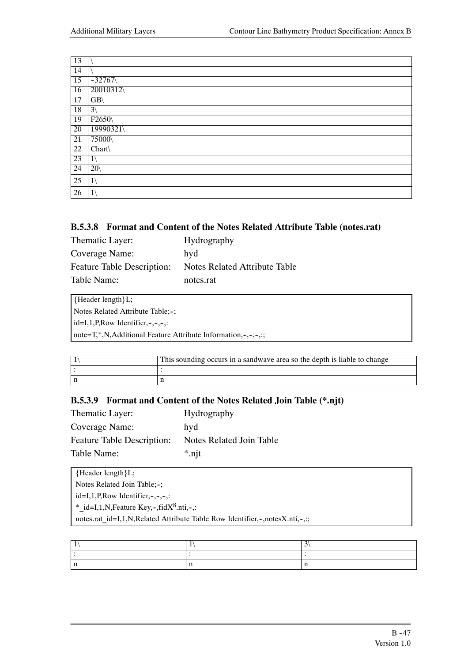| 13              |                   |
|-----------------|-------------------|
| $\overline{14}$ |                   |
| 15              | $-32767$          |
| $\overline{16}$ | 20010312          |
| $\overline{17}$ | GB(               |
| 18              | $3\backslash$     |
| 19              | $F2650\backslash$ |
| 20              | 19990321\         |
| 21              | 75000\            |
| 22              | Char <sub>1</sub> |
| 23              | $1\backslash$     |
| 24              | $20\sqrt{ }$      |
| 25              | $1\setminus$      |
| 26              | $1\backslash$     |

#### **B.5.3.8 Format and Content of the Notes Related Attribute Table (notes.rat)**

| Thematic Layer:                   | Hydrography                   |
|-----------------------------------|-------------------------------|
| Coverage Name:                    | hyd                           |
| <b>Feature Table Description:</b> | Notes Related Attribute Table |
| Table Name:                       | notes.rat                     |
|                                   |                               |

{Header length}L; Notes Related Attribute Table;-; id=I,1,P,Row Identifier,-,-,-,: note=T,\*,N,Additional Feature Attribute Information,-,-,-,:;

| This sounding occurs in a sandwave area so the depth is liable to change |
|--------------------------------------------------------------------------|
|                                                                          |
|                                                                          |

#### **B.5.3.9 Format and Content of the Notes Related Join Table (\*.njt)**

| Thematic Layer:                   | Hydrography              |
|-----------------------------------|--------------------------|
| Coverage Name:                    | hyd                      |
| <b>Feature Table Description:</b> | Notes Related Join Table |
| Table Name:                       | $*.$ njt                 |

{Header length}L;

Notes Related Join Table;-;

id=I,1,P,Row Identifier,-,-,-,:

\*\_id=I,1,N,Feature Key,-,fidX8.nti,-,:

notes.rat\_id=I,1,N,Related Attribute Table Row Identifier,-,notesX.nti,-,:;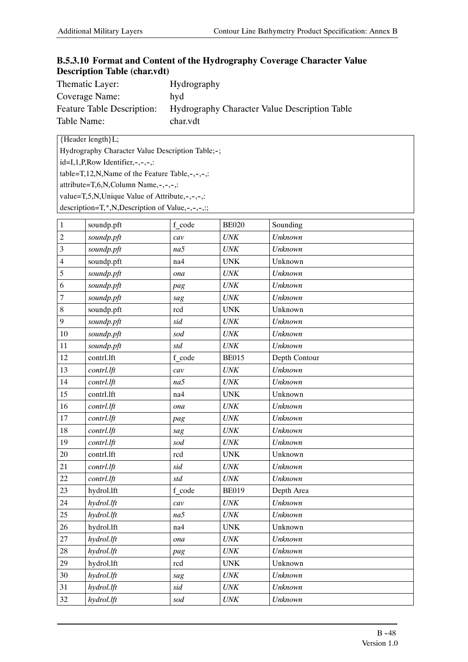### **B.5.3.10 Format and Content of the Hydrography Coverage Character Value Description Table (char.vdt)**

| Thematic Layer:                   | Hydrography                                          |
|-----------------------------------|------------------------------------------------------|
| Coverage Name:                    | hyd                                                  |
| <b>Feature Table Description:</b> | <b>Hydrography Character Value Description Table</b> |
| Table Name:                       | char.vdt                                             |

{Header length}L;

Hydrography Character Value Description Table;-;

id=I,1,P,Row Identifier,-,-,-,:

table=T,12,N,Name of the Feature Table,-,-,-,:

attribute=T,6,N,Column Name,-,-,-,:

value=T,5,N,Unique Value of Attribute,-,-,-,:

description=T,\*,N,Description of Value,-,-,-,:;

| $\mathbf{1}$   | soundp.pft | f code | <b>BE020</b> | Sounding       |
|----------------|------------|--------|--------------|----------------|
| $\overline{c}$ | soundp.pft | cav    | <b>UNK</b>   | Unknown        |
| $\overline{3}$ | soundp.pft | na5    | UNK          | Unknown        |
| $\overline{4}$ | soundp.pft | na4    | <b>UNK</b>   | Unknown        |
| 5              | soundp.pft | ona    | UNK          | <b>Unknown</b> |
| 6              | soundp.pft | pag    | <b>UNK</b>   | <b>Unknown</b> |
| $\overline{7}$ | soundp.pft | sag    | UNK          | <b>Unknown</b> |
| 8              | soundp.pft | rcd    | <b>UNK</b>   | Unknown        |
| 9              | soundp.pft | sid    | <b>UNK</b>   | Unknown        |
| 10             | soundp.pft | sod    | <b>UNK</b>   | <b>Unknown</b> |
| 11             | soundp.pft | std    | <b>UNK</b>   | <b>Unknown</b> |
| 12             | contrl.lft | f code | <b>BE015</b> | Depth Contour  |
| 13             | contrl.lft | cav    | <b>UNK</b>   | Unknown        |
| 14             | contrl.lft | na5    | <b>UNK</b>   | <b>Unknown</b> |
| 15             | contrl.lft | na4    | <b>UNK</b>   | Unknown        |
| 16             | contrl.lft | ona    | UNK          | Unknown        |
| 17             | contrl.lft | pag    | <b>UNK</b>   | <b>Unknown</b> |
| $18\,$         | contrl.lft | sag    | <b>UNK</b>   | <b>Unknown</b> |
| 19             | contrl.lft | sod    | <b>UNK</b>   | Unknown        |
| 20             | contrl.lft | rcd    | <b>UNK</b>   | Unknown        |
| 21             | contrl.lft | sid    | <b>UNK</b>   | Unknown        |
| 22             | contrl.lft | std    | <b>UNK</b>   | Unknown        |
| 23             | hydrol.lft | f code | <b>BE019</b> | Depth Area     |
| 24             | hydrol.lft | cav    | <b>UNK</b>   | <b>Unknown</b> |
| 25             | hydrol.lft | na5    | <b>UNK</b>   | <b>Unknown</b> |
| 26             | hydrol.lft | na4    | <b>UNK</b>   | Unknown        |
| 27             | hydrol.lft | ona    | <b>UNK</b>   | Unknown        |
| 28             | hydrol.lft | pag    | <b>UNK</b>   | Unknown        |
| 29             | hydrol.lft | rcd    | <b>UNK</b>   | Unknown        |
| 30             | hydrol.lft | sag    | <b>UNK</b>   | <b>Unknown</b> |
| 31             | hydrol.lft | sid    | <b>UNK</b>   | Unknown        |
| 32             | hydrol.lft | sod    | <b>UNK</b>   | Unknown        |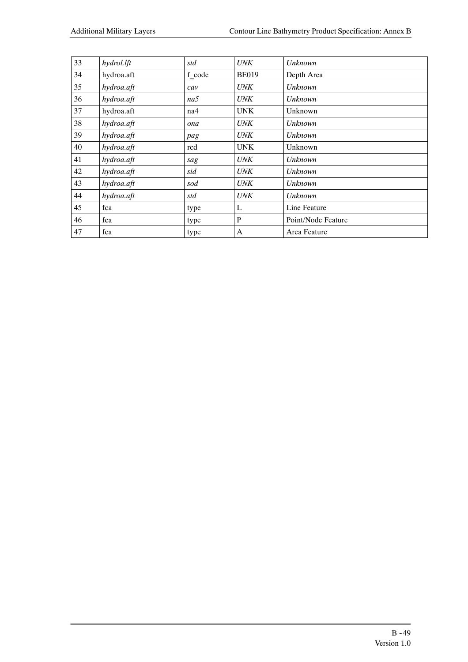| 33 | hydrol.lft | std    | <b>UNK</b>   | <b>Unknown</b>     |
|----|------------|--------|--------------|--------------------|
| 34 | hydroa.aft | f code | <b>BE019</b> | Depth Area         |
| 35 | hydroa.aft | cav    | <b>UNK</b>   | Unknown            |
| 36 | hydroa.aft | na5    | <b>UNK</b>   | Unknown            |
| 37 | hydroa.aft | na4    | <b>UNK</b>   | Unknown            |
| 38 | hydroa.aft | ona    | <b>UNK</b>   | Unknown            |
| 39 | hydroa.aft | pag    | <b>UNK</b>   | Unknown            |
| 40 | hydroa.aft | rcd    | <b>UNK</b>   | Unknown            |
| 41 | hydroa.aft | sag    | <b>UNK</b>   | Unknown            |
| 42 | hydroa.aft | sid    | <b>UNK</b>   | Unknown            |
| 43 | hydroa.aft | sod    | <b>UNK</b>   | Unknown            |
| 44 | hydroa.aft | std    | <b>UNK</b>   | Unknown            |
| 45 | fca        | type   | L            | Line Feature       |
| 46 | fca        | type   | P            | Point/Node Feature |
| 47 | fca        | type   | A            | Area Feature       |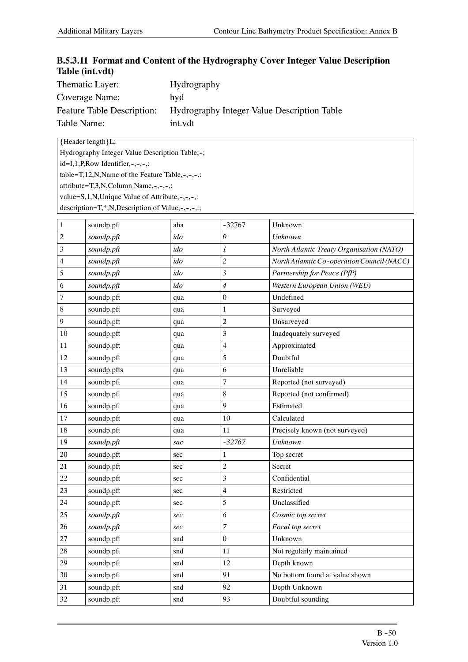# **B.5.3.11 Format and Content of the Hydrography Cover Integer Value Description Table (int.vdt)**

| Thematic Layer:                   | Hydrography                                        |
|-----------------------------------|----------------------------------------------------|
| Coverage Name:                    | hyd                                                |
| <b>Feature Table Description:</b> | <b>Hydrography Integer Value Description Table</b> |
| Table Name:                       | int.vdt                                            |

{Header length}L;

Hydrography Integer Value Description Table;-;

id=I,1,P,Row Identifier,-,-,-,:

table=T,12,N,Name of the Feature Table,-,-,-,:

attribute=T,3,N,Column Name,-,-,-,:

value=S,1,N,Unique Value of Attribute,-,-,-,:

description=T,\*,N,Description of Value,-,-,-,:;

| $\mathbf{1}$     | soundp.pft  | aha | $-32767$         | Unknown                                    |
|------------------|-------------|-----|------------------|--------------------------------------------|
| $\overline{2}$   | soundp.pft  | ido | 0                | Unknown                                    |
| 3                | soundp.pft  | ido | $\boldsymbol{l}$ | North Atlantic Treaty Organisation (NATO)  |
| 4                | soundp.pft  | ido | $\overline{c}$   | North Atlamtic Co-operation Council (NACC) |
| 5                | soundp.pft  | ido | 3                | Partnership for Peace (PfP)                |
| 6                | soundp.pft  | ido | $\overline{4}$   | Western European Union (WEU)               |
| $\boldsymbol{7}$ | soundp.pft  | qua | $\boldsymbol{0}$ | Undefined                                  |
| $\,$ 8 $\,$      | soundp.pft  | qua | $\mathbf{1}$     | Surveyed                                   |
| 9                | soundp.pft  | qua | $\overline{c}$   | Unsurveyed                                 |
| 10               | soundp.pft  | qua | 3                | Inadequately surveyed                      |
| 11               | soundp.pft  | qua | 4                | Approximated                               |
| 12               | soundp.pft  | qua | 5                | Doubtful                                   |
| 13               | soundp.pfts | qua | 6                | Unreliable                                 |
| 14               | soundp.pft  | qua | $\boldsymbol{7}$ | Reported (not surveyed)                    |
| 15               | soundp.pft  | qua | 8                | Reported (not confirmed)                   |
| 16               | soundp.pft  | qua | 9                | Estimated                                  |
| 17               | soundp.pft  | qua | 10               | Calculated                                 |
| 18               | soundp.pft  | qua | 11               | Precisely known (not surveyed)             |
| 19               | soundp.pft  | sac | $-32767$         | Unknown                                    |
| 20               | soundp.pft  | sec | $\mathbf{1}$     | Top secret                                 |
| 21               | soundp.pft  | sec | $\overline{c}$   | Secret                                     |
| 22               | soundp.pft  | sec | $\mathfrak{Z}$   | Confidential                               |
| 23               | soundp.pft  | sec | $\overline{4}$   | Restricted                                 |
| 24               | soundp.pft  | sec | 5                | Unclassified                               |
| 25               | soundp.pft  | sec | 6                | Cosmic top secret                          |
| 26               | soundp.pft  | sec | 7                | Focal top secret                           |
| 27               | soundp.pft  | snd | $\boldsymbol{0}$ | Unknown                                    |
| 28               | soundp.pft  | snd | 11               | Not regularly maintained                   |
| 29               | soundp.pft  | snd | 12               | Depth known                                |
| 30               | soundp.pft  | snd | 91               | No bottom found at value shown             |
| 31               | soundp.pft  | snd | 92               | Depth Unknown                              |
| 32               | soundp.pft  | snd | 93               | Doubtful sounding                          |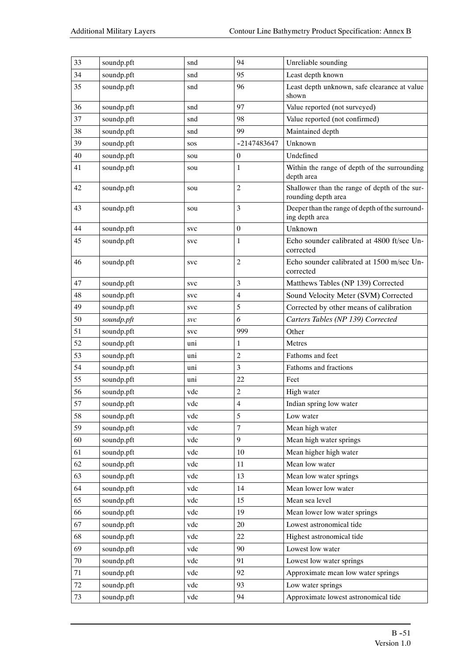| 33     | soundp.pft | snd        | 94               | Unreliable sounding                                                  |  |
|--------|------------|------------|------------------|----------------------------------------------------------------------|--|
| 34     | soundp.pft | snd        | 95               | Least depth known                                                    |  |
| 35     | soundp.pft | snd        | 96               | Least depth unknown, safe clearance at value<br>shown                |  |
| 36     | soundp.pft | snd        | 97               | Value reported (not surveyed)                                        |  |
| 37     | soundp.pft | snd        | 98               | Value reported (not confirmed)                                       |  |
| 38     | soundp.pft | snd        | 99               | Maintained depth                                                     |  |
| 39     | soundp.pft | <b>SOS</b> | -2147483647      | Unknown                                                              |  |
| 40     | soundp.pft | sou        | $\boldsymbol{0}$ | Undefined                                                            |  |
| 41     | soundp.pft | sou        | $\mathbf{1}$     | Within the range of depth of the surrounding<br>depth area           |  |
| 42     | soundp.pft | sou        | $\overline{2}$   | Shallower than the range of depth of the sur-<br>rounding depth area |  |
| 43     | soundp.pft | sou        | 3                | Deeper than the range of depth of the surround-<br>ing depth area    |  |
| 44     | soundp.pft | <b>SVC</b> | $\mathbf{0}$     | Unknown                                                              |  |
| 45     | soundp.pft | <b>SVC</b> | 1                | Echo sounder calibrated at 4800 ft/sec Un-<br>corrected              |  |
| 46     | soundp.pft | <b>SVC</b> | $\overline{2}$   | Echo sounder calibrated at 1500 m/sec Un-<br>corrected               |  |
| 47     | soundp.pft | <b>SVC</b> | 3                | Matthews Tables (NP 139) Corrected                                   |  |
| 48     | soundp.pft | <b>SVC</b> | $\overline{4}$   | Sound Velocity Meter (SVM) Corrected                                 |  |
| 49     | soundp.pft | <b>SVC</b> | 5                | Corrected by other means of calibration                              |  |
| 50     | soundp.pft | SVC        | 6                | Carters Tables (NP 139) Corrected                                    |  |
| 51     | soundp.pft | <b>SVC</b> | 999              | Other                                                                |  |
| 52     | soundp.pft | uni        | 1                | Metres                                                               |  |
| 53     | soundp.pft | uni        | $\overline{c}$   | Fathoms and feet                                                     |  |
| 54     | soundp.pft | uni        | 3                | Fathoms and fractions                                                |  |
| 55     | soundp.pft | uni        | 22               | Feet                                                                 |  |
| 56     | soundp.pft | vdc        | 2                | High water                                                           |  |
| 57     | soundp.pft | vdc        | $\overline{4}$   | Indian spring low water                                              |  |
| 58     | soundp.pft | vdc        | 5                | Low water                                                            |  |
| 59     | soundp.pft | vdc        | $\overline{7}$   | Mean high water                                                      |  |
| 60     | soundp.pft | vdc        | 9                | Mean high water springs                                              |  |
| 61     | soundp.pft | vdc        | 10               | Mean higher high water                                               |  |
| 62     | soundp.pft | vdc        | 11               | Mean low water                                                       |  |
| 63     | soundp.pft | vdc        | 13               | Mean low water springs                                               |  |
| 64     | soundp.pft | vdc        | 14               | Mean lower low water                                                 |  |
| 65     | soundp.pft | vdc        | 15               | Mean sea level                                                       |  |
| 66     | soundp.pft | vdc        | 19               | Mean lower low water springs                                         |  |
| 67     | soundp.pft | vdc        | 20               | Lowest astronomical tide                                             |  |
| 68     | soundp.pft | vdc        | 22               | Highest astronomical tide                                            |  |
| 69     | soundp.pft | vdc        | 90               | Lowest low water                                                     |  |
| $70\,$ | soundp.pft | vdc        | 91               | Lowest low water springs                                             |  |
| 71     | soundp.pft | vdc        | 92               | Approximate mean low water springs                                   |  |
| 72     | soundp.pft | vdc        | 93               | Low water springs                                                    |  |
| 73     | soundp.pft | vdc        | 94               | Approximate lowest astronomical tide                                 |  |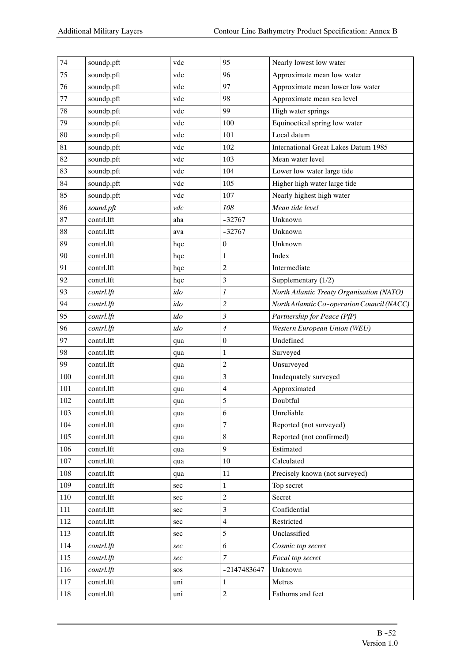| 74  | soundp.pft | vdc | 95               | Nearly lowest low water                     |  |
|-----|------------|-----|------------------|---------------------------------------------|--|
| 75  | soundp.pft | vdc | 96               | Approximate mean low water                  |  |
| 76  | soundp.pft | vdc | 97               | Approximate mean lower low water            |  |
| 77  | soundp.pft | vdc | 98               | Approximate mean sea level                  |  |
| 78  | soundp.pft | vdc | 99               | High water springs                          |  |
| 79  | soundp.pft | vdc | 100              | Equinoctical spring low water               |  |
| 80  | soundp.pft | vdc | 101              | Local datum                                 |  |
| 81  | soundp.pft | vdc | 102              | <b>International Great Lakes Datum 1985</b> |  |
| 82  | soundp.pft | vdc | 103              | Mean water level                            |  |
| 83  | soundp.pft | vdc | 104              | Lower low water large tide                  |  |
| 84  | soundp.pft | vdc | 105              | Higher high water large tide                |  |
| 85  | soundp.pft | vdc | 107              | Nearly highest high water                   |  |
| 86  | sound.pft  | vdc | 108              | Mean tide level                             |  |
| 87  | contrl.lft | aha | $-32767$         | Unknown                                     |  |
| 88  | contrl.lft | ava | $-32767$         | Unknown                                     |  |
| 89  | contrl.lft | hqc | $\boldsymbol{0}$ | Unknown                                     |  |
| 90  | contrl.lft | hqc | 1                | Index                                       |  |
| 91  | contrl.lft | hqc | 2                | Intermediate                                |  |
| 92  | contrl.lft | hqc | 3                | Supplementary $(1/2)$                       |  |
| 93  | contrl.lft | ido | 1                | North Atlantic Treaty Organisation (NATO)   |  |
| 94  | contrl.lft | ido | 2                | North Atlamtic Co-operation Council (NACC)  |  |
| 95  | contrl.lft | ido | 3                | Partnership for Peace (PfP)                 |  |
| 96  | contrl.lft | ido | 4                | Western European Union (WEU)                |  |
| 97  | contrl.lft | qua | $\boldsymbol{0}$ | Undefined                                   |  |
| 98  | contrl.lft | qua | $\mathbf{1}$     | Surveyed                                    |  |
| 99  | contrl.lft | qua | 2                | Unsurveyed                                  |  |
| 100 | contrl.lft | qua | 3                | Inadequately surveyed                       |  |
| 101 | contrl.lft | qua | 4                | Approximated                                |  |
| 102 | contrl.lft | qua | 5                | Doubtful                                    |  |
| 103 | contrl.lft | qua | 6                | Unreliable                                  |  |
| 104 | contrl.lft | qua | 7                | Reported (not surveyed)                     |  |
| 105 | contrl.lft | qua | 8                | Reported (not confirmed)                    |  |
| 106 | contrl.lft | qua | 9                | Estimated                                   |  |
| 107 | contrl.lft | qua | 10               | Calculated                                  |  |
| 108 | contrl.lft | qua | 11               | Precisely known (not surveyed)              |  |
| 109 | contrl.lft | sec | $\mathbf{1}$     | Top secret                                  |  |
| 110 | contrl.lft | sec | $\overline{c}$   | Secret                                      |  |
| 111 | contrl.lft | sec | 3                | Confidential                                |  |
| 112 | contrl.lft | sec | $\overline{4}$   | Restricted                                  |  |
| 113 | contrl.lft | sec | 5                | Unclassified                                |  |
| 114 | contrl.lft | sec | 6                | Cosmic top secret                           |  |
| 115 | contrl.lft | sec | $\overline{7}$   | Focal top secret                            |  |
| 116 | contrl.lft | sos | -2147483647      | Unknown                                     |  |
| 117 | contrl.lft | uni | 1                | Metres                                      |  |
| 118 | contrl.lft | uni | $\overline{c}$   | Fathoms and feet                            |  |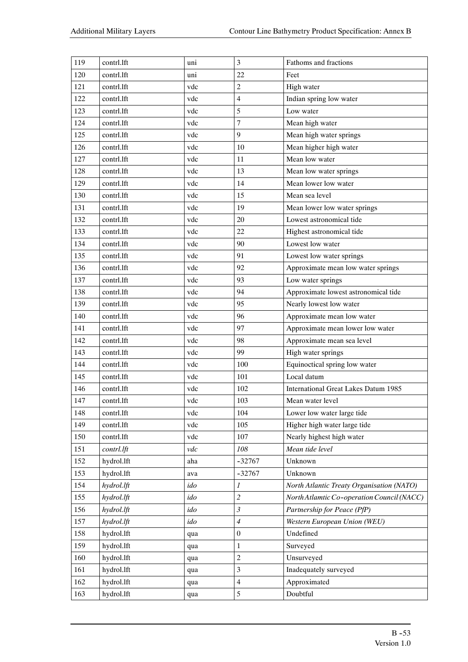| 119 | contrl.lft | uni      | 3                | Fathoms and fractions                       |  |
|-----|------------|----------|------------------|---------------------------------------------|--|
| 120 | contrl.lft | uni      | 22               | Feet                                        |  |
| 121 | contrl.lft | vdc      | 2                | High water                                  |  |
| 122 | contrl.lft | vdc      | 4                | Indian spring low water                     |  |
| 123 | contrl.lft | vdc      | 5                | Low water                                   |  |
| 124 | contrl.lft | vdc      | 7                | Mean high water                             |  |
| 125 | contrl.lft | vdc      | 9                | Mean high water springs                     |  |
| 126 | contrl.lft | vdc      | 10               | Mean higher high water                      |  |
| 127 | contrl.lft | vdc      | 11               | Mean low water                              |  |
| 128 | contrl.lft | vdc      | 13               | Mean low water springs                      |  |
| 129 | contrl.lft | vdc      | 14               | Mean lower low water                        |  |
| 130 | contrl.lft | vdc      | 15               | Mean sea level                              |  |
| 131 | contrl.lft | vdc      | 19               | Mean lower low water springs                |  |
| 132 | contrl.lft | vdc      | 20               | Lowest astronomical tide                    |  |
| 133 | contrl.lft | vdc      | 22               | Highest astronomical tide                   |  |
| 134 | contrl.lft | vdc      | 90               | Lowest low water                            |  |
| 135 | contrl.lft | vdc      | 91               | Lowest low water springs                    |  |
| 136 | contrl.lft | vdc      | 92               | Approximate mean low water springs          |  |
| 137 | contrl.lft | vdc      | 93               | Low water springs                           |  |
| 138 | contrl.lft | vdc      | 94               | Approximate lowest astronomical tide        |  |
| 139 | contrl.lft | vdc      | 95               | Nearly lowest low water                     |  |
| 140 | contrl.lft | vdc      | 96               | Approximate mean low water                  |  |
| 141 | contrl.lft | vdc      | 97               | Approximate mean lower low water            |  |
| 142 | contrl.lft | vdc      | 98               | Approximate mean sea level                  |  |
| 143 | contrl.lft | vdc      | 99               | High water springs                          |  |
| 144 | contrl.lft | vdc      | 100              | Equinoctical spring low water               |  |
| 145 | contrl.lft | vdc      | 101              | Local datum                                 |  |
| 146 | contrl.lft | vdc      | 102              | <b>International Great Lakes Datum 1985</b> |  |
| 147 | contrl.lft | vdc      | 103              | Mean water level                            |  |
| 148 | contrl.lft | vdc      | 104              | Lower low water large tide                  |  |
| 149 | contrl.lft | vdc      | 105              | Higher high water large tide                |  |
| 150 | contrl.lft | vdc      | 107              | Nearly highest high water                   |  |
| 151 | contrl.lft | $\nu dc$ | 108              | Mean tide level                             |  |
| 152 | hydrol.lft | aha      | $-32767$         | Unknown                                     |  |
| 153 | hydrol.lft | ava      | $-32767$         | Unknown                                     |  |
| 154 | hydrol.lft | ido      | $\boldsymbol{l}$ | North Atlantic Treaty Organisation (NATO)   |  |
| 155 | hydrol.lft | ido      | $\overline{c}$   | North Atlamtic Co-operation Council (NACC)  |  |
| 156 | hydrol.lft | ido      | 3                | Partnership for Peace (PfP)                 |  |
| 157 | hydrol.lft | ido      | $\overline{4}$   | Western European Union (WEU)                |  |
| 158 | hydrol.lft | qua      | $\boldsymbol{0}$ | Undefined                                   |  |
| 159 | hydrol.lft | qua      | $\mathbf 1$      | Surveyed                                    |  |
| 160 | hydrol.lft | qua      | 2                | Unsurveyed                                  |  |
| 161 | hydrol.lft | qua      | 3                | Inadequately surveyed                       |  |
| 162 | hydrol.lft | qua      | 4                | Approximated                                |  |
| 163 | hydrol.lft | qua      | 5                | Doubtful                                    |  |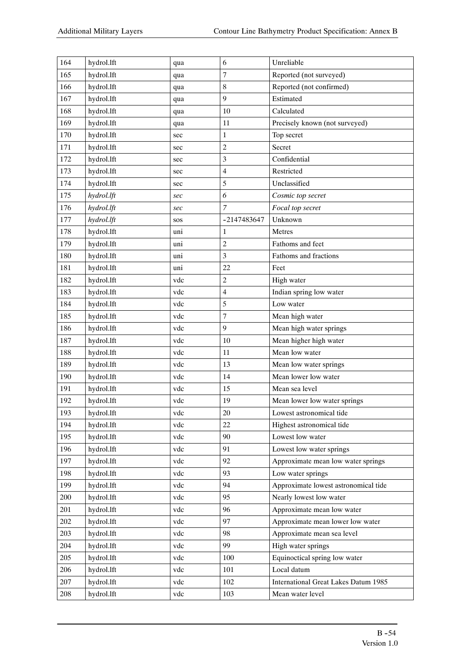| 164 | hydrol.lft | qua | 6                                                            | Unreliable                           |
|-----|------------|-----|--------------------------------------------------------------|--------------------------------------|
| 165 | hydrol.lft | qua | $\boldsymbol{7}$                                             | Reported (not surveyed)              |
| 166 | hydrol.lft | qua | $8\,$                                                        | Reported (not confirmed)             |
| 167 | hydrol.lft | qua | 9                                                            | Estimated                            |
| 168 | hydrol.lft | qua | 10                                                           | Calculated                           |
| 169 | hydrol.lft | qua | 11                                                           | Precisely known (not surveyed)       |
| 170 | hydrol.lft | sec | $\mathbf{1}$                                                 | Top secret                           |
| 171 | hydrol.lft | sec | $\mathfrak{2}% =\mathfrak{2}\left( \mathfrak{2}\right) ^{2}$ | Secret                               |
| 172 | hydrol.lft | sec | 3                                                            | Confidential                         |
| 173 | hydrol.lft | sec | $\overline{4}$                                               | Restricted                           |
| 174 | hydrol.lft | sec | 5                                                            | Unclassified                         |
| 175 | hydrol.lft | sec | 6                                                            | Cosmic top secret                    |
| 176 | hydrol.lft | sec | $\overline{7}$                                               | Focal top secret                     |
| 177 | hydrol.lft | sos | -2147483647                                                  | Unknown                              |
| 178 | hydrol.lft | uni | 1                                                            | Metres                               |
| 179 | hydrol.lft | uni | $\overline{c}$                                               | Fathoms and feet                     |
| 180 | hydrol.lft | uni | $\mathfrak{Z}$                                               | Fathoms and fractions                |
| 181 | hydrol.lft | uni | 22                                                           | Feet                                 |
| 182 | hydrol.lft | vdc | $\mathfrak{2}% =\mathfrak{2}\left( \mathfrak{2}\right) ^{2}$ | High water                           |
| 183 | hydrol.lft | vdc | $\overline{\mathbf{4}}$                                      | Indian spring low water              |
| 184 | hydrol.lft | vdc | 5                                                            | Low water                            |
| 185 | hydrol.lft | vdc | 7                                                            | Mean high water                      |
| 186 | hydrol.lft | vdc | 9                                                            | Mean high water springs              |
| 187 | hydrol.lft | vdc | 10                                                           | Mean higher high water               |
| 188 | hydrol.lft | vdc | 11                                                           | Mean low water                       |
| 189 | hydrol.lft | vdc | 13                                                           | Mean low water springs               |
| 190 | hydrol.lft | vdc | 14                                                           | Mean lower low water                 |
| 191 | hydrol.lft | vdc | 15                                                           | Mean sea level                       |
| 192 | hydrol.lft | vdc | 19                                                           | Mean lower low water springs         |
| 193 | hydrol.lft | vdc | 20                                                           | Lowest astronomical tide             |
| 194 | hydrol.lft | vdc | 22                                                           | Highest astronomical tide            |
| 195 | hydrol.lft | vdc | 90                                                           | Lowest low water                     |
| 196 | hydrol.lft | vdc | 91                                                           | Lowest low water springs             |
| 197 | hydrol.lft | vdc | 92                                                           | Approximate mean low water springs   |
| 198 | hydrol.lft | vdc | 93                                                           | Low water springs                    |
| 199 | hydrol.lft | vdc | 94                                                           | Approximate lowest astronomical tide |
| 200 | hydrol.lft | vdc | 95                                                           | Nearly lowest low water              |
| 201 | hydrol.lft | vdc | 96                                                           | Approximate mean low water           |
| 202 | hydrol.lft | vdc | 97                                                           | Approximate mean lower low water     |
| 203 | hydrol.lft | vdc | 98                                                           | Approximate mean sea level           |
| 204 | hydrol.lft | vdc | 99                                                           | High water springs                   |
| 205 | hydrol.lft | vdc | 100                                                          | Equinoctical spring low water        |
| 206 | hydrol.lft | vdc | 101                                                          | Local datum                          |
| 207 | hydrol.lft | vdc | 102                                                          | International Great Lakes Datum 1985 |
| 208 | hydrol.lft | vdc | 103                                                          | Mean water level                     |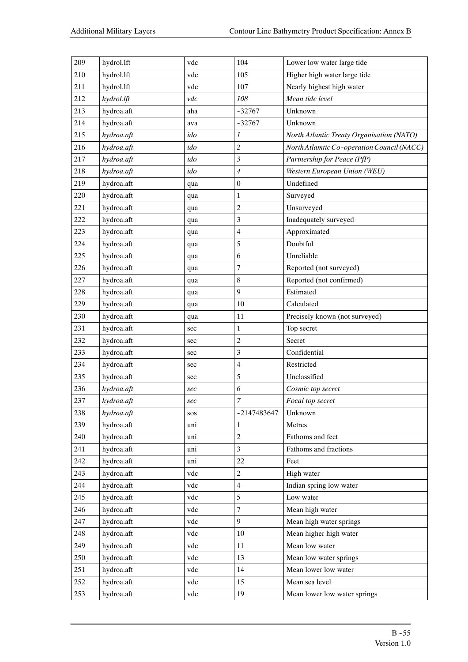| 209 | hydrol.lft | vdc        | 104              | Lower low water large tide                 |  |
|-----|------------|------------|------------------|--------------------------------------------|--|
| 210 | hydrol.lft | vdc        | 105              | Higher high water large tide               |  |
| 211 | hydrol.lft | vdc        | 107              | Nearly highest high water                  |  |
| 212 | hydrol.lft | vdc        | 108              | Mean tide level                            |  |
| 213 | hydroa.aft | aha        | $-32767$         | Unknown                                    |  |
| 214 | hydroa.aft | ava        | $-32767$         | Unknown                                    |  |
| 215 | hydroa.aft | ido        | 1                | North Atlantic Treaty Organisation (NATO)  |  |
| 216 | hydroa.aft | ido        | 2                | North Atlamtic Co-operation Council (NACC) |  |
| 217 | hydroa.aft | ido        | 3                | Partnership for Peace (PfP)                |  |
| 218 | hydroa.aft | ido        | $\overline{4}$   | Western European Union (WEU)               |  |
| 219 | hydroa.aft | qua        | $\boldsymbol{0}$ | Undefined                                  |  |
| 220 | hydroa.aft | qua        | 1                | Surveyed                                   |  |
| 221 | hydroa.aft | qua        | $\overline{c}$   | Unsurveyed                                 |  |
| 222 | hydroa.aft | qua        | 3                | Inadequately surveyed                      |  |
| 223 | hydroa.aft | qua        | 4                | Approximated                               |  |
| 224 | hydroa.aft | qua        | 5                | Doubtful                                   |  |
| 225 | hydroa.aft | qua        | 6                | Unreliable                                 |  |
| 226 | hydroa.aft | qua        | 7                | Reported (not surveyed)                    |  |
| 227 | hydroa.aft | qua        | $8\,$            | Reported (not confirmed)                   |  |
| 228 | hydroa.aft | qua        | 9                | Estimated                                  |  |
| 229 | hydroa.aft | qua        | 10               | Calculated                                 |  |
| 230 | hydroa.aft | qua        | 11               | Precisely known (not surveyed)             |  |
| 231 | hydroa.aft | sec        | $\mathbf{1}$     | Top secret                                 |  |
| 232 | hydroa.aft | sec        | $\overline{c}$   | Secret                                     |  |
| 233 | hydroa.aft | sec        | 3                | Confidential                               |  |
| 234 | hydroa.aft | sec        | 4                | Restricted                                 |  |
| 235 | hydroa.aft | sec        | 5                | Unclassified                               |  |
| 236 | hydroa.aft | sec        | 6                | Cosmic top secret                          |  |
| 237 | hydroa.aft | sec        | 7                | Focal top secret                           |  |
| 238 | hydroa.aft | <b>SOS</b> | $-2147483647$    | Unknown                                    |  |
| 239 | hydroa.aft | uni        | 1                | Metres                                     |  |
| 240 | hydroa.aft | uni        | $\overline{c}$   | Fathoms and feet                           |  |
| 241 | hydroa.aft | uni        | 3                | Fathoms and fractions                      |  |
| 242 | hydroa.aft | uni        | 22               | Feet                                       |  |
| 243 | hydroa.aft | vdc        | $\overline{c}$   | High water                                 |  |
| 244 | hydroa.aft | vdc        | $\overline{4}$   | Indian spring low water                    |  |
| 245 | hydroa.aft | vdc        | 5                | Low water                                  |  |
| 246 | hydroa.aft | vdc        | $\tau$           | Mean high water                            |  |
| 247 | hydroa.aft | vdc        | 9                | Mean high water springs                    |  |
| 248 | hydroa.aft | vdc        | 10               | Mean higher high water                     |  |
| 249 | hydroa.aft | vdc        | 11               | Mean low water                             |  |
| 250 | hydroa.aft | vdc        | 13               | Mean low water springs                     |  |
| 251 | hydroa.aft | vdc        | 14               | Mean lower low water                       |  |
| 252 | hydroa.aft | vdc        | 15               | Mean sea level                             |  |
| 253 | hydroa.aft | vdc        | 19               | Mean lower low water springs               |  |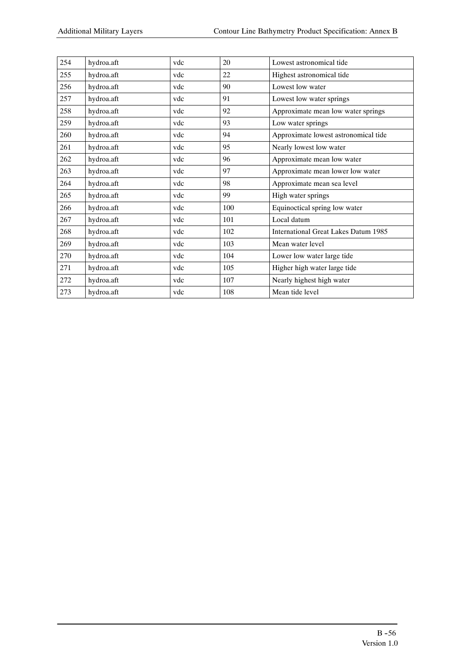| 254 | hydroa.aft | vdc | 20  | Lowest astronomical tide                    |
|-----|------------|-----|-----|---------------------------------------------|
| 255 | hydroa.aft | vdc | 22  | Highest astronomical tide                   |
| 256 | hydroa.aft | vdc | 90  | Lowest low water                            |
| 257 | hydroa.aft | vdc | 91  | Lowest low water springs                    |
| 258 | hydroa.aft | vdc | 92  | Approximate mean low water springs          |
| 259 | hydroa.aft | vdc | 93  | Low water springs                           |
| 260 | hydroa.aft | vdc | 94  | Approximate lowest astronomical tide        |
| 261 | hydroa.aft | vdc | 95  | Nearly lowest low water                     |
| 262 | hydroa.aft | vdc | 96  | Approximate mean low water                  |
| 263 | hydroa.aft | vdc | 97  | Approximate mean lower low water            |
| 264 | hydroa.aft | vdc | 98  | Approximate mean sea level                  |
| 265 | hydroa.aft | vdc | 99  | High water springs                          |
| 266 | hydroa.aft | vdc | 100 | Equinoctical spring low water               |
| 267 | hydroa.aft | vdc | 101 | Local datum                                 |
| 268 | hydroa.aft | vdc | 102 | <b>International Great Lakes Datum 1985</b> |
| 269 | hydroa.aft | vdc | 103 | Mean water level                            |
| 270 | hydroa.aft | vdc | 104 | Lower low water large tide                  |
| 271 | hydroa.aft | vdc | 105 | Higher high water large tide                |
| 272 | hydroa.aft | vdc | 107 | Nearly highest high water                   |
| 273 | hydroa.aft | vdc | 108 | Mean tide level                             |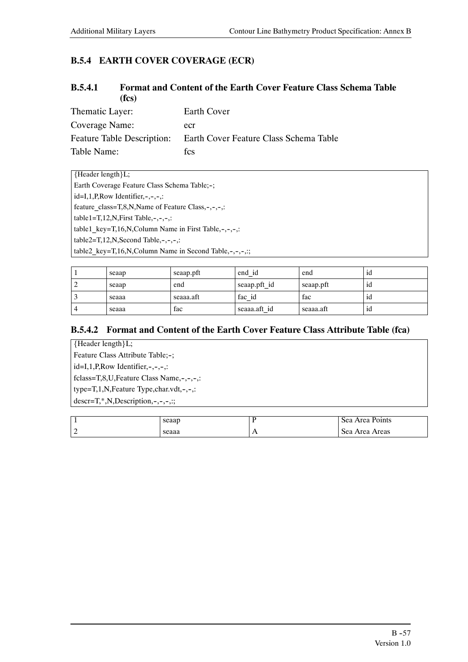# **B.5.4 EARTH COVER COVERAGE (ECR)**

#### **B.5.4.1 Format and Content of the Earth Cover Feature Class Schema Table (fcs)**

| Thematic Layer: | Earth Cover                                                       |
|-----------------|-------------------------------------------------------------------|
| Coverage Name:  | ecr                                                               |
|                 | Feature Table Description: Earth Cover Feature Class Schema Table |
| Table Name:     | fcs                                                               |

{Header length}L; Earth Coverage Feature Class Schema Table;-; id=I,1,P,Row Identifier,-,-,-,: feature\_class=T,8,N,Name of Feature Class,-,-,-,: table1=T,12,N,First Table,-,-,-,: table1 key=T,16,N,Column Name in First Table,-,-,-,: table2=T,12,N,Second Table,-,-,-,: table2 key=T,16,N,Column Name in Second Table,-,-,-,:;

|   | seaap | seaap.pft | end id       | end       | 1d |
|---|-------|-----------|--------------|-----------|----|
|   | seaap | end       | seaap.pft_id | seaap.pft | 10 |
| ◡ | seaaa | seaaa.aft | fac id       | fac       | 1d |
|   | seaaa | fac       | seaaa.aft id | seaaa.aft | 1d |

#### **B.5.4.2 Format and Content of the Earth Cover Feature Class Attribute Table (fca)**

{Header length}L; Feature Class Attribute Table;-; id=I,1,P,Row Identifier,-,-,-,: fclass=T,8,U,Feature Class Name,-,-,-,:

type=T,1,N,Feature Type,char.vdt,-,-,:

 $descr=T,*,N,Description,-,-,-.;;$ 

| seaap |     | Sea Area Points |
|-------|-----|-----------------|
| seaaa | . . | Sea Area Areas  |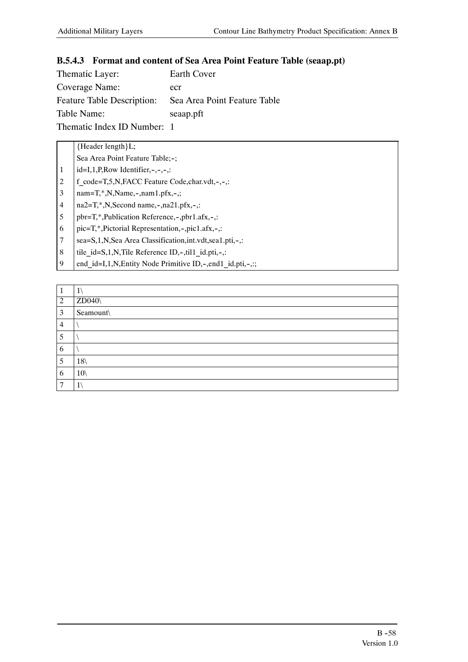# **B.5.4.3 Format and content of Sea Area Point Feature Table (seaap.pt)**

| Thematic Layer:                   | <b>Earth Cover</b>           |
|-----------------------------------|------------------------------|
| Coverage Name:                    | ecr                          |
| <b>Feature Table Description:</b> | Sea Area Point Feature Table |
| Table Name:                       | seaap.pft                    |
| Thematic Index ID Number: 1       |                              |

#### {Header length}L;

- Sea Area Point Feature Table;-;
- 1 id=I,1,P,Row Identifier,-,-,-,:
- 2 f\_code=T,5,N,FACC Feature Code,char.vdt,-,-,:
- 3 nam=T,\*,N,Name,-,nam1.pfx,-,;
- 4 na2=T,\*,N,Second name,-,na21.pfx,-,:
- 5 pbr=T,\*,Publication Reference,-,pbr1.afx,-,:
- 6 pic=T,\*,Pictorial Representation,-,pic1.afx,-,:
- 7 sea=S,1,N,Sea Area Classification,int.vdt,sea1.pti,-,:
- 8 tile\_id=S,1,N,Tile Reference ID,-,til1\_id.pti,-,:
- 9 end\_id=I,1,N,Entity Node Primitive ID,-,end1\_id.pti,-,:;

| $\mathbf{I}$   |                   |
|----------------|-------------------|
| $\overline{2}$ | $ZD040\backslash$ |
| 3              | Seamount\         |
| $\overline{4}$ |                   |
| 5              |                   |
| 6              |                   |
| 5              | 18                |
| 6              | $10\backslash$    |
| ⇁              |                   |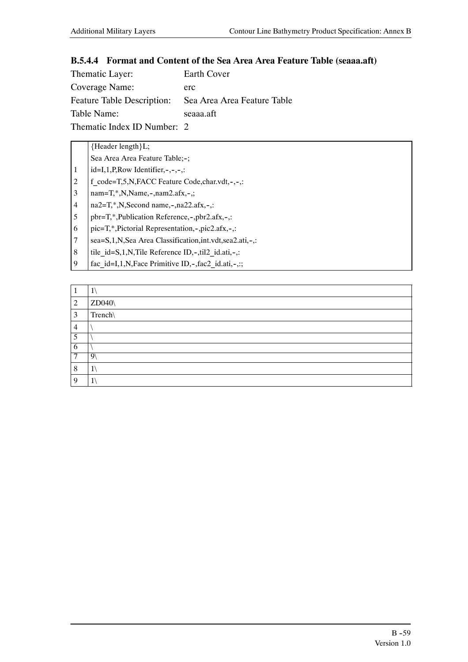# **B.5.4.4 Format and Content of the Sea Area Area Feature Table (seaaa.aft)**

| Thematic Layer: | Earth Cover                                            |
|-----------------|--------------------------------------------------------|
| Coverage Name:  | erc                                                    |
|                 | Feature Table Description: Sea Area Area Feature Table |
| Table Name:     | seaaa.aft                                              |
| $TT1 \tT1 \tT1$ |                                                        |

Thematic Index ID Number: 2 {Header length}L;

|                | Sea Area Area Feature Table;-;                         |
|----------------|--------------------------------------------------------|
| $\mathbf{1}$   | $id=I,1,P,Row$ Identifier, -, -, -,:                   |
| 2              | f code=T,5,N,FACC Feature Code,char.vdt,-,-,:          |
| $\mathfrak{Z}$ | $nam=T,*,N,Name,-,nam2.afx,-,;$                        |
| $\overline{4}$ | $na2=T,*,N, Second name,-,na22.afx,-,:$                |
| 5              | pbr=T,*,Publication Reference,-,pbr2.afx,-,:           |
| 6              | pic=T,*,Pictorial Representation,-,pic2.afx,-,:        |
| 7              | sea=S,1,N,Sea Area Classification,int.vdt,sea2.ati,-,: |
| 8              | tile id=S,1,N,Tile Reference ID,-,til2_id.ati,-,:      |
| 9              | fac id=I,1,N,Face Primitive ID,-,fac2 id.ati,-,:;      |

| 2              | $ZD040\backslash$ |
|----------------|-------------------|
| 3              | Trench\           |
| $\overline{4}$ |                   |
| 5              |                   |
| 6              |                   |
| $\mathcal{L}$  | Q                 |
| 8              |                   |
| Q              |                   |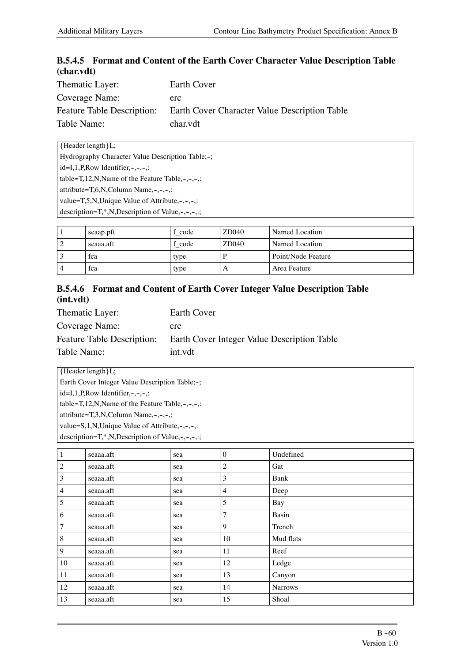# **B.5.4.5 Format and Content of the Earth Cover Character Value Description Table (char.vdt)**

| Thematic Layer: | Earth Cover                                                              |
|-----------------|--------------------------------------------------------------------------|
| Coverage Name:  | erc                                                                      |
|                 | Feature Table Description: Earth Cover Character Value Description Table |
| Table Name:     | char.vdt                                                                 |

{Header length}L;

Hydrography Character Value Description Table;-; id=I,1,P,Row Identifier,-,-,-,: table=T,12,N,Name of the Feature Table,-,-,-,: attribute=T,6,N,Column Name,-,-,-,: value=T,5,N,Unique Value of Attribute,-,-,-,: description=T,\*,N,Description of Value,-,-,-,:;

|   | seaap.pft | code | ZD040 | Named Location     |
|---|-----------|------|-------|--------------------|
|   | seaaa.aft | code | ZD040 | Named Location     |
|   | fca       | type |       | Point/Node Feature |
| 4 | fca       | type |       | Area Feature       |

# **B.5.4.6 Format and Content of Earth Cover Integer Value Description Table (int.vdt)**

| Thematic Layer: | Earth Cover                                                            |
|-----------------|------------------------------------------------------------------------|
| Coverage Name:  | erc                                                                    |
|                 | Feature Table Description: Earth Cover Integer Value Description Table |
| Table Name:     | int.vdt                                                                |

{Header length}L;

Earth Cover Integer Value Description Table;-;

id=I,1,P,Row Identifier,-,-,-,:

table=T,12,N,Name of the Feature Table,-,-,-,:

attribute=T,3,N,Column Name,-,-,-,:

value=S,1,N,Unique Value of Attribute,-,-,-,:

description=T,\*,N,Description of Value,-,-,-,:;

| $\mathbf{1}$   | seaaa.aft | sea | $\mathbf{0}$   | Undefined      |
|----------------|-----------|-----|----------------|----------------|
| $\overline{2}$ | seaaa.aft | sea | $\overline{2}$ | Gat            |
| 3              | seaaa.aft | sea | 3              | Bank           |
| $\overline{4}$ | seaaa.aft | sea | $\overline{4}$ | Deep           |
| 5              | seaaa.aft | sea | 5              | <b>Bay</b>     |
| 6              | seaaa.aft | sea | $\overline{7}$ | Basin          |
| 7              | seaaa.aft | sea | 9              | Trench         |
| 8              | seaaa.aft | sea | 10             | Mud flats      |
| 9              | seaaa.aft | sea | 11             | Reef           |
| 10             | seaaa.aft | sea | 12             | Ledge          |
| 11             | seaaa.aft | sea | 13             | Canyon         |
| 12             | seaaa.aft | sea | 14             | <b>Narrows</b> |
| 13             | seaaa.aft | sea | 15             | Shoal          |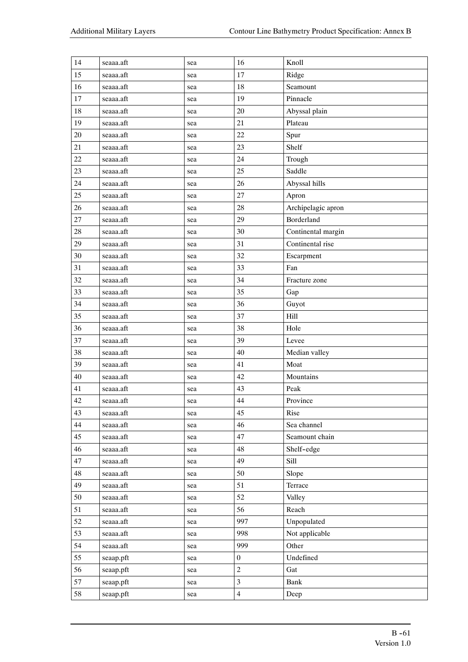| 14 | seaaa.aft | sea | 16               | Knoll              |
|----|-----------|-----|------------------|--------------------|
| 15 | seaaa.aft | sea | 17               | Ridge              |
| 16 | seaaa.aft | sea | 18               | Seamount           |
| 17 | seaaa.aft | sea | 19               | Pinnacle           |
| 18 | seaaa.aft | sea | 20               | Abyssal plain      |
| 19 | seaaa.aft | sea | 21               | Plateau            |
| 20 | seaaa.aft | sea | 22               | Spur               |
| 21 | seaaa.aft | sea | 23               | Shelf              |
| 22 | seaaa.aft | sea | 24               | Trough             |
| 23 | seaaa.aft | sea | 25               | Saddle             |
| 24 | seaaa.aft | sea | 26               | Abyssal hills      |
| 25 | seaaa.aft | sea | 27               | Apron              |
| 26 | seaaa.aft | sea | 28               | Archipelagic apron |
| 27 | seaaa.aft | sea | 29               | Borderland         |
| 28 | seaaa.aft | sea | 30               | Continental margin |
| 29 | seaaa.aft | sea | 31               | Continental rise   |
| 30 | seaaa.aft | sea | 32               | Escarpment         |
| 31 | seaaa.aft | sea | 33               | Fan                |
| 32 | seaaa.aft | sea | 34               | Fracture zone      |
| 33 | seaaa.aft | sea | 35               | Gap                |
| 34 | seaaa.aft | sea | 36               | Guyot              |
| 35 | seaaa.aft | sea | 37               | Hill               |
| 36 | seaaa.aft | sea | 38               | Hole               |
| 37 | seaaa.aft | sea | 39               | Levee              |
| 38 | seaaa.aft | sea | 40               | Median valley      |
| 39 | seaaa.aft | sea | 41               | Moat               |
| 40 | seaaa.aft | sea | 42               | Mountains          |
| 41 | seaaa.aft | sea | 43               | Peak               |
| 42 | seaaa.aft | sea | 44               | Province           |
| 43 | seaaa.aft | sea | 45               | Rise               |
| 44 | seaaa.aft | sea | 46               | Sea channel        |
| 45 | seaaa.aft | sea | 47               | Seamount chain     |
| 46 | seaaa.aft | sea | 48               | Shelf-edge         |
| 47 | seaaa.aft | sea | 49               | Sill               |
| 48 | seaaa.aft | sea | 50               | Slope              |
| 49 | seaaa.aft | sea | 51               | Terrace            |
| 50 | seaaa.aft | sea | 52               | Valley             |
| 51 | seaaa.aft | sea | 56               | Reach              |
| 52 | seaaa.aft | sea | 997              | Unpopulated        |
| 53 | seaaa.aft | sea | 998              | Not applicable     |
| 54 | seaaa.aft | sea | 999              | Other              |
| 55 | seaap.pft | sea | $\boldsymbol{0}$ | Undefined          |
| 56 | seaap.pft | sea | $\overline{c}$   | Gat                |
| 57 | seaap.pft | sea | $\overline{3}$   | Bank               |
| 58 | seaap.pft | sea | $\overline{4}$   | Deep               |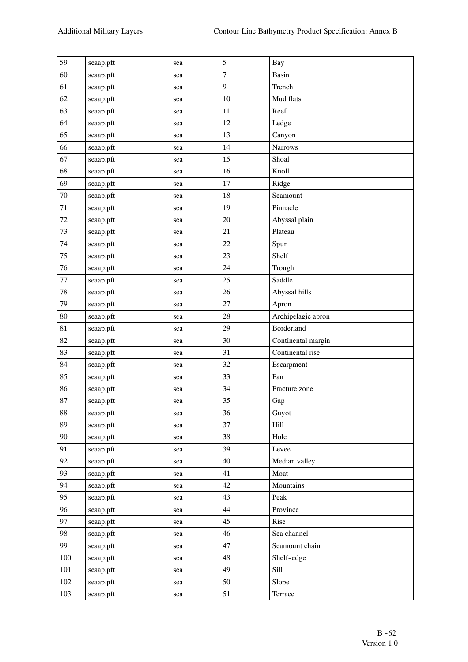| 59      | seaap.pft | sea | 5  | <b>Bay</b>         |
|---------|-----------|-----|----|--------------------|
| 60      | seaap.pft | sea | 7  | Basin              |
| 61      | seaap.pft | sea | 9  | Trench             |
| 62      | seaap.pft | sea | 10 | Mud flats          |
| 63      | seaap.pft | sea | 11 | Reef               |
| 64      | seaap.pft | sea | 12 | Ledge              |
| 65      | seaap.pft | sea | 13 | Canyon             |
| 66      | seaap.pft | sea | 14 | <b>Narrows</b>     |
| 67      | seaap.pft | sea | 15 | Shoal              |
| 68      | seaap.pft | sea | 16 | Knoll              |
| 69      | seaap.pft | sea | 17 | Ridge              |
| 70      | seaap.pft | sea | 18 | Seamount           |
| 71      | seaap.pft | sea | 19 | Pinnacle           |
| 72      | seaap.pft | sea | 20 | Abyssal plain      |
| 73      | seaap.pft | sea | 21 | Plateau            |
| 74      | seaap.pft | sea | 22 | Spur               |
| 75      | seaap.pft | sea | 23 | Shelf              |
| 76      | seaap.pft | sea | 24 | Trough             |
| $77 \,$ | seaap.pft | sea | 25 | Saddle             |
| 78      | seaap.pft | sea | 26 | Abyssal hills      |
| 79      | seaap.pft | sea | 27 | Apron              |
| 80      | seaap.pft | sea | 28 | Archipelagic apron |
| 81      | seaap.pft | sea | 29 | Borderland         |
| 82      | seaap.pft | sea | 30 | Continental margin |
| 83      | seaap.pft | sea | 31 | Continental rise   |
| 84      | seaap.pft | sea | 32 | Escarpment         |
| 85      | seaap.pft | sea | 33 | Fan                |
| 86      | seaap.pft | sea | 34 | Fracture zone      |
| 87      | seaap.pft | sea | 35 | Gap                |
| 88      | seaap.pft | sea | 36 | Guyot              |
| 89      | seaap.pft | sea | 37 | Hill               |
| 90      | seaap.pft | sea | 38 | Hole               |
| 91      | seaap.pft | sea | 39 | Levee              |
| 92      | seaap.pft | sea | 40 | Median valley      |
| 93      | seaap.pft | sea | 41 | Moat               |
| 94      | seaap.pft | sea | 42 | Mountains          |
| 95      | seaap.pft | sea | 43 | Peak               |
| 96      | seaap.pft | sea | 44 | Province           |
| 97      | seaap.pft | sea | 45 | Rise               |
| 98      | seaap.pft | sea | 46 | Sea channel        |
| 99      | seaap.pft | sea | 47 | Seamount chain     |
| 100     | seaap.pft | sea | 48 | Shelf-edge         |
| 101     | seaap.pft | sea | 49 | Sill               |
| 102     | seaap.pft | sea | 50 | Slope              |
| 103     | seaap.pft | sea | 51 | Terrace            |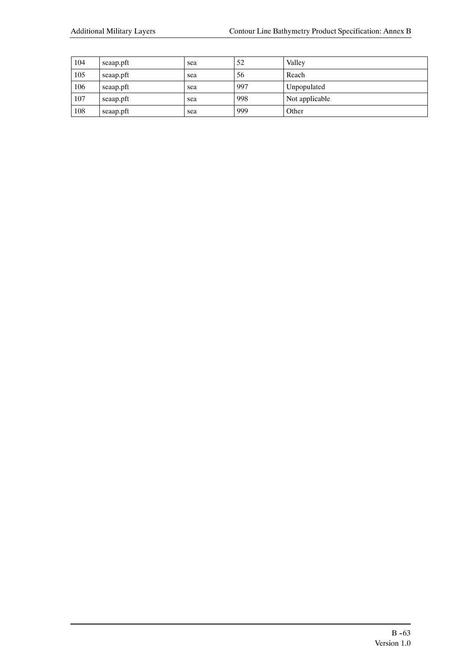| 104 | seaap.pft | sea | 52  | Valley         |
|-----|-----------|-----|-----|----------------|
| 105 | seaap.pft | sea | 56  | Reach          |
| 106 | seaap.pft | sea | 997 | Unpopulated    |
| 107 | seaap.pft | sea | 998 | Not applicable |
| 108 | seaap.pft | sea | 999 | Other          |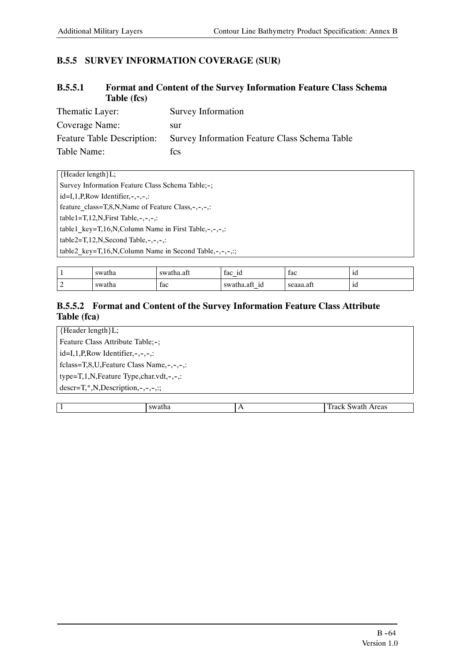# **B.5.5 SURVEY INFORMATION COVERAGE (SUR)**

#### **B.5.5.1 Format and Content of the Survey Information Feature Class Schema Table (fcs)**

| Thematic Layer: | Survey Information                                                       |
|-----------------|--------------------------------------------------------------------------|
| Coverage Name:  | sur                                                                      |
|                 | Feature Table Description: Survey Information Feature Class Schema Table |
| Table Name:     | fcs                                                                      |

| $\mathcal{A}$ {Header length}L;                              |
|--------------------------------------------------------------|
| Survey Information Feature Class Schema Table;-;             |
| $id=I,1,P,Row$ Identifier, $-,-,-$ .                         |
| feature class=T,8,N,Name of Feature Class,-,-,-,:            |
| table $1=T, 12, N$ , First Table, $-,-,-$ .                  |
| table1 key= $T, 16, N,$ Column Name in First Table,-,-,-,:   |
| table2= $T, 12, N$ , Second Table, $-,-,-$ .                 |
| table2 key= $T, 16, N,$ Column Name in Second Table,-,-,-,:; |

| swatha | swatha<br>. n tr<br>atiid.dit | . .<br>tac<br>1d                             | tac       | 1d |
|--------|-------------------------------|----------------------------------------------|-----------|----|
| swatha | c<br>fac                      | swatha.aft<br>1d<br>$\overline{\phantom{0}}$ | seaaa.aft | 1d |

# **B.5.5.2 Format and Content of the Survey Information Feature Class Attribute Table (fca)**

| {Header length}L;                                         |
|-----------------------------------------------------------|
| Feature Class Attribute Table:-:                          |
| $id=L,1,P,Row Identification, -,-,-,$ :                   |
| fclass=T,8,U,Feature Class Name,-,-,-,:                   |
| type=T,1,N,Feature Type,char.vdt,-,-,:                    |
| $\text{descr} = T, *, N, \text{Description}, -, -, -, ::$ |
|                                                           |

| $\alpha$<br>. .<br>. . |  |  |  |  |
|------------------------|--|--|--|--|
|------------------------|--|--|--|--|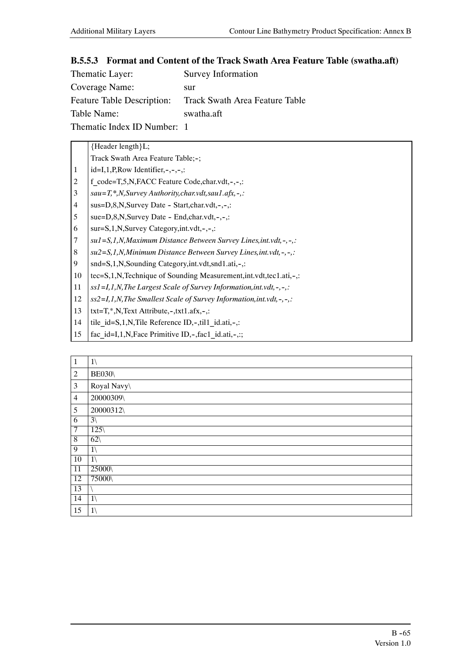# **B.5.5.3 Format and Content of the Track Swath Area Feature Table (swatha.aft)**

| Thematic Layer:                   | Survey Information             |
|-----------------------------------|--------------------------------|
| Coverage Name:                    | sur                            |
| <b>Feature Table Description:</b> | Track Swath Area Feature Table |
| Table Name:                       | swatha.aft                     |
| Thematic Index ID Number 1        |                                |

Thematic Index ID Number: 1

|                | {Header length}L;                                                              |
|----------------|--------------------------------------------------------------------------------|
|                | Track Swath Area Feature Table;-;                                              |
| $\mathbf{1}$   | $id=I,1,P,Row Identification, -,-,-,$ :                                        |
| $\overline{c}$ | f code=T,5,N,FACC Feature Code,char.vdt,-,-,:                                  |
| 3              | $sau = T, *, N, Survey Authority, char.vdt, sau1. afx, -,.$                    |
| $\overline{4}$ | sus=D,8,N,Survey Date - Start,char.vdt,-,-,:                                   |
| 5              | sue=D,8,N,Survey Date - End,char.vdt,-,-,:                                     |
| 6              | $sur=S,1,N,$ Survey Category, int.vdt, -, -,:                                  |
| $\tau$         | $su1 = S, 1, N, Maximum Distance Between Survey Lines, int. vdt, -, -,$        |
| 8              | $su2 = S, 1, N, Minimum Distance Between Survey Lines, int. vdt, -, -, \ldots$ |
| 9              | snd=S,1,N,Sounding Category,int.vdt,snd1.ati,-,:                               |
| 10             | tec=S,1,N,Technique of Sounding Measurement, int.vdt, tec1.ati,-,:             |
| 11             | $ss1 = I, I, N, The Largest Scale of Survey Information, int. vdt, -, -, :$    |
| 12             | $ss2=I,1,N,$ The Smallest Scale of Survey Information, int.vdt, -, -,:         |
| 13             | $txt=T, *, N, TextAttribute, -,txt1.afx, -, :$                                 |
| 14             | tile id= $S$ ,1,N,Tile Reference ID, $-$ ,til1 id.ati, $-$ ,:                  |
| 15             | fac id=I,1,N,Face Primitive ID,-,fac1 id.ati,-,:;                              |

| $\mathbf{1}$    | $1\backslash$   |
|-----------------|-----------------|
| 2               | <b>BE030\</b>   |
| $\mathfrak{Z}$  | Royal Navy\     |
| $\overline{4}$  | 20000309\       |
| $\mathfrak{S}$  | 20000312\       |
| $\overline{6}$  | $\overline{3}$  |
| $\overline{7}$  | $125\sqrt{ }$   |
| $\overline{8}$  | $62\sqrt{ }$    |
| $\overline{9}$  | $1\backslash$   |
| 10              | $1\backslash$   |
| $\overline{11}$ | 25000\          |
| 12              | 75000\          |
| 13              |                 |
| $\overline{14}$ | $1\overline{ }$ |
| 15              | $1\backslash$   |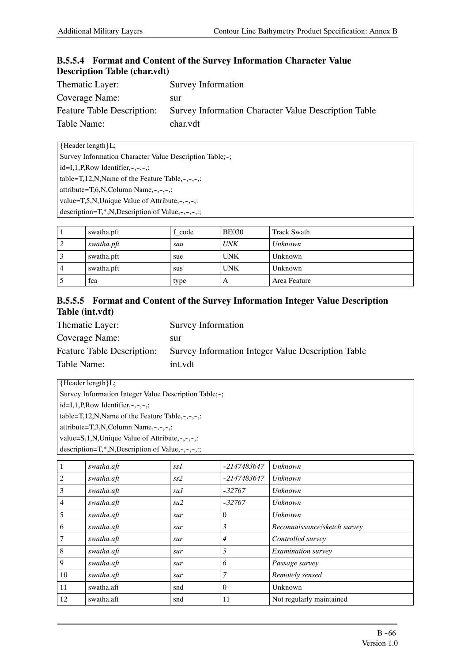#### **B.5.5.4 Format and Content of the Survey Information Character Value Description Table (char.vdt)**

| Thematic Layer: | Survey Information                                                              |
|-----------------|---------------------------------------------------------------------------------|
| Coverage Name:  | sur                                                                             |
|                 | Feature Table Description: Survey Information Character Value Description Table |
| Table Name:     | char.vdt                                                                        |

{Header length}L;

Survey Information Character Value Description Table;-; id=I,1,P,Row Identifier,-,-,-,: table=T,12,N,Name of the Feature Table,-,-,-,: attribute=T,6,N,Column Name,-,-,-,: value=T,5,N,Unique Value of Attribute,-,-,-,: description=T,\*,N,Description of Value,-,-,-,:;

|   | swatha.pft | code | <b>BE030</b> | <b>Track Swath</b> |
|---|------------|------|--------------|--------------------|
| 2 | swatha.pft | sau  | <b>UNK</b>   | <b>Unknown</b>     |
|   | swatha.pft | sue  | <b>UNK</b>   | Unknown            |
| 4 | swatha.pft | sus  | <b>UNK</b>   | Unknown            |
|   | fca        | type | $\bigwedge$  | Area Feature       |

#### **B.5.5.5 Format and Content of the Survey Information Integer Value Description Table (int.vdt)**

| Thematic Layer:                   | Survey Information                                 |
|-----------------------------------|----------------------------------------------------|
| Coverage Name:                    | sur                                                |
| <b>Feature Table Description:</b> | Survey Information Integer Value Description Table |
| Table Name:                       | int.vdt                                            |

{Header length}L; Survey Information Integer Value Description Table;-;

id=I,1,P,Row Identifier,-,-,-,:

table=T,12,N,Name of the Feature Table,-,-,-,:

attribute=T,3,N,Column Name,-,-,-,:

value=S,1,N,Unique Value of Attribute,-,-,-,:

description=T,\*,N,Description of Value,-,-,-,:;

|    | swatha.aft | ss1 | $-2147483647$ | Unknown                      |
|----|------------|-----|---------------|------------------------------|
| 2  | swatha.aft | ss2 | $-2147483647$ | Unknown                      |
| 3  | swatha.aft | su1 | $-32767$      | Unknown                      |
| 4  | swatha.aft | su2 | $-32767$      | Unknown                      |
| 5  | swatha.aft | sur | 0             | Unknown                      |
| 6  | swatha.aft | sur | 3             | Reconnaissance/sketch survey |
| 7  | swatha.aft | sur | 4             | Controlled survey            |
| 8  | swatha.aft | sur | 5             | Examination survey           |
| 9  | swatha.aft | sur | 6             | Passage survey               |
| 10 | swatha.aft | sur | 7             | Remotely sensed              |
| 11 | swatha.aft | snd | 0             | Unknown                      |
| 12 | swatha.aft | snd | 11            | Not regularly maintained     |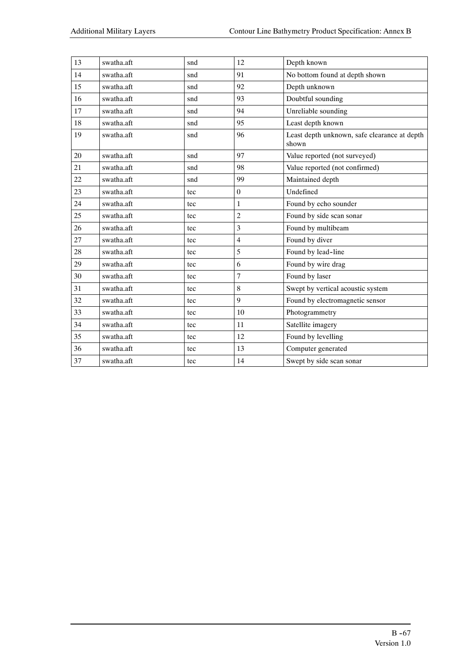| 13 | swatha.aft | snd | 12             | Depth known                                           |
|----|------------|-----|----------------|-------------------------------------------------------|
| 14 | swatha.aft | snd | 91             | No bottom found at depth shown                        |
| 15 | swatha.aft | snd | 92             | Depth unknown                                         |
| 16 | swatha.aft | snd | 93             | Doubtful sounding                                     |
| 17 | swatha.aft | snd | 94             | Unreliable sounding                                   |
| 18 | swatha.aft | snd | 95             | Least depth known                                     |
| 19 | swatha.aft | snd | 96             | Least depth unknown, safe clearance at depth<br>shown |
| 20 | swatha.aft | snd | 97             | Value reported (not surveyed)                         |
| 21 | swatha.aft | snd | 98             | Value reported (not confirmed)                        |
| 22 | swatha.aft | snd | 99             | Maintained depth                                      |
| 23 | swatha.aft | tec | $\theta$       | Undefined                                             |
| 24 | swatha.aft | tec | 1              | Found by echo sounder                                 |
| 25 | swatha.aft | tec | $\overline{2}$ | Found by side scan sonar                              |
| 26 | swatha.aft | tec | 3              | Found by multibeam                                    |
| 27 | swatha.aft | tec | $\overline{4}$ | Found by diver                                        |
| 28 | swatha.aft | tec | 5              | Found by lead-line                                    |
| 29 | swatha.aft | tec | 6              | Found by wire drag                                    |
| 30 | swatha.aft | tec | $\overline{7}$ | Found by laser                                        |
| 31 | swatha.aft | tec | 8              | Swept by vertical acoustic system                     |
| 32 | swatha.aft | tec | 9              | Found by electromagnetic sensor                       |
| 33 | swatha.aft | tec | 10             | Photogrammetry                                        |
| 34 | swatha.aft | tec | 11             | Satellite imagery                                     |
| 35 | swatha.aft | tec | 12             | Found by levelling                                    |
| 36 | swatha.aft | tec | 13             | Computer generated                                    |
| 37 | swatha.aft | tec | 14             | Swept by side scan sonar                              |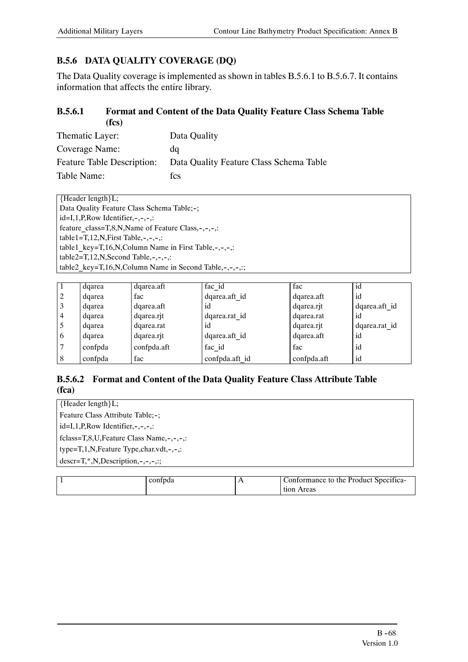# **B.5.6 DATA QUALITY COVERAGE (DQ)**

The Data Quality coverage is implemented as shown in tables B.5.6.1 to B.5.6.7. It contains information that affects the entire library.

# **B.5.6.1 Format and Content of the Data Quality Feature Class Schema Table (fcs)**

| Thematic Layer:                   | Data Quality                            |
|-----------------------------------|-----------------------------------------|
| Coverage Name:                    | da                                      |
| <b>Feature Table Description:</b> | Data Quality Feature Class Schema Table |
| Table Name:                       | fcs                                     |

| $\mathcal{A}$ {Header length}L;                              |  |
|--------------------------------------------------------------|--|
| Data Quality Feature Class Schema Table;-;                   |  |
| $id=I,1,P,Row Identification, -,-,-$                         |  |
| feature class=T,8,N,Name of Feature Class,-,-,-,:            |  |
| table $1=T, 12, N$ , First Table, $-,-,-$ .                  |  |
| table1 key= $T, 16, N, Column$ Name in First Table,-,-,-,:   |  |
| table2= $T$ ,12,N,Second Table,-,-,-,:                       |  |
| table2 key= $T, 16, N, Column$ Name in Second Table,-,-,-,:; |  |
|                                                              |  |

|                | dgarea  | dqarea.aft  | fac id         | fac         | id            |
|----------------|---------|-------------|----------------|-------------|---------------|
|                | dgarea  | fac         | dqarea.aft id  | dqarea.aft  | id            |
| 3              | dgarea  | dqarea.aft  | id             | dqarea.rjt  | dqarea.aft id |
| $\overline{4}$ | dgarea  | dqarea.rjt  | dqarea.rat id  | dqarea.rat  | id            |
| 5              | dgarea  | dqarea.rat  | id             | dqarea.rjt  | dqarea.rat id |
| 6              | dgarea  | dqarea.rjt  | dqarea.aft id  | dqarea.aft  | id            |
|                | confpda | confpda.aft | fac id         | fac         | id            |
| 8              | confpda | fac         | confpda.aft id | confpda.aft | id            |

# **B.5.6.2 Format and Content of the Data Quality Feature Class Attribute Table (fca)**

| {Header length} $L$ ;                                      |  |
|------------------------------------------------------------|--|
| Feature Class Attribute Table;-;                           |  |
| $id=I,1,P,Row Identification, -,-,-,$ :                    |  |
| fclass= $T, 8, U$ , Feature Class Name, $-$ , $-$ , $-$ ,: |  |
| type= $T, 1, N$ , Feature Type, char.vdt, -, -,:           |  |
| $descr=T,*,N,Description,-,-,-,::;$                        |  |
|                                                            |  |

| confpda |  | $\cdot$ $\sim$<br>Conformance to the Product Specifica-<br>tion Areas |
|---------|--|-----------------------------------------------------------------------|
|---------|--|-----------------------------------------------------------------------|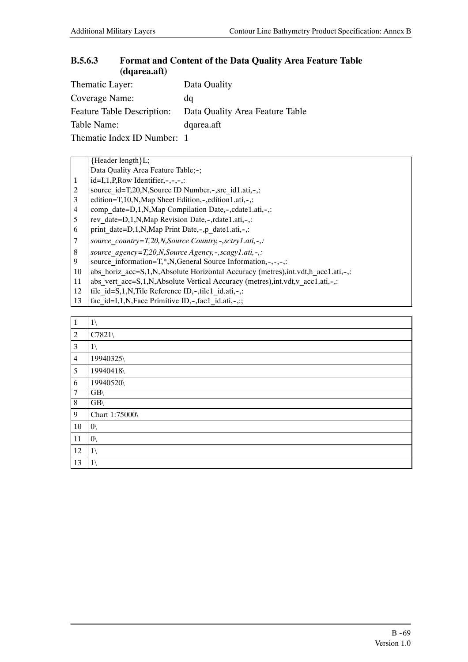#### **B.5.6.3 Format and Content of the Data Quality Area Feature Table (dqarea.aft)**

| Thematic Layer:                   | Data Quality                    |
|-----------------------------------|---------------------------------|
| Coverage Name:                    | dq                              |
| <b>Feature Table Description:</b> | Data Quality Area Feature Table |
| Table Name:                       | dqarea.aft                      |
| Thomatic Indov ID Numbor: 1       |                                 |

Thematic Index ID Number: 1

{Header length}L;

Data Quality Area Feature Table;-; 1  $\vert$  id=I,1,P,Row Identifier,-,-,-,:

2 | source\_id=T,20,N,Source ID Number,-,src\_id1.ati,-,:

3 edition=T,10,N,Map Sheet Edition,-,edition1.ati,-,:

4 comp\_date=D,1,N,Map Compilation Date,-,cdate1.ati,-,:

- 5 rev\_date=D,1,N,Map Revision Date,-,rdate1.ati,-,:
- 6 print\_date=D,1,N,Map Print Date,-,p\_date1.ati,-,:

7 *source\_country=T,20,N,Source Country,-,sctry1.ati,-,:*

*source\_agency=T,20,N,Source Agency,-,scagy1.ati,-,:*

8<br>9 source information=T,\*,N,General Source Information,-,-,-,:

- 10 abs horiz acc=S,1,N,Absolute Horizontal Accuracy (metres),int.vdt,h acc1.ati,-,:
- 11 abs vert acc=S,1,N,Absolute Vertical Accuracy (metres),int.vdt,v acc1.ati,-,:
- 12 tile id=S,1,N,Tile Reference ID,-,tile1 id.ati,-,:
- 13  $\int$  fac\_id=I,1,N,Face Primitive ID,-,fac1\_id.ati,-,:;

| 1              | $1\backslash$  |
|----------------|----------------|
| $\overline{2}$ | C7821          |
| $\mathfrak{Z}$ | $1\backslash$  |
| $\overline{4}$ | 19940325\      |
| 5              | 19940418\      |
| 6              | 19940520\      |
| 7              | GB(            |
| $\overline{8}$ | GB(            |
| 9              | Chart 1:75000\ |
| 10             | $0\backslash$  |
| 11             | $0\backslash$  |
| 12             | $1\backslash$  |
| 13             | $1\vee$        |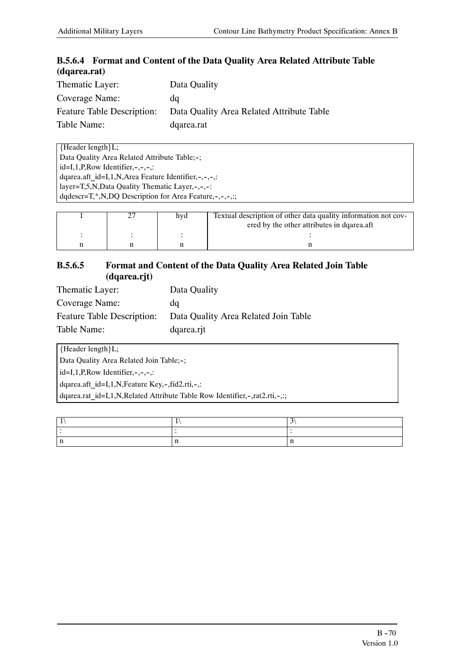# **B.5.6.4 Format and Content of the Data Quality Area Related Attribute Table (dqarea.rat)**

| Thematic Layer:                   | Data Quality                              |
|-----------------------------------|-------------------------------------------|
| Coverage Name:                    | da                                        |
| <b>Feature Table Description:</b> | Data Quality Area Related Attribute Table |
| Table Name:                       | dqarea.rat                                |

{Header length}L; Data Quality Area Related Attribute Table;-; id=I,1,P,Row Identifier,-,-,-,: dqarea.aft id=I,1,N,Area Feature Identifier,-,-,-,: layer=T,5,N,Data Quality Thematic Layer,-,-,-: dqdescr=T,\*,N,DQ Description for Area Feature,-,-,-,:;

|  | hyd | Textual description of other data quality information not cov-<br>ered by the other attributes in dgarea.aft |
|--|-----|--------------------------------------------------------------------------------------------------------------|
|  |     |                                                                                                              |

# **B.5.6.5 Format and Content of the Data Quality Area Related Join Table (dqarea.rjt)**

| Thematic Layer:                   | Data Quality                         |
|-----------------------------------|--------------------------------------|
| Coverage Name:                    | da                                   |
| <b>Feature Table Description:</b> | Data Quality Area Related Join Table |
| Table Name:                       | dqarea.rit                           |
|                                   |                                      |

{Header length}L; Data Quality Area Related Join Table;-; id=I,1,P,Row Identifier,-,-,-,: dqarea.aft\_id=I,1,N,Feature Key,-,fid2.rti,-,: dqarea.rat\_id=I,1,N,Related Attribute Table Row Identifier,-,rat2.rti,-,:;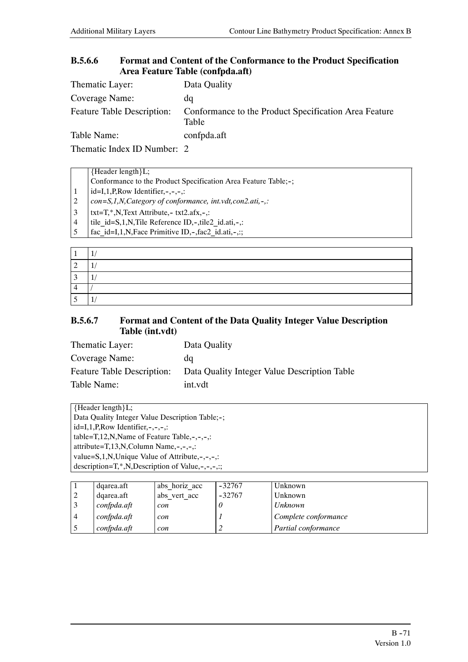#### **B.5.6.6 Format and Content of the Conformance to the Product Specification Area Feature Table (confpda.aft)**

| Thematic Layer:                       | Data Quality                                                   |
|---------------------------------------|----------------------------------------------------------------|
| Coverage Name:                        | da                                                             |
| <b>Feature Table Description:</b>     | Conformance to the Product Specification Area Feature<br>Table |
| Table Name:                           | confpda.aft                                                    |
| The meeting Index ID Members $\Omega$ |                                                                |

Thematic Index ID Number: 2

|                | {Header length}L;                                              |
|----------------|----------------------------------------------------------------|
|                | Conformance to the Product Specification Area Feature Table;-; |
|                | $id=I,1,P,Row$ Identifier,-,-,-,:                              |
| $\overline{2}$ | con=S,1,N,Category of conformance, int.vdt,con2.ati,-,:        |
| $\overline{3}$ | $txt=T, *, N, TextAttribute, - txt2.afx, -,:$                  |
| $\overline{4}$ | tile id=S,1,N,Tile Reference ID,-,tile2_id.ati,-,:             |
|                | fac_id=I,1,N,Face Primitive ID,-,fac2_id.ati,-,:;              |
|                |                                                                |
|                |                                                                |

#### **B.5.6.7 Format and Content of the Data Quality Integer Value Description Table (int.vdt)**

| Thematic Layer:                   | Data Quality                                 |
|-----------------------------------|----------------------------------------------|
| Coverage Name:                    | da                                           |
| <b>Feature Table Description:</b> | Data Quality Integer Value Description Table |
| Table Name:                       | int.vdt                                      |
|                                   |                                              |

{Header length}L; Data Quality Integer Value Description Table;-; id=I,1,P,Row Identifier,-,-,-,: table=T,12,N,Name of Feature Table,-,-,-,: attribute=T,13,N,Column Name,-,-,-,: value=S,1,N,Unique Value of Attribute,-,-,-,: description=T,\*,N,Description of Value,-,-,-,:;

|                | dqarea.aft  | abs horiz acc | $-32767$ | Unknown              |
|----------------|-------------|---------------|----------|----------------------|
| $\overline{2}$ | dqarea.aft  | abs vert acc  | $-32767$ | Unknown              |
| <sup>3</sup>   | confpda.aft | con           |          | Unknown              |
| l 4            | confpda.aft | con           |          | Complete conformance |
|                | confpda.aft | con           |          | Partial conformance  |